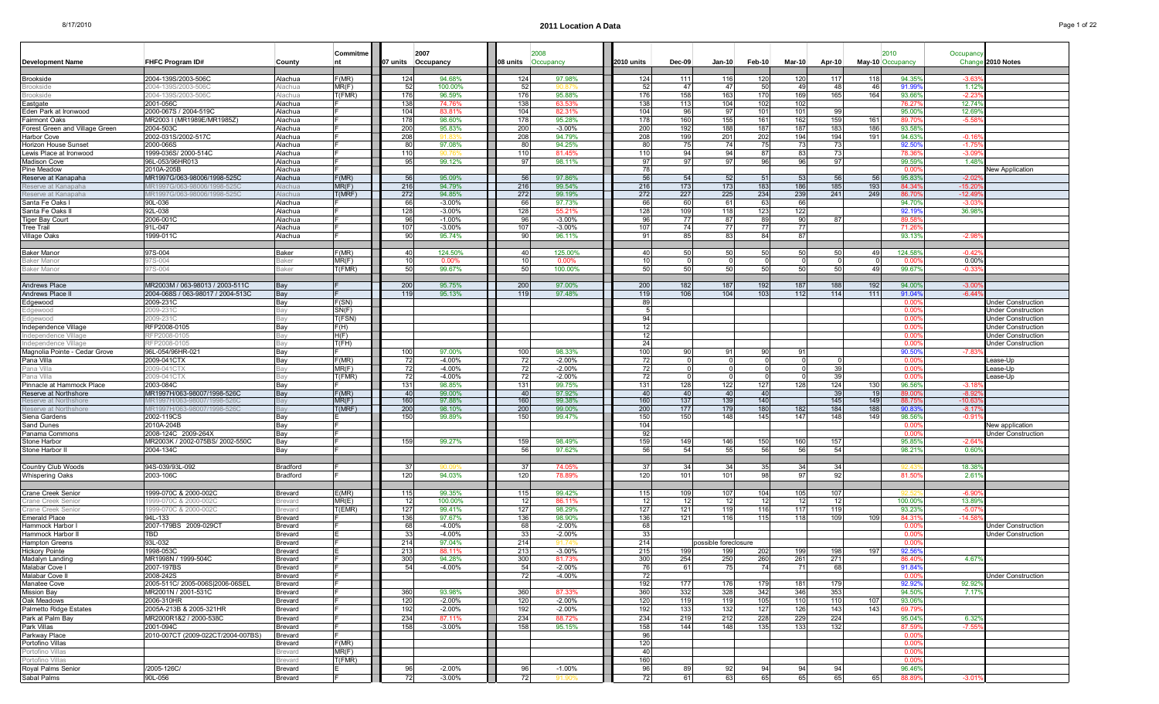|                                                    |                                                 |                    | Commitme       | 2007               |                      |                     |                    |            |            |                      |           |                |            |     | 2010             | Occupanc           |                                                        |
|----------------------------------------------------|-------------------------------------------------|--------------------|----------------|--------------------|----------------------|---------------------|--------------------|------------|------------|----------------------|-----------|----------------|------------|-----|------------------|--------------------|--------------------------------------------------------|
| <b>Development Name</b>                            | FHFC Program ID#                                | County             |                | 07 units Occupancy |                      | 08 units            | Occupancy          | 2010 units | Dec-09     | $Jan-10$             | Feb-10    | $Mar-10$       | Apr-10     |     | May-10 Occupancy |                    | Change 2010 Notes                                      |
| Brookside                                          | 2004-139S/2003-506C                             | Alachua            | F(MR)          | 124                | 94.68%               | 124                 | 97.98%             | 124        | 111        | 116                  | 120       | 120            | 117        | 118 | 94.35            | $-3.6$             |                                                        |
| Brooksid                                           | 2004-139S/2003-5060                             | Jachua             | MR(F)          | 52                 | 100.00%              | -51                 |                    | -52        | 47         | 47                   | 50        | -49            | -48        | 46  | 91.99            | $1.12^{\circ}$     |                                                        |
| <b>Brookside</b>                                   | 2004-139S/2003-506C                             | Nachua             | (FMR)          | 176                | 96.59%               | 176                 | 95.88%             | 176        | 158        | 163                  | 170       | 169            | 165        | 164 | 93.66            | $-2.23$            |                                                        |
| Eastgate                                           | 2001-056C                                       | Alachua            |                | 138                | 74.76%               | 138                 | 63.53%             | 138        | 113        | 104                  | 102       | 102            |            |     | 76.27            | 12.749             |                                                        |
| Eden Park at Ironwood                              | 2000-067S / 2004-519C                           | Alachua            |                | 104                | 83.81%               | 104                 | 82.31%             | 104        | 96         | -97                  | 101       | 101            | 99         |     | 95,009           | 12.69              |                                                        |
| Fairmont Oaks                                      | MR2003 I (MR1989E/MR1985Z)                      | Alachua            |                | 178                | 98.60%               | 178                 | 95.28%             | 178        | 160        | 155                  | 161       | 162            | 159        | 161 | 89.70            | $-5.5$             |                                                        |
| Forest Green and Village Green                     | 2004-503C                                       | Alachua            |                | 200                | 95.83%               | 200                 | $-3.00%$<br>94.79% | 200        | 192<br>199 | 188<br>201           | 187       | 187            | 183<br>194 | 186 | 93.58            |                    |                                                        |
| Harbor Cove<br>Horizon House Sunset                | 2002-031S/2002-517C<br>2000-066S                | Alachua<br>Alachua |                | 208<br>80          | 97.08%               | 208<br>$\mathbf{R}$ | 94.25%             | 208<br>80  | 75         | 74                   | 202<br>75 | 194<br>73      | 73         | 191 | 94.63<br>92.50   | $-0.16$<br>$-1.75$ |                                                        |
| Lewis Place at Ironwood                            | 1999-036S/ 2000-514C                            | Alachua            |                | 110                | 90 76                | 110                 | 81.45%             | 110        | 94         | 94                   | 87        | 83             | -731       |     | 78.36            | $-3.0$             |                                                        |
| Madison Cove                                       | 96L-053/96HR013                                 | Alachua            |                | 95                 | 99.12%               | -97                 | 98.11%             | 97         | 97         | 97                   | 96        | 96             | 97         |     | 99.59            | 1.48               |                                                        |
| Pine Meadow                                        | 2010A-205B                                      | Alachua            |                |                    |                      |                     |                    | 78         |            |                      |           |                |            |     | 0.00             |                    | New Application                                        |
| Reserve at Kanapaha                                | MR1997G/063-98006/1998-525C                     | Alachua            | F(MR)          | 56                 | 95.09%               | -51                 | 97.86%             | 56         | 54         | 52                   | 51        | 53             | 56         |     | 95.83            | $-2.02$            |                                                        |
| Reserve at Kanapaha                                | /IR1997G/063-98006/1998-525C                    | Nachua             | MR(F)          | 216                | 94.79%               | 216                 | 99.54%             | 216        | 173        | 173                  | 183       | 186            | 185        | 193 | 84.34            | $-15.2$            |                                                        |
| Reserve at Kanapaha                                | VR1997G/063-98006/1998-525C                     | Alachua            | f(MRF)         | 272                | 94.85%               | 272                 | 99.19%             | 272        | 227        | 225                  | 234       | 239            | 241        | 249 | 86.70            | $-12.49$           |                                                        |
| Santa Fe Oaks I                                    | 90L-036                                         | Alachua            |                | 66                 | $-3.00%$             | 6                   | 97.73%             | 66         | 60         | 61                   | 63        | 66             |            |     | 94.70            | $-3.0$             |                                                        |
| Santa Fe Oaks                                      | 92L-038<br>2006-001C                            | Alachua            |                | 128                | $-3.00%$<br>$-1.00%$ | 128                 | 55.219<br>$-3.00%$ | 128        | 109<br>77  | 118<br>87            | 123<br>89 | 122<br>90      |            |     | 92.19<br>89.58   | 36.98              |                                                        |
| Tiger Bay Court<br>Tree Trail                      | 91L-047                                         | Alachua<br>Alachua |                | 96<br>107          | $-3.00%$             | 107                 | $-3.00%$           | 96<br>107  | 74         | 77                   | 77        | 77             | 87         |     | 71.26            |                    |                                                        |
| Village Oaks                                       | 1999-011C                                       | Alachua            |                | 90                 | 95.74%               | 90                  | 96.11%             | -91        | 85         | 83                   | 84        | 87             |            |     | 93.13            | $-2.98$            |                                                        |
|                                                    |                                                 |                    |                |                    |                      |                     |                    |            |            |                      |           |                |            |     |                  |                    |                                                        |
| Baker Manor                                        | 97S-004                                         | Baker              | F(MR)          | 40                 | 124.50%              |                     | 125.00%            | 40         |            | 50                   | 50        | 50             | 50         |     | 124.58           | $-0.42$            |                                                        |
| Baker Mano                                         | 7S-004                                          | <b>Raker</b>       | MR(F)          | 10                 | 0.00%                |                     | 0.00%              | 10         |            |                      |           |                |            |     | n ni             | 0.00%              |                                                        |
| Baker Manor                                        | 7S-004                                          | <b>Baker</b>       | (FMR)          | 50                 | 99.67%               | 50                  | 100.00%            | 50         | 50         | 50                   | 50        | 50             | 50         | 49  | 99.679           | $-0.3$             |                                                        |
|                                                    |                                                 |                    |                |                    |                      |                     |                    |            |            |                      |           |                |            |     |                  |                    |                                                        |
| Andrews Place                                      | MR2003M / 063-98013 / 2003-511C                 | Bay                |                | 200                | 95.75%               | 200                 | 97.00%             | 200        | 182        | 187                  | 192       | 187            | 188        | 192 | 94.00            | $-3.00$            |                                                        |
| Andrews Place I                                    | 2004-068S / 063-98017 / 2004-513C               | Bay                |                | 119                | 95.13%               | 11(                 | 97.48%             | 119        | 106        | 104                  | 103       | 112            | 114        | 111 | 91.04            | $-6.44'$           |                                                        |
| Edgewood                                           | 2009-231C<br>:009-2310                          | Bay<br>งลง         | F(SN)<br>SN(F) |                    |                      |                     |                    | 89         |            |                      |           |                |            |     | 0.00<br>0.00     |                    | <b>Jnder Construction</b><br><b>Under Construction</b> |
| Edgewood<br>Edgewood                               | 2009-231C                                       | ≀ล∨                | T(FSN)         |                    |                      |                     |                    | -94        |            |                      |           |                |            |     | 0.00             |                    | <b>Under Construction</b>                              |
| Independence Village                               | RFP2008-0105                                    | Bay                | F(H)           |                    |                      |                     |                    | 12         |            |                      |           |                |            |     | 0.00             |                    | <b>Under Construction</b>                              |
| Independence Village                               | RFP2008-01                                      | ła                 | H(F)           |                    |                      |                     |                    | 12         |            |                      |           |                |            |     | 0.00             |                    | <b>Under Construction</b>                              |
| Independence Village                               | RFP2008-0105                                    | 3av                | T(FH)          |                    |                      |                     |                    | 24         |            |                      |           |                |            |     | 0.00             |                    | Under Construction                                     |
| Magnolia Pointe - Cedar Grove                      | 96L-054/96HR-021                                | Bay                |                | 100                | 97.00%               | 100                 | 98.33%             | 100        | 90         | 91                   | 90        | 91             |            |     | 90.50            | $-7.83$            |                                                        |
| Pana Villa                                         | 2009-041CTX                                     | Bay                | F(MR)          | 72                 | $-4.00%$             | -72                 | $-2.00%$           | 72I        | $\Omega$   | $\Omega$             | $\Omega$  | $\overline{0}$ |            |     | 0.00             |                    | _ease-Up                                               |
| Pana Villa                                         | 009-041CTX                                      | lav                | MR(F)          | 72                 | $-4.00%$             | -72                 | $-2.00%$           | 72         |            |                      | $\Omega$  |                | 39         |     | 0.00             |                    | ease-Up.                                               |
| Pana Villa                                         | ?009-041CT                                      | lav                | T(FMR)         | 72                 | $-4.00%$             |                     | $-2.00%$           | 72         |            |                      |           |                | 39         |     | 0.00             |                    | _ease-Up                                               |
| Pinnacle at Hammock Place<br>Reserve at Northshore | 2003-084C<br>MR1997H/063-98007/1998-526C        | Bay<br>Bay         | F(MR)          | 131<br>40          | 98.85%<br>99.00%     | 13'<br>40           | 99.75%<br>97.92%   | 131<br>40  | 128<br>40  | 122<br>40            | 127<br>40 | 128            | 124<br>39  | 130 | 96.56<br>89.00   | $-3.18$<br>$-8.9$  |                                                        |
| Reserve at Northshore                              | /IR1997H/063-98007/1998-526C                    | ∃aγ                | MR(F)          | 160                | 97.88%               | 160                 | 99.38%             | 160        | 137        | 139                  | 140       |                | 145        | 149 | 88.75            | $-10.6$            |                                                        |
| Reserve at Northshore                              | IR1997H/063-98007/1998-526C                     |                    | f(MRF)         | 200                | 98.10%               | 200                 | 99.00%             | 200        | 177        | 179                  | 180       | 182            | 184        | 188 | 90.83            | $-8.17$            |                                                        |
| Siena Gardens                                      | 2002-119CS                                      | Bay                |                | 150                | 99.89%               | 150                 | 99.47%             | 150        | 150        | 148                  | 145       | 147            | 148        | 149 | 98.569           | $-0.91$            |                                                        |
| Sand Dunes                                         | 2010A-204B                                      | Bay                |                |                    |                      |                     |                    | 104        |            |                      |           |                |            |     | 0.00             |                    | New application                                        |
| Panama Commons                                     | 2008-124C 2009-264X                             | Bay                |                |                    |                      |                     |                    | 92         |            |                      |           |                |            |     | 0.00             |                    | Jnder Construction                                     |
| Stone Harbor                                       | MR2003K / 2002-075BS/ 2002-550C                 | Bay                |                | 159                | 99.27%               | 159<br>56           | 98.49%             | 159        | 149        | 146                  | 150       | 160            | 157        |     | 95.85            | $-2.64$            |                                                        |
| Stone Harbor                                       | 2004-134C                                       | Bay                |                |                    |                      |                     | 97.62%             | 56         | 54         | 55                   | 56        | 56             | 54         |     | 98.21            | 0.60               |                                                        |
| Country Club Woods                                 | 94S-039/93L-092                                 | Bradford           |                | -37                |                      | -37                 | 74.05%             | 37         | 34         | 34                   | 35        | 34             | 34         |     |                  | 18.38              |                                                        |
| Whispering Oaks                                    | 2003-106C                                       | Bradford           |                | 120                | 94.03%               | 120                 | 78.89%             | 120        | 101        | 101                  | 98        | 97             | 92         |     | 81.50            | 2.61'              |                                                        |
|                                                    |                                                 |                    |                |                    |                      |                     |                    |            |            |                      |           |                |            |     |                  |                    |                                                        |
| Crane Creek Senior                                 | 1999-070C & 2000-002C                           | Brevard            | E(MR)          | 115                | 99.35%               | 115                 | 99.42%             | 115        | 109        | 107                  | 104       | 105            | 107        |     |                  | $-6.90$            |                                                        |
| Crane Creek Senio                                  | 999-070C & 2000-002C                            | revard             | MR(E)          | 12                 | 100.00%              |                     | 86.11%             | 12         | 12         | 12                   | 12        | 12             | 12         |     | 100.00           | 13.89              |                                                        |
| Crane Creek Senio                                  | 999-070C & 2000-002C                            | <b>revard</b>      | (HMR)          | 127                | 99.41%               | 127                 | 98.29%             | 127        | 121        | 119                  | 116       | 117            | 119        |     | 93.23            | $-5.07$            |                                                        |
| Emerald Place                                      | 94L-133                                         | Brevard            |                | 136                | 97.67%               | 136                 | 98.90%             | 136        | 121        | 116                  | 115       | 118            | 109        | 109 | 84.31            | -14.5              |                                                        |
| Hammock Harbor                                     | 2007-179BS 2009-029CT                           | Brevard            |                | 68                 | $-4.00%$             | 68                  | $-2.00%$           | 68         |            |                      |           |                |            |     | 0.00             |                    | Jnder Construction                                     |
| Hammock Harbor I<br><b>Hampton Greens</b>          | <b>TBD</b><br>93L-032                           | Brevard<br>Brevard |                | 33<br>214          | $-4.00%$<br>97.04%   | 214                 | $-2.00%$<br>Q1 7.  | 33<br>214  |            | possible foreclosure |           |                |            |     | 0.00<br>0.00     |                    | Under Construction                                     |
| <b>Hickory Pointe</b>                              | 1998-053C                                       | Brevard            |                | 213                | 88.11%               | 213                 | $-3.00%$           | 215        | 199        | 199                  | 202       | 199            | 198        | 197 | 92.56            |                    |                                                        |
| Madalyn Landing                                    | MR1998N / 1999-504C                             | Brevard            |                | 300                | 94.28%               | 300                 | 81.73%             | 300        | 254        | 250                  | 260       | 261            | -271       |     | 86.40            | 4.67%              |                                                        |
| Malabar Cove I                                     | 2007-197BS                                      | Brevard            |                | 54                 | $-4.00\%$            | 54                  | $-2.00%$           | 76         | 61         | 75                   | 74        | 71             | 68         |     | 91.849           |                    |                                                        |
| Malabar Cove II                                    | 2008-242S                                       | Brevard            |                |                    |                      | -72                 | $-4.00\%$          | -72        |            |                      |           |                |            |     | $0.00^{\circ}$   |                    | <b>Under Construction</b>                              |
| Manatee Cove                                       | 2005-511C/ 2005-006S 2006-06SEL                 | Brevard            |                |                    |                      |                     |                    | 192        | 177        | 176                  | 179       | 181            | 179        |     | 92.92%           | 92.92%             |                                                        |
| Mission Bav                                        | MR2001N / 2001-531C                             | Brevard            |                | 360                | 93.98%               | 360                 | 87.33%             | 360        | 332        | 328                  | 342       | 346            | 353        |     | 94.50%           | 7.17%              |                                                        |
| Oak Meadows                                        | 2006-310HR                                      | Brevard            |                | 120                | $-2.00\%$            | 120                 | $-2.00%$           | 120        | 119        | 119                  | 105       | 110            | 110        | 107 | 93.06%           |                    |                                                        |
| Palmetto Ridge Estates                             | 2005A-213B & 2005-321HR                         | Brevard            |                | 192                | $-2.00\%$            | 192                 | $-2.00%$           | 192        | 133        | 132                  | 127       | 126            | 143        | 143 | 69.79            |                    |                                                        |
| Park at Palm Bav                                   | MR2000R1&2 / 2000-538C                          | Brevard            |                | 234                | 87.11%               | 234                 | 88.72%             | 234        | 219        | 212                  | 228       | 229            | 224        |     | 95.04%           | 6.32%              |                                                        |
| Park Villas<br>Parkway Place                       | 2001-094C<br>2010-007CT (2009-022CT/2004-007BS) | Brevard<br>Brevard |                | 158                | $-3.00\%$            | 158                 | 95.15%             | 158<br>96  | 144        | 148                  | 135       | 133            | 132        |     | 87.59<br>0.00    | $-7.55$            |                                                        |
| Portofino Villas                                   |                                                 | Brevard            | F(MR)          |                    |                      |                     |                    | 120        |            |                      |           |                |            |     | 0.00             |                    |                                                        |
|                                                    |                                                 | <b>Brevard</b>     | MR(F)          |                    |                      |                     |                    | 40         |            |                      |           |                |            |     | 0.00             |                    |                                                        |
| Portofino Villas<br>Portofino Villas               |                                                 | Brevard            | T(FMR)         |                    |                      |                     |                    | 160        |            |                      |           |                |            |     | $0.00^{\circ}$   |                    |                                                        |
| Royal Palms Senior                                 | /2005-126C/                                     | Brevard            | E.             | 96                 | $-2.00\%$            | 96                  | $-1.00%$           | 96         | 89         | 92                   | 94        | 94             | 94         |     | 96.46%           |                    |                                                        |
| Sabal Palms                                        | 90L-056                                         | Brevard            | F.             | 72                 | $-3.00\%$            | . .<br>- 72         | 91.90%             | 72         | 61         | 63                   | 65        | 65             | 65         | 65  | 88.89%           | $-3.01$            |                                                        |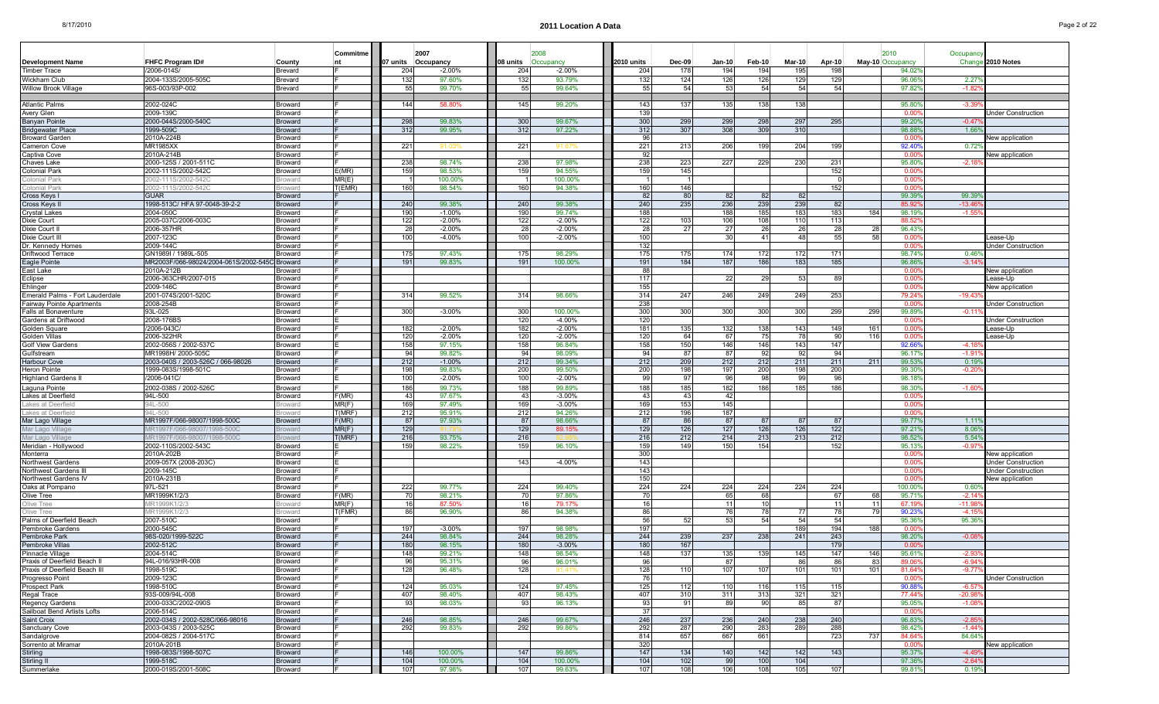|                                 |                                               |                       | Commitme |     | 2007               |                 | 2008      |            |        |               |        |               |          |     | 2010             | Occupand       |                           |
|---------------------------------|-----------------------------------------------|-----------------------|----------|-----|--------------------|-----------------|-----------|------------|--------|---------------|--------|---------------|----------|-----|------------------|----------------|---------------------------|
| <b>Development Name</b>         | <b>FHFC Program ID#</b>                       | County                | nt       |     | 07 units Occupancy | 08 units        | Occupancy | 2010 units | Dec-09 | <b>Jan-10</b> | Feb-10 | <b>Mar-10</b> | Apr-10   |     | May-10 Occupancy | Chang          | 2010 Notes                |
| Timber Trace                    | /2006-014S/                                   | Brevard               |          | 204 | $-2.00\%$          | 204             | $-2.00%$  | 204        | 178    | 194           | 194    | 195           | 198      |     | 94.029           |                |                           |
| Wickham Club                    | 2004-133S/2005-505C                           | Brevard               |          | 132 | 97.60%             | 132             | 93.79%    | 132        | 124    | 126           | 126    | 129           | 129      |     | 96.06            | 2.27           |                           |
| Willow Brook Village            | 96S-003/93P-002                               | Brevard               |          | 55  | 99.70%             | 55              | 99.64%    | 55         | 54     | 53            | 54     | 54            | 54       |     | 97.82%           | $-1.82$        |                           |
|                                 |                                               |                       |          |     |                    |                 |           |            |        |               |        |               |          |     |                  |                |                           |
| Atlantic Palms                  | 2002-024C                                     | Broward               |          | 144 | 58.80%             | 145             | 99.20%    | 143        | 137    | 135           | 138    | 138           |          |     | 95.80            | $-3.39$        |                           |
| Avery Glen                      | 2009-139C                                     | Broward               |          |     |                    |                 |           | 139        |        |               |        |               |          |     | 0.00             |                | <b>Jnder Construction</b> |
| Banyan Pointe                   | 2000-044S/2000-540C                           | Broward               |          | 298 | 99.83%             | 300             | 99.67%    | 300        | 299    | 299           | 298    | 297           | 295      |     | 99.20            | $-0.47$        |                           |
| <b>Bridgewater Place</b>        | 1999-509C                                     | Broward               |          | 312 | 99.95%             | 312             | 97.22%    | 312        | 307    | 308           | 309    | 310           |          |     | 98.88            | 1.66           |                           |
| Broward Garden                  | 2010A-224E                                    | 3roward               |          |     |                    |                 |           | 96         |        |               |        |               |          |     | 0.00             |                | New application           |
| Cameron Cove                    | <b>MR1985XX</b>                               | Broward               |          | 221 |                    | $22^{\circ}$    |           | 221        | 213    | 206           | 199    | 204           | 199      |     | 92.40            | $0.72^{\circ}$ |                           |
| Captiva Cove                    | 2010A-214B                                    | Broward               |          |     |                    |                 |           | 92         |        |               |        |               |          |     | 0.00             |                | <b>New application</b>    |
| Chaves Lake                     | 2000-125S / 2001-511C                         | Broward               |          | 238 | 98.74%             | 238             | 97.98%    | 238        | 223    | 227           | 229    | 230           | 231      |     | 95.80            | $-2.18$        |                           |
| Colonial Park                   | 2002-111S/2002-542C                           | Broward               | E(MR)    | 159 | 98.53%             | 159             | 94.55%    | 159        | 145    |               |        |               | 152      |     | 0.00             |                |                           |
| Colonial Park                   | 2002-111S/2002-5420                           | roward                | MR(E)    |     | 100.00%            |                 | 100.00%   |            |        |               |        |               | $\Omega$ |     | 0.00             |                |                           |
| Colonial Park                   | 002-111S/2002-542C                            | roward                | (EMR)    | 160 | 98.54%             | 160             | 94.38%    | 160        | 146    |               |        |               | 152      |     | 0.0              |                |                           |
| Cross Keys I                    | <b>GUAR</b>                                   | Broward               |          |     |                    |                 |           | 82         | 80     | 82            | 82     | 82            |          |     | 99.39            | 99.39          |                           |
| Cross Keys I                    | 1998-513C/ HFA 97-0048-39-2-2                 | Broward               |          | 240 | 99.38%             | 240             | 99.38%    | 240        | 235    | 236           | 239    | 239           | 82       |     | 85.92            | $-13.46$       |                           |
| Crystal Lakes                   | 2004-050C                                     | Broward               |          | 190 | $-1.00%$           | 190             | 99.74%    | 188        |        | 188           | 185    | 183           | 183      | 184 | 98.19            | $-1.5$         |                           |
| Dixie Court                     | 2005-037C/2006-003C                           | Broward               |          | 122 | $-2.00%$           | 122             | $-2.00%$  | 122        | 103    | 106           | 108    | 110           | 113      |     | 88.52            |                |                           |
| Dixie Court II                  | 2006-357HR                                    | Broward               |          | 28  | $-2.00%$           |                 | $-2.00%$  | 28         | 27     | 27            | 26     | 26            | 28       | 28  | 96.43            |                |                           |
| Dixie Court III                 | 2007-123C                                     | Broward               |          | 100 | $-4.00\%$          | 10 <sup>c</sup> | $-2.00%$  | 100        |        | 30            | 41     | 48            | 55       | 58  | 0.00             |                | ease-Up.                  |
| Dr. Kennedy Homes               | 2009-144C                                     | Broward               |          |     |                    |                 |           | 132        |        |               |        |               |          |     | 0.00             |                | Under Construction        |
| Driftwood Terrace               | GN1989I / 1989L-505                           | Broward               |          | 175 | 97.43%             | 175             | 98.29%    | 175        | 175    | 174           | 172    | 172           | 171      |     | 98.74%           | 0.46           |                           |
| Eagle Pointe                    | MR2003F/066-98024/2004-061S/2002-545C Broward |                       |          | 191 | 99.83%             | 191             | 100.00%   | 191        | 184    | 187           | 186    | 183           | 185      |     | 96.86            | $-3.14$        |                           |
| East Lake                       | 2010A-212B                                    | 3roward               |          |     |                    |                 |           | 88         |        |               |        |               |          |     | 0.0              |                | New application           |
| Eclipse                         | 2006-363CHR/2007-015                          | Broward               |          |     |                    |                 |           | 117        |        | 22            | 29     | 53            | 89       |     | 0.00             |                | .ease-Up                  |
| Ehlinger                        | 2009-146C                                     | 3roward               |          |     |                    |                 |           | 155        |        |               |        |               |          |     | 0.00             |                | New application           |
| Emerald Palms - Fort Lauderdale | 2001-074S/2001-520C                           | Broward               |          | 314 | 99.52%             | 314             | 98.66%    | 314        | 247    | 246           | 249    | 249           | 253      |     | 79.24            | $-19.43$       |                           |
| Fairway Pointe Apartments       | 2008-254B                                     | Broward               |          |     |                    |                 |           | 238        |        |               |        |               |          |     | 0.00             |                | <b>Jnder Construction</b> |
| Falls at Bonaventure            | 93L-025                                       | Broward               |          | 300 | $-3.00%$           | 300             | 100.00%   | 300        | 300    | 300           | 300    | 300           | 299      | 299 | 99.89            | $-0.11$        |                           |
| Gardens at Driftwood            | 2008-176BS                                    | Broward               |          |     |                    | 120             | $-4.00%$  | 120        |        |               |        |               |          |     | 0.00             |                | <b>Jnder Construction</b> |
| Golden Square                   | /2006-043C                                    | Broward               |          | 182 | $-2.00\%$          | 182             | $-2.00%$  | 181        | 135    | 132           | 138    | 143           | 149      | 161 | 0.00             |                | ease-Up.                  |
| Golden Villas                   | 2006-322HR                                    | Broward               |          | 120 | $-2.00\%$          | 120             | $-2.00%$  | 120        | 64     | 67            | 75     | -78           | 90       | 116 | 0.00             |                | ease-Up                   |
| Golf View Gardens               | 2002-056S / 2002-537C                         | Broward               |          | 158 | 97.15%             | 158             | 96.84%    | 158        | 150    | 146           | 146    | 143           | 147      |     | 92.66            | $-4.18$        |                           |
| Gulfstream                      | MR1998H/ 2000-505C                            | Broward               |          | 94  | 99.82%             | 94              | 98.09%    | 94         | 87     | 87            | 92     | 92            | 94       |     | 96.17            | $-1.9$         |                           |
| <b>Harbour Cove</b>             | 2003-040S / 2003-526C / 066-98026             | Broward               |          | 212 | $-1.00%$           | 212             | 99.34%    | 212        | 209    | 212           | 212    | 211           | 211      | 211 | 99.53            | 0.19           |                           |
| Heron Pointe                    | 1999-083S/1998-501C                           | Broward               |          | 198 | 99.83%             | 200             | 99.50%    | 200        | 198    | 197           | 200    | 198           | 200      |     | 99.30            | $-0.20$        |                           |
|                                 | /2006-041C/                                   |                       |          |     |                    | 100             |           |            |        | 96            |        | 99            |          |     |                  |                |                           |
| Highland Gardens I              |                                               | Broward               |          | 100 | $-2.00%$           |                 | $-2.00%$  | 99         | 97     |               | 98     |               | 96       |     | 98.18            |                |                           |
| Laguna Pointe                   | 2002-038S / 2002-526C                         | Broward               |          | 186 | 99.73%             | 188             | 99.89%    | 188        | 185    | 182           | 186    | 185           | 186      |     | 98.30            | $-1.60$        |                           |
| Lakes at Deerfield              | 94L-500                                       | Broward               | F(MR)    | 43  | 97.67%             | $\mathbf{A}$    | $-3.00%$  | 43         | 43     | 42            |        |               |          |     | 0.00             |                |                           |
| Lakes at Deerfield              | 94L-500                                       | roward                | MR(F)    | 169 | 97.49%             | 169             | $-3.00%$  | 169        | 153    | 145           |        |               |          |     | 0.00             |                |                           |
| Lakes at Deerfield              | 94L-500                                       | roward                | f(MRF)   | 212 | 95.91%             | 212             | 94.26%    | 212        | 196    | 187           |        |               |          |     | 0.00             |                |                           |
| Mar Lago Village                | MR1997F/066-98007/1998-500C                   | 3roward               | F(MR)    | 87  | 97.93%             | - 87            | 98.66%    | 87         | 86     | 87            | 87     | -87           | -87      |     | 99.77            | 1.11           |                           |
| Mar Lago Village                | /IR1997F/066-98007/1998-500                   | roward                | MR(F)    | 129 |                    | 129             | 89.15%    | 129        | 126    | 127           | 126    | 126           | 122      |     | 97.21            | 8.06           |                           |
| Mar Lago Village                | 1R1997F/066-98007/1998-500C                   | <i><b>Iroward</b></i> | (MRF)    | 216 | 93.75%             | 216             |           | 216        | 212    | 214           | 213    | 213           | 212      |     | 98.52            | 5.54%          |                           |
| Meridian - Hollywood            | 2002-110S/2002-543C                           | Broward               |          | 159 | 98.22%             | 159             | 96.10%    | 159        | 149    | 150           | 154    |               | 152      |     | 95.13            | $-0.97$        |                           |
| Monterra                        | 2010A-202B                                    | Broward               |          |     |                    |                 |           | 300        |        |               |        |               |          |     | 0.00             |                | New application           |
| Northwest Gardens               | 2009-057X (2008-203C)                         | Broward               |          |     |                    | 143             | $-4.00%$  | 143        |        |               |        |               |          |     | 0.00             |                | Under Construction        |
| Northwest Gardens III           | 2009-145C                                     | Broward               |          |     |                    |                 |           | 143        |        |               |        |               |          |     | 0.00             |                | <b>Jnder Construction</b> |
| Northwest Gardens IV            | 2010A-231E                                    | Broward               |          |     |                    |                 |           | 150        |        |               |        |               |          |     | 0.00             |                | <b>New application</b>    |
| Oaks at Pompano                 | 97L-521                                       | 3roward               |          | 222 | 99.77%             | 224             | 99.40%    | 224        | 224    | 224           | 224    | 224           | 224      |     | 100.00           | 0.60           |                           |
| Olive Tree                      | MR1999K1/2/3                                  | Broward               | F(MR)    | 70  | 98.21%             |                 | 97.86%    | -70        |        | 65            | 68     |               | 67       | 68  | 95.71            | $-2.14$        |                           |
| Olive Tree                      | IR1999K1/2/                                   | oward                 | MR(F)    | 16  | 87.50              |                 | 79.17%    | 16         |        | 11            | 10     |               | 11       | -11 | 67.1             | -11.9          |                           |
| Olive Tree                      | JR1999K1/2/3                                  | roward                | (FMR)    | 86  | 96.90%             |                 | 94.38%    | 86         |        | 76            | 78     | 77            | 78       | 79  | 90.23            | $-4.1$         |                           |
| Palms of Deerfield Beach        | 2007-510C                                     | Broward               |          |     |                    |                 |           | 56         | 52     | 53            | 54     | 54            | 54       |     | 95.36            | 95.36          |                           |
| Pembroke Gardens                | 2000-545C                                     | Broward               |          | 197 | $-3.00%$           | 197             | 98.98%    | 197        |        |               |        | 189           | 194      | 188 | 0.00             |                |                           |
| Pembroke Park                   | 98S-020/1999-522C                             | <b>Broward</b>        |          | 244 | 98.84%             | 244             | 98.28%    | 244        | 239    | 237           | 238    | 241           | 243      |     | 98.20%           | $-0.08$        |                           |
| Pembroke Villas                 | 2002-512C                                     | Broward               |          | 180 | 98.15%             | 180             | $-3.00%$  | 180        | 167    |               |        |               | 179      |     | . റ റ            |                |                           |
| Pinnacle Village                | 2004-514C                                     | Broward               |          | 148 | 99.21%             | 148             | 98.54%    | 148        | 137    | 135           | 139    | 145           | 147      | 146 | 95.61            | $-2.93$        |                           |
| Praxis of Deerfield Beach II    | 94L-016/93HR-008                              | Broward               |          | 96  | 95.31%             | 96              | 96.01%    | 96         |        | 87            |        | 86            | 86       | 83  | 89.06            | -6.94°         |                           |
| Praxis of Deerfield Beach III   | 1998-519C                                     | Broward               |          | 128 | 96.48%             | 128             | 91.41%    | 128        | 110    | 107           | 107    | 101           | 101      | 101 | 81.64            | $-9.77$        |                           |
| Progresso Point                 | 2009-123C                                     | Broward               |          |     |                    |                 |           | - 76       |        |               |        |               |          |     | 0.00             |                | <b>Under Construction</b> |
| Prospect Park                   | 1998-510C                                     | Broward               |          | 124 | 95.03%             | 124             | 97.45%    | 125        | 112    | 110           | 116    | 115           | 115      |     | 90.88            | $-6.57$        |                           |
| Regal Trace                     | 93S-009/94L-008                               | Broward               |          | 407 | 98.40%             | 407             | 98.43%    | 407        | 310    | 311           | 313    | 321           | 321      |     | 77.44            | $-20.98$       |                           |
| Regency Gardens                 | 2000-033C/2002-090S                           | Broward               |          | 93  | 98.03%             | 93              | 96.13%    | 93         | 91     | 89            | 90     | 85            | 87       |     | 95.05            | $-1.08$        |                           |
| Sailboat Bend Artists Lofts     | 2006-514C                                     | Broward               |          |     |                    |                 |           | 37         |        |               |        |               |          |     | 0.00             |                |                           |
| Saint Croix                     | 2002-034S / 2002-528C/066-98016               | Broward               |          | 246 | 98.85%             | 246             | 99.67%    | 246        | 237    | 236           | 240    | 238           | 240      |     | 96.839           | $-2.85$        |                           |
| Sanctuary Cove                  | 2003-043S / 2003-525C                         | Broward               |          | 292 | 99.83%             | 292             | 99.86%    | 292        | 287    | 290           | 283    | 289           | 288      |     | 98.429           | $-1.44$        |                           |
| Sandalgrove                     | 2004-082S / 2004-517C                         | <b>Broward</b>        |          |     |                    |                 |           | 814        | 657    | 667           | 661    |               | 723      | 737 | 84.64            | 84.64%         |                           |
| Sorrento at Miramar             | 2010A-201B                                    | Broward               |          |     |                    |                 |           | 320        |        |               |        |               |          |     | 0.00             |                | New application           |
| Stirling                        | 1998-083S/1998-507C                           | Broward               |          | 146 | 100.00%            | 147             | 99.86%    | 147        | 134    | 140           | 142    | 142           | 143      |     | 95.37            | $-4.49$        |                           |
| Stirling II                     | 1999-518C                                     | Broward               |          | 104 | 100.00%            | 104             | 100.00%   | 104        | 102    | 99            | 100    | 104           |          |     | 97.36            | $-2.64$        |                           |
| Summerlake                      | 2000-019S/2001-508C                           | Broward               |          | 107 | 97.98%             | 107             | 99.63%    | 107        | 108    | 106           | 108    | 105           | 107      |     | 99.81%           | 0.199          |                           |
|                                 |                                               |                       |          |     |                    |                 |           |            |        |               |        |               |          |     |                  |                |                           |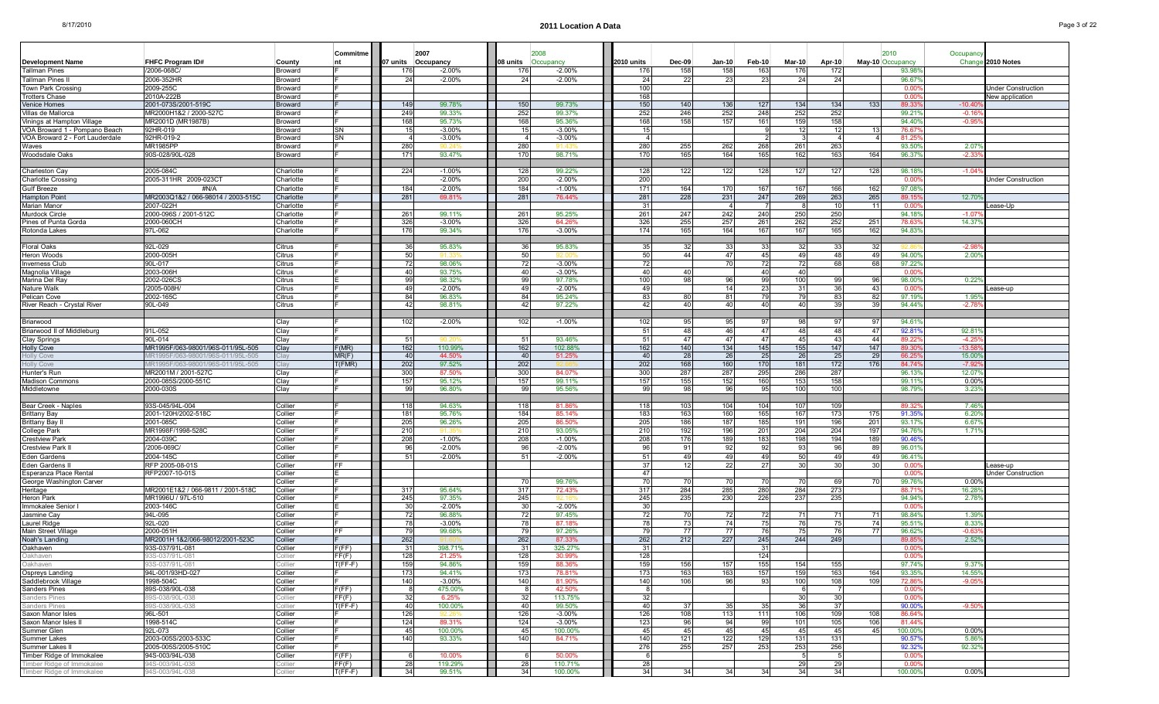| <b>Development Name</b>                          | <b>FHFC Program ID#</b>                                  | County                 | Commitme<br>nt  |            | 2007<br>07 units Occupancy | 08 units        | Occupancy          | 2010 units | $Dec-09$   | $Jan-10$   | Feb-10     | <b>Mar-10</b> | Apr-10               |                 | 2010<br>May-10 Occupancy | Occupand<br>Chang         | 2010 Notes                |
|--------------------------------------------------|----------------------------------------------------------|------------------------|-----------------|------------|----------------------------|-----------------|--------------------|------------|------------|------------|------------|---------------|----------------------|-----------------|--------------------------|---------------------------|---------------------------|
| Tallman Pines                                    | 2006-068C                                                | Broward                |                 | 176        | $-2.00\%$                  | 176             | $-2.00%$           | 176        | 158        | 158        | 163        | 176           | 172                  |                 | 93.98                    |                           |                           |
| Tallman Pines I                                  | 2006-352HR                                               | 3roward                |                 | 24         | $-2.00%$                   | 24              | $-2.00%$           | -24        | 22         | 23         | 23         | 24            | 24                   |                 | 96.679                   |                           |                           |
| Town Park Crossin                                | 2009-255C                                                | Broward                |                 |            |                            |                 |                    | 100        |            |            |            |               |                      |                 | 0.00                     |                           | <b>Jnder Construction</b> |
| Trotters Chase                                   | 2010A-222B                                               | Broward                |                 |            |                            |                 |                    | 168        |            |            |            |               |                      |                 | 0.00                     |                           | New application           |
| Venice Homes                                     | 2001-073S/2001-519C                                      | <b>Broward</b>         |                 | 149        | 99.78%                     | 150             | 99.73%             | 150        | 140        | 136        | 127        | 134           | 134                  | 133             | 89.33                    | $-10.40$                  |                           |
| Villas de Mallorca<br>Vinings at Hampton Village | MR2000H1&2 / 2000-527C<br>MR2001D (MR1987B)              | Broward<br>Broward     |                 | 249<br>168 | 99.33%<br>95.73%           | 252<br>168      | 99.37%<br>95.36%   | 252<br>168 | 246<br>158 | 252<br>157 | 248<br>161 | 252<br>159    | 252<br>158           |                 | 99.21<br>94.40           | $-0.16$<br>$-0.9$         |                           |
| VOA Broward 1 - Pompano Beach                    | 92HR-019                                                 | 3roward                | SΝ              | 15         | $-3.00%$                   |                 | $-3.00%$           | 15         |            |            |            | -12           | 12                   |                 | 76.6                     |                           |                           |
| VOA Broward 2 - Fort Lauderdale                  | 92HR-019-2                                               | Broward                | SN              |            | $-3.00%$                   |                 | $-3.00%$           |            |            |            |            |               |                      |                 | 81.2                     |                           |                           |
| Waves                                            | <b>MR1985PP</b>                                          | Broward                |                 | 280        |                            | 280             | 11 43              | 280        | 255        | 262        | 268        | 261           | 263                  |                 | 93.50                    | 2.07                      |                           |
| Woodsdale Oaks                                   | 90S-028/90L-028                                          | Broward                |                 | 171        | 93.47%                     | 170             | 98.71%             | 170        | 165        | 164        | 165        | 162           | 163                  | 164             | 96.37                    | $-2.33$                   |                           |
|                                                  |                                                          |                        |                 |            |                            |                 |                    |            |            |            |            |               |                      |                 |                          |                           |                           |
| Charleston Cay<br><b>Charlotte Crossing</b>      | 2005-084C<br>2005-311HR 2009-023CT                       | Charlotte<br>Charlotte |                 | 224        | $-1.00%$<br>$-2.00%$       | 128<br>200      | 99.22%<br>$-2.00%$ | 128<br>200 | 122        | 122        | 128        | 127           | 127                  | 128             | 98.18                    | $-1.04$                   | <b>Jnder Construction</b> |
| Gulf Breeze                                      | #N/A                                                     | Charlotte              |                 | 184        | $-2.00\%$                  | 184             | $-1.00%$           | 171        | 164        | 170        | 167        | 167           | 166                  | 162             | 0.00<br>97.08            |                           |                           |
| <b>Hampton Point</b>                             | MR2003Q1&2 / 066-98014 / 2003-515C                       | Charlotte              |                 | 281        | 69.81%                     | 281             | 76.44%             | 281        | 228        | 231        | 247        | 269           | 263                  | 265             | 89.15                    | 12.70                     |                           |
| Marian Manor                                     | 2007-022H                                                | harlotte:              |                 |            |                            |                 |                    | -31        |            | -4         |            |               | 10 <sup>1</sup>      |                 | 0.00                     |                           | ease-Up.                  |
| Murdock Circle                                   | 2000-096S / 2001-512C                                    | Charlotte              |                 | 261        | 99.11%                     | 261             | 95.25%             | 261        | 247        | 242        | 240        | 250           | 250                  |                 | 94.18                    | $-1.07$                   |                           |
| Pines of Punta Gorda                             | 2000-060CH                                               | Charlotte              |                 | 326        | $-3.00%$                   | 326             | 64.26%             | 326        | 255        | 257        | 261        | 262           | 252                  | 251             | 78.6                     | 14.37                     |                           |
| Rotonda Lakes                                    | 97L-062                                                  | Charlotte              |                 | 176        | 99.34%                     | 176             | $-3.00%$           | 174        | 165        | 164        | 167        | 167           | 165                  | 162             | 94.83                    |                           |                           |
| Floral Oaks                                      | 92L-029                                                  | Citrus                 |                 | 36         | 95.83%                     | -36             | 95.83%             | -35        | -32        | -33        | 33         | -32           | -331                 | 32              |                          | $-2.9$                    |                           |
| Heron Woods                                      | 2000-005H                                                | Citrus                 |                 | 50         |                            | 50              |                    | 50         | 44         | 47         | 45         | 49            | 48                   | 49              | 94.00                    | $2.00^{\circ}$            |                           |
| <b>Inverness Club</b>                            | 90L-017                                                  | Citrus                 |                 | 72         | 98.06%                     | -72             | $-3.00%$           | 72         |            | 70         | 72         | 72            | 68                   | 68              | 97.229                   |                           |                           |
| Magnolia Village                                 | 2003-006H                                                | Citrus                 |                 | 40         | 93.75%                     | 40              | $-3.00%$           | 40         | 40         |            | 40         | 40            |                      |                 | 0.00                     |                           |                           |
| Marina Del Ray                                   | 2002-026CS                                               | Citrus                 |                 | 99         | 98.32%                     | 99              | 97.78%             | 100        | 98         | 96         | 99         | 100           | -99                  | 96              | 98.00                    | $0.22^{\circ}$            |                           |
| Nature Walk                                      | /2005-008H                                               | Citrus                 |                 | 49         | $-2.00%$                   | 4 <sup>c</sup>  | $-2.00%$           | 49         |            | 14         | 23         | -31           | 36                   | 43              | 0.00                     |                           | ease-up.                  |
| Pelican Cove<br>River Reach - Crystal River      | 2002-165C<br>90L-049                                     | Citrus<br>Citrus       |                 | 84<br>42   | 96.83%<br>98.81%           | 84<br>42        | 95.24%<br>97.22%   | 83<br>42   | 80<br>40   | 81<br>40   | 79<br>40   | 79<br>40      | 83<br>39             | 82<br>39        | 97.19<br>94.449          | $1.95^{\circ}$<br>$-2.78$ |                           |
|                                                  |                                                          |                        |                 |            |                            |                 |                    |            |            |            |            |               |                      |                 |                          |                           |                           |
| Briarwood                                        |                                                          | Clay                   |                 | 102        | $-2.00\%$                  | 102             | $-1.00%$           | 102        | 95         | 95         | 97         |               | 97                   |                 | 94.61                    |                           |                           |
| Briarwood II of Middleburg                       | 91L-052                                                  | Clay                   |                 |            |                            |                 |                    | 51         | 48         | 46         | 47         | 48            | 48                   | 47              | 92.81                    | 92.81                     |                           |
| Clay Springs                                     | 90L-014                                                  | Clay                   |                 | 51         |                            | 51              | 93.46%             | 51         | 47         | 47         | 47         | 45            | 43                   | 44              | 89.22                    | $-4.25$                   |                           |
| <b>Holly Cove</b>                                | MR1995F/063-98001/96S-011/95L-505                        | Clay                   | F(MR)           | 162        | 110.99%                    | 162             | 102.88%            | 162        | 140        | 134        | 145        | 155           | 147                  | 147             | 89.30                    | $-13.58$                  |                           |
| Holly Cove                                       | IR1995F/063-98001/96S-011/95L-505                        | ;lay                   | MR(F)<br>f(FMR) | 40<br>202  | 44.50%                     | - 40<br>202     | 51.25%             | 40<br>202  | 28         | 26         | 25<br>170  | -26<br>181    | 25<br>172            | 29<br>176       | 66.2                     | 15.00                     |                           |
| <b>Holly Cove</b><br>Hunter's Run                | IR1995F/063-98001/96S-011/95L-505<br>MR2001M / 2001-527C | Clay                   |                 | 300        | 97.52%<br>87.50%           | 300             | 84.07%             | 300        | 168<br>287 | 160<br>287 | 295        | 286           | 287                  |                 | 84.74<br>96.13           | $-7.92$<br>12.07          |                           |
| <b>Madison Commons</b>                           | 2000-085S/2000-551C                                      | Clay                   |                 | 157        | 95.12%                     | 157             | 99.11%             | 157        | 155        | 152        | 160        | 153           | 158                  |                 | 99.11                    | $0.00$ <sup>o</sup>       |                           |
| Middletowne                                      | 2000-030S                                                | Clay                   |                 | 99         | 96.80%                     | 99              | 95.56%             | 99         | 98         | 96         | 95         | 100           | 100                  |                 | 98.79                    | 3.23%                     |                           |
|                                                  |                                                          |                        |                 |            |                            |                 |                    |            |            |            |            |               |                      |                 |                          |                           |                           |
| Bear Creek - Naples                              | 93S-045/94L-004                                          | Collier                |                 | 118        | 94.63%                     | 118             | 81.86%             | 118        | 103        | 104        | 104        | 107           | 109                  |                 | 89.32                    | 7.46%                     |                           |
| <b>Brittany Bay</b><br>Brittany Bay I            | 2001-120H/2002-518C<br>2001-085C                         | Collier<br>Collier     |                 | 181<br>205 | 95.76%<br>96.26%           | 184<br>205      | 85.14%<br>86.50%   | 183<br>205 | 163<br>186 | 160<br>187 | 165<br>185 | 167<br>191    | 173<br>196           | 175<br>201      | 91.35<br>93.17           | 6.20<br>6.67              |                           |
| College Park                                     | MR1998F/1998-528C                                        | Collier                |                 | 210        | 91.35                      | 210             | 93.05%             | 210        | 192        | 196        | 201        | 204           | 204                  | 197             | 94.76                    | 1.719                     |                           |
| Crestview Park                                   | 2004-039C                                                | Collier                |                 | 208        | $-1.00\%$                  | 208             | $-1.00%$           | 208        | 176        | 189        | 183        | 198           | 194                  | 189             | 90.46                    |                           |                           |
| Crestview Park                                   | /2006-069C                                               | Collier                |                 | 96         | $-2.00%$                   | -96             | $-2.00%$           | 96         | 91         | 92         | 92         | -93           | 96                   | 89              | 96.01                    |                           |                           |
| Eden Gardens                                     | 2004-145C                                                | Collier                |                 | 51         | $-2.00%$                   | -51             | $-2.00%$           | 51         | 49         | 49         | 49         | 50            | 49                   | 49              | 96.41                    |                           |                           |
| Eden Gardens II                                  | RFP 2005-08-01S                                          | Collier                | FF              |            |                            |                 |                    | 37         | 12         | 22         | 27         | 30            | 30 <sup>1</sup>      | 30 <sup>1</sup> | 0.00                     |                           | Lease-up                  |
| Esperanza Place Rental                           | RFP2007-10-01S                                           | Collier<br>Collier     |                 |            |                            | -70             | 99.76%             | 47<br>70   | 70         | 701        | 70         | -70           | 69                   | 70              | 0.00<br>99.76            | $0.00^{\circ}$            | Jnder Construction        |
| George Washington Carver<br>Heritage             | MR2001E1&2 / 066-9811 / 2001-518C                        | Collier                |                 | 317        | 95.64%                     | 317             | 72.43%             | 317        | 284        | 285        | 280        | 284           | 273                  |                 | 88.7                     | 16.28                     |                           |
| Heron Park                                       | MR1996U / 97L-510                                        | Collier                |                 | 245        | 97.35%                     | 245             |                    | 245        | 235        | 230        | 226        | 237           | 235                  |                 | 94.94%                   | 2.78                      |                           |
| Immokalee Senior I                               | 2003-146C                                                | Collier                |                 | 30         | $-2.00%$                   | -30             | $-2.00%$           | -30        |            |            |            |               |                      |                 | 0.00                     |                           |                           |
| Jasmine Cay                                      | 94L-095                                                  | Collier                |                 | 72         | 96.88%                     |                 | 97.45%             | 72         | 70         | 72         | 72         | -71           | 71                   | -71             | 98.849                   | 1.39%                     |                           |
| Laurel Ridge<br>Main Street Village              | 92L-020<br>2000-051H                                     | Collier<br>Collier     | FF.             | 78<br>79   | $-3.00%$<br>99.68%         | 7۶              | 87.18%<br>97.26%   | 78<br>79   | 73<br>77   | 74<br>77   | 75<br>76   | -76<br>-75    | 75<br>76             | 74<br>77        | 95.51<br>96.62           | 8.33<br>$-0.63$           |                           |
| Noah's Landing                                   | MR2001H 1&2/066-98012/2001-523C                          | Collier                |                 | 262        |                            | 262             | 87.33%             | 262        | 212        | 227        | 245        | 244           | 249                  |                 | 89.8                     | 2.52%                     |                           |
| Oakhaven                                         | 93S-037/91L-081                                          | Collier                | F(FF)           | 31         | 398.71%                    | -31             | 325.27%            | -31        |            |            | 31         |               |                      |                 | 0.00                     |                           |                           |
| Jakhaven                                         | 933-U3779 I L-U8 I                                       |                        | FT(F)           | 120.       | 21.ZO70                    | 120             | <b>JU.YY70</b>     | 1201       |            |            | 1441       |               |                      |                 | vw                       |                           |                           |
| Oakhaven                                         | 3S-037/91L-081                                           | Collier                | $T(FF-F)$       | 159        | 94.86%                     | 159             | 88.36%             | 159        | 156        | 157        | 155        | 154           | 155                  |                 | 97.74%                   | 9.37%                     |                           |
| Ospreys Landing                                  | 94L-001/93HD-027                                         | Collier                |                 | 173        | 94.41%                     | 17 <sup>2</sup> | 78.81%             | 173        | 163        | 163        | 157        | 159           | 163                  | 164             | 93.35                    | 14.55                     |                           |
| Saddlebrook Village                              | 1998-504C                                                | Collier                |                 | 140        | $-3.00%$                   | 140             | 81.90%<br>42.50%   | 140        | 106        | 96         | 93         | 100<br>- 6    | 108                  | 109             | 72.86<br>0.00            | $-9.05$                   |                           |
| Sanders Pines<br><b>Sanders Pines</b>            | 89S-038/90L-038<br>39S-038/90L-038                       | Collier<br>Collier     | F(FF)<br>FF(F)  | - 8<br>-32 | 475.00%<br>6.25%           | -32             | 113.75%            | - 81<br>32 |            |            |            | 30            | 7<br>30 <sup>1</sup> |                 | 0.00                     |                           |                           |
| <b>Sanders Pines</b>                             | 39S-038/90L-038                                          | Collier                | $T(FF-F)$       | 40         | 100.00%                    | 40              | 99.50%             | 40         | -37        | 35         | 35         | -36           | 37                   |                 | 90.00                    | $-9.50$                   |                           |
| Saxon Manor Isles                                | 96L-501                                                  | Collier                |                 | 126        | 92.26                      | 126             | $-3.00%$           | 126        | 108        | 113        | 111        | 106           | 109                  | 108             | 86.64                    |                           |                           |
| Saxon Manor Isles II                             | 1998-514C                                                | Collier                |                 | 124        | 89.31%                     | 124             | $-3.00%$           | 123        | 96         | 94         | 99         | 101           | 105                  | 106             | 81.44                    |                           |                           |
| Summer Glen                                      | 92L-073                                                  | Collier                |                 | 45         | 100.00%                    | 45              | 100.00%            | 45         | 45         | 45         | 45         | 45            | 45                   | 45              | 100.00%                  | 0.00%                     |                           |
| Summer Lakes                                     | 2003-005S/2003-533C<br>2005-005S/2005-510C               | Collier                |                 | 140        | 93.33%                     | 140             | 84.71%             | 140        | 121        | 122        | 129        | 131           | 131<br>256           |                 | 90.57%                   | 5.869<br>92.329           |                           |
| Summer Lakes II<br>Timber Ridge of Immokalee     | 94S-003/94L-038                                          | Collier<br>Collier     | F(FF)           | - 6        | 10.00%                     |                 | 50.00%             | 276<br>- 6 | 255        | 257        | 253        | 253           | -5                   |                 | 92.32<br>0.00            |                           |                           |
| Timber Ridge of Immokalee                        | 94S-003/94L-038                                          | Collier                | FF(F)           | 28         | 119.29%                    | 28              | 110.71%            | 28         |            |            |            | 29            | 29                   |                 | 0.00                     |                           |                           |
| Timber Ridge of Immokalee                        | 94S-003/94L-038                                          | Collier                | $T(FF-F)$       | 34         | 99.51%                     | 34              | 100.00%            | 34         | 34         | 34         | 34         | 34            | 34                   |                 | 100.00%                  | $0.00\%$                  |                           |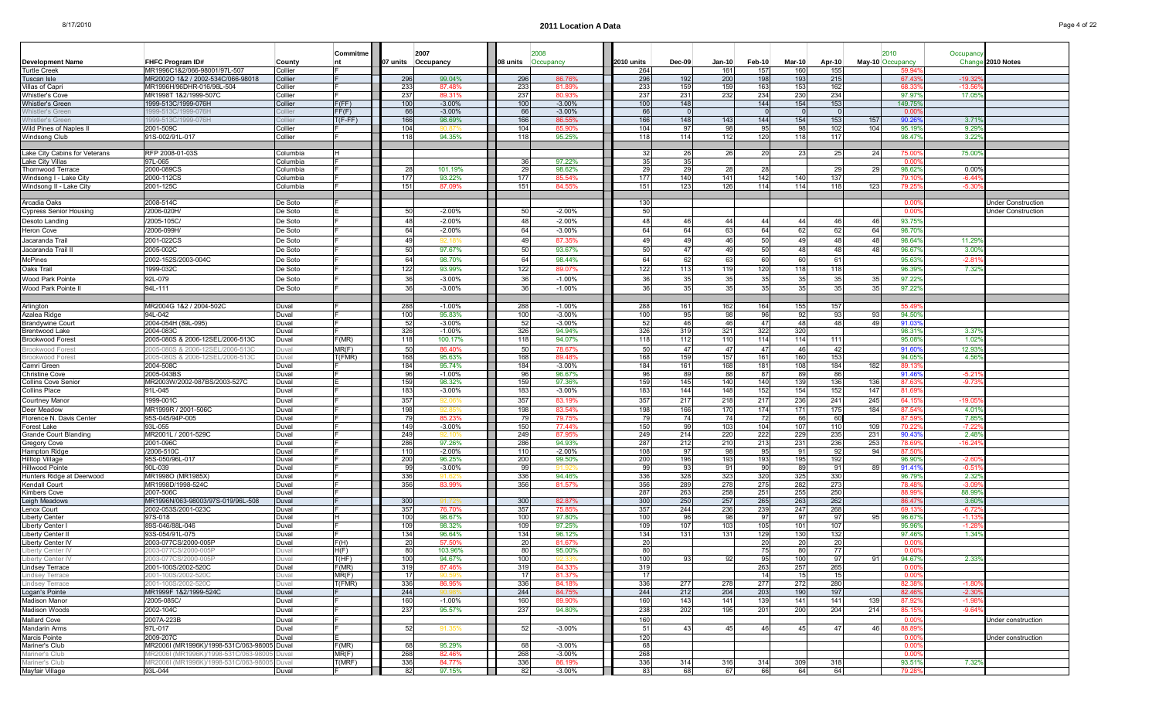|                                              |                                               |                    | Commitme        |            | 2007               |                     |                    |            |            |            |                |            |            |                 | 2010             | Occupancy         |                           |
|----------------------------------------------|-----------------------------------------------|--------------------|-----------------|------------|--------------------|---------------------|--------------------|------------|------------|------------|----------------|------------|------------|-----------------|------------------|-------------------|---------------------------|
| Development Name                             | FHFC Program ID#                              | County             | nt              | 07 units   | Occupancy          | 08 units            | Occupancy          | 2010 units | Dec-09     | Jan-10     | Feb-10         | Mar-10     | Apr-10     |                 | May-10 Occupancy | Chang             | 2010 Notes                |
| <b>Turtle Creek</b>                          | MR1996C1&2/066-98001/97L-507                  | Collier            |                 |            |                    |                     |                    | 264        |            | 161        | 157            | 160        | 155        |                 | 59.94            |                   |                           |
| Tuscan Isle                                  | MR2002O 1&2 / 2002-534C/066-98018             | Collier            |                 | 296        | 99.04%             | 296                 | 86.76%             | 296        | 192        | 200        | 198            | 193        | 215        |                 | 67.43            | $-19.3$           |                           |
| /illas of Capri                              | MR1996H/96DHR-016/96L-504                     | Collier            |                 | 233        | 87.48              | 233                 | 81.899             | 233        | 159        | 159        | 163            | 153        | 162        |                 | 68.3             | -13.              |                           |
| Whistler's Cove<br>Whistler's Green          | MR1998T 1&2/1999-507C<br>1999-513C/1999-076H  | Collier<br>Collier | F(FF)           | 237<br>100 | 89.31%<br>$-3.00%$ | 237<br>100          | 80.93%<br>$-3.00%$ | 237<br>100 | 231<br>148 | 232        | 234<br>144     | 230<br>154 | 234<br>153 |                 | 97.97<br>149.75  | 17.05             |                           |
| Vhistler's Greer                             | 999-513C/1999-076H                            | Collier            | FF(F)           | 66         | $-3.00%$           | -66                 | $-3.00%$           | 66         | $\Omega$   |            |                |            | $\Omega$   |                 | 0.00             |                   |                           |
| <b>Vhistler's Greer</b>                      | 1999-513C/1999-076H                           | Collier            | $T(F-FF)$       | 166        | 98.69%             | 166                 | 86.55%             | 166        | 148        | 143        | 144            | 154        | 153        | 157             | 90.26            | $3.71^{\circ}$    |                           |
| Wild Pines of Naples I                       | 2001-509C                                     | Collier            |                 | 104        |                    | 104                 | 85.90%             | 104        | 97         | 98         | 95             | 98         | 102        | 104             | 95.19            | 9.29              |                           |
| Windsong Club                                | 91S-002/91L-017                               | Collier            |                 | 118        | 94.35%             | 118                 | 95.25%             | 118        | 114        | 112        | 120            | 118        | 117        |                 | 98.47            | 3.22              |                           |
|                                              |                                               |                    |                 |            |                    |                     |                    |            |            |            |                |            |            |                 |                  |                   |                           |
| Lake City Cabins for Veterans                | RFP 2008-01-03S                               | Columbia           |                 |            |                    |                     |                    | 32         | 26         | 26         | 20             | 23         | 25         | 24              | 75.00            | 75.00             |                           |
| Lake City Villas                             | 97L-065                                       | Columbia           |                 |            |                    | -36                 | 97.22%             | 35         | 35 I       |            |                |            |            |                 | 0.00             |                   |                           |
| hornwood Terrace                             | 2000-089CS                                    | Columbia           |                 | 28         | 101.19%            | $\overline{2}$      | 98.62%             | 29         | 29         | 28         | 28             |            | 29         | -29             | 98.62            | $0.00^{\circ}$    |                           |
| Windsong I - Lake Cit <sup>,</sup>           | 2000-112CS                                    | Columbia           |                 | 177        | 93.22%             | 177                 | 85.54%             | 177        | 140        | 141        | 142            | 140        | 137        |                 | 79.1             | $-6.44$           |                           |
| Windsong II - Lake City                      | 2001-125C                                     | Columbia           |                 | 151        | 87.09%             | 151                 | 84.55%             | 151        | 123        | 126        | 114            | 114        | 118        | 123             | 79.2             | $-5.30$           |                           |
| Arcadia Oaks                                 | 2008-514C                                     | De Soto            |                 |            |                    |                     |                    | 130        |            |            |                |            |            |                 | 0.00             |                   | Under Construction        |
| Cypress Senior Housing                       | /2006-020H                                    | De Soto            |                 | 50         | $-2.00\%$          | -50                 | $-2.00%$           | 50         |            |            |                |            |            |                 | 0.00             |                   | <b>Jnder Construction</b> |
| Desoto Landing                               | /2005-105C                                    | De Soto            |                 | 48         | $-2.00%$           | $\Delta$            | $-2.00%$           | 48         | 46         | 44         | $\Delta\Delta$ | 44         | 46         | 46              | 93.75            |                   |                           |
|                                              |                                               |                    |                 |            |                    | 64                  |                    | 64         |            |            | 64             |            |            |                 |                  |                   |                           |
| Heron Cove                                   | /2006-099H                                    | De Soto            |                 | 64         | $-2.00\%$          |                     | $-3.00%$           |            | 64         | 63         |                | 62         | 62         | 64              | 98.70            |                   |                           |
| Jacaranda Trail                              | 2001-022CS                                    | De Soto            |                 | 49         | 92.18              | -49                 | 87.35%             | 49         | 49         | 46         | 50             | 49         | 48         | 48              | 98.64            | 11.29             |                           |
| Jacaranda Trail I                            | 2005-002C                                     | De Soto            |                 | 50         | 97.67%             | 50                  | 93.67%             | 50         | 47         | 49         | 50             | 48         | 48         | 48              | 96.67            | 3.00              |                           |
| McPines                                      | 2002-152S/2003-004C                           | De Soto            |                 | 64         | 98.70%             | 64                  | 98.44%             | 64         | 62         | 63         | 60             | 60         | 61         |                 | 95.63            | $-2.8$            |                           |
| Oaks Trail                                   | 1999-032C                                     | De Soto            |                 | 122        | 93.99%             | 122                 | 89.07%             | 122        | 113        | 119        | 120            | 118        | 118        |                 | 96.39            | 7.32              |                           |
| Wood Park Pointe                             | 92L-079                                       | De Soto            |                 | 36         | $-3.00%$           | 36                  | $-1.00%$           | 36         | 35         | 35         | 35             | 35         | 35         | 35              | 97.22            |                   |                           |
| Wood Park Pointe I                           | 94L-111                                       | De Soto            |                 | 36         | $-3.00\%$          | -36                 | $-1.00\%$          | 36         | 35         | 35         | 35             | 35         | 35         | 35 <sub>l</sub> | $97.22^{\circ}$  |                   |                           |
|                                              |                                               |                    |                 |            |                    |                     |                    |            |            |            |                |            |            |                 |                  |                   |                           |
| Arlington                                    | MR2004G 1&2 / 2004-502C                       | Duval              |                 | 288        | $-1.00\%$          | 288                 | $-1.00%$           | 288        | 161        | 162        | 164            | 155        | 157        |                 | 55.49            |                   |                           |
| Azalea Ridge                                 | 94L-042                                       | Duval              |                 | 100        | 95.83%             | 100                 | $-3.00\%$          | 100        | 95         | 981        | 96             | 92         | 93         | -93             | 94.50            |                   |                           |
| Brandywine Cour                              | 2004-054H (89L-095)                           | Duval              |                 | 52         | $-3.00%$           | -51                 | $-3.00%$           | 52         | 46 I       | 46         | 47             | 48         | 48         | 49              | 91.03            |                   |                           |
| Brentwood Lake                               | 2004-0830                                     | Duval              |                 | 326        | $-1.00%$           | 326                 | 94.94%             | 326        | 319        | 321        | 322            | 320        |            |                 | 98.31            | 3.37              |                           |
| Brookwood Forest                             | 2005-080S & 2006-12SEL/2006-513C              | Duval              | F(MR)           | 118        | 100.17%            | 118                 | 94.07%             | 118        | 112        | 110        | 114            | 114        | 111        |                 | 95.08            | 1.02              |                           |
| rookwood Forest                              | 005-080S & 2006-12SEL/2006-5130               | Duval<br>Duval     | MR(F)<br>T(FMR) | 50<br>168  | 86.40              | -51<br>168          | 78.67%<br>89.48%   | 50<br>168  | 47         | 47         | 47             | 46<br>160  | 42<br>153  |                 | 91.60<br>94.05   | 12.93<br>4.56     |                           |
| rookwood Forest<br>Camri Green               | :005-080S & 2006-12SEL/2006-513C<br>2004-508C | Duval              |                 | 184        | 95.63%<br>95.74%   | 184                 | $-3.00%$           | 184        | 159<br>161 | 157<br>168 | 161<br>181     | 108        | 184        | 182             | 89.1             |                   |                           |
| Christine Cove                               | 2005-043BS                                    | Duval              |                 | 96         | $-1.00%$           | 96                  | 96.67%             | 96         | 89         | 88         | 87             | 89         | 86         |                 | 91.46            | $-5.2$            |                           |
| Collins Cove Senior                          | MR2003W/2002-087BS/2003-527C                  | Duval              |                 | 159        | 98.32%             | 159                 | 97.36%             | 159        | 145        | 140        | 140            | 139        | 136        | 136             | 87.6             | $-9.73$           |                           |
| Collins Place                                | 91L-045                                       | Duval              |                 | 183        | $-3.00%$           | 183                 | $-3.00%$           | 183        | 144        | 148        | 152            | 154        | 152        | 147             | 81.69            |                   |                           |
| Courtney Manoı                               | 1999-001C                                     | Duval              |                 | 357        | 92.0               | 357                 | 83.19%             | 357        | 217        | 218        | 217            | 236        | 241        | 245             | 64.15            | $-19.05$          |                           |
| Deer Meadow                                  | MR1999R / 2001-506C                           | Duval              |                 | 198        | 92.85              | 198                 | 83.54%             | 198        | 166        | 170        | 174            | 171        | 175        | 184             | 87.54            | 4.01              |                           |
| Florence N. Davis Center                     | 95S-045/94P-005                               | Duval              |                 | 79         | 85.23%             |                     | 79.75%             | 79         | 74         | 74         | 72             | 66         | 60         |                 | 87.5             | 7.85              |                           |
| Forest Lake                                  | 93L-055                                       | Duval              |                 | 149        | $-3.00%$           | 150                 | 77.44%             | 150        | -99        | 103        | 104            | 107        | 110        | 109             | 70.22            | $-7.2$            |                           |
| Grande Court Blanding                        | MR2001L / 2001-529C                           | Duval              |                 | 249        |                    | 249                 | 87.95%             | 249        | 214        | 220        | 222            | 229        | 235        | 231             | 90.43            | 2.48              |                           |
| Gregory Cove                                 | 2001-096C                                     | Duval              |                 | 286        | 97.26%             | 286                 | 94.93%             | 287        | 212        | 210        | 213            | 231        | 236        | 253             | 78.69            | $-16.2$           |                           |
| Hampton Ridge                                | /2006-510C                                    | Duval              |                 | 110        | $-2.00\%$          | 110                 | $-2.00%$           | 108        | -97        | 98         | 95             | 91         | 92         | 94              | 87.50            |                   |                           |
| Hilltop Village                              | 95S-050/96L-017<br>90L-039                    | Duval              |                 | 200<br>99  | 96.25%<br>$-3.00%$ | 200<br>$\mathbf{Q}$ | 99.50%             | 200<br>99  | 196        | 193<br>91  | 193<br>90      | 195<br>89  | 192<br>91  | 89              | 96.90            | $-2.60$<br>$-0.5$ |                           |
| Hillwood Pointe<br>Hunters Ridge at Deerwood | MR1998O (MR1985X)                             | Duval<br>Duval     |                 | 336        |                    | 33                  | 94.46%             | 336        | 93<br>328  | 323        | 320            | 325        | 330        |                 | 91.41<br>96.79   | 2.32              |                           |
| Kendall Court                                | MR1998D/1998-524C                             | Duval              |                 | 356        | 83.99%             | 356                 | 81.57%             | 356        | 289        | 278        | 275            | 282        | 273        |                 | 78.48            | $-3.0$            |                           |
| Kimbers Cove                                 | 2007-506C                                     | Duval              |                 |            |                    |                     |                    | 287        | 263        | 258        | 251            | 255        | 250        |                 | 88.99            | 88.99             |                           |
| Leigh Meadows                                | MR1996N/063-98003/97S-019/96L-508             | Duval              |                 | 300        |                    | 30 <sup>0</sup>     | 82.87%             | 300        | 250        | 257        | 265            | 263        | 262        |                 | 86.47            | 3.60              |                           |
| Lenox Court                                  | 2002-053S/2001-023C                           | Duval              |                 | 357        | 76.70              | 357                 | 75.859             | 357        | 244        | 236        | 239            | 247        | 268        |                 | 69.13            | $-6.7$            |                           |
| Liberty Cente                                | 97S-018                                       | Duval              |                 | 100        | 98.67%             | 100                 | 97.80%             | 100        | 96         | 98         | 97             | 97         | 97         |                 | 96.67            | $-1.1$            |                           |
| Liberty Center                               | 39S-046/88L-046                               | Duval              |                 | 109        | 98.32%             | 109                 | 97.25%             | 109        | 107        | 103        | 105            | 101        | 107        |                 | 95.96            | -1.2              |                           |
| Liberty Center I                             | 93S-054/91L-075                               | Duval              |                 | 134        | 96.64%             | 134                 | 96.12%             | 134        | 131        | 131        | 129            | 130        | 132        |                 | 97.46            | 1.34              |                           |
| Liberty Center IV                            | 2003-077CS/2000-005P                          | Duval              | F(H)            | 20         | 57.50°             | $\overline{2}$      | 81.679             | 20         |            |            | 20             | 20         | 20         |                 | 0.00             |                   |                           |
| Liberty Center I\<br>Liberty Center IV       | 2003-077CS/2000-005F<br>003-077CS/2000-005F   | Duval<br>Duval     | H(F)<br>T(HF)   | 80<br>100  | 103.96%<br>94.67%  | 80<br>100           | 95,00%             | 80<br>100  | 93         | 92         | 75<br>95       | 80<br>100  | 77<br>97   | 91              | 0.00<br>94.679   | $2.33^{\circ}$    |                           |
| Lindsey Terrace                              | 2001-100S/2002-520C                           | Duval              | F(MR)           | 319        | 87.46%             | 319                 | 84.33%             | 319        |            |            | 263            | 257        | 265        |                 | 0.00             |                   |                           |
| Lindsey Terrace                              | 2001-100S/2002-520C                           | Duval              | MR(F)           | 17         | 90.599             | - 17                | 81.37%             | 17         |            |            | 14             | 15         | 15         |                 | 0.00             |                   |                           |
| Lindsey Terrace                              | 2001-100S/2002-520C                           | Duval              | T(FMR)          | 336        | 86.95%             | 336                 | 84.18%             | 336        | 277        | 278        | 277            | 272        | 280        |                 | 82.38            | $-1.80$           |                           |
| Logan's Pointe                               | MR1999F 1&2/1999-524C                         | Duval              |                 | 244        |                    | 244                 | 84.75%             | 244        | 212        | 204        | 203            | 190        | 197        |                 | 82.46            | $-2.30$           |                           |
| Madison Manor                                | /2005-085C/                                   | Duval              |                 | 160        | $-1.00\%$          | 160                 | 89.90%             | 160        | 143        | 141        | 139            | 141        | 141        | 139             | 87.92            | $-1.98$           |                           |
| Madison Woods                                | 2002-104C                                     | Duval              |                 | 237        | 95.57%             | 237                 | 94.80%             | 238        | 202        | 195        | 201            | 200        | 204        | 214             | 85.15            | $-9.64$           |                           |
| Mallard Cove                                 | 2007A-223B                                    | Duval              |                 |            |                    |                     |                    | 160        |            |            |                |            |            |                 | 0.00             |                   | Under construction        |
| Mandarin Arms                                | 97L-017                                       | Duval              |                 | 52         | 91.35%             | -52                 | $-3.00%$           | 51         | 43         | 45         | 46             | 45         | 47         | 46              | 88.89            |                   |                           |
| Marcis Pointe                                | 2009-207C                                     | Duval              |                 |            |                    |                     |                    | 120        |            |            |                |            |            |                 | 0.00             |                   | Under construction        |
| Mariner's Club                               | MR2006I (MR1996K)/1998-531C/063-98005 Duval   |                    | F(MR)           | 68         | 95.29%             | 68                  | $-3.00%$           | 68         |            |            |                |            |            |                 | $0.00^{\circ}$   |                   |                           |
| Mariner's Club                               | VIR2006L(MR1996K)/1998-531C/063-9800          | Duval              | MR(F)           | 268        | 82.46%             | 268                 | $-3.00%$           | 268        |            |            |                |            |            |                 | 0.00             |                   |                           |
| Mariner's Club                               | MR2006I (MR1996K)/1998-531C/063-98005         | Duval              | T(MRF)          | 336        | 84.77%             | 336                 | 86.19%             | 336        | 314        | 316        | 314            | 309        | 318        |                 | 93.519           | 7.329             |                           |
| Mayfair Village                              | 93L-044                                       | Duval              |                 | 82         | 97.15%             | 82                  | $-3.00%$           | 83         | 68         | 67         | 66             | 64         | 64         |                 | 79.28            |                   |                           |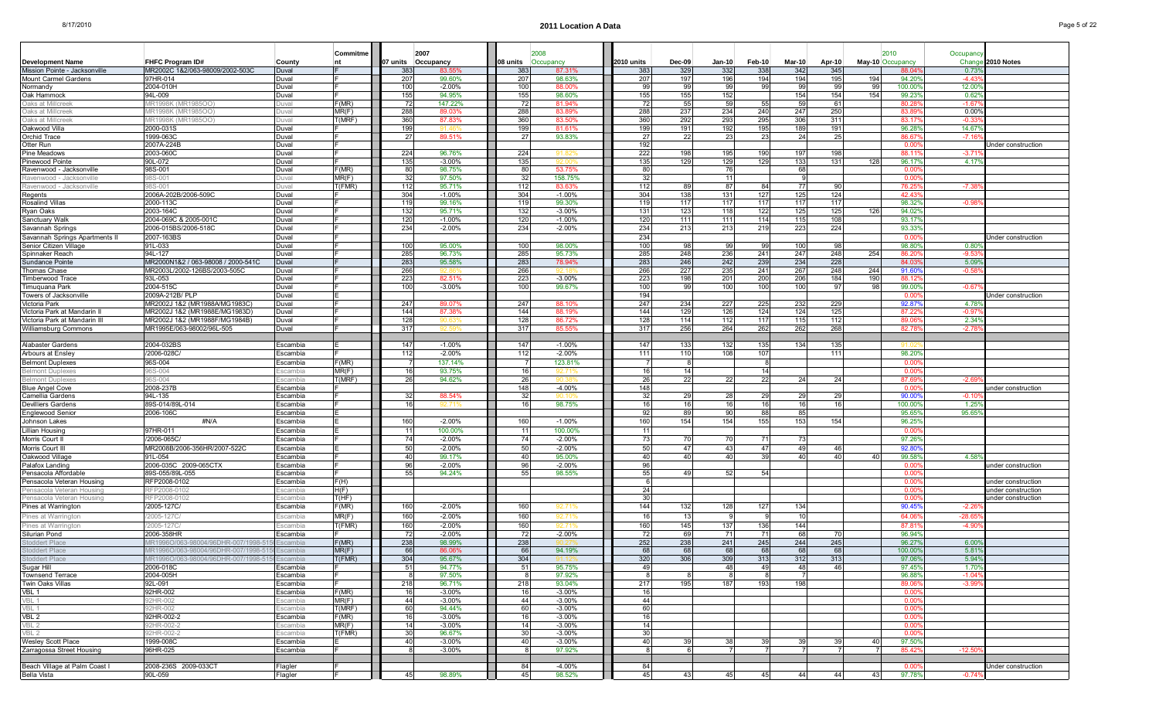|                                                       |                                                              |                      | Commitme             |            | 2007                 |            | 2008                 |            |            |                       |               |             |             |                |                  |                           |                           |
|-------------------------------------------------------|--------------------------------------------------------------|----------------------|----------------------|------------|----------------------|------------|----------------------|------------|------------|-----------------------|---------------|-------------|-------------|----------------|------------------|---------------------------|---------------------------|
| <b>Development Name</b>                               | <b>FHFC Program ID#</b>                                      | County               |                      | 07 units   | Occupancy            | 08 units   | Occupancy            | 2010 units | Dec-09     | $Jan-10$              | <b>Feb-10</b> | Mar-10      | Apr-10      |                | May-10 Occupancy | Occupand<br>Chang         | 2010 Notes                |
| Mission Pointe - Jacksonville                         | MR2002C 1&2/063-98009/2002-503C                              | Duval                |                      | 383        | 83.55                | 383        | 87.31%               | 383        | 329        | 332                   | 338           | 342         | 345         |                | 88.04            | 0.73                      |                           |
| Mount Carmel Gardens                                  | 97HR-014                                                     | Duval                |                      | 207        | 99.60%               | 207        | 98.63%               | 207        | 197        | 196                   | 194           | 194         | 195         | 194            | 94.20%           | $-4.43$                   |                           |
| Normandy                                              | 2004-010H                                                    | Duval                |                      | 100        | $-2.00\%$            | 100        | 88.00%               | 99         | 99         | -99                   | 99            | 99          | 99          | 99             | 100.00           | 12.00                     |                           |
| Oak Hammock                                           | 94L-009                                                      | Duval                |                      | 155        | 94.95%               | 155        | 98.60%               | 155        | 155        | 152                   |               | 154         | 154         | 154            | 99.23            | 0.62                      |                           |
| Oaks at Millcreel                                     | /IR1998K (MR1985OO)                                          | Juval                | F(MR)                | 72         | 147.22%              | 72         | 81.94%               | 72         | 55         | 59                    | 55            | 59          | 61          |                | 80.28            | $-1.67$                   |                           |
| Oaks at Millcreel                                     | <b>IR1998K (MR1985OO</b>                                     | )uva                 | MR(F)                | 288        | 89.03%               | 288        | 83.89%               | 288        | 237        | 234                   | 240           | 247         | 250         |                | 83.8             | 0.00%                     |                           |
| Oaks at Millcreek                                     | (IR1998K (MR1985OO                                           | ouv                  | T(MRF)               | 360        | 87.839<br>91 Z       | 360        | 83.50%               | 360        | 292        | 293                   | 295           | 306         | 311         |                | 83.17            | -0.3                      |                           |
| Oakwood Villa<br>Orchid Trace                         | 2000-031S<br>1999-063C                                       | Duval<br>Duval       |                      | 199<br>27  | 89.51%               | 199<br>27  | 81.61%<br>93.83%     | 199<br>27  | 191<br>22  | 192<br>23             | 195<br>2:     | 189<br>24   | 191<br>25   |                | 96.28<br>86.67   | 14.67                     |                           |
| Otter Run                                             | 2007A-224B                                                   | Duval                |                      |            |                      |            |                      | 192        |            |                       |               |             |             |                | 0.00             |                           | Jnder construction        |
| Pine Meadows                                          | 2003-060C                                                    | Duval                |                      | 224        | 96.76%               | 224        |                      | 222        | 198        | 195                   | 190           | 197         | 198         |                | 88.11            | $-3.7^{\circ}$            |                           |
| Pinewood Pointe                                       | 90L-072                                                      | Duval                |                      | 135        | $-3.00%$             | 135        |                      | 135        | 129        | 129                   | 129           | 133         | 131         | 128            | 96.17%           | 4.17                      |                           |
| Ravenwood - Jacksonville                              | 98S-001                                                      | Duval                | F(MR)                | 80         | 98.75%               | 80         | 53.75%               | 80         |            | 76                    |               | 68          |             |                | 0.00             |                           |                           |
| Ravenwood - Jacksony                                  | 3S-001                                                       |                      | MR(F)                | 32         | 97.50%               | $32 \,$    | 158.75%              | 32         |            | 11                    |               |             |             |                | 0.00             |                           |                           |
| Ravenwood - Jacksonville                              | 8S-001                                                       | Juval                | T(FMR)               | 112        | 95.71%               | 112        | 83.63%               | 112        | 89         | 87                    | 84            | 77          | 90          |                | 76.25            | -7.3                      |                           |
| Regents                                               | 2006A-202B/2006-509C                                         | Duval                |                      | 304        | $-1.00%$             | 304        | $-1.00%$             | 304        | 138        | 131                   | 127           | 125         | 124         |                | 42.43            |                           |                           |
| Rosalind Villas                                       | 2000-113C                                                    | Duval                |                      | 119        | 99.16%               | 119        | 99.30%               | 119        | 117        | 117                   | 117           | 117         | 117         |                | 98.32            | $-0.9$                    |                           |
| Ryan Oaks                                             | 2003-164C<br>2004-069C & 2005-001C                           | Duval                |                      | 132<br>120 | 95.71%<br>$-1.00%$   | 132<br>120 | $-3.00%$<br>$-1.00%$ | 131<br>120 | 123        | 118<br>111            | 122           | 125<br>115  | 125<br>108  | 126            | 94.02<br>93.17   |                           |                           |
| Sanctuary Walk<br>Savannah Springs                    | 2006-015BS/2006-518C                                         | Duval<br>Duval       |                      | 234        | $-2.00%$             | 234        | $-2.00%$             | 234        | 111<br>213 | 213                   | 114<br>219    | 223         | 224         |                | 93.339           |                           |                           |
| Savannah Springs Apartments II                        | 2007-163BS                                                   | Duval                |                      |            |                      |            |                      | 234        |            |                       |               |             |             |                | 0.00             |                           | <b>Jnder construction</b> |
| Senior Citizen Village                                | 91L-033                                                      | Duval                |                      | 100        | 95.00%               | 100        | 98.00%               | 100        | 98         | 99                    | 99            | 100         | 98          |                | 98.80            | 0.80                      |                           |
| Spinnaker Reach                                       | 94L-127                                                      | Duval                |                      | 285        | 96.73%               | 285        | 95.73%               | 285        | 248        | 236                   | 241           | 247         | 248         | 254            | 86.2             | -9.5                      |                           |
| Sundance Pointe                                       | MR2000N1&2 / 063-98008 / 2000-541C                           | Duval                |                      | 283        | 95.58%               | 283        | 78.94%               | 283        | 246        | 242                   | 239           | 234         | 228         |                | 84.03            | 5.09                      |                           |
| Thomas Chase                                          | MR2003L/2002-126BS/2003-505C                                 | Duval                |                      | 266        |                      | 266        |                      | 266        | 227        | 235                   | 241           | 267         | 248         | 244            | 91.60            | $-0.58$                   |                           |
| Timberwood Trace                                      | 93L-053                                                      | Duval                |                      | 223        | 82.51%               | 223        | $-3.00%$             | 223        | 198        | 201                   | 200           | 206         | 184         | 190            | 88.12            |                           |                           |
| Timuquana Park                                        | 2004-515C                                                    | Duval                |                      | 100        | $-3.00\%$            | 100        | 99.67%               | 100        | 99         | 100                   | 100           | 100         | 97          | 98             | 99.00            | $-0.67$                   |                           |
| Towers of Jacksonville                                | 2009A-212B/ PLP                                              | Duval                |                      |            |                      |            |                      | 194        |            |                       |               |             |             |                | 0.00             |                           | Jnder construction        |
| Victoria Park                                         | MR2002J 1&2 (MR1988A/MG1983C)                                | Duval                |                      | 247        | 89.07%               | 247        | 88.10%               | 247        | 234        | 227                   | 225           | 232         | 229         |                | 92.87            | 4.78                      |                           |
| Victoria Park at Mandarin                             | MR2002J 1&2 (MR1988E/MG1983D)                                | Duval                |                      | 144        | 87.38%               | 144        | 88.19%               | 144        | 129        | 126                   | 124           | 124         | 125         |                | 87.2             | $-0.9$                    |                           |
| Victoria Park at Mandarin III<br>Williamsburg Commons | MR2002J 1&2 (MR1988F/MG1984B)<br>MR1995E/063-98002/96L-505   | Duval<br>Duval       |                      | 128<br>317 | 90.63<br>92.59       | 128<br>317 | 86.72%<br>85.55%     | 128<br>317 | 114<br>256 | 112<br>264            | 117<br>262    | 115<br>262  | 112<br>268  |                | 89.06<br>82.78   | $2.34^{\circ}$<br>$-2.78$ |                           |
|                                                       |                                                              |                      |                      |            |                      |            |                      |            |            |                       |               |             |             |                |                  |                           |                           |
| Alabaster Gardens                                     | 2004-032BS                                                   | Escambia             |                      | 147        | $-1.00%$             | 147        | $-1.00%$             | 147        | 133        | 132                   | 135           | 134         | 135         |                |                  |                           |                           |
| Arbours at Ensley                                     | 2006-028C                                                    | Escambia             |                      | 112        | $-2.00%$             | 112        | $-2.00%$             | 111        | 110        | 108                   | 107           |             | 111         |                | 98.20            |                           |                           |
| <b>Belmont Duplexes</b>                               | 96S-004                                                      | Escambia             | F(MR)                |            | 137.14%              |            | 123.81%              |            | - 8        |                       |               |             |             |                | 0.00             |                           |                           |
| <b>Belmont Duplexes</b>                               | SS-004                                                       | scambia              | MR(F)                | 16         | 93.75%               | 16         |                      | 16         | 14         |                       |               |             |             |                | 0.00             |                           |                           |
| Belmont Duplexes                                      | 6S-004                                                       | scambia              | T(MRF)               | 26         | 94.62%               | 26         |                      | 26         | 22         | 22                    | 22            | 24          | 24          |                | 87.69            | $-2.6$                    |                           |
| <b>Blue Angel Cove</b>                                | 2008-237E                                                    | Escambia             |                      |            |                      | 148        | $-4.00%$             | 148        |            |                       |               |             |             |                | 0.00             |                           | under construction        |
| Camellia Gardens                                      | 94L-135                                                      | Escambia             |                      | 32         | 88.54%               | 32         |                      | 32         | 29         | 28                    | 29            | 29          | 29          |                | 90.00            | $-0.10$                   |                           |
| Devilliers Gardens                                    | 89S-014/89L-014                                              | Escambia             |                      | 16         | 92.71                | 16         | 98.75%               | 16         | 16         | 16                    | 16            | 16          | 16          |                | 100.00           | 1.25                      |                           |
| Englewood Senior                                      | 2006-106C                                                    | Escambia             |                      | 160        | $-2.00%$             |            |                      | 92<br>160  | 89<br>154  | 90<br>154             | 88<br>155     | 85<br>153   | 154         |                | 95.65<br>96.25   | 95.65                     |                           |
| Johnson Lakes                                         | #N/A                                                         | Escambia             |                      | 11         |                      | 160        | $-1.00%$             |            |            |                       |               |             |             |                |                  |                           |                           |
| Lillian Housin<br>Morris Court II                     | 97HR-011<br>2006-065C                                        | Escambia<br>Escambia |                      | 74         | 100.00%<br>$-2.00%$  | 741        | 100.00%<br>$-2.00%$  | 11<br>73   | 70         | 70                    | 71            | -73         |             |                | 0.00<br>97.26    |                           |                           |
| Morris Court II                                       | MR2008B/2006-356HR/2007-522C                                 | Escambia             |                      | 50         | $-2.00%$             | 50         | $-2.00%$             | 50         | -47        | -43                   | 47            | 49          | 46          |                | 92.80            |                           |                           |
| Oakwood Village                                       | 91L-054                                                      | Escambia             |                      | 40         | 99.17%               | 40         | 95.00%               | 40         | 40         | 40                    | 39            | 40          | 40          | 4 <sup>c</sup> | 99.58            | 4.58                      |                           |
| Palafox Landing                                       | 2006-035C 2009-065CTX                                        | Escambia             |                      | 96         | $-2.00%$             | 96         | $-2.00%$             | 96         |            |                       |               |             |             |                | 0.00             |                           | under construction        |
| Pensacola Affordable                                  | 89S-055/89L-055                                              | Escambia             |                      | 55         | 94.24%               | 55         | 98.55%               | 55         | 49         | 52                    | 54            |             |             |                | 0.00             |                           |                           |
| Pensacola Veteran Housing                             | RFP2008-0102                                                 | Escambia             | F(H)                 |            |                      |            |                      | - 6        |            |                       |               |             |             |                | 0.00             |                           | under construction        |
| Pensacola Veteran Housing                             | RFP2008-0102                                                 | scambia              | H(F)                 |            |                      |            |                      | 24         |            |                       |               |             |             |                | 0.00             |                           | under construction        |
| Pensacola Veteran Housing                             | RFP2008-0102                                                 | scambia              | T(HF)                |            |                      |            |                      | 30         |            |                       |               |             |             |                | 0.00             |                           | under construction        |
| Pines at Warrington                                   | /2005-127C/                                                  | Escambia             | F(MR)                | 160        | $-2.00%$             | 160        | 92.71%               | 144        | 132        | 128                   | 127           | 134         |             |                | 90.45            | $-2.26$                   |                           |
| Pines at Warrington                                   | 2005-127C                                                    | scambia              | MR(F)                | 160        | $-2.00%$             | 160        | 92.71                | 16         | 13         |                       |               |             |             |                | 64.06            | $-28.6$                   |                           |
| Pines at Warringtor                                   | 2005-1270                                                    | scambia              | T(FMR)               | 160        | $-2.00%$             | 160        |                      | 160        | 145        | 137                   | 136           | 144         |             |                | 87.81            | $-4.9$                    |                           |
| Silurian Pond                                         | 2006-358HR                                                   | Escambia             |                      | 72         | $-2.00\%$            | 72         | $-2.00%$             | 72         | 69         | 71                    | 71            | 68          | 70          |                | 96.94%           |                           |                           |
| <b>Stoddert Place</b>                                 | 1R1996O/063-98004/96DHR-007/1998-{                           | scambia              | F(MR)                | 238        | 98.99%               | 238        |                      | 252        | 238        | 241                   | 245           | 244         | 245         |                | 96.27            | $6.00^{\circ}$            |                           |
| <b>Stoddert Place</b>                                 | IR1996O/063-98004/96DHR-007/1998-5                           | scambia              | MR(F)                | 66         | 86.06                | 66         | 94.19%               | 68         | 68         | 68                    | 68            | -68         | 68          |                | 100.00%          | 5.819                     |                           |
| Stoddert Place<br>Sugar Hill                          | 07/1996O/063-98004/96DHR-007/1998-5150 Escambia<br>2006-018C | Escambia             | IT(FMR)              | 304<br>51  | 95.67%<br>94.77%     | 304<br>51  | 95.75%               | 320<br>49  | 306        | 3091<br>48            | 313<br>49     | -3121<br>48 | - 313<br>46 |                | 97.06%<br>97.45% | 5.94%<br>1.709            |                           |
| Townsend Terrace                                      | 2004-005H                                                    | Escambia             |                      | -8         | 97.50%               | -8         | 97.92%               | -8         |            |                       |               |             |             |                | 96.88%           | $-1.04$                   |                           |
| Twin Oaks Villas                                      | 92L-091                                                      | Escambia             |                      | 218        | 96.71%               | 218        | 93.04%               | 217        | 195        | 187                   | 193           | 198         |             |                | 89.06            | $-3.99$                   |                           |
| VBL 1                                                 | 92HR-002                                                     | Escambia             | F(MR)                | 16         | $-3.00%$             | 16         | $-3.00%$             | 16         |            |                       |               |             |             |                | $0.00^{\circ}$   |                           |                           |
| VBL 1                                                 | 92HR-002                                                     | Escambia             | MR(F)                | 44         | $-3.00%$             | 44         | $-3.00%$             | 44         |            |                       |               |             |             |                | 0.00%            |                           |                           |
| VBL 1                                                 | 92HR-002                                                     | Escambia             | T(MRF)               | 60         | 94.44%               | 60         | $-3.00%$             | 60         |            |                       |               |             |             |                | 0.00             |                           |                           |
| VBL 2                                                 | 92HR-002-2                                                   | Escambia             | F(MR)                | 16         | $-3.00\%$            | 16         | $-3.00\%$            | 16         |            |                       |               |             |             |                | 0.00             |                           |                           |
| VBL 2                                                 | 92HR-002-2                                                   | Escambia             | MR(F)                | 14         | $-3.00%$             | 14         | $-3.00%$             | 14         |            |                       |               |             |             |                | 0.00             |                           |                           |
| VBL 2                                                 | 2HR-002-2                                                    | Escambia             | $\overline{T}$ (FMR) | 30         | 96.67%               | 30         | $-3.00%$             | 30         |            |                       |               |             |             |                | $0.00^{\circ}$   |                           |                           |
| Wesley Scott Place<br>Zarragossa Street Housing       | 1999-008C<br>96HR-025                                        | Escambia<br>Escambia |                      | 40         | $-3.00%$<br>$-3.00%$ | 40<br>8    | $-3.00%$<br>97.92%   | 40         | 39         | -38<br>$\overline{7}$ |               | 39<br>7     | 39<br>7     | 40             | 97.50%<br>85.42% | $-12.50$                  |                           |
|                                                       |                                                              |                      |                      |            |                      |            |                      |            |            |                       |               |             |             |                |                  |                           |                           |
| Beach Village at Palm Coast I                         | 2008-236S 2009-033CT                                         | Flagler              |                      |            |                      | 84         | -4.00%               | 84         |            |                       |               |             |             |                | $0.00\%$         |                           | Under construction        |
| Bella Vista                                           | 90L-059                                                      | Flagler              |                      | 45         | 98.89%               | 45         | 98.52%               | 45         | 43         | 45                    | 45            | 44          | 44          | 43             | 97.78%           | $-0.74%$                  |                           |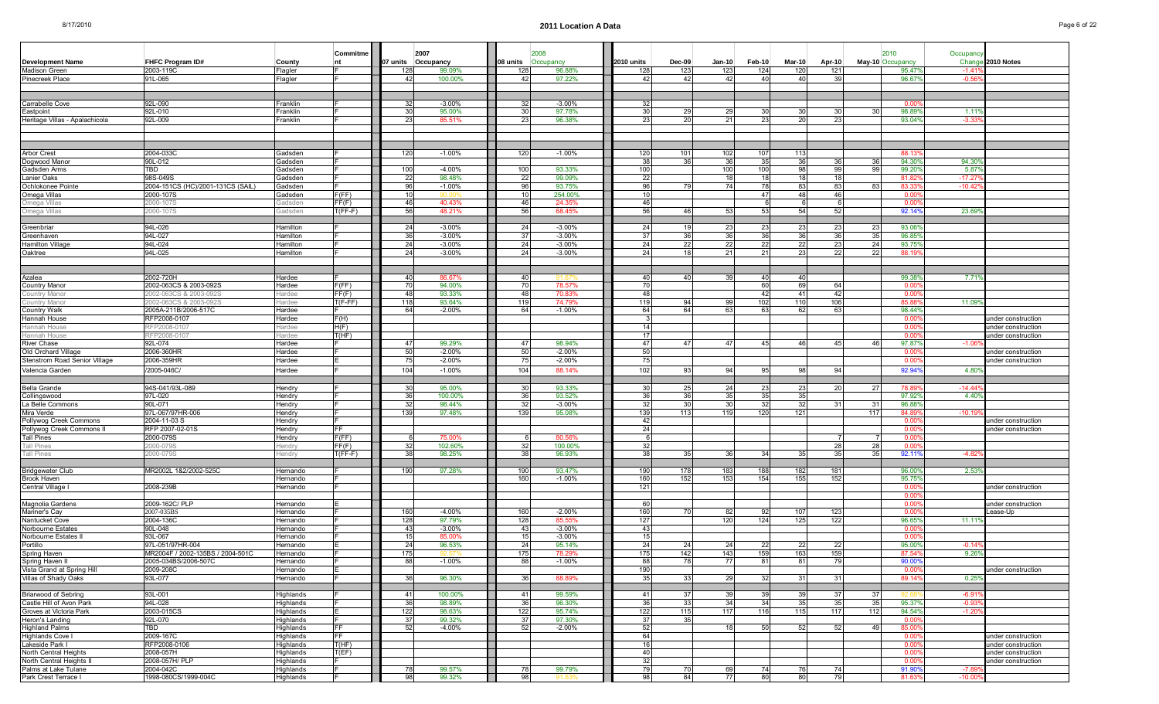| <b>Development Name</b>                             | <b>FHFC Program ID#</b><br>2003-119C | County<br>Flagler       | Commitme<br>nt |           | 2007<br>07 units Occupancy<br>99.09% | 08 units<br>128 | 2008<br>Occupancy<br>96.88% | 2010 units<br>128 |          | <b>Dec-09</b><br>123 | $Jan-10$<br>123 | $Feb-10$<br>124 | $Mar-10$<br>120 | Apr-10<br>121 |                 | 2010<br>May-10 Occupancy<br>95.47% | Occupanc           | Change 2010 Notes                        |
|-----------------------------------------------------|--------------------------------------|-------------------------|----------------|-----------|--------------------------------------|-----------------|-----------------------------|-------------------|----------|----------------------|-----------------|-----------------|-----------------|---------------|-----------------|------------------------------------|--------------------|------------------------------------------|
| Madison Green<br>Pinecreek Place                    | 91L-065                              | Flagler                 |                | 128<br>42 | 100.00%                              | -42             | 97.22%                      |                   | 42       | 42                   | 42              | 40              | -40             | 39            |                 | 96.67%                             | $-1.4'$<br>$-0.56$ |                                          |
|                                                     |                                      |                         |                |           |                                      |                 |                             |                   |          |                      |                 |                 |                 |               |                 |                                    |                    |                                          |
|                                                     |                                      |                         |                |           |                                      |                 |                             |                   |          |                      |                 |                 |                 |               |                 |                                    |                    |                                          |
| Carrabelle Cove                                     | 92L-090                              | Franklin                |                | -32       | $-3.00\%$                            | 32              | $-3.00\%$                   |                   | -32      |                      |                 |                 |                 |               |                 | 0.00                               |                    |                                          |
| Eastpoint                                           | 92L-010                              | Franklin                |                | 30        | 95.00%                               | 30              | 97.78%                      |                   | 30       | 29                   | 29              | 30              | 30              | 30            | 30 <sub>l</sub> | 98.899                             | 1.11'              |                                          |
| Heritage Villas - Apalachicola                      | 92L-009                              | Franklin                |                | 23        | 85.51%                               | 23              | 96.38%                      |                   | 23       | 20                   | 21              | 23              | -20             | 23            |                 | 93.04%                             | $-3.33$            |                                          |
|                                                     |                                      |                         |                |           |                                      |                 |                             |                   |          |                      |                 |                 |                 |               |                 |                                    |                    |                                          |
|                                                     |                                      |                         |                |           |                                      |                 |                             |                   |          |                      |                 |                 |                 |               |                 |                                    |                    |                                          |
|                                                     |                                      |                         |                |           |                                      |                 |                             |                   |          |                      |                 |                 |                 |               |                 |                                    |                    |                                          |
| <b>Arbor Crest</b><br>Dogwood Manor                 | 2004-033C<br>90L-012                 | Gadsden<br>Gadsden      |                | 120       | $-1.00%$                             | 120             | $-1.00%$                    | 120               | 38       | 101<br>36            | 102<br>36       | 107<br>35       | 113<br>-36      | 36            | 36              | 88.13<br>94.30%                    | 94.30              |                                          |
| Gadsden Arms                                        | TBD                                  | Gadsden                 |                | 100       | $-4.00%$                             | 100             | 93.33%                      | 100               |          |                      | 100             | 100             | 98              | 99            | 99              | 99.209                             | 5.87               |                                          |
| Lanier Oaks                                         | 98S-049S                             | Gadsden                 |                | 22        | 98.48%                               | 22              | 99.09%                      |                   | 22       |                      | 18              | 18              | 18              | 18            |                 | 81.82                              | $-17.27$           |                                          |
| Ochlokonee Pointe                                   | 2004-151CS (HC)/2001-131CS (SAIL)    | Gadsden                 |                | 96        | $-1.00%$                             | 96              | 93.75%                      |                   | 96       | 79                   | 74              | 78              | -831            | 83            | 83              | 83.33                              | $-10.42$           |                                          |
| Omega Villas                                        | 2000-107S                            | Gadsden                 | F(FF)          | 10        |                                      | 10 <sup>1</sup> | 254.00%                     |                   | 10       |                      |                 | 47              | 48              | 46            |                 | 0.00                               |                    |                                          |
| Omega Villas                                        | 000-107S                             | Gadsden                 | FF(F)          | 46        | 40.43%                               | 46              | 24.35%                      |                   | 46       |                      |                 |                 |                 |               |                 | 0.00                               |                    |                                          |
| Omega Villas                                        | 000-107S                             | Gadsden                 | $T(FF-F)$      | 56        | 48.21%                               | 56              | 68.45%                      |                   | 56       | 46                   | 53              | 53              | -54             | 52            |                 | 92.14%                             | 23.69              |                                          |
|                                                     |                                      |                         |                |           |                                      |                 |                             |                   |          |                      |                 |                 |                 |               |                 |                                    |                    |                                          |
| Greenbriar                                          | 94L-026<br>94L-027                   | Hamilton                |                | 24<br>36  | $-3.00%$                             | 24<br>37        | $-3.00%$<br>$-3.00%$        |                   | 24<br>37 | 19<br>36             | 23<br>36        | 23<br>36        | -23<br>36       | 23<br>36      | 23              | 93.06%<br>96.85                    |                    |                                          |
| Greenhaven<br>Hamilton Village                      | 94L-024                              | Hamilton<br>Hamilton    |                | 24        | $-3.00%$<br>$-3.00%$                 | 24              | $-3.00%$                    |                   | 24       | 22                   | 22              | 22              | 22              | 23            | 35<br>24        | 93.75%                             |                    |                                          |
| Oaktree                                             | 94L-025                              | Hamilton                |                | 24        | $-3.00%$                             | 24              | $-3.00%$                    |                   | 24       | 18                   | 21              | 21              | 23              | 22            | 22              | 88.19                              |                    |                                          |
|                                                     |                                      |                         |                |           |                                      |                 |                             |                   |          |                      |                 |                 |                 |               |                 |                                    |                    |                                          |
|                                                     |                                      |                         |                |           |                                      |                 |                             |                   |          |                      |                 |                 |                 |               |                 |                                    |                    |                                          |
| Azalea                                              | 2002-720H                            | Hardee                  |                | 40        | 86.67%                               | 40              |                             |                   | 40       | 40                   | 39              | 40              | 40              |               |                 | 99.389                             | 7.71               |                                          |
| <b>Country Manor</b>                                | 2002-063CS & 2003-092S               | Hardee                  | F(FF)          | 70        | 94.00%                               | 70              | 78.57%                      |                   | -70      |                      |                 | 60              | 69              | 64            |                 | 0.00                               |                    |                                          |
| Country Mano                                        | 002-063CS & 2003-092S                | lardee                  | FF(F)          | 48        | 93.33%                               | 48              | 70.83%                      |                   | 48       |                      |                 | 42              | -41             | 42            |                 | 0.00                               |                    |                                          |
| Country Manor                                       | 002-063CS & 2003-0929                | lardee                  | $T(F-FF)$      | 118       | 93.64%                               | 119             | 74.79%                      | 119               |          | 94                   | 99              | 102             | 110             | 106           |                 | 85.8                               | 11.099             |                                          |
| <b>Country Walk</b>                                 | 2005A-211B/2006-517C                 | Hardee                  |                | 64        | $-2.00%$                             | 64              | $-1.00%$                    |                   | 64       | 64                   | 63              | 63              | 62              | 63            |                 | 98.44%                             |                    |                                          |
| Hannah House                                        | RFP2008-0107                         | Hardee                  | F(H)<br>H(F)   |           |                                      |                 |                             |                   | 14       |                      |                 |                 |                 |               |                 | 0.00                               |                    | inder construction                       |
| Hannah House<br>Hannah House                        | RFP2008-0107<br>RFP2008-0101         | Hardee<br><b>Hardee</b> | T(HF)          |           |                                      |                 |                             |                   | 17       |                      |                 |                 |                 |               |                 | 0.00<br>n no                       |                    | under construction<br>under construction |
| River Chase                                         | 92L-074                              | Hardee                  |                | 47        | 99.29%                               | 47              | 98.94%                      |                   | 47       | 47                   | 47              | 45              | 46              | 45            | 46              | 97.87%                             | $-1.0$             |                                          |
| Old Orchard Village                                 | 2006-360HR                           | Hardee                  |                | 50        | $-2.00\%$                            | 50              | $-2.00%$                    |                   | 50       |                      |                 |                 |                 |               |                 | 0.00                               |                    | under construction                       |
| Stenstrom Road Senior Village                       | 2006-359HR                           | Hardee                  |                | 75        | $-2.00%$                             | 75              | $-2.00%$                    |                   | 75       |                      |                 |                 |                 |               |                 | 0.00                               |                    | under construction                       |
| Valencia Garden                                     | 2005-046C/                           | Hardee                  |                | 104       | $-1.00%$                             | 104             | 88.14%                      | 102               |          | 93                   | 94              | 95              | 98              | 94            |                 | 92.94%                             | 4.80               |                                          |
|                                                     |                                      |                         |                |           |                                      |                 |                             |                   |          |                      |                 |                 |                 |               |                 |                                    |                    |                                          |
| Bella Grande                                        | 94S-041/93L-089                      | Hendry                  |                | 30        | 95.00%                               | 30              | 93.33%                      |                   | 30       | 25                   | 24              | 23              | 23              | 20            | 27              | 78.89                              | -14.4              |                                          |
| Collingswood                                        | 97L-020                              | Hendry                  |                | 36        | 100.00%                              | 36              | 93.52%                      |                   | 36       | 36                   | 35              | 35              | -35             |               |                 | 97.92%                             | 4.40               |                                          |
| La Belle Commons                                    | 90L-071                              | Hendry                  |                | 32        | 98.44%                               | 32              | $-3.00%$                    |                   | 32       | 30                   | 30              | 32              | 32              |               | 31              | 96.88                              |                    |                                          |
| Mira Verde                                          | 97L-067/97HR-006                     | Hendry                  |                | 139       | 97.48%                               | 139             | 95.08%                      | 139               |          | 113                  | 119             | 120             | 121             |               | 117             | 84.89                              | $-10.1$            |                                          |
| Pollywog Creek Commons                              | 2004-11-03 S                         | Hendry                  |                |           |                                      |                 |                             |                   | 42       |                      |                 |                 |                 |               |                 | 0.00                               |                    | ınder construction                       |
| Pollywog Creek Commons II                           | RFP 2007-02-01S                      | lendry                  | FF<br>F(FF)    |           |                                      |                 |                             |                   | 24       |                      |                 |                 |                 |               |                 | 0.00                               |                    | ınder construction                       |
| Tall Pines<br><b>Tall Pines</b>                     | 2000-079S<br>000-079S                | lendry<br>lendry        | FF(F)          | 32        | 75.00%<br>102.60%                    | 32              | 80.56%<br>100.00%           |                   | 32       |                      |                 |                 |                 | 28            | 28              | 0.00<br>0.00                       |                    |                                          |
| <b>Tall Pines</b>                                   | 000-079S                             | endry                   | $T(FF-F)$      | 38        | 98.25%                               | 38              | 96.93%                      |                   | 38       | 35                   | 36              | 34              | 35              | 35            | 35              | 92.119                             | $-4.8$             |                                          |
|                                                     |                                      |                         |                |           |                                      |                 |                             |                   |          |                      |                 |                 |                 |               |                 |                                    |                    |                                          |
| <b>Bridgewater Club</b>                             | MR2002L 1&2/2002-525C                | Hernando                |                | 190       | 97.28%                               | 190             | 93.47%                      | 190               |          | 178                  | 183             | 188             | 182             | 181           |                 | 96.00                              | 2.53               |                                          |
| Brook Haven                                         |                                      | Hernando                |                |           |                                      | 160             | $-1.00%$                    | 160               |          | 152                  | 153             | 154             | 155             | 152           |                 | 95.75%                             |                    |                                          |
| Central Village                                     | 2008-239B                            | Hernando                |                |           |                                      |                 |                             | 121               |          |                      |                 |                 |                 |               |                 | 0.00                               |                    | under construction                       |
|                                                     |                                      |                         |                |           |                                      |                 |                             |                   |          |                      |                 |                 |                 |               |                 | 0.00                               |                    |                                          |
| Magnolia Gardens                                    | 2009-162C/ PLP                       | Hernando                |                |           |                                      |                 |                             |                   | 60       |                      |                 |                 |                 |               |                 | 0.00                               |                    | inder construction                       |
| Mariner's Cay                                       | 2007-035BS<br>2004-136C              | Hernando                |                | 160       | $-4.00%$<br>97.79%                   | 160             | $-2.00%$<br>85.55%          | 160<br>127        |          | 70                   | 82<br>120       | 92<br>124       | 107<br>125      | 123<br>122    |                 | 0.00                               | 11.11'             | ease-Up                                  |
| Nantucket Cove<br>Norbourne Estates                 | 90L-048                              | Hernando<br>Hernando    |                | 128<br>43 | $-3.00%$                             | 128<br>43       | $-3.00%$                    |                   | 43       |                      |                 |                 |                 |               |                 | 96.65%<br>0.00                     |                    |                                          |
| Norbourne Estates II                                | 93L-067                              | <b>Hernando</b>         |                | 15        | 85.00%                               | 15              | $-3.00%$                    |                   | 15       |                      |                 |                 |                 |               |                 | 0.00                               |                    |                                          |
| Portillo                                            | 97L-051/97HR-004                     | Hernando                |                | 24        | 96.53%                               | 24              | 95.14%                      |                   | 24       | 24                   | 24              | 22              | 22              | 22            |                 | 95.00%                             | $-0.14$            |                                          |
| Spring Haven                                        | MR2004F / 2002-135BS / 2004-501C     | Hernando                |                | 175       |                                      | 175             | 78.29%                      |                   | 175      | 142                  | 143             | 159             | 163             | 159           |                 | 87.54%                             | 9.26               |                                          |
| Spring Haven II                                     | 2005-034BS/2006-507C                 | Hernando                |                | 88        | -1.00%                               | 881             | -1.00%                      |                   | 88       | 78                   | 77              | 81              | -811            | -79           |                 | 90.00%                             |                    |                                          |
| Vista Grand at Spring Hill                          | 2009-208C                            | Hernando                |                |           |                                      |                 |                             | 190               |          |                      |                 |                 |                 |               |                 | 0.00                               |                    | under construction                       |
| Villas of Shady Oaks                                | 93L-077                              | Hernando                |                | 36        | 96.30%                               | 36              | 88.89%                      |                   | 35       | 33                   | 29              | 32              | -31             | 31            |                 | 89.14%                             | 0.25%              |                                          |
|                                                     |                                      |                         |                |           |                                      |                 |                             |                   |          |                      |                 |                 |                 |               |                 |                                    |                    |                                          |
| Briarwood of Sebring                                | 93L-001                              | Highlands               |                | 41        | 100.00%                              | -41             | 99.59%                      |                   | 41       | 37                   | 39              | 39              | -39             | -37           | 37              |                                    | $-6.9'$            |                                          |
| Castle Hill of Avon Park<br>Groves at Victoria Park | 94L-028<br>2003-015CS                | Highlands<br>Highlands  |                | 36<br>122 | 98.89%<br>98.63%                     | 36<br>122       | 96.30%<br>95.74%            | 122               | 36       | 33<br>115            | 34<br>117       | 34<br>116       | -35<br>115      | 35<br>117     | 35<br>112       | 95.37%<br>94.54%                   | $-0.93$<br>$-1.20$ |                                          |
| Heron's Landing                                     | 92L-070                              | Highlands               |                | 37        | 99.32%                               | 37              | 97.30%                      |                   | 37       | 35                   |                 |                 |                 |               |                 | 0.00                               |                    |                                          |
| Highland Palms                                      | TBD                                  | Highlands               | FF             | 52        | $-4.00\%$                            | 52              | $-2.00\%$                   |                   | -52      |                      | 18 <sup>1</sup> | 50              | -52             | 52            | 49              | 85.00                              |                    |                                          |
| Highlands Cove I                                    | 2009-167C                            | Highlands               | FF.            |           |                                      |                 |                             |                   | 64       |                      |                 |                 |                 |               |                 | 0.00                               |                    | under construction                       |
| Lakeside Park I                                     | RFP2008-0106                         | Highlands               | T(HF)          |           |                                      |                 |                             |                   | 16       |                      |                 |                 |                 |               |                 | 0.009                              |                    | under construction                       |
| North Central Heights                               | 2008-057H                            | Highlands               | T(EF)          |           |                                      |                 |                             |                   | 40       |                      |                 |                 |                 |               |                 | $0.00^{\circ}$                     |                    | under construction                       |
| North Central Heights II                            | 2008-057H/ PLP                       | Highlands               |                |           |                                      |                 |                             |                   | 32       |                      |                 |                 |                 |               |                 | 0.00                               |                    | under construction                       |
| Palms at Lake Tulane                                | 2004-042C                            | Highlands               |                | -78       | 99.57%                               | 78              | 99.79%                      |                   | 79       | 70                   | 69              | 74              | 76 I            | 74            |                 | 91.90%                             | $-7.89$            |                                          |
| Park Crest Terrace I                                | 1998-080CS/1999-004C                 | Highlands               |                | 98        | 99.32%                               | 98              |                             |                   | 98       | 84                   | 77              | 80              | 80              | 79            |                 | 81.63                              | $-10.00$           |                                          |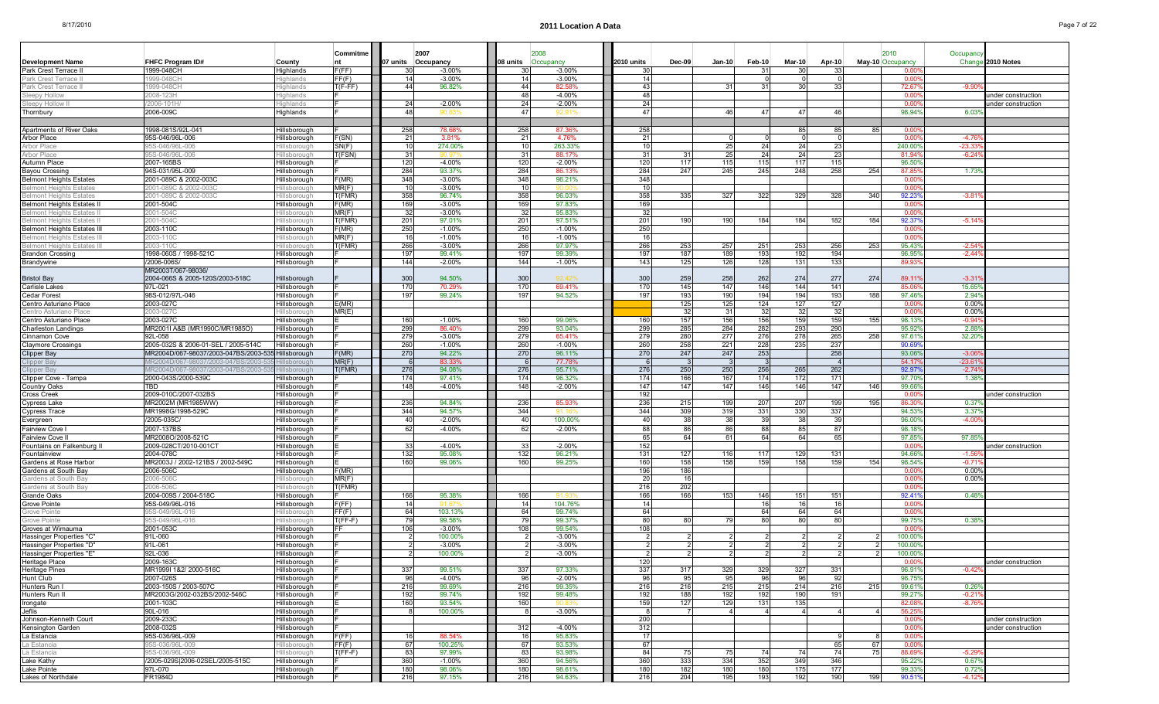|                                                                      |                                                                             |                              | Commitme         | 2007               |                      |                 |                       |                 |                 |            |                |               |            |                  |                  |                     |                                          |
|----------------------------------------------------------------------|-----------------------------------------------------------------------------|------------------------------|------------------|--------------------|----------------------|-----------------|-----------------------|-----------------|-----------------|------------|----------------|---------------|------------|------------------|------------------|---------------------|------------------------------------------|
| <b>Development Name</b>                                              | <b>FHFC Program ID#</b>                                                     | County                       |                  | 07 units Occupancy |                      | 08 units        | 2008<br>Occupancy     | 2010 units      | $Dec-09$        | $Jan-10$   | Feb-10         | <b>Mar-10</b> | Apr-10     | May-10 Occupancy | 2010             | Occupancy<br>Change | 2010 Notes                               |
| Park Crest Terrace                                                   | 1999-048CH                                                                  | Highlands                    | F(FF)            | -30                | $-3.00%$             |                 | $-3.00%$              | 30              |                 |            | -31            | -30           |            |                  | . വെ             |                     |                                          |
| Park Crest Terrace                                                   | 999-048CH                                                                   | ighlands                     | FF(F)            | 14                 | $-3.00%$             |                 | $-3.00%$              | 14              |                 |            |                |               |            |                  | 0.00             |                     |                                          |
| Park Crest Terrace I                                                 | 999-048CH                                                                   | ighlands                     | T(F-FF)          | 44                 | 96.82%               | 44              | 82.589                | 43              |                 | 31         | 31             | 30            |            |                  | 72.67            | $-9.90$             |                                          |
| Sleepy Hollow                                                        | 2008-123H                                                                   | lighlands                    |                  |                    |                      | 48              | $-4.00%$              | 48              |                 |            |                |               |            |                  | 0.00             |                     | under construction                       |
| Sleepy Hollow II                                                     | 2006-101H                                                                   | ighlands                     |                  | 24                 | $-2.00%$             | -24             | $-2.00%$              | 24              |                 |            |                |               |            |                  | 0.00             |                     | inder construction                       |
| Thornbury                                                            | 2006-009C                                                                   | Highlands                    |                  | 48                 | 90.6:                | 47              | 92.91                 | 47              |                 | 46         | 47             | 47            | 46         |                  | 98.94%           | 6.03                |                                          |
| Apartments of River Oaks                                             | 1998-081S/92L-041                                                           | Hillsborough                 |                  | 258                | 78.68%               | 258             | 87.36%                | 258             |                 |            |                | 85            | 85         | 851              | 0.00             |                     |                                          |
| Arbor Place                                                          | 95S-046/96L-006                                                             | Hillsborough                 | F(SN)            | 21                 | 3.81%                | $2^{\circ}$     | 4.76%                 | 21              |                 |            |                |               |            |                  | 0.00             | $-4.76$             |                                          |
| Arbor Place                                                          | 05S-046/96L-006                                                             | lillsborough                 | SN(F)            | 10                 | 274.00%              | -10             | 263.33%               | 10 <sup>1</sup> |                 | 25         | 24             | 24            | -23        |                  | 240.00           | $-23.3$             |                                          |
| Arbor Place                                                          | 05S-046/96L-006                                                             | illsborough                  | T(FSN)           | 31                 |                      | 3 <sup>1</sup>  | 88.17%                | 31              | 31              | 25         | 24             | 24            | 23         |                  | 81.94            | $-6.24$             |                                          |
| Autumn Place                                                         | 2007-165BS                                                                  | Hillsborough                 |                  | 120                | $-4.00%$             | 120             | $-2.00%$              | 120             | 117             | 115        | 115            | 117           | 115        |                  | 96.50            |                     |                                          |
| Bayou Crossing                                                       | 94S-031/95L-009                                                             | Hillsborough                 |                  | 284                | 93.37%               | 284             | 86.13%                | 284             | 247             | 245        | 245            | 248           | 258        | 254              | 87.8             | 1.73                |                                          |
| Belmont Heights Estates<br><b>Belmont Heights Estates</b>            | 2001-089C & 2002-003C<br>2001-089C & 2002-003C                              | Hillsborough<br>lillsborough | F(MR)<br>MR(F)   | 348<br>10          | $-3.00%$<br>$-3.00%$ | 348             | 96.21%                | 348<br>10       |                 |            |                |               |            |                  | 0.00<br>. വെ     |                     |                                          |
| <b>Belmont Heights Estates</b>                                       | 2001-089C & 2002-003C                                                       | illsborough                  | T(FMR)           | 358                | 96.74%               | 358             | 96.03%                | 358             | 335             | 327        | 322            | 329           | 328        | 340              | 92.23            | $-3.81$             |                                          |
| Belmont Heights Estates I                                            | 2001-504C                                                                   | Hillsborough                 | F(MR)            | 169                | $-3.00%$             | 169             | 97.83%                | 169             |                 |            |                |               |            |                  | 0.00             |                     |                                          |
| <b>Belmont Heights Estates</b>                                       | 2001-504C                                                                   | lillsborouah                 | MR(F)            | 32                 | $-3.00%$             | -32             | 95.83%                | 32              |                 |            |                |               |            |                  | 0.00             |                     |                                          |
| <b>Belmont Heights Estates</b>                                       | 2001-5040                                                                   | illsborough                  | T(FMR)           | 201                | 97.01%               | 20 <sup>1</sup> | 97.51%                | 201             | 190             | 190        | 184            | 184           | 182        | 184              | 92.37            | $-5.14$             |                                          |
| <b>Belmont Heights Estates III</b><br><b>Belmont Heights Estates</b> | 2003-110C<br>2003-1100                                                      | Hillsborough<br>Ilsborough   | F(MR)<br>MR(F)   | 250<br>16          | $-1.00%$<br>$-1.00%$ | 250<br>16       | $-1.00\%$<br>$-1.00%$ | 250<br>16       |                 |            |                |               |            |                  | -0.00<br>0.00    |                     |                                          |
| <b>Belmont Heights Estates III</b>                                   | 2003-110C                                                                   | illsborough                  | T(FMR)           | 266                | $-3.00%$             | 266             | 97.97%                | 266             | 253             | 257        | 251            | 253           | 256        | 253              | 95.43            | $-2.54$             |                                          |
| <b>Brandon Crossing</b>                                              | 1998-060S / 1998-521C                                                       | Hillsborough                 |                  | 197                | 99.41%               | 197             | 99.39%                | 197             | 187             | 189        | 193            | 192           | 194        |                  | 96.95            | $-2.44$             |                                          |
| Brandywine                                                           | /2006-006S/                                                                 | Hillsborough                 |                  | 144                | $-2.00%$             | 144             | $-1.00%$              | 143             | 125             | 126        | 128            | 131           | 133        |                  | 89.93            |                     |                                          |
|                                                                      | MR2003T/067-98036/                                                          |                              |                  |                    |                      |                 |                       |                 |                 |            |                |               |            |                  |                  |                     |                                          |
| <b>Bristol Bay</b>                                                   | 2004-066S & 2005-120S/2003-518C                                             | Hillsborough                 |                  | 300                | 94.50%               | 300             | 92.42%                | 300             | 259             | 258        | 262            | 274           | 277        | 274              | 89.11            | $-3.31$             |                                          |
| Carlisle Lakes<br>Cedar Forest                                       | 97L-021<br>98S-012/97L-046                                                  | Hillsborough<br>Hillsborough |                  | 170<br>197         | 70.29%<br>99.24%     | 170<br>197      | 69.41%<br>94.52%      | 170<br>197      | 145<br>193      | 147<br>190 | 146<br>194     | 144<br>194    | 141<br>193 | 188              | 85.06<br>97.46   | 15.65<br>2.94%      |                                          |
| Centro Asturiano Place                                               | 2003-027C                                                                   | Hillsborough                 | E(MR)            |                    |                      |                 |                       |                 | 125             | 125        | 124            | 127           | 127        |                  | 0.00             | 0.00%               |                                          |
| Centro Asturiano Place                                               | 2003-027                                                                    | illsborough                  | MR(E)            |                    |                      |                 |                       |                 | 32              | -31        | 32             | 32            | -32        |                  | n or             | $0.00^{\circ}$      |                                          |
| Centro Asturiano Place                                               | 2003-027C                                                                   | Hillsborough                 |                  | 160                | $-1.00%$             | 160             | 99.06%                | 160             | 157             | 156        | 156            | 159           | 159        | 155              | 98.13            | $-0.94$             |                                          |
| Charleston Landings                                                  | MR2001I A&B (MR1990C/MR1985O)                                               | Hillsborough                 |                  | 299                | 86.40%               | 299             | 93.04%                | 299             | 285             | 284        | 282            | 293           | 290        |                  | 95.92            | 2.88                |                                          |
| Cinnamon Cove                                                        | 92L-058                                                                     | Hillsborough                 |                  | 279                | $-3.00%$             | 279             | 65.41%                | 279             | 280             | 277        | 276            | 278           | 265        | 258              | 97.61            | 32.20               |                                          |
| <b>Claymore Crossings</b>                                            | 2005-032S & 2006-01-SEL / 2005-514C<br>MR2004D/067-98037/2003-047BS/2003-53 | Hillsborough<br>Hillsborough | F(MR)            | 260<br>270         | $-1.00%$<br>94.22%   | 260<br>270      | $-1.00%$<br>96.11%    | 260<br>270      | 258<br>247      | 221<br>247 | 228<br>253     | 235           | 237<br>258 |                  | 90.69<br>93.06   | $-3.06$             |                                          |
| Clipper Bay<br>Clipper Bay                                           | /IR2004D/067-98037/2003-047BS/2003                                          | llsborough                   | MR(F)            |                    | 83.33%               |                 | 77.78%                | - 6             |                 |            |                |               |            |                  | 54.17            | $-23.6$             |                                          |
| Clipper Bay                                                          | /IR2004D/067-98037/2003-047BS/2003-5                                        | IIsborough                   | T(FMR)           | 276                | 94.08%               | 276             | 95.71%                | 276             | 250             | 250        | 256            | 265           | 262        |                  | 92.97            | $-2.74$             |                                          |
| Clipper Cove - Tampa                                                 | 2000-043S/2000-539C                                                         | Hillsborough                 |                  | 174                | 97.41%               | 174             | 96.32%                | 174             | 166             | 167        | 174            | 172           | 171        |                  | 97.70            | 1.38                |                                          |
| Country Oaks                                                         | TBD                                                                         | Hillsborough                 |                  | 148                | $-4.00%$             | 148             | $-2.00%$              | 147             | 147             | 147        | 146            | 146           | 147        | 146              | 99.66            |                     |                                          |
| Cross Creek                                                          | 2009-010C/2007-032BS                                                        | Hillsborough                 |                  | 236                | 94.84%               |                 | 85.93%                | 192<br>236      | 215             | 199        |                |               | 199        | 195              | -0.00<br>86.3    | 0.37                | inder construction                       |
| Cypress Lake<br>Cypress Trace                                        | MR2002M (MR1985WW)<br>MR1998G/1998-529C                                     | Hillsborough<br>Hillsborough |                  | 344                | 94.57%               | 236<br>344      |                       | 344             | 309             | 319        | 207<br>331     | 207<br>330    | 337        |                  | 94.53            | 3.37                |                                          |
| Evergreen                                                            | /2005-035C                                                                  | Hillsborough                 |                  | 40                 | $-2.00%$             | $\overline{4}$  | 100.00%               | 40              | 38 <sup>l</sup> | 38         | 39             | 38            | 39         |                  | 96.00            | $-4.00$             |                                          |
| Fairview Cove                                                        | 2007-137BS                                                                  | Hillsborough                 |                  | 62                 | $-4.00%$             | -62             | $-2.00%$              | 88              | 86              | 86         | 88             | 85            | 87         |                  | 98.18            |                     |                                          |
| Fairview Cove II                                                     | MR2008O/2008-521C                                                           | Hillsborough                 |                  |                    |                      |                 |                       | 65              | 64              | 61         | 64             | 64            | 65         |                  | 97.85            | 97.85               |                                          |
| Fountains on Falkenburg II                                           | 2009-028CT/2010-001CT                                                       | Hillsborough                 |                  | 33                 | $-4.00%$             |                 | $-2.00%$              | 152             |                 |            |                |               |            |                  | 0.00             |                     | under construction                       |
| Fountainview<br>Gardens at Rose Harbor                               | 2004-078C<br>MR2003J / 2002-121BS / 2002-549C                               | Hillsborough<br>Hillsborough |                  | 132<br>160         | 95.08%<br>99.06%     | 132<br>160      | 96.21%<br>99.25%      | 131<br>160      | 127<br>158      | 116<br>158 | 117<br>159     | 129<br>158    | 131<br>159 | 154              | 94.66<br>98.54%  | $-1.56$<br>$-0.7$   |                                          |
| Gardens at South Bay                                                 | 2006-506C                                                                   | Hillsborough                 | F(MR)            |                    |                      |                 |                       | 196             | 186             |            |                |               |            |                  | -0.00            | $0.00^{\circ}$      |                                          |
| Gardens at South Bay                                                 | 2006-506C                                                                   | illsborough                  | MR(F)            |                    |                      |                 |                       | 20              | 16              |            |                |               |            |                  | 0.00             | 0.00                |                                          |
| Gardens at South Bay                                                 | 2006-506C                                                                   | illsborough                  | T(FMR)           |                    |                      |                 |                       | 216             | 202             |            |                |               |            |                  | 0.00             |                     |                                          |
| Grande Oaks                                                          | 2004-009S / 2004-518C                                                       | Hillsborough                 |                  | 166                | 95.38%               | 166             |                       | 166             | 166             | 153        | 146            | 151           | 151        |                  | 92.41            | 0.48%               |                                          |
| Grove Pointe                                                         | 95S-049/96L-016                                                             | Hillsborough                 | F(FF)            | 14                 |                      | 64              | 104.76%               | 14              |                 |            | 16             | -16           | 16         |                  | 0.00             |                     |                                          |
| Grove Pointe<br>Grove Pointe                                         | 05S-049/96L-01<br>I5S-049/96L-016                                           | lillsborough<br>illsborough  | FF(F)<br>T(FF-F) | 64<br>79           | 103.13%<br>99.58%    |                 | 99.74%<br>99.37%      | 64<br>80        |                 | 79         | 64<br>80       | 64<br>80      | 64         |                  | . വ<br>99.75     | 0.38                |                                          |
| Groves at Wimauma                                                    | 2001-053C                                                                   | Hillsborough                 |                  | 106                | $-3.00%$             | 108             | 99.54%                | 108             |                 |            |                |               |            |                  | -0.00            |                     |                                          |
| Hassinger Properties "C"                                             | 91L-060                                                                     | Hillsborough                 |                  |                    | 100.00%              |                 | $-3.00%$              | $\mathcal{P}$   |                 |            | -2             |               |            |                  | 100.00           |                     |                                          |
| Hassinger Properties "D"                                             | 91L-061                                                                     | Hillsborough                 |                  |                    | $-3.00%$             |                 | $-3.00%$              |                 |                 |            |                |               |            |                  | 100.00           |                     |                                          |
| Hassinger Properties "E"                                             | 92L-036                                                                     | Hillsborough                 |                  |                    | 100.00%              |                 | $-3.00%$              |                 |                 |            |                |               |            |                  | 100.00           |                     |                                          |
| Heritage Place<br>Heritage Pines                                     | 2009-163C<br>MR1999I 1&2/ 2000-516C                                         | Hillsborough<br>Hillsborough |                  | 337                | 99.51%               | 337             | 97.33%                | 120<br>337      | 317             | 329        | 329            | 327           | 331        |                  | 0.00<br>96.919   |                     | under construction                       |
| Hunt Club                                                            | 2007-026S                                                                   | Hillsborough                 |                  | 96                 | $-4.00%$             | 96              | $-2.00%$              | 96              | 95              | 95         | -961           | 96            | -921       |                  | 98.75%           | $-0.42$             |                                          |
| Hunters Run I                                                        | 2003-150S / 2003-507C                                                       | Hillsborough                 |                  | 216                | 99.69%               | 216             | 99.35%                | 216             | 216             | 215        | 215            | 214           | 216        | 215              | 99.619           | 0.269               |                                          |
| Hunters Run II                                                       | MR2003G/2002-032BS/2002-546C                                                | Hillsborough                 |                  | 192                | 99.74%               | 192             | 99.48%                | 192             | 188             | 192        | 192            | 190           | 191        |                  | 99.27%           | $-0.21$             |                                          |
| Irongate                                                             | 2001-103C                                                                   | Hillsborough                 |                  | 160                | 93.54%               | 160             |                       | 159             | 127             | 129        | 131            | 135           |            |                  | 82.08            | $-8.76$             |                                          |
| Jeflis                                                               | 90L-016                                                                     | Hillsborough                 |                  |                    | 100.00%              |                 | $-3.00%$              | -8              |                 | 4          | $\overline{a}$ |               |            |                  | 56.25            |                     |                                          |
| Johnson-Kenneth Court<br>Kensington Garden                           | 2009-233C<br>2008-032S                                                      | Hillsborough<br>Hillsborough |                  |                    |                      | 312             | $-4.00%$              | 200<br>312      |                 |            |                |               |            |                  | 0.00<br>0.00     |                     | under construction<br>under construction |
| La Estancia                                                          | 95S-036/96L-009                                                             | Hillsborough                 | F(FF)            | 16                 | 88.54%               | 16              | 95.83%                | 17              |                 |            |                |               |            |                  | $0.00^{\circ}$   |                     |                                          |
| La Estancia                                                          | 95S-036/96L-009                                                             | lillsborough                 | FF(F)            | 67                 | 100.25%              | 67              | 93.53%                | 67              |                 |            |                |               | 65         | 67               | 0.00             |                     |                                          |
| La Estancia                                                          | 05S-036/96L-009                                                             | lillsborough                 | T(FF-F)          | 83                 | 97.99%               | 83              | 93.98%                | 84              | 75              | 75         | 74             | 74            | 74         | 75               | 88.69            | $-5.29$             |                                          |
| Lake Kathy                                                           | /2005-029S 2006-02SEL/2005-515C                                             | Hillsborough                 |                  | 360                | $-1.00%$             | 360             | 94.56%                | 360             | 333             | 334        | 352            | 349           | 346        |                  | 95.229           | $0.67^{\circ}$      |                                          |
| Lake Pointe<br>Lakes of Northdale                                    | 97L-070<br>FR1984D                                                          | Hillsborough<br>Hillsborough |                  | 180<br>216         | 98.06%<br>97.15%     | 180<br>216      | 98.61%<br>94.63%      | 180<br>216      | 182<br>204      | 180<br>195 | 180<br>193     | 175<br>192    | 177<br>190 | 199              | 99.339<br>90.51% | 0.72%<br>$-4.129$   |                                          |
|                                                                      |                                                                             |                              |                  |                    |                      |                 |                       |                 |                 |            |                |               |            |                  |                  |                     |                                          |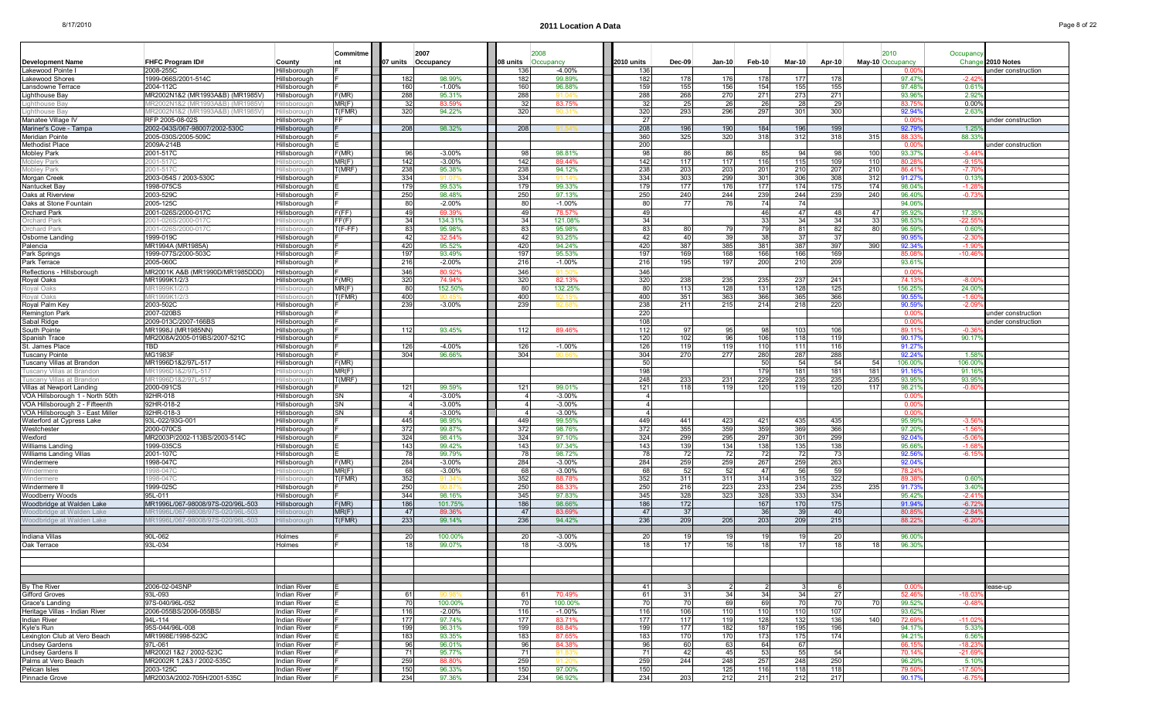|                                            |                                    |                               | Commitme        |                    | 2007             |                 |           |                    |            |               |            |            |                 |            |     | 2010                     | Occupancy         |                    |
|--------------------------------------------|------------------------------------|-------------------------------|-----------------|--------------------|------------------|-----------------|-----------|--------------------|------------|---------------|------------|------------|-----------------|------------|-----|--------------------------|-------------------|--------------------|
| <b>Development Name</b>                    | FHFC Program ID#                   | County                        | <b>nt</b>       | 07 units Occupancy |                  | 08 units        | Occupancy |                    | 2010 units | <b>Dec-09</b> | Jan-10     | Feb-10     | $Mar-10$        | Apr-10     |     | May-10 Occupancy         | Change            | 2010 Notes         |
| Lakewood Pointe I                          | 2008-255C<br>1999-066S/2001-514C   | Hillsborough                  |                 |                    | 98.99%           | 136<br>182      |           | $-4.00%$<br>99.89% | 136<br>182 | 178           | 176        |            |                 |            |     | 0.00                     |                   | nder construction  |
| Lakewood Shores<br>Lansdowne Terrace       | 2004-112C                          | Hillsborough<br>Hillsborough  |                 | 182<br>160         | $-1.00%$         | 160             |           | 96.88%             | 159        | 155           | 156        | 178<br>154 | 177<br>155      | 178<br>155 |     | $97.47^{\circ}$<br>97.48 | $-2.42$<br>0.61   |                    |
| Lighthouse Bay                             | MR2002N1&2 (MR1993A&B) (MR1985V)   | lillsborough                  | F(MR)           | 288                | 95.31%           | 288             |           |                    | 288        | 268           | 270        | 271        | 273             | 271        |     | 93.96                    | $2.92^{\circ}$    |                    |
| Lighthouse Bay                             | /IR2002N1&2 (MR1993A&B) (MR1985V)  | illsborouah                   | MR(F)           | -32                | 83.59%           | -32             |           | 83.75%             | -32        | 25            | -26        | -26        | 28              | 29         |     | 83.75                    | 0.00%             |                    |
| Lighthouse Ba                              | IR2002N1&2 (MR1993A&B)<br>(MR1985) | <i><u><b>Ishorouc</b></u></i> | f(FMR)          | 320                | 94.22%           | 320             |           |                    | 320        | 293           | 296        | 297        | 301             | 300        |     | 92.94                    | 2.63              |                    |
| Manatee Village IV                         | RFP 2005-08-02S                    | Hillsborough                  | -F              |                    |                  |                 |           |                    | -27        |               |            |            |                 |            |     | 0.00                     |                   | under construction |
| Mariner's Cove - Tampa                     | 2002-043S/067-98007/2002-530C      | Hillsborough                  |                 | 208                | 98.32%           | 208             |           |                    | 208        | 196           | 190        | 184        | 196             | 199        |     | 92.79                    | 1.25              |                    |
| Meridian Pointe                            | 2005-030S/2005-509C                | lillsborough                  |                 |                    |                  |                 |           |                    | 360        | 325           | 320        | 318        | 312             | 318        | 315 | 88.33                    | 88.33             |                    |
| Methodist Place                            | 2009A-214B                         | Hillsborough                  |                 |                    |                  |                 |           |                    | 200        |               |            |            |                 |            |     | 0.00                     |                   | under construction |
| Mobley Park                                | 2001-517C                          | Hillsborough                  | F(MR)           | 96                 | $-3.00%$         | -9              |           | 98.81%             | 98         | 86            | 86         | 85         | 94              | 98         | 100 | 93.37                    | $-5.44$           |                    |
| Mobley Park                                | 2001-517C                          | illsboroug                    | MR(F)           | 142                | $-3.00\%$        | 142             |           | 89.44%             | 142        | 117           | 117        | 116        | 115             | 109        | 110 | 80.28                    | $-9.15$           |                    |
| Mobley Park                                | 2001-517C                          | illsborough                   | T(MRF)          | 238                | 95.38%           | 238             |           | 94.12%             | 238        | 203           | 203        | 201        | 210             | 207        | 210 | 86.41                    | $-7.70$           |                    |
| Morgan Creek                               | 2003-054S / 2003-530C              | Hillsborough                  |                 | 334                | 91.07            | 334             |           | 91.14              | 334        | 303           | 299        | 301        | 306             | 308        | 312 | 91.27                    | 0.13              |                    |
| Nantucket Bav                              | 1998-075CS                         | Hillsborough                  |                 | 179                | 99.53%           | 179             |           | 99.33%             | 179        | 177           | 176        | 177        | 174             | 175        | 174 | 98.049                   | $-1.28$           |                    |
| Oaks at Riverview                          | 2003-529C                          | Hillsborough                  |                 | 250                | 98.48%           | 250             |           | 97.13%             | 250        | 240           | 244        | 239        | 244             | 239        | 240 | 96.40                    | $-0.73$           |                    |
| Oaks at Stone Fountain                     | 2005-125C                          | Hillsborough                  |                 | 80                 | $-2.00%$         | 80              |           | $-1.00%$           | 80         | 77            | 76         | 74         | 74              |            |     | 94.06%                   |                   |                    |
| Orchard Park                               | 2001-026S/2000-017C                | lillsborough                  | F(FF)           | 49                 | 69.39%           | $\Delta$ C      |           | 78.57%             | 49         |               |            | 46         | 47              | 48         | 47  | 95.929                   | 17.35             |                    |
| <b>Orchard Park</b>                        | 2001-026S/2000-017C                | lillsborouah                  | FF(F)           | 34                 | 134.31%          | -34             |           | 121.08%            | 34         |               |            | 33         | 34              | -34        | 33  | 98.539                   | $-22.55$          |                    |
| Orchard Park                               | :001-026S/2000-017C                | illsborough                   | $T(F-FF)$       | 83                 | 95.98%           | -83             |           | 95.98%             | 83         | 80            | 79         | 79         | 81              | 82         | 80  | 96.59                    | 0.60              |                    |
| Osborne Landing                            | 1999-019C                          | Hillsborough                  |                 | 42                 | 32.54%           | 42              |           | 93.25%             | 42         | 40            | -39        | 38         | -37             | 37         |     | 90.95                    | $-2.30$           |                    |
| Palencia                                   | MR1994A (MR1985A)                  | Hillsborough                  |                 | 420                | 95.52%           | 420             |           | 94.24%             | 420        | 387           | 385        | 381        | 387             | 397        | 390 | 92.34                    | $-1.9$            |                    |
| Park Springs                               | 1999-077S/2000-503C                | Hilsborough                   |                 | 197                | 93.49%           | 197             |           | 95.53%             | 197        | 169           | 168        | 166        | 166             | 169        |     | 85.08                    | $-10.46$          |                    |
| Park Terrace                               | 2005-060C                          | Hillsborough                  |                 | 216                | $-2.00%$         | 216             |           | $-1.00%$           | 216        | 195           | 197        | 200        | 210             | 209        |     | 93.61                    |                   |                    |
| Reflections - Hillsborough                 | MR2001K A&B (MR1990D/MR1985DDD)    | Hillsborough                  |                 | 346                | 80.92%           | 346             |           |                    | 346        |               |            |            |                 |            |     | 0.00                     |                   |                    |
| Royal Oaks                                 | MR1999K1/2/3                       | Hillsborough                  | F(MR)           | 320                | 74.94%           | 32              |           | 82.13%             | 320        | 238           | 235        | 235        | 237             | 241        |     | 74.13                    | $-8.00$           |                    |
| Royal Oaks<br>Roval Oaks                   | /IR1999K1/2/3<br>MR1999K1/2/3      | Ilsborough<br>lillsborouah    | MR(F)<br>T(FMR) | 80<br>400          | 152.50%          | 80<br>400       |           | 132.25%<br>92.15   | 80<br>400  | 113<br>351    | 128<br>363 | 131<br>366 | 128<br>365      | 125<br>366 |     | 156.25<br>90.55          | 24.009<br>$-1.60$ |                    |
|                                            | 2003-502C                          | Hillsborough                  |                 | 239                | $-3.00%$         | 239             |           |                    | 238        | 211           | 215        | 214        | 218             | 220        |     | 90.59                    | $-2.0$            |                    |
| Royal Palm Key<br>Remington Park           | 2007-020BS                         | Hillsborough                  |                 |                    |                  |                 |           |                    | 220        |               |            |            |                 |            |     | 0.00                     |                   | under construction |
| Sabal Ridge                                | 2009-013C/2007-166BS               | Hillsborough                  |                 |                    |                  |                 |           |                    | 108        |               |            |            |                 |            |     | 0.00                     |                   | under construction |
| South Pointe                               | MR1998J (MR1985NN)                 | Hillsborough                  |                 | 112                | 93.45%           | 112             |           | 89.46%             | 112        | 97            | 95         | 98         | 103             | 106        |     | 89.1'                    |                   |                    |
| Spanish Trace                              | MR2008A/2005-019BS/2007-521C       | Hillsborough                  |                 |                    |                  |                 |           |                    | 120        | 102           | 96         | 106        | 118             | 119        |     | 90.17                    | 90.17             |                    |
| St. James Place                            | TBD                                | Hillsborough                  |                 | 126                | $-4.00%$         | 126             |           | $-1.00%$           | 126        | 119           | 119        | 110        | 111             | 116        |     | 91.27                    |                   |                    |
| Tuscany Pointe                             | <b>MG1983F</b>                     | Hillsborough                  |                 | 304                | 96.66%           | 304             |           |                    | 304        | 270           | 277        | 280        | 287             | 288        |     | 92.24                    | $1.58^{\circ}$    |                    |
| Tuscany Villas at Brandon                  | MR1996D1&2/97L-517                 | Hillsborough                  | F(MR)           |                    |                  |                 |           |                    | 50         |               |            | 50         | 54              | 54         | 54  | 106.00                   | 106.00            |                    |
| Tuscany Villas at Brandon                  | IR1996D1&2/97L-517                 | Ilsborough                    | MR(F)           |                    |                  |                 |           |                    | 198        |               |            | 179        | 181             | 181        | 181 | 91.16                    | 91.16             |                    |
| Tuscanv Villas at Brandon                  | MR1996D1&2/97L-517                 | lillsboroual                  | T(MRF)          |                    |                  |                 |           |                    | 248        | 233           | 231        | 229        | 235             | 235        | 235 | 93.95                    | 93.95             |                    |
| Villas at Newport Landing                  | 2000-091CS                         | Hillsborough                  |                 | 121                | 99.59%           | $12^{\circ}$    |           | 99.01%             | 121        | 118           | 119        | 120        | 119             | 120        | 117 | 98.219                   | $-0.80$           |                    |
| VOA Hillsborough 1 - North 50th            | 92HR-018                           | Hillsborough                  | SΝ              |                    | $-3.00%$         |                 |           | $-3.00\%$          |            |               |            |            |                 |            |     | 0.00                     |                   |                    |
| VOA Hillsborough 2 - Fifteenth             | 92HR-018-2                         | Hillsborough                  | SN              |                    | $-3.00%$         |                 |           | $-3.00%$           |            |               |            |            |                 |            |     | 0.00                     |                   |                    |
| VOA Hillsborough 3 - East Miller           | 92HR-018-3                         | Hillsborough                  | SN              |                    | $-3.00%$         |                 |           | $-3.00%$           |            |               |            |            |                 |            |     | 0.00                     |                   |                    |
| Waterford at Cypress Lake                  | 93L-022/93G-001                    | Hillsborough                  |                 | 445                | 98.95%           | 449             |           | 99.55%             | 449        | 441           | 423        | 421        | 435             | 435        |     | 95.999                   | $-3.56$           |                    |
| Westchester                                | 2000-070CS                         | Hillsborough                  |                 | 372                | 99.87%           | 372             |           | 98.76%             | 372        | 355           | 359        | 359        | 369             | 366        |     | 97.20                    | $-1.56$           |                    |
| Wexford                                    | MR2003P/2002-113BS/2003-514C       | Hillsborough                  |                 | 324                | 98.41%           | 324             |           | 97.10%             | 324        | 299           | 295        | 297        | 301             | 299        |     | 92.04                    | $-5.06$           |                    |
| Williams Landing                           | 1999-035CS                         | Hillsborough                  |                 | 143<br>78          | 99.42%<br>99.79% | 14 <sup>′</sup> |           | 97.34%             | 143<br>78  | 139<br>72     | 134<br>72  | 138<br>72  | 135             | 138<br>73  |     | 95.66<br>92.56           | $-1.61$           |                    |
| Williams Landing Villas<br>Windermere      | 2001-107C<br>1998-047C             | Hillsborough<br>Hillsborough  | F(MR)           | 284                | $-3.00%$         | 284             |           | 98.72%<br>$-3.00%$ | 284        | 259           | 259        | 267        | 72<br>259       | 263        |     | 92.04                    | $-6.15$           |                    |
| Windermere                                 | 998-047C                           | illsborough                   | MR(F)           | 68                 | $-3.00%$         | 6               |           | $-3.00%$           | 68         | 52            | 52         | 47         | 56              | 59         |     | 78.24                    |                   |                    |
| Windermere                                 | 998-047C                           | illsborough                   | (FMR)           | 352                | 91.34            | 352             |           | 88.78%             | 352        | 311           | 311        | 314        | 315             | 322        |     | 89.38                    | 0.60              |                    |
| Windermere II                              | 1999-025C                          | Hillsborough                  |                 | 250                |                  | 250             |           | 88.33%             | 250        | 216           | 223        | 233        | 234             | 235        | 235 | 91.73                    | 3,40              |                    |
| Woodberry Woods                            | 95L-011                            | Hillsborough                  |                 | 344                | 98.16%           | 345             |           | 97.83%             | 345        | 328           | 323        | 328        | 333             | 334        |     | 95.42                    | $-2.41$           |                    |
| Woodbridge at Walden Lake                  | MR1996L/067-98008/97S-020/96L-503  | Hillsborough                  | F(MR)           | 186                | 101.75%          | 186             |           | 98.66%             | 186        | 172           |            | 167        | 170             | 175        |     | 91.94                    | $-6.72$           |                    |
| Woodbridge at Walden Lake                  | IR1996L/067-98008/97S-020/96L-503  | Isborough                     | MR(F)           | 47                 | 89.36            | $\overline{4}$  |           | 83.69%             | 47         | 37            |            | 36         | 39              | 40         |     | 80.8                     | $-2.84$           |                    |
| Woodbridge at Walden Lake                  | /IR1996L/067-98008/97S-020/96L-503 | illsborough                   | T(FMR)          | 233                | 99.14%           | 236             |           | 94.42%             | 236        | 209           | 205        | 203        | 209             | 215        |     | 88.22                    | $-6.20$           |                    |
|                                            |                                    |                               |                 |                    |                  |                 |           |                    |            |               |            |            |                 |            |     |                          |                   |                    |
| Indiana Villas                             | 90L-062                            | Holmes                        |                 | 20                 | 100.00%          |                 |           | $-3.00%$           | 20         | 19            | 19         | 19         | 19              | 20         |     | 96.00                    |                   |                    |
| Oak Terrace                                | 93L-034                            | Holmes                        |                 | 18                 | 99.07%           | 18              |           | $-3.00%$           | 18         | 17            | 16         | 18         | 17 <sup>1</sup> | 18         | 18  | 96.309                   |                   |                    |
|                                            |                                    |                               |                 |                    |                  |                 |           |                    |            |               |            |            |                 |            |     |                          |                   |                    |
|                                            |                                    |                               |                 |                    |                  |                 |           |                    |            |               |            |            |                 |            |     |                          |                   |                    |
|                                            |                                    |                               |                 |                    |                  |                 |           |                    |            |               |            |            |                 |            |     |                          |                   |                    |
|                                            |                                    |                               |                 |                    |                  |                 |           |                    |            |               |            |            |                 |            |     |                          |                   |                    |
| By The River                               | 2006-02-04SNP                      | Indian River                  |                 |                    |                  |                 |           |                    | 41         |               |            | -2         |                 |            |     | $0.00^{\circ}$           |                   | lease-up           |
| Gifford Groves                             | 93L-093                            | Indian River                  |                 | 61                 |                  | -61             |           | 70.49%             | 61         | 31            | 34         | 34         | 34              | 27         |     | 52.46                    | $-18.03$          |                    |
| Grace's Landing                            | 97S-040/96L-052                    | Indian River                  |                 | 70                 | 100.00%          | - 70            |           | 100.00%            | 70         | 70            | 69         | 69         | 70              | 70         | 70  | 99.52%                   | $-0.48$           |                    |
| Heritage Villas - Indian River             | 2006-055BS/2006-055BS/             | Indian River                  |                 | 116                | $-2.00%$         | 116             |           | $-1.00%$           | 116        | 106           | 110        | 110        | 110             | 107        |     | 93.629                   |                   |                    |
| Indian River                               | 94L-114<br>95S-044/96L-008         | <b>Indian River</b>           |                 | 177                | 97.74%           | 177             |           | 83.71%             | 177        | 117           | 119        | 128        | 132             | 136        | 140 | 72.69                    | $-11.02$          |                    |
| Kvle's Run<br>Lexington Club at Vero Beach | MR1998E/1998-523C                  | <b>Indian River</b>           |                 | 199<br>183         | 96.31%<br>93.35% | 199<br>183      |           | 88.84%<br>87.65%   | 199<br>183 | 177<br>170    | 182<br>170 | 187<br>173 | 195             | 196<br>174 |     | 94.17%<br>94.21%         | 5.339<br>6.569    |                    |
| Lindsey Gardens                            | 97L-061                            | Indian River<br>Indian River  |                 | 96                 | 96.01%           | 96              |           | 84.38%             | 96         | 60            | 63         | 64         | 175<br>67       |            |     |                          | $-18.23$          |                    |
| Lindsey Gardens II                         | MR2002I 1&2 / 2002-523C            | Indian River                  |                 | 71                 | 95.77%           | - 71            |           |                    | 71         | 42            | 45         | 53         | 55              | 54         |     | 66.15<br>70.14           | $-21.69$          |                    |
| Palms at Vero Beach                        | MR2002R 1,2&3 / 2002-535C          | Indian River                  |                 | 259                | 88.80%           | 259             |           |                    | 259        | 244           | 248        | 257        | 248             | 250        |     | 96.29%                   | 5.10%             |                    |
| Pelican Isles                              | 2003-125C                          | Indian River                  |                 | 150                | 96.33%           | 150             |           | 97.00%             | 150        |               | 125        | 116        | 118             | 118        |     | 79.50                    | $-17.50$          |                    |
| Pinnacle Grove                             | MR2003A/2002-705H/2001-535C        | Indian River                  |                 | 234                | 97.36%           | 234             |           | 96.92%             | 234        | 203           | 212        | 211        | 212             | 217        |     | 90.17%                   | $-6.75$           |                    |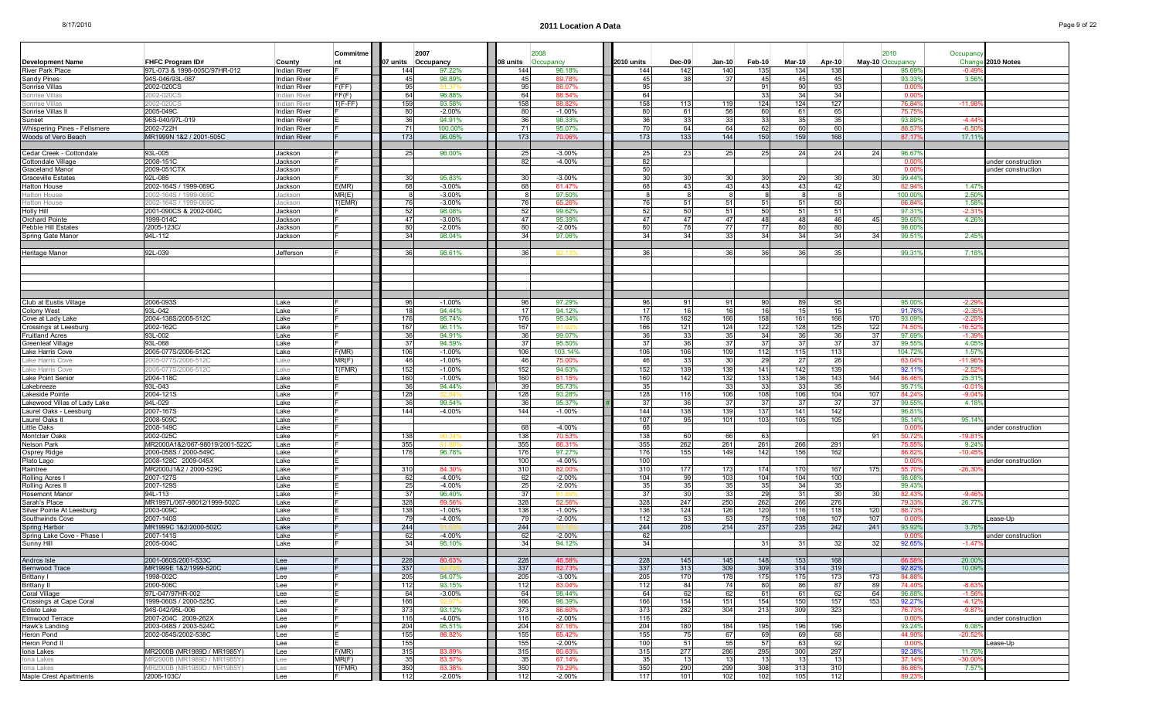|                                                 |                                |                     | Commitme  |            | 2007               |            | 2008               |            |           |           |           |               |           |           | 2010              | Occupanc         |                    |
|-------------------------------------------------|--------------------------------|---------------------|-----------|------------|--------------------|------------|--------------------|------------|-----------|-----------|-----------|---------------|-----------|-----------|-------------------|------------------|--------------------|
| <b>Development Name</b>                         | FHFC Program ID#               | County              | nt        |            | 07 units Occupancy | 08 units   | Occupancy          | 2010 units | $Dec-09$  | $Jan-10$  | $Feb-10$  | <b>Mar-10</b> | Apr-10    |           | May-10 Occupancy  | Chang            | 2010 Notes         |
| River Park Place                                | 97L-073 & 1998-005C/97HR-012   | <b>Indian River</b> |           | 144        | 97.22%             | 144        | 96.18%             | 144        | 142       | 140       | 135       | 134           | 138       |           | 95.699            | -0.4!            |                    |
| Sandy Pines                                     | 94S-046/93L-087                | <b>Indian River</b> |           | 45         | 98.89%             | 45         | 89.78%             | 45         | 38        | 37        | 45        | -45           | 45        |           | 93.33%            | 3.56'            |                    |
| Sonrise Villas                                  | 2002-020CS                     | Indian River        | F(FF)     | 95         |                    |            | 88.07%             | 95         |           |           | 91        | 90            | 93        |           | 0.00              |                  |                    |
| Sonrise Villas                                  | 002-020CS                      | ıdian River         | FF(F)     | 64         | 96.88%             | 64         | 88.54%             | 64         |           |           | 33        | 34            | 34        |           | 0.00              |                  |                    |
| Sonrise Villas                                  | 2002-020CS                     | ndian River         | $T(F-FF)$ | 159        | 93.58%             | 158        | 88.82%             | 158        | 113       | 119       | 124       | 124           | 127       |           | 76.84             | $-11.9$          |                    |
| Sonrise Villas II                               | 2005-049C                      | <b>Indian River</b> |           | 80         | $-2.00%$           | 80         | $-1.00%$           | 80         | 61        | 56        | 60        | 61            | 65        |           | 75.75             |                  |                    |
| Sunset                                          | 96S-040/97L-019                | <b>Indian River</b> |           | 36         | 94.91%             | 36         | 98.33%             | 36         | 33        | 33        | 33        | 35            | 35        |           | 93.899            | $-4.44'$         |                    |
| Whispering Pines - Fellsmere                    | 2002-722H                      | Indian River        |           | 71         | 100.00%            |            | 95.07%             | 70         | 64        | 64        | 62        | -60           | 60        |           | 88.5              | $-6.5$           |                    |
| Woods of Vero Beach                             | MR1999N 1&2 / 2001-505C        | <b>Indian River</b> |           | 173        | 96.05%             | 173        | 70.06%             | 173        | 133       | 144       | 150       | 159           | 168       |           | 87.179            | 17.11'           |                    |
|                                                 |                                |                     |           |            |                    |            |                    |            |           |           |           |               |           |           |                   |                  |                    |
| Cedar Creek - Cottondale                        | 93L-005                        | Jackson             |           | 25         | 96.00%             | 25         | $-3.00%$           | 25         | 23        | 25        | 25        | -24           | 24        | 24        | 96.67             |                  |                    |
| Cottondale Village                              | 2008-151C                      | Jackson             |           |            |                    | 82         | $-4.00%$           | 82         |           |           |           |               |           |           | $0.00^{\circ}$    |                  | under construction |
| Graceland Manor                                 | 2009-051CTX                    | Jackson             |           |            |                    |            |                    | 50         |           |           |           |               |           |           | 0.00              |                  | under construction |
| Graceville Estates                              | 92L-085                        | Jackson             |           | 30         | 95.83%             | 30         | $-3.00%$           | 30         | 30        | 30        | 30        | 29            | 30        | 30        | 99.44%            |                  |                    |
| Hatton House                                    | 2002-164S / 1999-069C          | Jackson             | E(MR)     | 68         | $-3.00\%$          | 68         | 61.47%             | 68         | 43        | 43        | 43        | -43           | -42       |           | 62.94             | $1.47^{\circ}$   |                    |
| <b>Hatton House</b>                             | )02-164S / 1999-069(           | ackson              | MR(E)     |            | $-3.00%$           |            | 97.50%             |            |           |           |           |               |           |           | 100.00%           | 2.50             |                    |
| <b>Hatton House</b>                             | 002-164S / 1999-069C           | ackson              | T(EMR)    | 76         | $-3.00%$           | 76         | 65.26%             | -76        | 51        | 51        | 51        | -51           | 50        |           | 66.84             | 1.589            |                    |
| Holly Hill                                      | 2001-090CS & 2002-004C         | Jackson             |           | 52         | 98.08%             | 52         | 99.62%             | 52         | 50        | 51        | 50        | -51           | 51        |           | 97.319            | $-2.31$          |                    |
| <b>Orchard Pointe</b>                           | 1999-014C                      | Jackson             |           | 47         | $-3.00%$           | 47         | 95.39%             | 47         | 47        | 47        | 48        | 48            | 46        | 45        | 99.65%            | 4.26             |                    |
| Pebble Hill Estates                             | /2005-123C                     | Jackson             |           | 80         | $-2.00\%$          | 80         | $-2.00%$           | 80         | 78        | 77        | 77        | -80           | 80        |           | 98,00%            |                  |                    |
| Spring Gate Manor                               | 94L-112                        | Jackson             |           | 34         | 98.04%             | 34         | 97.06%             | 34         | 34        | 33        | 34        | -34           | 34        | 34        | 99.51             | $2.45^{\circ}$   |                    |
|                                                 |                                |                     |           |            |                    |            |                    |            |           |           |           |               |           |           |                   |                  |                    |
| Heritage Manor                                  | 92L-039                        | Jefferson           |           | 36         | 98.61%             |            |                    |            |           | 36        |           |               |           |           | 99.31             | 7.18             |                    |
|                                                 |                                |                     |           |            |                    |            |                    |            |           |           |           |               |           |           |                   |                  |                    |
|                                                 |                                |                     |           |            |                    |            |                    |            |           |           |           |               |           |           |                   |                  |                    |
|                                                 |                                |                     |           |            |                    |            |                    |            |           |           |           |               |           |           |                   |                  |                    |
|                                                 |                                |                     |           |            |                    |            |                    |            |           |           |           |               |           |           |                   |                  |                    |
|                                                 |                                |                     |           |            |                    |            |                    |            |           |           |           |               |           |           |                   |                  |                    |
| Club at Eustis Village                          | 2006-093S                      | Lake                |           | 96         | $-1.00%$           | 96         | 97.29%             | 96         | 91        | 91        | 90        | -89           | 95        |           | 95.00%            | -2.2             |                    |
| Colony West                                     | 93L-042                        | Lake                |           | 18         | 94.44%             | - 17 I     | 94.12%             | 17         | 16        | 16        | 16        | 15            | 15        |           | 91.76             | $-2.3$           |                    |
| Cove at Lady Lake                               | 2004-138S/2005-512C            | Lake                |           | 176        | 95.74%             | 176        | 95.34%             | 176        | 162       | 166       | 158       | 161           | 166       | 170       | 93.09             | $-2.2$           |                    |
| Crossings at Leesburg<br><b>Fruitland Acres</b> | 2002-162C<br>93L-002           | Lake<br>Lake        |           | 167<br>36  | 96.11%<br>94.91%   | 167<br>36  | 91.02<br>99.07%    | 166<br>36  | 121       | 124       | 122<br>34 | 128<br>-36    | 125<br>36 | 122<br>37 | 74.50<br>97.699   | -16.5<br>$-1.3$  |                    |
| Greenleaf Village                               | 93L-068                        | Lake                |           | 37         |                    |            |                    | 37         | 33        | 35<br>37  | 37        |               | 37        |           |                   | 4.05             |                    |
| Lake Harris Cove                                | 2005-077S/2006-512C            | Lake                | F(MR)     | 106        | 94.59%<br>$-1.00%$ | 37<br>106  | 95.50%<br>103.14%  | 106        | 36<br>106 | 109       | 112       | -37<br>115    | 113       | 37        | 99.559<br>104.72% | 1.57'            |                    |
| Lake Harris Cove                                | 005-077S/2006-512C             | .ake                | MR(F)     | 46         | $-1.00%$           | 46         | 75.00%             | 46         | 33        | 30        | 29        | 27            | 26        |           | 63.04             | $-11.9$          |                    |
|                                                 |                                |                     |           |            |                    |            |                    | 152        | 139       | 139       |           |               | 139       |           |                   | $-2.52$          |                    |
| Lake Harris Cove                                | 005-077S/2006-512C             | .ake                | T(FMR)    | 152        | $-1.00%$           | 152        | 94.63%             |            |           |           | 141       | 142           | 143       |           | 92.11             |                  |                    |
| Lake Point Senior                               | 2004-118C<br>93L-043           | Lake<br>Lake        |           | 160<br>36  | $-1.00%$<br>94.44% | 160        | 61.15%             | 160<br>35  | 142       | 132       | 133       | 136<br>-331   | 35        | 144       | 86.46             | 25.31<br>$-0.02$ |                    |
| Lakebreeze                                      | 2004-121S                      |                     |           | 128        |                    | 39<br>128  | 95.73%<br>93.28%   | 128        | 116       | 33<br>106 | 33<br>108 | 106           | 104       |           | 95.71%<br>84.24   | $-9.04$          |                    |
| Lakeside Pointe<br>Lakewood Villas of Lady Lake | 94L-029                        | Lake<br>Lake        |           | 36         | 99.54%             | 36         | 95.37%             | 37         | 36        | 37        | 37        | -37           | 37        | 107<br>37 | 99.559            | 4.18             |                    |
| Laurel Oaks - Leesburg                          | 2007-167S                      | Lake                |           | 144        | $-4.00%$           | 144        | $-1.00%$           | 144        | 138       | 139       | 137       | 141           | 142       |           | 96.81             |                  |                    |
| Laurel Oaks II                                  | 2008-509C                      | Lake                |           |            |                    |            |                    | 107        | 95        | 101       | 103       | 105           | 105       |           | 95.14%            | 95.149           |                    |
| Little Oaks                                     | 2008-149C                      | Lake                |           |            |                    | 681        | $-4.00%$           | 68         |           |           |           |               |           |           | 0.00              |                  | under construction |
| Montclair Oaks                                  | 2002-025C                      | Lake                |           | 138        |                    | 138        | 70.53%             | 138        | 60        | 66        | 63        |               |           | 91        | 50.72             | -19.8            |                    |
| Nelson Park                                     | MR2000A1&2/067-98019/2001-522C | Lake                |           | 355        | 91.81              | 355        | 66.31%             | 355        | 262       | 261       | 261       | 266           | 291       |           | 75.55             | 9.24'            |                    |
| Osprey Ridge                                    | 2000-058S / 2000-549C          | Lake                |           | 176        | 96.78%             | 176        | 97.27%             | 176        | 155       | 149       | 142       | 156           | 162       |           | 86.82             | $-10.4$          |                    |
| Plato Lago                                      | 2008-128C 2009-045X            | Lake                |           |            |                    | 100        | $-4.00%$           | 100        |           |           |           |               |           |           | 0.00              |                  | under construction |
| Raintree                                        | MR2000J1&2 / 2000-529C         | Lake                |           | 310        | 84.30%             | 310        | 82.00%             | 310        | 177       | 173       | 174       | 170           | 167       | 175       | 55.70             | $-26.3$          |                    |
| Rolling Acres                                   | 2007-127S                      | Lake                |           | 62         | $-4.00%$           | 62         | $-2.00%$           | 104        | 99        | 103       | 104       | 104           | 100       |           | 98.08             |                  |                    |
| Rolling Acres                                   | 2007-129S                      | Lake                |           | 25         | $-4.00%$           | 25         | $-2.00%$           | 35         | 35        | 35        | 35        | -34           | 35        |           | 99.43%            |                  |                    |
| Rosemont Manor                                  | 94L-113                        | Lake                |           | 37         | 96.40%             | -37        |                    | 37         | 30        | 33        | 29        | -31           | 30        | 30        | 82.43             | $-9.46$          |                    |
| Sarah's Place                                   | MR1997L/067-98012/1999-502C    | Lake                |           | 328        | 69.569             | 328        | 52.569             | 328        | 247       | 250       | 262       | 266           | 276       |           | 79.33             | 26.779           |                    |
| Silver Pointe At Leesburg                       | 2003-009C                      | Lake                |           | 138        | $-1.00%$           | 138        | $-1.00%$           | 136        | 124       | 126       | 120       | 116           | 118       | 120       | 88.73             |                  |                    |
| Southwinds Cove                                 | 2007-140S                      | Lake                |           | 79         | $-4.00%$           | 79         | $-2.00%$           | 112        | 53        | 53        | 75        | 108           | 107       | 107       | 0.00              |                  | ease-Up.           |
| Spring Harbor                                   | MR1999C 1&2/2000-502C          | Lake                |           | 244        |                    | 244        |                    | 244        | 206       | 214       | 237       | 235           | 242       | 241       | 93.92%            | $3.76^{\circ}$   |                    |
| Spring Lake Cove - Phase I                      | 2007-141S                      | Lake                |           | 62         | $-4.00%$           | 62         | $-2.00%$           | 62         |           |           |           |               |           |           | 0.00              |                  | under construction |
| Sunny Hill                                      | 2005-004C                      | Lake                |           | 34         | 95.10%             | 34         | 94.12%             | 34         |           |           | 31        | -31           | 32        | 32        | 92.65             | $-1.47$          |                    |
|                                                 |                                |                     |           |            |                    |            |                    |            |           |           |           |               |           |           |                   |                  |                    |
| Andros Isle                                     | 2001-060S/2001-533C            | Lee                 |           | 228        | 80.63%             | 228        | 46.58%             | 228        | 145       | 145       | 148       | 153           | 168       |           | 66.58%            | 20.00%           |                    |
| Bernwood Trace                                  | MR1999E 1&2/1999-520C          | Lee                 |           | 337        |                    | 337        | 82.73%             | 337        | 313       | 309       | 309       | 314           | 319       |           | 92.82%            | 10.099           |                    |
| Brittany I                                      | 1998-002C                      | Lee                 |           | 205        | 94.07%             | 205        | $-3.00\%$          | 205        | 170       | 178       | 175       | 175           | 173       | 173       | 84.88             |                  |                    |
| Brittany II                                     | 2000-506C                      | Lee                 |           | 112        | 93.15%             | 112        | 83.04%             | 112        | 84        | 74        | 80        | 86            | 87        | 89        | 74.40             | $-8.63$          |                    |
| Coral Village                                   | 97L-047/97HR-002               | Lee                 |           | 64         | $-3.00%$           | 64         | 98.44%             | 64         | 62        | 62        | 61        | - 61          | 62        | 64        | 96.88%            | $-1.56$          |                    |
| Crossings at Cape Coral                         | 1999-060S / 2000-525C          | Lee                 |           | 166        | 95 d.              | 166        | 96.39%             | 166        | 154       | 151       | 154       | 150           | 157       | 153       | 92.27%            | $-4.12$          |                    |
| Edisto Lake                                     | 94S-042/95L-006                | Lee                 |           | 373        | 93.12%             | 373        | 86.60%             | 373        | 282       | 304       | 213       | 309           | 323       |           | 76.73%            | -9.87            |                    |
| Elmwood Terrace                                 | 2007-204C 2009-262X            | Lee                 |           | 116        | $-4.00%$           | 116        | $-2.00\%$          | 116        |           |           |           |               |           |           | 0.00              |                  | under construction |
| Hawk's Landing                                  | 2003-048S / 2003-524C          | Lee                 |           | 204        | 95.51%             | 204        | 87.16%             | 204        | 180       | 184       | 195       | 196           | 196       |           | 93.24%            | 6.08%            |                    |
| Heron Pond                                      | 2002-054S/2002-538C            | Lee                 |           | 155<br>155 | 88.82%             | 155        | 65.42%<br>$-2.00%$ | 155<br>100 | 75        | 67        | 69<br>57  | -69<br>63     | 68<br>92  |           | 44.90%            | $-20.52$         |                    |
| Heron Pond II                                   | MR2000B (MR1989D / MR1985Y)    | Lee<br>Lee          | F(MR)     | 315        | 83.89%             | 155<br>315 | 80.63%             | 315        | 51<br>277 | 55<br>286 | 295       | 300           | 297       |           | 0.00<br>92.38%    | 11.759           | _ease-Up           |
| lona Lakes<br>Iona Lakes                        | /IR2000B (MR1989D / MR1985Y)   | Lee                 | MR(F)     | 35         | 83.57%             | -35        | 67.14%             | 35         | 13        | 13        | 13        | 13            | 13        |           | 37.149            | $-30.00$         |                    |
| Iona Lakes                                      | (R2000B (MR1989D / MR1985Y     | Lee                 | T(FMR)    | 350        | 83.38%             | 350        | 79.29%             | 350        | 290       | 299       | 308       | 313           | 310       |           | 86.86             | 7.57%            |                    |
| Maple Crest Apartments                          | /2006-103C/                    | Lee                 |           | 112        | $-2.00\%$          | 112        | -2.00%             | 117        | 101       | 102       | 102       | 105           | 112       |           | 89.23%            |                  |                    |
|                                                 |                                |                     |           |            |                    |            |                    |            |           |           |           |               |           |           |                   |                  |                    |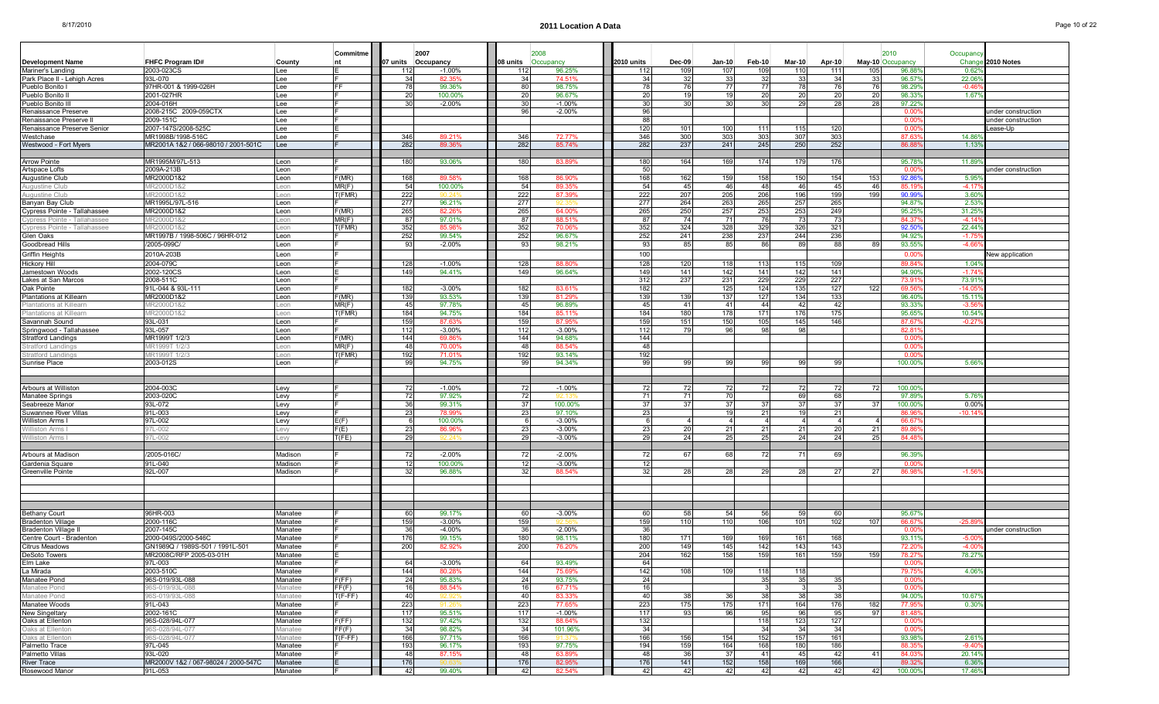|                                                |                                                |                    | Commitme       | 2007               |                    |            | 2008                 |            |           |                      |                      |           |                      |                 | 2010                   | Occupand        |                        |
|------------------------------------------------|------------------------------------------------|--------------------|----------------|--------------------|--------------------|------------|----------------------|------------|-----------|----------------------|----------------------|-----------|----------------------|-----------------|------------------------|-----------------|------------------------|
| Development Name                               | FHFC Program ID#                               | County             | nt             | 07 units Occupancy |                    | 08 units   | Occupancy            | 2010 units | Dec-09    | Jan-10               | Feb-10               | Mar-10    | Apr-10               |                 | May-10 Occupancy       | Chang           | 2010 Notes             |
| Mariner's Landino                              | 2003-023CS                                     | Lee                |                | 112                | $-1.00%$           | 112        | 96.25%               | 112        | 109       | 107                  | 109                  | 110       | 111                  | 105             | 96.88                  | 0.62            |                        |
| Park Place II - Lehigh Acres<br>Pueblo Bonito  | 93L-070<br>97HR-001 & 1999-026H                | Lee<br>Lee         | FF             | 34<br>78           | 82.359<br>99.36%   | 34<br>80   | 74.51%<br>98.75%     | -34<br>78  | 32<br>76  | 33<br>77             | 32<br>77             | 33<br>78  | 34<br>76             | 33              | 96.57<br>98.29         | 22.06<br>$-0.4$ |                        |
| Pueblo Bonito II                               | 2001-027HR                                     | Lee                |                | 20                 | 100.00%            | 20         | 96.67%               | 20         | 19        | 19                   | 20                   | 20        | 20                   | 20              | 98.339                 | 1.67            |                        |
| Pueblo Bonito II                               | 2004-016H                                      | Lee                |                | 30                 | $-2.00%$           | 30         | $-1.00%$             | 30         | 30        | 30 <sup>1</sup>      | 30 <sup>1</sup>      | 29        | 28                   | 28              | 97.229                 |                 |                        |
| Renaissance Preserve                           | 2008-215C 2009-059CTX                          | Lee                |                |                    |                    | 96         | $-2.00%$             | 96         |           |                      |                      |           |                      |                 | 0.00                   |                 | ınder construction     |
| Renaissance Preserve I                         | 2009-151C                                      | Lee                |                |                    |                    |            |                      | 88         |           |                      |                      |           |                      |                 | $0.00^{\circ}$         |                 | under construction     |
| Renaissance Preserve Senior                    | 2007-147S/2008-525C                            | Lee                |                |                    |                    |            |                      | 120        | 101       | 100                  | 111                  | 115       | 120                  |                 | 0.00                   |                 | .ease-Up               |
| Nestchase                                      | MR1998B/1998-516C                              | Lee                |                | 346                | 89.21%             | 346        | 72.77%               | 346        | 300       | 303                  | 303                  | 307       | 303                  |                 | 87.63                  | 14.86           |                        |
| Westwood - Fort Myers                          | MR2001A 1&2 / 066-98010 / 2001-501C            | Lee                |                | 282                | 89.36%             | 282        | 85.74%               | 282        | 237       | 241                  | 245                  | 250       | 252                  |                 | 86.8                   | 1.13            |                        |
|                                                |                                                |                    |                |                    |                    |            |                      |            |           |                      |                      |           |                      |                 |                        |                 |                        |
| <b>Arrow Pointe</b>                            | MR1995M/97L-513                                | Leon               |                | 180                | 93.06%             | 180        | 83.89%               | 180        | 164       | 169                  | 174                  | 179       | 176                  |                 | 95.78                  | 11.89           |                        |
| Artspace Lofts                                 | 2009A-213B                                     | Leon               |                |                    |                    |            |                      | 50         |           |                      |                      |           |                      |                 | 0.00                   |                 | under construction     |
| Augustine Club<br>Auaustine Clul               | MR2000D1&2<br>MR2000D1&2                       | Leon<br>Leon       | F(MR)<br>MR(F) | 168<br>-54         | 89.58<br>100.00%   | 168<br>54  | 86.90%<br>89.35%     | 168<br>-54 | 162<br>45 | 159<br>46            | 158<br>48            | 150<br>46 | 154<br>45            | 153<br>46       | 92.86<br>85.19         | 5.95<br>$-4.17$ |                        |
| Augustine Clı                                  | IR2000D1&2                                     | eon                | T(FMR)         | 222                |                    | 222        | 87.39%               | 222        | 207       | 205                  | 206                  | 196       | 199                  | 199             | 90.99                  | 3.60            |                        |
| Banyan Bay Club                                | MR1995L/97L-516                                | Leon               |                | 277                | 96.21%             | 277        |                      | 277        | 264       | 263                  | 265                  | 257       | 265                  |                 | 94.87                  | 2.53            |                        |
| Cypress Pointe - Tallahassee                   | MR2000D1&2                                     | Leon               | F(MR)          | 265                | 82.26%             | 265        | 64.00%               | 265        | 250       | 257                  | 253                  | 253       | 249                  |                 | 95.25                  | 31.25           |                        |
| <b>Cypress Pointe - Tallahassee</b>            | /IR2000D1&2                                    | Leon               | MR(F)          | 87                 | 97.01%             | 87         | 88.51%               | 87         | 74        | 71                   | 76                   | 73        | 73                   |                 | 84.37                  | $-4.1$          |                        |
| Cypress Pointe - Tallahassee                   | MR2000D1&2                                     | Leon               | T(FMR)         | 352                | 85.98%             | 352        | 70.06%               | 352        | 324       | 328                  | 329                  | 326       | 321                  |                 | 92.50                  | 22.44           |                        |
| Glen Oaks                                      | MR1997B / 1998-506C / 96HR-012                 | Leon               |                | 252                | 99.54%             | 252        | 96.67%               | 252        | 241       | 238                  | 237                  | 244       | 236                  |                 | 94.92                  | $-17$           |                        |
| Goodbread Hills                                | /2005-099C/                                    | Leon               |                | 93                 | $-2.00\%$          | 93         | 98.21%               | 93         | 85        | 85                   | 86                   | 89        | 88                   | 89              | 93.55                  | $-4.66$         |                        |
| Griffin Heights                                | 2010A-203B                                     | Leon               |                |                    |                    |            |                      | 100        |           |                      |                      |           |                      |                 | 0.00                   |                 | <b>New application</b> |
| Hickory Hill                                   | 2004-079C                                      | Leon               |                | 128                | $-1.00%$           | 128        | 88.80%               | 128        | 120       | 118                  | 113                  | 115       | 109                  |                 | 89.84                  | 1.04            |                        |
| Jamestown Woods                                | 2002-120CS                                     | Leon               |                | 149                | 94.41%             | 149        | 96.64%               | 149        | 141       | 142                  | 141                  | 142       | 141                  |                 | 94.90                  | $-1.74$         |                        |
| Lakes at San Marcos                            | 2008-511C                                      | Leon               |                |                    |                    |            |                      | 312        | 237       | 231                  | 229                  | 229       | 227                  |                 | 73.91                  | 73.91           |                        |
| Oak Pointe                                     | 91L-044 & 93L-111                              | Leon               |                | 182                | $-3.00%$           | 182        | 83.61%               | 182        |           | 125                  | 124                  | 135       | 127                  | 122             | 69.56                  | $-14.0$         |                        |
| Plantations at Killearn                        | MR2000D1&2                                     | Leon               | F(MR)          | 139                | 93.53%             | 139        | 81.29%               | 139        | 139       | 137                  | 127                  | 134       | 133                  |                 | 96.40%                 | 15.11           |                        |
| lantations at Killearn                         | IR2000D1&2                                     | eon                | MR(F)          | 45                 | 97.78%             | 45         | 96.89%               | 45         | 41        | 41                   | 44                   | 42        | 42                   |                 | 93.33                  | -3.5            |                        |
| Plantations at Killearn                        | MR2000D1&2                                     | Leon               | T(FMR)         | 184                | 94.75%             | 184        | 85.11%               | 184        | 180       | 178                  | 171                  | 176       | 175                  |                 | 95.65                  | 10.54           |                        |
| Savannah Sound                                 | 93L-031                                        | Leon               |                | 159<br>112         | 87.63%<br>$-3.00%$ | 159<br>112 | 87.95%               | 159        | 151<br>79 | 150<br>96            | 105                  | 145<br>98 | 146                  |                 | 87.67                  | $-0.27$         |                        |
| Springwood - Tallahassee<br>Stratford Landings | 93L-057<br>MR1999T 1/2/3                       | Leon<br>Leon       | F(MR)          | 144                | 69.86%             | 144        | $-3.00%$<br>94.68%   | 112<br>144 |           |                      | 98                   |           |                      |                 | $82.8^{\circ}$<br>0.00 |                 |                        |
| tratford Landing                               | IR1999T112                                     | eon                | MR(F)          | 48                 | 70.00              | 48         | 88.54%               | 48         |           |                      |                      |           |                      |                 | 0.00                   |                 |                        |
| Stratford Landings                             | MR1999T 1/2/3                                  | Leon               | T(FMR)         | 192                | 71.019             | 192        | 93.14%               | 192        |           |                      |                      |           |                      |                 | 0.00                   |                 |                        |
| Sunrise Place                                  | 2003-012S                                      | Leon               |                | 99                 | 94.75%             | 99         | 94.34%               | 99         | 99        | 99                   | 99                   | 99        | 99                   |                 | 100.00                 | 5.66            |                        |
|                                                |                                                |                    |                |                    |                    |            |                      |            |           |                      |                      |           |                      |                 |                        |                 |                        |
|                                                |                                                |                    |                |                    |                    |            |                      |            |           |                      |                      |           |                      |                 |                        |                 |                        |
| Arbours at Williston                           | 2004-003C                                      | Levy               |                | -72                | $-1.00%$           | 72         | $-1.00%$             | 72         | 72        | 72                   | 72                   | 72        | 72                   | 72              | 100.00                 |                 |                        |
| Manatee Springs                                | 2003-020C                                      | Levy               |                | 72                 | 97.92%             | 72         | 92 1:                | -71        | 71        | 70                   |                      | 69        | 68                   |                 | 97.89                  | 5.76            |                        |
| Seabreeze Manor                                | 93L-072                                        | Levy               |                | 36                 | 99.31%             | 37         | 100.00%              | 37         | 37        | 37                   | 37                   | 37        | 37                   |                 | 100.00                 | $0.00^{\circ}$  |                        |
| Suwannee River Villas                          | 91L-003                                        | Levy               |                | 23                 | 78.99%             | 23         | 97.10%               | 23         |           | 19                   | 21                   | 19        | 21                   |                 | 86.91                  | $-10.14$        |                        |
| Williston Arms I                               | 97L-002<br>17L-002                             | Levy               | E(F)<br>F(E)   | 23                 | 100.00%<br>86.96   | -61<br>23  | $-3.00%$<br>$-3.00%$ | - 6<br>23  | 20        | $\overline{a}$<br>21 | $\overline{4}$<br>21 | 21        | $\overline{a}$<br>20 |                 | 66.67<br>89.8          |                 |                        |
| illiston Arms<br>Villiston Arms I              | 97L-002                                        | Levy<br>Levy       | T(FE)          | 29                 | 92.24              | 29         | $-3.00%$             | 29         | 24        | 25                   | 25                   | 24        | 24                   | 25 <sub>l</sub> | 84.48                  |                 |                        |
|                                                |                                                |                    |                |                    |                    |            |                      |            |           |                      |                      |           |                      |                 |                        |                 |                        |
| Arbours at Madisor                             | /2005-016C                                     | Madison            |                | -72                | $-2.00%$           | 72         | $-2.00%$             | 72         | 67        | 68                   | 72                   | 7.        | 69                   |                 | 96.39                  |                 |                        |
| Gardenia Square                                | 91L-040                                        | Madison            |                | 12                 | 100.00%            | 12         | $-3.00%$             | 12         |           |                      |                      |           |                      |                 | 0.00                   |                 |                        |
| Greenville Pointe                              | 92L-007                                        | Madison            |                | 32                 | 96.88%             | 32         | 88.54%               | 32         | 28        | 28                   | 29                   | 28        | 27                   | 27              | 86.98                  | $-1.56$         |                        |
|                                                |                                                |                    |                |                    |                    |            |                      |            |           |                      |                      |           |                      |                 |                        |                 |                        |
|                                                |                                                |                    |                |                    |                    |            |                      |            |           |                      |                      |           |                      |                 |                        |                 |                        |
|                                                |                                                |                    |                |                    |                    |            |                      |            |           |                      |                      |           |                      |                 |                        |                 |                        |
|                                                |                                                |                    |                |                    |                    |            |                      |            |           |                      |                      |           |                      |                 |                        |                 |                        |
| Bethany Court                                  | 96HR-003                                       | Manatee            |                | 60                 | 99.17%             | 60         | $-3.00%$             | 60         | 58        | 54                   | 56                   | 59        | 60                   |                 | 95.67                  |                 |                        |
| <b>Bradenton Village</b>                       | 2000-116C                                      | Manatee            |                | 159                | $-3.00%$           | 159        |                      | 159        | 110       | 110                  | 106                  | 101       | 102                  | -107            | 66.67                  | $-25.89$        |                        |
| Bradenton Village II                           | 2007-145C                                      | Manatee            |                | 36                 | $-4.00%$           |            | $-2.00%$             | 36         |           |                      |                      |           |                      |                 | 0.00                   |                 | under construction     |
| Centre Court - Bradenton                       | 2000-049S/2000-546C                            | Manatee            |                | 176                | 99.15%             | 180        | 98.11%               | 180        | 171       | 169                  | 169                  | 161       | 168                  |                 | 93.119                 | $-5.0$          |                        |
| Citrus Meadows                                 | GN1989Q / 1989S-501 / 1991L-501                | Manatee            |                | 200                | 82.92%             | 200        | 76.20%               | 200        | 149       | 145<br>158           | 142                  | 143       | 143                  |                 | 72.2                   | $-4.0$          |                        |
| <b>DeSoto Towers</b><br>Elm Lake               | MR2008C/RFP 2005-03-01H<br>97L-003             | Manatee<br>Manatee |                | 64                 | $-3.00%$           | 64         | 93.49%               | 204<br>64  | 162       |                      | 159                  | 161       | 159                  | 159             | 78.2<br>0.009          | 78.27           |                        |
| La Mirada                                      | 2003-510C                                      | Manatee            |                | 144                | 80.28%             | 144        | 75.69%               | 142        | 108       | 109                  | 118                  | 118       |                      |                 | 79.75                  | 4.06%           |                        |
| Manatee Pond                                   | 96S-019/93L-088                                | Manatee            | F(FF)          | 24                 | 95.83%             | 24         | 93.75%               | 24         |           |                      | 35                   | 35        | 35                   |                 | 0.00                   |                 |                        |
| <b>Manatee Pond</b>                            | 96S-019/93L-088                                | Manatee            | FF(F)          | 16                 | 88.54%             | 16         | 67.71%               | 16         |           |                      | 3                    |           |                      |                 | 0.00                   |                 |                        |
| Manatee Pond                                   | 96S-019/93L-088                                | Manatee            | $T(F-FF)$      | 40                 | 92.92'             | 40         | 83.33%               | 40         | 38        | 36                   | 38                   | 38        | 38                   |                 | 94.00%                 | 10.67           |                        |
| Manatee Woods                                  | 91L-043                                        | Manatee            |                | 223                | 91.26              | 223        | 77.65%               | 223        | 175       | 175                  | 171                  | 164       | 176                  | 182             | 77.95                  | 0.30            |                        |
| New Singeltary                                 | 2002-161C                                      | Manatee            |                | 117                | 95.51%             | 117        | $-1.00%$             | 117        | 93        | 96                   | 95                   | 96        | 95                   | 97              | 81.48                  |                 |                        |
| Oaks at Ellenton                               | 96S-028/94L-077                                | Manatee            | F(FF)          | 132                | 97.42%             | 132        | 88.64%               | 132        |           |                      | 118                  | 123       | 127                  |                 | $0.00$ <sup>c</sup>    |                 |                        |
| Oaks at Ellenton                               | 06S-028/94L-077                                | Manatee            | FF(F)          | 34                 | 98.82%             | 34         | 101.96%              | 34         |           |                      | 34                   | 34        | 34                   |                 | 0.00                   |                 |                        |
| Daks at Ellenton                               | 96S-028/94L-077                                | Manatee            | $T(F-FF)$      | 166                | 97.71%             | 166        | 91.379               | 166        | 156       | 154                  | 152                  | 157       | 161                  |                 | 93.98%                 | 2.61'           |                        |
| Palmetto Trace                                 | 97L-045                                        | Manatee            |                | 193                | 96.17%             | 193        | 97.75%               | 194        | 159       | 164                  | 168                  | 180       | 186                  |                 | 88.35                  | $-9.40$         |                        |
| Palmetto Villas                                | 93L-020                                        | Manatee            |                | 48                 | 87.15%             | 48         | 63.89%               | 48         | 36        | 37                   | 41                   | 45        | 42                   | 41              | 84.03                  | 20.149          |                        |
| River Trace<br>Rosewood Manor                  | MR2000V 1&2 / 067-98024 / 2000-547C<br>91L-053 | Manatee<br>Manatee |                | 176<br>42          | an r<br>99.40%     | 176<br>42  | 82.95%<br>82.54%     | 176<br>42  | 141<br>42 | 152<br>42            | 158<br>42            | 169<br>42 | 166<br>42            | 42              | 89.32<br>100.00%       | 6.36<br>17.46%  |                        |
|                                                |                                                |                    |                |                    |                    |            |                      |            |           |                      |                      |           |                      |                 |                        |                 |                        |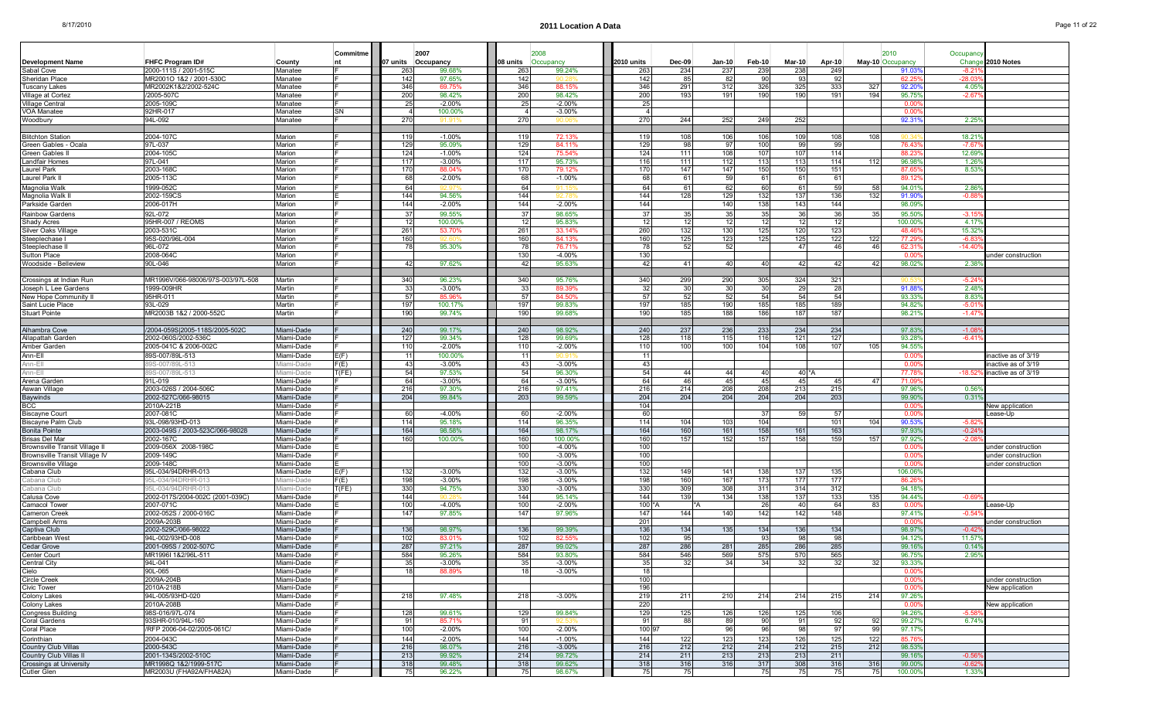ш

ш

ш

|  | Page 11 of 22 |  |
|--|---------------|--|
|--|---------------|--|

|                                                                 |                                   |                          | Commitme |            | 2007               |                 | 2008                 |            |               |           |           |             |           |              | 2010                     | Occupanc       |                                          |
|-----------------------------------------------------------------|-----------------------------------|--------------------------|----------|------------|--------------------|-----------------|----------------------|------------|---------------|-----------|-----------|-------------|-----------|--------------|--------------------------|----------------|------------------------------------------|
| <b>Development Name</b>                                         | FHFC Program ID#                  | County                   | nt       |            | 07 units Occupancy | 08 units        | Occupancv            | 2010 units | <b>Dec-09</b> | $Jan-10$  | Feb-10    | Mar-10      | Apr-10    |              | May-10 Occupancy         | Change         | 2010 Notes                               |
| Sabal Cove                                                      | 2000-111S / 2001-515C             | Manatee                  |          | 263        | 99.68%             | 263             | 99.24%               | 263        | 234           | 237       | 239       | 238         | 249       |              | 91.03                    | $-8.2^{\circ}$ |                                          |
| Sheridan Place                                                  | MR2001O 1&2 / 2001-530C           | Manatee                  |          | 142        | 97.65%             | 142             |                      | 142        | 85            | 82        | 90        | -93         | 92        |              | 62.2                     | $-28.0$        |                                          |
| <b>Tuscany Lakes</b>                                            | MR2002K1&2/2002-524C              | Manatee                  |          | 346        | 69.75%             | 346             | 88.15                | 346        | 291           | 312       | 326       | 325         | 333       | $32^{\circ}$ | 92.20                    | 4.05           |                                          |
| Village at Cortez                                               | /2005-507C                        | Manatee                  |          | 200        | 98.42%             | 200             | 98.42%               | 200        | 193           | 191       | 190       | 190         | 191       | 194          | 95.75                    | $-2.67$        |                                          |
| Village Central<br>VOA Manatee                                  | 2005-109C<br>92HR-017             | Manatee                  | SN       | 25         | $-2.00%$           | 25<br>4         | $-2.00%$             | 25         |               |           |           |             |           |              | 0.00<br>0.00             |                |                                          |
| Woodbury                                                        | 94L-092                           | Manatee<br>Manatee       |          | 270        | 100.00%            | 270             | $-3.00%$             | 270        | 244           | 252       | 249       | 252         |           |              | 92.31                    | 2.25           |                                          |
|                                                                 |                                   |                          |          |            |                    |                 |                      |            |               |           |           |             |           |              |                          |                |                                          |
| <b>Blitchton Station</b>                                        | 2004-107C                         | Marion                   |          | 119        | $-1.00%$           | 119             | 72.13%               | 119        | 108           | 106       | 106       | 109         | 108       | 108          |                          | 18.21          |                                          |
| Green Gables - Ocala                                            | 97L-037                           | Marion                   |          | 129        | 95.09%             | 129             | 84.11%               | 129        | 98            | -97       | 100       | 99          | -991      |              | 76.43                    | $-7.67$        |                                          |
| Green Gables I                                                  | 2004-1050                         | Marion                   |          | 124        | $-1.00%$           | 124             | 75.54%               | 124        | 111           | 108       | 107       | 107         | 114       |              | 88.2                     | 12.69          |                                          |
| Landfair Homes                                                  | 97L-041                           | Marion                   |          | 117        | $-3.00%$           | 117             | 95.73%               | 116        | 111           | 112       | 113       | 113         | 114       | 11           | 96.98                    | 1.26           |                                          |
| Laurel Park                                                     | 2003-1680                         | Marion                   |          | 170        | 88.04%             | 170             | 79.129               | 170        | 147           | 147       | 150       | 150         | 151       |              | 87.65                    | 8.53           |                                          |
| Laurel Park I                                                   | 2005-113C                         | Marion                   |          | 68         | $-2.00%$           | 68              | $-1.00%$             | 68         | 61            | 59        | 61        | 61          | 61        |              | 89.1                     |                |                                          |
| Magnolia Wall                                                   | 1999-052C<br>2002-159CS           | Marion                   |          | 64         | 92 Q<br>94.56%     | 64<br>144       | 911                  | 64<br>144  | 61<br>128     | 62<br>129 | 60<br>132 | -61<br>137  | 59<br>136 | 58<br>132    | 94.01<br>91.90           | 2.86<br>$-0.8$ |                                          |
| Magnolia Walk<br>Parkside Garden                                | 2006-017H                         | Marion<br>Marion         |          | 144<br>144 | $-2.00%$           | 144             | $-2.00%$             | 144        |               | 140       | 138       | 143         | 144       |              | 98.09                    |                |                                          |
| <b>Rainbow Gardens</b>                                          | 92L-072                           | Marion                   |          | -37        | 99.55%             | 37              | 98.65%               | 37         | 35            | 35        | 35        | -36         | 36        | 35           | 95.50                    | $-3.15$        |                                          |
| Shady Acres                                                     | 95HR-007 / REOMS                  | Marion                   |          | 12         | 100.00%            | 12 <sub>l</sub> | 95.83%               | 12         | 12            | 12        | 12        | -12         | 12        |              | 100.00                   | 4.17           |                                          |
| Silver Oaks Village                                             | 2003-531C                         | Marion                   |          | 261        | 53.70%             | 261             | 33.14%               | 260        | 132           | 130       | 125       | 120         | 123       |              | 48.46                    | 15.32          |                                          |
| Steeplechase                                                    | 95S-020/96L-004                   | Marion                   |          | 160        |                    | 160             | 84.13%               | 160        | 125           | 123       | 125       | 125         | 122       | 12:          | 77.29                    | -6.8           |                                          |
| Steeplechase                                                    | 96L-072                           | Marion                   |          | 78         | 95.30%             | 78              | 76.71%               | 78         | 52            | 52        |           | 47          | 46        | 46           | 62.3                     | $-14.4$        |                                          |
| <b>Sutton Place</b>                                             | 2008-064C                         | Marion                   |          |            |                    | 130             | $-4.00%$             | 130        |               |           |           |             |           |              | 0.00                     |                | under construction                       |
| Woodside - Belleview                                            | 90L-046                           | Marion                   |          | 42         | 97.62%             | 421             | 95.63%               | 42         | 41            | 40        | 40        | -42         | 42        | 42           | 98.02                    | 2.38           |                                          |
|                                                                 |                                   |                          |          |            |                    |                 |                      |            |               |           |           |             |           |              |                          |                |                                          |
| Crossings at Indian Run                                         | MR1996V/066-98006/97S-003/97L-508 | Martin                   |          | 340<br>33  | 96.23%             | 340             | 95.76%<br>89.399     | 340<br>32  | 299<br>30     | 290       | 305       | 324<br>-29  | 321       |              | 91.88                    | -5.2<br>2.48   |                                          |
| Joseph L Lee Gardens<br>New Hope Community II                   | 1999-009HF<br>95HR-011            | Martin<br>Martin         |          | 57         | $-3.00%$<br>85.96% | 33<br>57        | 84.50%               | 57         | 52            | 30<br>52  | 30<br>54  | -54         | 28<br>54  |              | 93.33                    | 8.83           |                                          |
| Saint Lucie Place                                               | 93L-029                           | Martin                   |          | 197        | 100.17%            | 197             | 99.83%               | 197        | 185           | 190       | 185       | 185         | 189       |              | 94.82                    | $-5.0$         |                                          |
| <b>Stuart Pointe</b>                                            | MR2003B 1&2 / 2000-552C           | Martin                   |          | 190        | 99.74%             | 190             | 99.68%               | 190        | 185           | 188       | 186       | 187         | 187       |              | 98.21                    | $-1.47$        |                                          |
|                                                                 |                                   |                          |          |            |                    |                 |                      |            |               |           |           |             |           |              |                          |                |                                          |
| Alhambra Cove                                                   | /2004-059S 2005-118S/2005-502C    | Miami-Dade               |          | 240        | 99.17%             | 240             | 98.92%               | 240        | 237           | 236       | 233       | 234         | 234       |              | 97.83                    | $-1.0$         |                                          |
| Allapattah Garden                                               | 2002-060S/2002-536C               | Miami-Dade               |          | 127        | 99.34%             | 128             | 99.69%               | 128        | 118           | 115       | 116       | 121         | 127       |              | 93.28                    | $-6.41$        |                                          |
| Amber Garden                                                    | 2005-041C & 2006-002C             | Miami-Dade               |          | 110        | $-2.00%$           | 110             | $-2.00%$             | 110        | 100           | 100       | 104       | 108         | 107       | 105          | 94.55                    |                |                                          |
| Ann-Ell                                                         | 89S-007/89L-513                   | Miami-Dade               | E(F)     | -11        | 100.00%            | 11              |                      | -11        |               |           |           |             |           |              | 0.00                     |                | inactive as of 3/19                      |
| Ann-Ell                                                         | 89S-007/89L-513                   | iami-Dade                | F(E)     | 43         | $-3.00%$           | 43              | $-3.00%$             | 43         |               |           |           |             |           |              | 0.00                     |                | inactive as of 3/19                      |
| Ann-Ell<br>Arena Garder                                         | 39S-007/89L-513<br>91L-019        | liami-Dade<br>Miami-Dade | T(FE)    | 54<br>64   | 97.53%<br>$-3.00%$ | 54<br>64        | 96.30%<br>$-3.00%$   | 54<br>64   | 44<br>46      | 44<br>45  | 40<br>45  | 40 *A<br>45 | 45        | 47           | 77.78<br>71.09           | $-18.52$       | active as of 3/19                        |
| Aswan Villag                                                    | 2003-026S / 2004-506C             | Miami-Dade               |          | 216        | 97.30%             | 216             | 97.41%               | 216        | 214           | 208       | 208       | 213         | 215       |              | 97.96                    | 0.56           |                                          |
| <b>Baywinds</b>                                                 | 2002-527C/066-98015               | Miami-Dade               |          | 204        | 99.84%             | 203             | 99.59%               | 204        | 204           | 204       | 204       | 204         | 203       |              | 99.90                    | 0.31           |                                          |
| <b>BCC</b>                                                      | 2010A-221B                        | Miami-Dade               |          |            |                    |                 |                      | 104        |               |           |           |             |           |              | 0.00                     |                | <b>New application</b>                   |
| <b>Biscayne Court</b>                                           | 2007-081C                         | Miami-Dade               |          | 60         | $-4.00%$           | 60I             | $-2.00%$             | 60         |               |           | 37        | -59         | -57       |              | 0.00                     |                | ease-Up                                  |
| Biscayne Palm Club                                              | 93L-098/93HD-013                  | Miami-Dade               |          | 114        | 95.18%             | 114             | 96.35%               | 114        | 104           | 103       | 104       |             | 101       | 104          | 90.53                    | $-5.82$        |                                          |
| <b>Bonita Pointe</b>                                            | 2003-049S / 2003-523C/066-98028   | Miami-Dade               |          | 164        | 98.58%             | 164             | 98.17%               | 164        | 160           | 161       | 158       | 161         | 163       |              | 97.93                    | $-0.24$        |                                          |
| <b>Brisas Del Mar</b>                                           | 2002-167C                         | Miami-Dade               |          | 160        | 100.00%            | 160             | 100.00%              | 160        | 157           | 152       | 157       | 158         | 159       | 157          | 97.92                    | -2.0           |                                          |
| Brownsville Transit Village I<br>Brownsville Transit Village IV | 2009-056X 2008-198C<br>2009-149C  | Miami-Dade<br>Miami-Dade |          |            |                    | 100<br>100      | $-4.00%$<br>$-3.00%$ | 100<br>100 |               |           |           |             |           |              | 0.0<br>0.00              |                | under construction<br>under construction |
| <b>Brownsville Village</b>                                      | 2009-148C                         | Miami-Dade               |          |            |                    | 100             | $-3.00%$             | 100        |               |           |           |             |           |              | 0.00                     |                | under construction                       |
| Cabana Club                                                     | 95L-034/94DRHR-013                | Miami-Dade               | E(F)     | 132        | $-3.00%$           | 132             | $-3.00%$             | 132        | 149           | 141       | 138       | 137         | 135       |              | 106.06                   |                |                                          |
| Cabana Clut                                                     | 95L-034/94DRHR-013                | ¶iami-Dade               | F(E)     | 198        | $-3.00%$           | 198             | $-3.00%$             | 198        | 160           | 167       | 173       | 177         | 177       |              | 86.2                     |                |                                          |
| Cabana Clul                                                     | 95L-034/94DRHR-013                | liami-Dade               | T(FE)    | 330        | 94.75%             | 330             | $-3.00%$             | 330        | 309           | 308       | 311       | 314         | 312       |              | 94.18                    |                |                                          |
| Calusa Cove                                                     | 2002-017S/2004-002C (2001-039C)   | Miami-Dade               |          | 144        |                    | 144             | 95.14%               | 144        | 139           | 134       | 138       | 137         | 133       | 135          | 94.449                   | $-0.69$        |                                          |
| Camacol Towe                                                    | 2007-071C                         | Miami-Dade               |          | 100        | $-4.00%$           | 100             | $-2.00%$             | 100'       |               |           | 26        | -40         | 64        | -83          | 0.00                     |                | _ease-Up                                 |
| Cameron Creek                                                   | 2002-052S / 2000-016C             | Miami-Dade               |          | 147        | 97.85%             | 147             | 97.96%               | 147        | 144           | 140       | 142       | 142         | 148       |              | 97.41                    | $-0.54$        |                                          |
| Campbell Arms                                                   | 2009A-203B<br>2002-529C/066-98022 | Miami-Dade<br>Miami-Dade |          | 136        | 98.97%             | 136             | 99.39%               | 201<br>136 | 134           | 135       | 134       | 136         | 134       |              | -0.00<br>98.97           | $-0.42$        | under construction                       |
| Captiva Club<br>Caribbean Wes                                   | 94L-002/93HD-008                  | Miami-Dade               |          | 102        | 83.01              | 102             | 82.55                | 102        | 95            |           | 93        | 98          | 98        |              | 94.12                    | 11.57          |                                          |
| Cedar Grove                                                     | 2001-095S / 2002-507C             | Miami-Dade               |          | 287        | 97.21%             | 287             | 99.02%               | 287        | 286           | 281       | 285       | 286         | 285       |              | 99.16                    | 0.14           |                                          |
| Center Court                                                    | MR1996I 1&2/96L-511               | Miami-Dade               |          | 584        | 95.26%             | 584             | 93.80%               | 584        | 546           | 569       | 575       | 570         | 565       |              | 96.75                    | 2.95           |                                          |
| Central City                                                    | 94L-041                           | Miami-Dade               |          | -35        | $-3.00\%$          | 35              | $-3.00\%$            |            | 32            | 34        | 34        |             | 32        | 32           | 93.337                   |                |                                          |
| Cielo                                                           | 90L-065                           | Miami-Dade               |          | 18         | 88.89%             | 18              | $-3.00%$             | 18         |               |           |           |             |           |              | 0.00                     |                |                                          |
| <b>Circle Creek</b>                                             | 2009A-204B                        | Miami-Dade               |          |            |                    |                 |                      | 100        |               |           |           |             |           |              | 0.00                     |                | under construction                       |
| Civic Tower                                                     | 2010A-218B                        | Miami-Dade               |          |            |                    |                 |                      | 196        |               |           |           |             |           |              | 0.00                     |                | New application                          |
| Colony Lakes                                                    | 94L-005/93HD-020                  | Miami-Dade               |          | 218        | 97.48%             | 218             | $-3.00%$             | 219        | 211           | 210       | 214       | 214         | 215       | 214          | 97.26%                   |                |                                          |
| <b>Colony Lakes</b><br><b>Congress Building</b>                 | 2010A-208B<br>98S-016/97L-074     | Miami-Dade<br>Miami-Dade |          | 128        | 99.61%             | 129             | 99.84%               | 220<br>129 | 125           | 126       | 126       | 125         | 106       |              | $0.00^{\circ}$<br>94.269 | $-5.58$        | New application                          |
| <b>Coral Gardens</b>                                            | 93SHR-010/94L-160                 | Miami-Dade               |          | 91         | 85.71%             | 91              |                      | 91         | 88            | 89        | 90        | 91          | 92        | 92           | 99.279                   | 6.74%          |                                          |
| Coral Place                                                     | /RFP 2006-04-02/2005-061C/        | Miami-Dade               |          | 100        | $-2.00%$           | 100             | $-2.00%$             | 100 9      |               | 96        | 96        | 98          | 97        | .qc          | 97.179                   |                |                                          |
| Corinthian                                                      | 2004-043C                         | Miami-Dade               |          | 144        | $-2.00%$           | 144             | $-1.00%$             | 144        | 122           | 123       | 123       | 126         | 125       | 122          | 85.76                    |                |                                          |
| Country Club Villas                                             | 2000-543C                         | Miami-Dade               |          | 216        | 98.07%             | 216             | $-3.00%$             | 216        | 212           | 212       | 214       | 212         | 215       | 212          | 98.539                   |                |                                          |
| Country Club Villas II                                          | 2001-134S/2002-510C               | Miami-Dade               |          | 213        | 99.92%             | 214             | 99.72%               | 214        | 211           | 213       | 213       | 213         | 211       |              | 99.16%                   | $-0.56$        |                                          |
| <b>Crossings at University</b>                                  | MR1998Q 1&2/1999-517C             | Miami-Dade               |          | 318        | 99.48%             | 318             | 99.62%               | 318        | 316           | 316       | 317       | 308         | 316       | 316          | 99.00                    | $-0.62$        |                                          |
| Cutler Glen                                                     | MR2003U (FHA92A/FHA82A)           | Miami-Dade               |          | 75         | 96.22%             | 75              | 98.67%               | 75         | 75            |           | 75        | 75          | 75        | 75           | 100.00%                  | 1.33%          |                                          |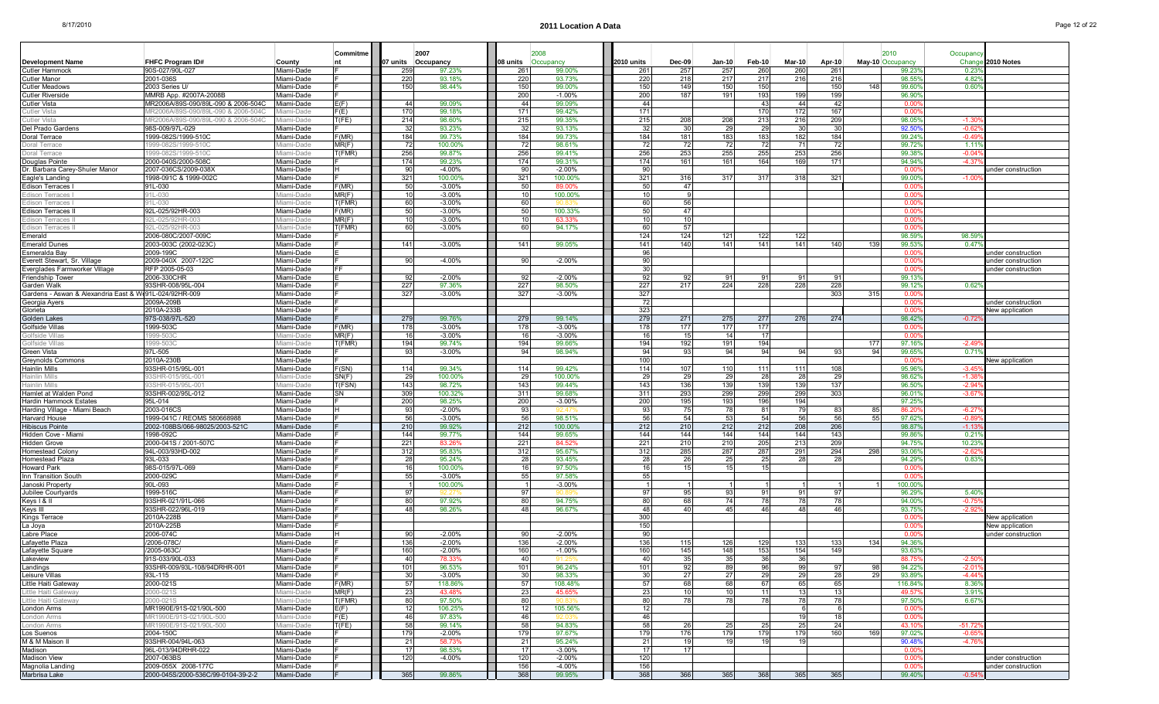| Page 12 of 22 |
|---------------|
|---------------|

|                                                                |                                                                           |                          | Commitme       |           | 2007                 |               |                      |             |                 |                 |           |           |            |      | 2010             | Occupanc           |                                          |
|----------------------------------------------------------------|---------------------------------------------------------------------------|--------------------------|----------------|-----------|----------------------|---------------|----------------------|-------------|-----------------|-----------------|-----------|-----------|------------|------|------------------|--------------------|------------------------------------------|
| <b>Development Name</b>                                        | FHFC Program ID#                                                          | County                   | nt             | 07 units  | Occupancy            | I08 units     | Occupancy            | 2010 units  | $Dec-09$        | Jan-10 l        | Feb-10    | Mar-10    | Apr-10     |      | May-10 Occupancy | Change             | 2010 Notes                               |
| <b>Cutler Hammock</b>                                          | 90S-027/90L-027                                                           | Miami-Dade               |                | 259       | 97.23%               | 261           | 99.00%               | 261         | 257             | 257             | 260       | 260       | 261        |      | 99.23            | 0.23               |                                          |
| <b>Cutler Manor</b>                                            | 2001-036S                                                                 | Miami-Dade               |                | 220       | 93.18%               | 220           | 93.73%               | 220         | 218             | 217             | 217       | 216       | 216        |      | 98.55            | 4.82               |                                          |
| <b>Cutler Meadows</b>                                          | 2003 Series U/                                                            | Miami-Dade               |                | 150       | 98.44%               | 150           | 99.00%               | 150         | 149             | 150             | 150       |           | 150        | 148  | 99.60            | 0.60               |                                          |
| <b>Cutler Riverside</b>                                        | MMRB App. #2007A-2008B                                                    | Miami-Dade               |                |           |                      | 200           | $-1.00%$             | 200         | 187             | 191             | 193       | 199       | 199        |      | 96.90            |                    |                                          |
| <b>Cutler Vista</b><br>Cutler Vista                            | MR2006A/89S-090/89L-090 & 2006-504C<br>IR2006A/89S-090/89L-090 & 2006-504 | Miami-Dade               | E(F)<br>F(E)   | 44<br>170 | 99.09%<br>99.18%     | 44<br>171     | 99.09%<br>99.42%     | 44<br>171   |                 |                 | 43<br>170 | 44<br>172 | 42<br>167  |      | 0.00<br>0.01     |                    |                                          |
| Cutler Vista                                                   | /IR2006A/89S-090/89L-090 & 2006-5040                                      | iami-Dade                | T(FE)          | 214       | 98.60%               | 215           | 99.35%               | 215         | 208             | 208             | 213       | 216       | 209        |      | 98.05            | -1.3               |                                          |
| Del Prado Gardens                                              | 98S-009/97L-029                                                           | Miami-Dade               |                | 32        | 93.23%               | -32           | 93.13%               | 32          | 30              | 29              | 29        | 30        | 30         |      | 92.50            | $-0.62$            |                                          |
| Doral Terrace                                                  | 1999-082S/1999-510C                                                       | Miami-Dade               | F(MR)          | 184       | 99.73%               | 184           | 99.73%               | 184         | 181             | 183             | 183       | 182       | 184        |      | 99.24            | $-0.4$             |                                          |
| Doral Terrace                                                  | 1999-082S/1999-510C                                                       | ∕liami-Dad               | MR(F)          | 72        | 100.00%              | -72           | 98.61%               | -72         | 72              | -721            | -72       | 71        | 72         |      | 99.72            | $-1.11$            |                                          |
| Doral Terrace                                                  | 999-082S/1999-510                                                         | ¶iami-Dad                | T(FMR)         | 256       | 99.87%               | 256           | 99.41%               | 256         | 253             | 255             | 255       | 253       | 256        |      | 99.38            | $-0.0$             |                                          |
| Douglas Pointe                                                 | 2000-040S/2000-508C                                                       | Miami-Dade               |                | 174       | 99.23%               | 174           | 99.31%               | 174         | 161             | 161             | 164       | 169       | 171        |      | 94.94%           | $-4.37$            |                                          |
| Dr. Barbara Carey-Shuler Manor                                 | 2007-036CS/2009-038X                                                      | Miami-Dade               |                | 90        | $-4.00%$             | 9             | $-2.00%$             | 90          |                 |                 |           |           |            |      | n n              |                    | under construction                       |
| Eagle's Landing<br>Edison Terraces                             | 1998-091C & 1999-002C<br>91L-030                                          | Miami-Dade<br>Miami-Dade | F(MR)          | 321<br>50 | 100.00%<br>$-3.00%$  | 321<br>-50    | 100.00%<br>89.00%    | 321<br>-50  | 316<br>47       | 317             | 317       | 318       | 321        |      | 99.00<br>. വ     | $-1.00$            |                                          |
| Edison Terraces                                                | 01L-030                                                                   | ami-Dade                 | MR(F)          | 10        | $-3.00%$             |               | 100.00%              | 10          |                 |                 |           |           |            |      | 0.00             |                    |                                          |
| Edison Terraces                                                | 91L-030                                                                   | 1iami-Dade               | T(FMR)         | 60        | $-3.00%$             | 60            |                      | 60          | 56              |                 |           |           |            |      | 0.00             |                    |                                          |
| <b>Edison Terraces I</b>                                       | 92L-025/92HR-003                                                          | Miami-Dade               | F(MR)          | 50        | $-3.00%$             | 51            | 100.33%              | 50          | 47              |                 |           |           |            |      | n or             |                    |                                          |
| Edison Terraces I                                              | 02L-025/92HR-003                                                          | iami-Dade                | MR(F)          | 10        | $-3.00%$             |               | 63.33%               | 10          | 10 <sup>1</sup> |                 |           |           |            |      | 0.00             |                    |                                          |
| Edison Terraces I                                              | 92L-025/92HR-003                                                          | <i>A</i> iami-Dade       | T(FMR)         | 60        | $-3.00\%$            | 60            | 94.17%               | 60          | 57              |                 |           |           |            |      | 0.00             |                    |                                          |
| Emerald                                                        | 2006-080C/2007-009C                                                       | Miami-Dade               |                |           |                      |               |                      | 124         | 124             | 121             | 122       | 122       |            |      | 98.59            | 98.59              |                                          |
| <b>Emerald Dunes</b>                                           | 2003-003C (2002-023C)                                                     | Miami-Dade               |                | 141       | $-3.00%$             | 141           | 99.05%               | 141         | 140             | 141             | 141       | 141       | 140        | -139 | 99.53<br>0.00    | 0.47               |                                          |
| Esmeralda Bay<br>Everett Stewart, Sr. Village                  | 2009-199C<br>2009-040X 2007-122C                                          | Miami-Dade<br>Miami-Dade |                | 90        | $-4.00%$             | a             | $-2.00%$             | 96<br>90    |                 |                 |           |           |            |      | 0.00             |                    | ınder construction<br>under construction |
| Everglades Farmworker Village                                  | RFP 2005-05-03                                                            | Miami-Dade               | FF             |           |                      |               |                      | -30         |                 |                 |           |           |            |      | . വ              |                    | under construction                       |
| <b>Friendship Tower</b>                                        | 2006-330CHR                                                               | Miami-Dade               |                | 92        | $-2.00%$             | -92           | $-2.00%$             | 92          | 92              | 91              | 91        | 91        | .ფ.        |      | 99.13            |                    |                                          |
| Garden Walk                                                    | 93SHR-008/95L-004                                                         | Miami-Dade               |                | 227       | 97.36%               | 227           | 98.50%               | 227         | 217             | 224             | 228       | 228       | 228        |      | 99.12            | 0.62%              |                                          |
| Gardens - Aswan & Alexandria East & W191L-024/92HR-009         |                                                                           | Miami-Dade               |                | 327       | $-3.00%$             | 327           | $-3.00%$             | 327         |                 |                 |           |           | 303        | 315  | 0.01             |                    |                                          |
| Georgia Ayers                                                  | 2009A-209B                                                                | Miami-Dade               |                |           |                      |               |                      | -72         |                 |                 |           |           |            |      | 0.00             |                    | inder construction                       |
| Glorieta                                                       | 2010A-233B                                                                | Miami-Dade               |                |           |                      |               |                      | 323         |                 |                 |           |           |            |      | . വ              |                    | New application                          |
| Golden Lakes<br>Golfside Villas                                | 97S-038/97L-520                                                           | Miami-Dade               |                | 279       | 99.76%               | 279           | 99.14%               | 279         | 271             | 275             | 277       | 276       | 274        |      | 98.42            | $-0.72$            |                                          |
| Golfside Villas                                                | 1999-503C<br>999-503                                                      | Miami-Dade<br>¶iami-Dade | F(MR)<br>MR(F) | 178<br>16 | $-3.00%$<br>$-3.00%$ | 178           | $-3.00%$<br>$-3.00%$ | 178<br>16   | 177<br>15       | 177<br>14       | 177<br>17 |           |            |      | 0.00<br>n ni     |                    |                                          |
| Golfside Villa                                                 | 999-503                                                                   | liami-Dade               | T(FMR)         | 194       | 99.74%               | 194           | 99.66%               | 194         | 192             | 191             | 194       |           |            | 177  | 97.16            | $-2.49$            |                                          |
| Green Vista                                                    | 97L-505                                                                   | Miami-Dade               |                | 93        | $-3.00%$             | 94            | 98.94%               | -94         | 93              | -94             | 94        | 94        | -93        | 94   | 99.65            | 0.71               |                                          |
| <b>Greynolds Commons</b>                                       | 2010A-230B                                                                | Miami-Dade               |                |           |                      |               |                      | 100         |                 |                 |           |           |            |      | 0.01             |                    | <b>New application</b>                   |
| Hainlin Mills                                                  | 93SHR-015/95L-001                                                         | Miami-Dade               | F(SN)          | 114       | 99.34%               | 114           | 99.42%               | 114         | 107             | 110             | 111       | 111       | 108        |      | 95.96            | $-3.45$            |                                          |
| Hainlin Mills                                                  | 3SHR-015/95L-00                                                           | liami-Dade               | SN(F)          | 29        | 100.00%              | $\mathcal{D}$ | 100.00%              | 29          | 29              | 29              | 28        | 28        | 29         |      | 98.62            | $-1.3$             |                                          |
| Hainlin Mills                                                  | 3SHR-015/95L-001                                                          | liami-Dade               | T(FSN)         | 143       | 98.72%               | 143           | 99.44%               | 143         | 136             | 139             | 139       | 139       | 137        |      | 96.50            | $-2.94$            |                                          |
| Hamlet at Walden Pond                                          | 93SHR-002/95L-012                                                         | Miami-Dade               | SN             | 309       | 100.32%<br>98.25%    | 311           | 99.68%               | 311         | 293             | 299             | 299       | 299       | 303        |      | 96.01<br>97.25   | $-3.67$            |                                          |
| <b>Hardin Hammock Estates</b><br>Harding Village - Miami Beach | 95L-014<br>2003-016CS                                                     | Miami-Dade<br>Miami-Dade |                | 200<br>93 | $-2.00%$             | 200<br>9.     | $-3.00%$<br>42 A7    | 200<br>-93  | 195<br>75       | 193<br>78       | 196<br>81 | 194<br>79 | 83         | 85   | 86.2             | $-6.27$            |                                          |
| Harvard House                                                  | 1999-041C / REOMS 580668988                                               | Miami-Dade               |                | 56        | $-3.00%$             | 56            | 98.51%               | 56          | 54              | 53              | 54        | 56        | 56         | 55   | 97.62            | $-0.8$             |                                          |
| <b>Hibiscus Pointe</b>                                         | 2002-108BS/066-98025/2003-521C                                            | Miami-Dade               |                | 210       | 99.92%               | 212           | 100.00%              | 212         | 210             | 212             | 212       | 208       | 206        |      | 98.87            | $-1.13$            |                                          |
| Hidden Cove - Miami                                            | 1998-092C                                                                 | Miami-Dade               |                | 144       | 99.77%               | 144           | 99.65%               | 144         | 144             | 144             | 144       | 144       | 143        |      | 99.86            | 0.219              |                                          |
| <b>Hidden Grove</b>                                            | 2000-041S / 2001-507C                                                     | Miami-Dade               |                | 221       | 83.26                | $22^{\circ}$  | 84.529               | 221         | 210             | 210             | 205       | 213       | 209        |      | 94.75            | 10.23              |                                          |
| Homestead Colon                                                | 94L-003/93HD-002                                                          | Miami-Dade               |                | 312       | 95.83%               | 312           | 95.67%               | 312         | 285             | 287             | 287       | 291       | 294        | 298  | 93.06            | $-2.62$            |                                          |
| Homestead Plaza                                                | 93L-033                                                                   | Miami-Dade               |                | 28        | 95.24%               |               | 93.45%               | 28          | 26              | 25              | 25        | 28        | 28         |      | 94.29            | 0.83               |                                          |
| Howard Park                                                    | 98S-015/97L-069<br>2000-029C                                              | Miami-Dade               |                | 16<br>55  | 100.00%<br>$-3.00%$  | 55            | 97.50%<br>97.58%     | 16<br>55    | 15              | 15              | 15        |           |            |      | 0.00<br>0.00     |                    |                                          |
| Inn Transition South<br>Janoski Property                       | 90L-093                                                                   | Miami-Dade<br>Miami-Dade |                |           | 100.00%              |               | $-3.00%$             |             |                 |                 |           |           |            |      | 100.00           |                    |                                          |
| Jubilee Courtyards                                             | 1999-516C                                                                 | Miami-Dade               |                | 97        | a2 S                 | -97           |                      | 97          | 95              | 93              | .91       | -91       | .97        |      | 96.29            | 5.40               |                                          |
| Keys   &                                                       | 93SHR-021/91L-066                                                         | Miami-Dade               |                | 80        | 97.92%               | 8             | 94.75%               | 80          | 68              | 74              | 78        | 78        | 78         |      | 94.00            | $-0.7$             |                                          |
| Keys III                                                       | 93SHR-022/96L-019                                                         | Miami-Dade               |                | 48        | 98.26%               | 48            | 96.67%               | 48          | 40              | 45              | 46        | 48        | 46         |      | 93.75            | $-2.92$            |                                          |
| Kings Terrace                                                  | 2010A-228B                                                                | Miami-Dade               |                |           |                      |               |                      | 300         |                 |                 |           |           |            |      | . വ              |                    | <b>New application</b>                   |
| La Joya                                                        | 2010A-225B                                                                | Miami-Dade               |                |           |                      |               |                      | 150         |                 |                 |           |           |            |      | 0.00             |                    | lew application                          |
| Labre Place                                                    | 2006-074C                                                                 | Miami-Dade               |                | 90        | $-2.00%$             | -90           | $-2.00%$             | 90          |                 |                 |           |           |            |      | -0.00            |                    | ınder construction                       |
| Lafayette Plaza                                                | /2006-078C                                                                | Miami-Dade               |                | 136       | $-2.00%$             | 136           | $-2.00%$             | 136         | 115             | 126<br>148      | 129       | 133       | 133<br>149 | 134  | 94.36<br>93.63   |                    |                                          |
| Lafayette Square<br><b>Akeview</b>                             | /2005-063C<br>91S-033/90L-                                                | Miami-Dade<br>Miami-Dade |                | 160<br>40 | $-2.00%$             | 160<br>40     | $-1.00%$             | 160<br>40   | 145             |                 | 153       | 154       |            |      |                  |                    |                                          |
| Landings                                                       | 93SHR-009/93L-108/94DRHR-001                                              | Miami-Dade               |                | 101       | 96.53%               | 101           | 96.24%               | 101         | 92              | 89              | 96        | 99        | 97         | 98   | 94.22%           | $-2.0'$            |                                          |
| Leisure Villas                                                 | 93L-115                                                                   | Miami-Dade               |                | 30        | $-3.00%$             | 30            | 98.33%               | 30          | 27              | 27              | 29        | 29        | 28         | 29   | 93.899           | $-4.44$            |                                          |
| Little Haiti Gateway                                           | 2000-021S                                                                 | Miami-Dade               | F(MR)          | 57        | 118.86%              | -57           | 108.48%              | 57          | 68              | 68              | 67        | 65        | 65         |      | 116.84%          | 8.369              |                                          |
| Little Haiti Gateway                                           | 2000-021S                                                                 | Miami-Dade               | MR(F)          | 23        | 43.48%               | 23            | 45.65%               | 23          | 10              | 10 <sup>1</sup> | 11        | 13        | 13         |      | 49.57            | 3.91%              |                                          |
| Little Haiti Gateway                                           | 2000-021S                                                                 | Miami-Dade               | T(FMR)         | 80        | 97.50%               | -80           | 90.83                | 80          | 78              | 78              | 78        | 78        | 78         |      | 97.50%           | 6.67%              |                                          |
| London Arms                                                    | MR1990E/91S-021/90L-500                                                   | Miami-Dade               | E(F)           | 12        | 106.25%              |               | 105.56%              | 12          |                 |                 |           |           |            |      | 0.00             |                    |                                          |
| London Arms                                                    | MR1990E/91S-021/90L-500                                                   | Vliami-Dade              | F(E)           | 46        | 97.83%               | 46            | 92.03                | 46          |                 |                 |           | 19        | 18         |      | 0.00             |                    |                                          |
| London Arms                                                    | MR1990E/91S-021/90L-500                                                   | Miami-Dade               | T(FE)          | 58        | 99.14%               | 58            | 94.83%               | 58          | 26              | 25              | 25        | 25<br>179 | 24<br>160  |      | 43.10            | $-51.72$           |                                          |
| Los Suenos<br>M & M Maison II                                  | 2004-150C<br>93SHR-004/94L-063                                            | Miami-Dade<br>Miami-Dade |                | 179<br>21 | $-2.00\%$<br>58.73%  | 179<br>21     | 97.67%<br>95.24%     | 179<br>- 21 | 176<br>19       | 179<br>19       | 179<br>19 | 19        |            | 169  | 97.02<br>90.48   | $-0.65$<br>$-4.76$ |                                          |
| Madison                                                        | 96L-013/94DRHR-022                                                        | Miami-Dade               |                | 17        | 98.53%               | -17           | $-3.00%$             | 17          | 17              |                 |           |           |            |      | 0.00             |                    |                                          |
| Madison View                                                   | 2007-063BS                                                                | Miami-Dade               |                | 120       | -4.00%               | 120           | $-2.00%$             | 120         |                 |                 |           |           |            |      | $0.00^{\circ}$   |                    | under construction                       |
| Magnolia Landing                                               | 2009-055X 2008-177C                                                       | Miami-Dade               |                |           |                      | 156           | $-4.00%$             | 156         |                 |                 |           |           |            |      | 0.00             |                    | under construction                       |
| Marbrisa Lake                                                  | 2000-045S/2000-536C/99-0104-39-2-2                                        | Miami-Dade               |                | 365       | 99.86%               | 368           | 99.95%               | 368         | 366             | 365             | 368       | 365       | 365        |      | 99.40%           | $-0.54%$           |                                          |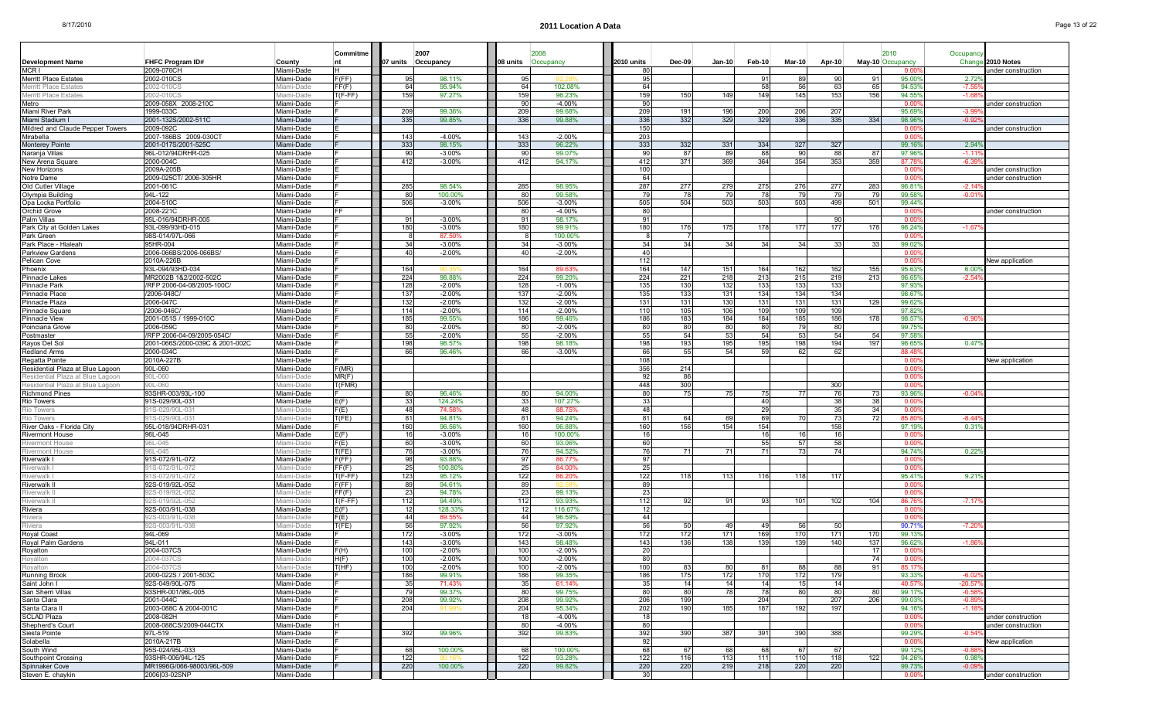| Page 13 of 22 |
|---------------|
|---------------|

|                                                     |                                     |                           | Commitme                                             |            | 2007                  |                   | 2008                 |             |            |            |            |               |            |                  | 2010                     |                    |                        |
|-----------------------------------------------------|-------------------------------------|---------------------------|------------------------------------------------------|------------|-----------------------|-------------------|----------------------|-------------|------------|------------|------------|---------------|------------|------------------|--------------------------|--------------------|------------------------|
| <b>Development Name</b>                             | FHFC Program ID#                    | County                    |                                                      |            | 07 units Occupancy    | 08 units          | Occupancy            | 2010 units  | Dec-09     | $Jan-10$   | Feb-10     | <b>Mar-10</b> | Apr-10     |                  | May-10 Occupancy         | Occupancy<br>Chang | 2010 Notes             |
| MCR I                                               | 2009-076CH                          | Miami-Dade                |                                                      |            |                       |                   |                      | 80          |            |            |            |               |            |                  | n nr                     |                    | inder construction     |
| <b>Merritt Place Estates</b>                        | 2002-010CS                          | Vliami-Dade               | F(FF)                                                | 95         | 98.11%                | 9                 |                      | 95          |            |            | 91         | 89            | 90         | 91               | 95.00                    | $2.72^{\circ}$     |                        |
| <b>Merritt Place Estates</b>                        | 002-010C:                           | iami-Dade                 | FF(F)                                                | 64         | 95.94%                | 64                | 102.08%              | 64          |            |            | 58         | 56            | 63         | 65               | 94.53                    | $-7.5$             |                        |
| <b>Merritt Place Estates</b>                        | 2002-010CS<br>2009-058X 2008-210C   | liami-Dade<br>Miami-Dade  | $I(F-FF)$                                            | 159        | 97.27%                | 159<br>9          | 96.23%<br>$-4.00%$   | 159<br>90   | 150        | 149        | 149        | 145           | 153        | 156              | 94.55<br>0.00            | $-1.68$            |                        |
| Metro<br>Miami River Park                           | 1999-033C                           | Miami-Dade                |                                                      | 209        | 99.36%                | 209               | 99.68%               | 209         | 191        | 196        | 200        | 206           | 207        |                  | 95.69                    | -3.9               | inder construction     |
| Miami Stadium                                       | 2001-132S/2002-511C                 | Miami-Dade                |                                                      | 335        | 99.85%                | 336               | 99.88%               | 336         | 332        | 329        | 329        | 336           | 335        | 334              | 98.96                    | $-0.92$            |                        |
| Mildred and Claude Pepper Towers                    | 2009-092C                           | Miami-Dade                |                                                      |            |                       |                   |                      | 150         |            |            |            |               |            |                  | 0.00                     |                    | ınder construction     |
| Mirabella                                           | 2007-186BS 2009-030CT               | Miami-Dade                |                                                      | 143        | $-4.00%$              | 143               | $-2.00%$             | 203         |            |            |            |               |            |                  | 0.00                     |                    |                        |
| <b>Monterey Pointe</b>                              | 2001-017S/2001-525C                 | Miami-Dade                |                                                      | 333        | 98.15%                | 33 <sub>3</sub>   | 96.22%               | 333         | 332        | 331        | 334        | 327           | 327        |                  | 99.16                    | $2.94^{\circ}$     |                        |
| Naranja Villas                                      | 96L-012/94DRHR-025                  | Miami-Dade                |                                                      | 90         | $-3.00%$              | -Qi               | 99.07%               | -90         | 87         | 89         | 88         | 90            | 88         | 87               | 97.96                    | $-1.11$            |                        |
| New Arena Square<br>New Horizons                    | 2000-004C<br>2009A-205B             | Miami-Dade<br>Miami-Dade  |                                                      | 412        | $-3.00%$              | 412               | 94.17%               | 412<br>100  | 371        | 369        | 364        | 354           | 353        | 359              | 87.78<br>0.00            | $-6.3$             | inder construction     |
| Notre Dame                                          | 2009-025CT/ 2006-305HR              | Miami-Dade                |                                                      |            |                       |                   |                      | 64          |            |            |            |               |            |                  | . വ                      |                    | under construction     |
| Old Cutler Village                                  | 2001-061C                           | Miami-Dade                |                                                      | 285        | 98.54%                | 285               | 98.95%               | 287         | 277        | 279        | 275        | 276           | 277        | 283              | 96.81                    | $-2.14$            |                        |
| Olympia Building                                    | 94L-122                             | Miami-Dade                |                                                      | 80         | 100.00%               | -80               | 99.58%               | -79         | -78        | -79        | 78         | 79            | -79        | 791              | 99.58                    | $-0.0^{\circ}$     |                        |
| Opa Locka Portfolio                                 | 2004-510C                           | Miami-Dade                |                                                      | 506        | $-3.00%$              | 506               | $-3.00%$             | 505         | 504        | 503        | 503        | 503           | 499        | 501              | 99.44%                   |                    |                        |
| Orchid Grove                                        | 2008-221C                           | Miami-Dade                |                                                      |            |                       |                   | $-4.00%$             | 80          |            |            |            |               |            |                  | 0.00                     |                    | inder construction     |
| Palm Villas                                         | 95L-016/94DRHR-005                  | Miami-Dade                |                                                      | 91         | $-3.00\%$             | -91               | 98.17%               | -91         |            |            |            |               | . gr       |                  | 0.00                     |                    |                        |
| Park City at Golden Lakes<br>Park Green             | 93L-099/93HD-015<br>98S-014/97L-066 | Miami-Dade<br>Miami-Dade  |                                                      | 180        | $-3.00%$<br>87.50%    | 180               | 99.91%<br>100.00%    | 180<br>-8   | 176        | 175        | 178        | 177           | 177        | 178              | 98.24<br>. വ             | $-1.67$            |                        |
| Park Place - Hialeah                                | 95HR-004                            | Miami-Dade                |                                                      | 34         | $-3.00%$              | 34                | $-3.00%$             | 34          | 34         | 34         | 34         | 34            | -33        | 33               | 99.02                    |                    |                        |
| <b>Parkview Gardens</b>                             | 2006-066BS/2006-066BS/              | Miami-Dade                |                                                      | 40         | $-2.00\%$             |                   | $-2.00%$             | 40          |            |            |            |               |            |                  | 0.00                     |                    |                        |
| Pelican Cove                                        | 2010A-226E                          | Miami-Dade                |                                                      |            |                       |                   |                      | 112         |            |            |            |               |            |                  | 0.00                     |                    | New application        |
| Phoenix                                             | 93L-094/93HD-034                    | Miami-Dade                |                                                      | 164        |                       | 164               | 89.63%               | 164         | 147        | 151        | 164        | 162           | 162        | 155              | 95.63                    | $6.00^{\circ}$     |                        |
| Pinnacle Lakes                                      | MR2002B 1&2/2002-502C               | Miami-Dade                |                                                      | 224        | 98.88%                | 224               | 99.20%               | 224         | 221        | 218        | 213        | 215           | 219        | 213              | 96.65                    | $-2.54$            |                        |
| Pinnacle Park                                       | /RFP 2006-04-08/2005-100C           | Miami-Dade                |                                                      | 128        | $-2.00%$              | 128               | $-1.00%$             | 135         | 130        | 132        | 133        | 133           | 133        |                  | 97.93                    |                    |                        |
| Pinnacle Place                                      | /2006-048C                          | Miami-Dade                |                                                      | 137        | $-2.00%$              | 13 <sub>1</sub>   | $-2.00%$             | 135         | 133        | 131        | 134        | 134           | 134        |                  | 98.67                    |                    |                        |
| Pinnacle Plaza<br>Pinnacle Square                   | 2006-047C<br>/2006-046C             | Miami-Dade<br>Miami-Dade  |                                                      | 132<br>114 | $-2.00%$<br>$-2.00%$  | 132<br>114        | $-2.00%$<br>$-2.00%$ | 131<br>110  | 131<br>105 | 130<br>106 | 131<br>109 | 131<br>109    | 131<br>109 | 129              | 99.62<br>97.82           |                    |                        |
| <b>Pinnacle View</b>                                | 2001-051S / 1999-010C               | Miami-Dade                |                                                      | 185        | 99.55%                | 186               | 99.46%               | 186         | 183        | 184        | 184        | 185           | 186        | 178              | 98.57                    | $-0.90$            |                        |
| Poinciana Grove                                     | 2006-059C                           | Miami-Dade                |                                                      | 80         | $-2.00%$              | 80                | $-2.00%$             | 80          | 80         | 80         | 80         | <b>79</b>     | 80         |                  | 99.75                    |                    |                        |
| Postmaster                                          | RFP 2006-04-09/2005-054C/           | Miami-Dade                |                                                      | 55         | $-2.00%$              |                   | $-2.00%$             | 55          | 54         | 53         | 54         | -53           | 54         | 54               | 97.58                    |                    |                        |
| Rayos Del Sol                                       | 2001-066S/2000-039C & 2001-002C     | Miami-Dade                |                                                      | 198        | 98.57%                | 198               | 98.18%               | 198         | 193        | 195        | 195        | 198           | 194        | 197              | 98.65                    | $0.47^{\circ}$     |                        |
| <b>Redland Arms</b>                                 | 2000-034C                           | Miami-Dade                |                                                      | 66         | 96.46%                | -61               | $-3.00%$             | 66          | 55         | 54         | 59         | 62            | -62        |                  | 88.48                    |                    |                        |
| Regatta Pointe<br>Residential Plaza at Blue Lagoon  | 2010A-227B<br>90L-060               | Miami-Dade<br>Miami-Dade  | F(MR)                                                |            |                       |                   |                      | 108<br>356  | 214        |            |            |               |            |                  | -0.00<br>0.00            |                    | <b>New application</b> |
| Residential Plaza at Blue Lagoon                    | 060-J060                            | iami-Dade                 | MR(F)                                                |            |                       |                   |                      | 92          | -86        |            |            |               |            |                  | 0.00                     |                    |                        |
| Residential Plaza at Blue Lagoon                    | 90L-060                             | liami-Dade                | T(FMR)                                               |            |                       |                   |                      | 448         | 300        |            |            |               | 300        |                  | . വ                      |                    |                        |
| <b>Richmond Pines</b>                               | 93SHR-003/93L-100                   | Vliami-Dade               |                                                      | 80         | 96.46%                |                   | 94.00%               | 80          | 75         | 75         | 75         | 77            | 76         | 731              | 93.96                    | $-0.04$            |                        |
| <b>Rio Towers</b>                                   | 91S-029/90L-031                     | Vliami-Dade               | E(F)                                                 | 33         | 124.24%               |                   | 107.27%              | 33          |            |            | 40         |               | -38        | 38               | -0.00                    |                    |                        |
| Rio Towers                                          | 1S-029/90L-03                       | liami-Dade                | F(E)                                                 | 48         | 74.58%                | 48                | 88.75%               | 48          |            |            | 29         |               | 35         | 34               | 0.00                     |                    |                        |
| Rio Towers                                          | 1S-029/90L-031                      | iami-Dade                 | T(FE)                                                | 81         | 94.81%                | 81                | 94.24%               | 81          | 64         | 69         | 69         | -70           | -73        | 72               | 85.80                    | $-8.44$            |                        |
| River Oaks - Florida Citv<br><b>Rivermont House</b> | 95L-018/94DRHR-031<br>96L-045       | Miami-Dade<br>Vliami-Dade | E(F)                                                 | 160<br>16  | 96.56%<br>$-3.00%$    | 160               | 96.88%<br>100.00%    | 160<br>16   | 156        | 154        | 154<br>16  | 16            | 158<br>16  |                  | 97.199<br>0.00           | 0.31               |                        |
| <b>Rivermont House</b>                              | 06L-045                             | liami-Dade                | F(E)                                                 | 60         | $-3.00%$              | -60               | 93.06%               | 60          |            |            | 55         | 57            | 58         |                  | n or                     |                    |                        |
| <b>Rivermont House</b>                              | 6L-045                              | liami-Dade                | T(FE)                                                | 76         | $-3.00%$              |                   | 94.52%               | 76          | 71         | 71         | 71         | 73            | 74         |                  | 94.74                    | 0.229              |                        |
| Riverwalk I                                         | 91S-072/91L-072                     | Vliami-Dade               | F(FF)                                                | 98         | 93.88%                |                   | 86.77%               | 97          |            |            |            |               |            |                  | 0.00                     |                    |                        |
| Riverwalk I                                         | 91S-072/91L-072                     | liami-Dade                | FF(F)                                                | 25         | 100.80%               | -25               | 84.00%               | 25          |            |            |            |               |            |                  | 0.00                     |                    |                        |
| Riverwalk I                                         | 1S-072/91L-072                      | liami-Dade                | $\mathsf{I}(\mathsf{F}\text{-}\mathsf{F}\mathsf{F})$ | 123        | 95.12%                | 122               | 86.20%               | 122         | 118        | 113        | 116        | 118           | 117        |                  | 95.41                    | 9.219              |                        |
| Riverwalk II<br>Riverwalk I                         | 92S-019/92L-052<br>2S-019/92L-052   | Vliami-Dade<br>iami-Dade  | F(FF)<br>FF(F)                                       | 89<br>23   | 94.61%<br>94.78%      | 8<br>$2^{\prime}$ | 99.13%               | 89<br>23    |            |            |            |               |            |                  | -0.00<br>0.00            |                    |                        |
| Riverwalk I                                         | 2S-019/92L-052                      | iami-Dade                 | (F-FF)                                               | 112        | 94.49%                | 112               | 93.93%               | 112         | 92         | 91         | 93         | 101           | 102        | 104 <sup>1</sup> | 86.76                    | $-7.17$            |                        |
| Riviera                                             | 92S-003/91L-038                     | Miami-Dade                | E(F)                                                 | 12         | 128.33%               | -12               | 116.67%              | 12          |            |            |            |               |            |                  | . വ                      |                    |                        |
| Riviera                                             | S-003/91L-038                       | ami-Dade                  | F(E)                                                 | 44         | 89.55                 | 44                | 96.59%               | 44          |            |            |            |               |            |                  | 0.00                     |                    |                        |
| Riviera                                             | 2S-003/91L-038                      | liami-Dade                | T(FE)                                                | 56         | 97.92%                | -56               | 97.92%               | 56          | .50        | 49         | 49         | 56            | .50        |                  | 90.71                    | -7.2               |                        |
| Royal Coast                                         | 94L-069                             | Vliami-Dade               |                                                      | 172        | $-3.00%$              | 172               | $-3.00%$             | 172         | 172        | 171        | 169        | 170           | 171        | 170              | 99.13                    |                    |                        |
| Royal Palm Gardens                                  | 94L-011                             | Miami-Dade                |                                                      | 143        | $-3.00%$              | 143               | 98.48%               | 143         | 136        | 138        | 139        | 139           | 140        | 137              | 96.62                    | $-1.86$            |                        |
| Royalton                                            | 2004-037CS                          | Miami-Dade                | F(H)                                                 | 100        | $-2.00%$              | 100               | $-2.00%$             | 20          |            |            |            |               |            | 17I              | 0.00                     |                    |                        |
| Royalton                                            | 004-037CS                           | Aiami-Dade                | H(F)<br>T(HF)                                        | 100<br>100 | $-2.00\%$<br>$-2.00%$ | 100<br>100        | -2.00%<br>$-2.00%$   | - OU<br>100 | 83         | 80         | 81         | 88            | 88         | 74I<br>91        | 85.17                    |                    |                        |
| Running Brook                                       | 2000-022S / 2001-503C               | Miami-Dade                |                                                      | 186        | 99.91%                | 186               | 99.35%               | 186         | 175        | 172        | 170        | 172           | 179        |                  | 93.339                   | $-6.02$            |                        |
| Saint John I                                        | 92S-049/90L-075                     | Miami-Dade                |                                                      | 35         | 71.43%                |                   | 61.14%               | 35          | 14         | 14         | 14         | 15            | 14         |                  | 40.57                    | $-20.57$           |                        |
| San Sherri Villas                                   | 93SHR-001/96L-005                   | Miami-Dade                |                                                      | 79         | 99.37%                | -80               | 99.75%               | -80         | 80         | 78 I       | 78         | 80            | 80         | 801              | 99.179                   | $-0.58$            |                        |
| Santa Clara                                         | 2001-044C                           | Miami-Dade                |                                                      | 208        | 99.92%                | 208               | 99.92%               | 206         | 199        |            | 204        |               | 207        | 206              | 99.03                    | $-0.89$            |                        |
| Santa Clara II                                      | 2003-088C & 2004-001C               | Miami-Dade                |                                                      | 204        | 91.99                 | 204               | 95.34%               | 202         | 190        | 185        | 187        | 192           | 197        |                  | 94.16%                   | $-1.18$            |                        |
| <b>SCLAD Plaza</b>                                  | 2008-082H                           | Miami-Dade                |                                                      |            |                       | 18<br>80          | $-4.00%$             | 18          |            |            |            |               |            |                  | 0.00                     |                    | under construction     |
| Shepherd's Court<br>Siesta Pointe                   | 2008-088CS/2009-044CTX<br>97L-519   | Miami-Dade<br>Miami-Dade  |                                                      | 392        | 99.96%                | 392               | $-4.00%$<br>99.83%   | 80<br>392   | 390        | 387        | 391        | 390           | 388        |                  | $0.00^{\circ}$<br>99.29% | $-0.54%$           | under construction     |
| Solabella                                           | 2010A-217B                          | Miami-Dade                |                                                      |            |                       |                   |                      | 92          |            |            |            |               |            |                  | 0.00                     |                    | New application        |
| South Wind                                          | 95S-024/95L-033                     | Miami-Dade                |                                                      | 68         | 100.00%               | 68                | 100.00%              | 68          | 67         | 68         | 68         | 67            | 67         |                  | 99.12%                   | $-0.88$            |                        |
| Southpoint Crossing                                 | 93SHR-006/94L-125                   | Miami-Dade                |                                                      | 122        |                       | 122               | 93.28%               | 122         | 116        | 113        | 1111       | 110           | 118        | 122              | 94.26                    | $0.98^{\circ}$     |                        |
| Spinnaker Cove                                      | MR1996G/066-98003/96L-509           | Miami-Dade                |                                                      | 220        | 100.00%               | 220               | 99.82%               | 220         | 220        | 219        | 218        | 220           | 220        |                  | 99.73%                   | $-0.09$            |                        |
| Steven E. chaykin                                   | 2006 03-02SNP                       | Miami-Dade                |                                                      |            |                       |                   |                      | -30         |            |            |            |               |            |                  | $0.00^{\circ}$           |                    | under construction     |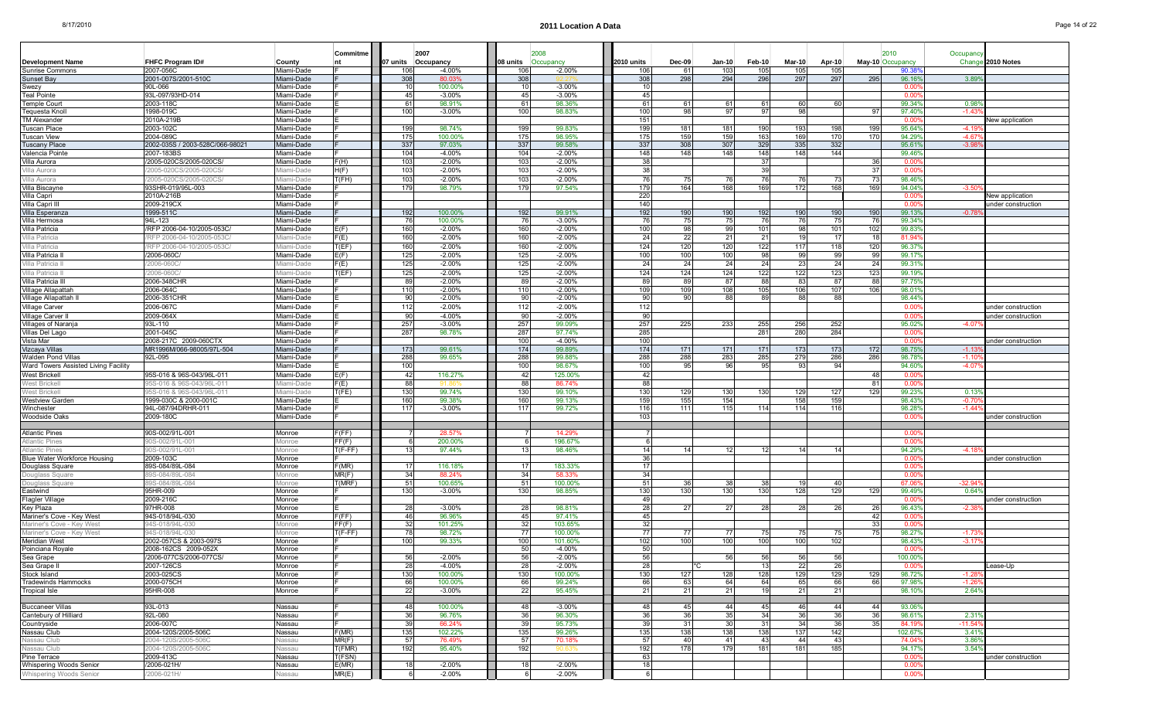| Page 14 of 22 |
|---------------|
|---------------|

|                                                  |                                                    |                           | Commitme       | 2007               |                      |            |                      |                 |               |              |                 |               |            |                  |                  |                     |                    |
|--------------------------------------------------|----------------------------------------------------|---------------------------|----------------|--------------------|----------------------|------------|----------------------|-----------------|---------------|--------------|-----------------|---------------|------------|------------------|------------------|---------------------|--------------------|
| Development Name                                 | <b>FHFC Program ID#</b>                            | County                    |                | 07 units Occupancy |                      | 08 units   | 2008<br>Occupancy    | 2010 units      | <b>Dec-09</b> | Jan-10       | Feb-10          | <b>Mar-10</b> | Apr-10     | May-10 Occupancy | 2010             | Occupancy<br>Change | 2010 Notes         |
| <b>Sunrise Commons</b>                           | 2007-056C                                          | Miami-Dade                |                | 106                | $-4.00%$             | 106        | $-2.00%$             | 106             | 61            | 103          | 105             | 105           | 105        |                  | 90.38            |                     |                    |
| <b>Sunset Bay</b>                                | 2001-007S/2001-510C                                | Miami-Dade                |                | 308                | 80.03%               | 308        |                      | 308             | 298           | 294          | 296             | 297           | 297        | 295              | 96.16            | 3.89                |                    |
| Swezy                                            | 90L-066                                            | Miami-Dade                |                | 10                 | 100.00%              |            | $-3.00%$             | 10 <sup>1</sup> |               |              |                 |               |            |                  | 0.00             |                     |                    |
| Teal Pointe                                      | 93L-097/93HD-014                                   | Miami-Dade                |                | 45                 | $-3.00%$             | 45         | $-3.00%$             | 45              |               |              |                 |               |            |                  | 0.00             |                     |                    |
| Temple Cour                                      | 2003-118C                                          | Miami-Dade                |                | 61                 | 98.91%               | - 6        | 98.36%               | 61              | 61            | 61           |                 | 60            | 60         |                  | 99.34            | 0.98                |                    |
| Tequesta Knol                                    | 1998-019C<br>2010A-219B                            | Miami-Dade<br>Miami-Dade  |                | 100                | $-3.00%$             | 100        | 98.83%               | 100<br>151      | 98            | 97           | 97              | 98            |            | 97               | 97.40%<br>0.00   | $-1.43$             |                    |
| <b>TM Alexander</b><br>Tuscan Place              | 2003-102C                                          | Miami-Dade                |                | 199                | 98.74%               | 199        | 99.83%               | 199             | 181           | 181          | 190             | 193           | 198        | 199              | 95.64%           | -4.19               | New application    |
| Tuscan View                                      | 2004-089C                                          | Miami-Dade                |                | 175                | 100.00%              | 175        | 98.95%               | 175             | 159           | 159          | 163             | 169           | 170        | 170              | 94.299           | $-4.67$             |                    |
| Tuscany Place                                    | 2002-035S / 2003-528C/066-98021                    | Miami-Dade                |                | 337                | 97.03%               | 337        | 99.58%               | 337             | 308           | 307          | 329             | 335           | 332        |                  | 95.61            | $-3.98$             |                    |
| Valencia Pointe                                  | 2007-183BS                                         | Miami-Dade                |                | 104                | $-4.00%$             | 104        | $-2.00%$             | 148             | 148           | 148          | 148             | 148           | 144        |                  | 99.46%           |                     |                    |
| Villa Aurora                                     | /2005-020CS/2005-020CS/                            | Miami-Dade                | F(H)           | 103                | $-2.00%$             | 103        | $-2.00%$             | -38             |               |              | -37             |               |            | -36              | 0.00             |                     |                    |
| √illa Aurora                                     | 2005-020CS/2005-020CS                              | iami-Dade                 | H(F)           | 103                | $-2.00%$             | 103        | $-2.00%$             | 38              |               |              |                 |               |            | -31              | 0.00             |                     |                    |
| Villa Aurora                                     | 2005-020CS/2005-020CS                              | <i>l</i> liami-Dade       | T(FH)          | 103                | $-2.00%$             | 103        | $-2.00%$             | 76              | 75            | 76           | 76              | 76            | 73         | -73              | 98.469           |                     |                    |
| Villa Biscayne<br>Villa Capri                    | 93SHR-019/95L-003<br>2010A-216B                    | Miami-Dade<br>Miami-Dade  |                | 179                | 98.79%               | 179        | 97.54%               | 179<br>220      | 164           | 168          | 169             | 172           | 168        | 169              | 94.04%<br>0.00   | $-3.50$             | New application    |
| Villa Capri III                                  | 2009-219CX                                         | Miami-Dade                |                |                    |                      |            |                      | 140             |               |              |                 |               |            |                  | 0.00             |                     | under construction |
| Villa Esperanza                                  | 1999-511C                                          | Miami-Dade                |                | 192                | 100.00%              | 192        | 99.91%               | 192             | 190           | 190          | 192             | 190           | 190        | 190              | 99.139           | $-0.78$             |                    |
| Villa Hermosa                                    | 94L-123                                            | Miami-Dade                |                | 76                 | 100.00%              | -76        | $-3.00%$             | 76              | 75            | 75           | 76              | 76            | 75         | -76              | 99.349           |                     |                    |
| Villa Patricia                                   | /RFP 2006-04-10/2005-053C/                         | Miami-Dade                | E(F)           | 160                | $-2.00%$             | 160        | $-2.00%$             | 100             | 98            | 99           | 101             | 98            | 101        | 102              | 99.839           |                     |                    |
| Villa Patricia                                   | RFP 2006-04-10/2005-053C                           | /liami-Dade               | F(E)           | 160                | $-2.00%$             | 160        | $-2.00%$             | 24              | 22            | 21           | 21              | 19            | 17         | -18              | 81.94            |                     |                    |
| Villa Patricia                                   | RFP 2006-04-10/2005-053C                           | liami-Dade                | T(EF)          | 160                | $-2.00%$             | 160        | $-2.00%$             | 124             | 120           | 120          | 122             | 117           | 118        | 120              | 96.37            |                     |                    |
| Villa Patricia I                                 | 2006-060C/                                         | Miami-Dade                | E(F)           | 125                | $-2.00%$             | 125        | $-2.00%$             | 100             | 100           | 100          | 98              | 99            | 99         | 99               | 99.17            |                     |                    |
| Villa Patricia I                                 | 2006-0600                                          | liami-Dade                | F(E)           | 125                | $-2.00%$             | 125        | $-2.00%$             | 24              | 24            | 24           | 24              | 23            | 24         | -24              | 99.31            |                     |                    |
| Villa Patricia II<br>Villa Patricia I            | 2006-060C<br>2006-348CHR                           | /liami-Dade<br>Miami-Dade | E(EF)          | 125<br>89          | $-2.00%$<br>$-2.00%$ | 125<br>89  | $-2.00%$<br>$-2.00%$ | 124<br>-89      | 124<br>89     | 124<br>87    | 122<br>88       | 122<br>83     | 123<br>87  | 123<br>88        | 99.19<br>97.75   |                     |                    |
| Village Allapattal                               | 2006-064C                                          | Miami-Dade                |                | 110                | $-2.00%$             | 110        | $-2.00%$             | 109             | 109           | 108          | 105             | 106           | 107        | 106              | 98.01            |                     |                    |
| Village Allapattah                               | 2006-351CHR                                        | Miami-Dade                |                | 90                 | $-2.00%$             | 90         | $-2.00%$             | 90              | 90            | 88           | 89              | 88            | 88         |                  | 98.44%           |                     |                    |
| Village Carver                                   | 2006-067C                                          | Miami-Dade                |                | 112                | $-2.00%$             | 112        | $-2.00%$             | 112             |               |              |                 |               |            |                  | 0.00             |                     | under construction |
| <b>Village Carver</b>                            | 2009-064X                                          | Miami-Dade                |                | 90                 | $-4.00%$             | 90         | $-2.00%$             | 90              |               |              |                 |               |            |                  | 0.00             |                     | under construction |
| <b>Villages of Naranja</b>                       | 93L-110                                            | Miami-Dade                |                | 257                | $-3.00%$             | 257        | 99.09%               | 257             | 225           | 233          | 255             | 256           | 252        |                  | 95.02            | $-4.07$             |                    |
| Villas Del Lago                                  | 2001-045C                                          | Miami-Dade                |                | 287                | 98.78%               | 287        | 97.74%               | 285             |               |              | 281             | 280           | 284        |                  | 0.00             |                     |                    |
| Vista Mar                                        | 2008-217C 2009-060CTX<br>MR1996M/066-98005/97L-504 | Miami-Dade                |                |                    |                      | 100        | $-4.00%$             | 100             |               |              |                 |               |            |                  | 0.00             |                     | under construction |
| Vizcaya Villas<br>Walden Pond Villas             | 92L-095                                            | Miami-Dade<br>Miami-Dade  |                | 173<br>288         | 99.61%<br>99.65%     | 174<br>288 | 99.89%<br>99.88%     | 174<br>288      | 171<br>288    | 171<br>283   | 171<br>285      | 173<br>279    | 173<br>286 | 172<br>286       | 98.75%<br>98.78  | $-1.13$<br>$-1.10$  |                    |
| Ward Towers Assisted Living Facility             |                                                    | Miami-Dade                |                | 100                |                      | 100        | 98.67%               | 100             | 95            | 96           |                 | 93            | 94         |                  | 94.60            | $-4.07$             |                    |
| <b>West Brickell</b>                             | 95S-016 & 96S-043/96L-011                          | Miami-Dade                | E(F)           | 42                 | 116.27%              | -42        | 125.00%              | 42              |               |              |                 |               |            | - 48             | 0.00             |                     |                    |
| West Brickel                                     | 5S-016 & 96S-043/96L-011                           | iami-Dade                 | F(E)           | 88                 |                      | 88         | 86.74%               | 88              |               |              |                 |               |            | -81              | 0.00             |                     |                    |
| <b>West Brickel</b>                              | 95S-016 & 96S-043/96L-01                           | /liami-Dade               | T(FE)          | 130                | 99.74%               | 130        | 99.10%               | 130             | 129           | 130          | 130             | 129           | 127        | 129              | 99.23            | $0.13^{\circ}$      |                    |
| <b>Westview Garden</b>                           | 1999-030C & 2000-001C                              | Miami-Dade                |                | 160                | 99.38%               | 160        | 99.13%               | 159             | 155           | 154          |                 | 158           | 159        |                  | 98.439           | $-0.7$              |                    |
| Winchester                                       | 94L-087/94DRHR-011                                 | Miami-Dade                |                | 117                | $-3.00%$             | 117        | 99.72%               | 116             | 111           | 115          | 114             | 114           | 116        |                  | 98.289           | $-1.44$             |                    |
| <b>Woodside Oaks</b>                             | 2009-180C                                          | Miami-Dade                |                |                    |                      |            |                      | 103             |               |              |                 |               |            |                  | n no             |                     | under construction |
| <b>Atlantic Pines</b>                            | 90S-002/91L-001                                    | Monroe                    | F(FF)          |                    | 28.57%               |            | 14.29%               |                 |               |              |                 |               |            |                  | 0.00             |                     |                    |
| <b>Atlantic Pines</b>                            | 0S-002/91L-001                                     | Monroe                    | FF(F)          |                    | 200.00%              |            | 196.67%              | -6              |               |              |                 |               |            |                  | 0.00             |                     |                    |
| <b>Atlantic Pines</b>                            | 0S-002/91L-001                                     | 10nroe                    | $(F-FF)$       | 13                 | 97.44%               | 13         | 98.46%               | 14              |               |              | 12              | 14            | 14         |                  | 94.299           | $-4.18$             |                    |
| Blue Water Workforce Housing                     | 2009-103C                                          | Monroe                    |                |                    |                      |            |                      | 36              |               |              |                 |               |            |                  | 0.00             |                     | under construction |
| Douglass Square                                  | 89S-084/89L-084                                    | Monroe                    | F(MR)          | 17                 | 116.18%              |            | 183.33%              | 17              |               |              |                 |               |            |                  | 0.00             |                     |                    |
| Douglass Square                                  | 9S-084/89L-084<br>9S-084/89L-084                   | Aonroe<br>Monroe          | MR(F)<br>(MRF) | 34<br>51           | 88.249<br>100.65%    | -34<br>51  | 58.33<br>100.00%     | 34<br>51        | 36            |              | 38              | 19            |            |                  | 0.00<br>67.06    | $-32.94$            |                    |
| Douglass Square<br>Eastwind                      | 95HR-009                                           | Monroe                    |                | 130                | $-3.00%$             | 130        | 98.85%               | 130             | 130           | 130          | 130             | 128           | 40<br>129  | 129              | 99.499           | $0.64^{\circ}$      |                    |
| Flagler Village                                  | 2009-216C                                          | Monroe                    |                |                    |                      |            |                      | 49              |               |              |                 |               |            |                  | 0.00             |                     | under construction |
| Key Plaza                                        | 97HR-008                                           | Monroe                    |                | 28                 | $-3.00%$             | 28         | 98.81%               | 28              | 27            | 27           | 28              | 28            | 26         | -26              | 96.439           | $-2.38$             |                    |
| Mariner's Cove - Key West                        | 94S-018/94L-030                                    | Monroe                    | F(FF)          | 46                 | 96.96%               | 45         | 97.41%               | 45              |               |              |                 |               |            | 42               | 0.00             |                     |                    |
| Mariner's Cove - Key Wes                         | 94S-018/94L-03                                     | Monroe                    | FF(F)          | 32                 | 101.25%              | -32        | 103.65%              | 32              |               |              |                 |               |            |                  | 0.00             |                     |                    |
| Mariner's Cove - Key West                        | 94S-018/94L-030                                    | Aonroe                    | (F-FF)         | 78                 | 98.72%               | 77         | 100.00%              | 77              | 77            | 77           | 75              | 75            |            |                  | 98.27            | $-1.7$              |                    |
| Meridian West<br>Poinciana Royale                | 2002-057CS & 2003-097S<br>2008-162CS 2009-052X     | Monroe<br>Monroe          |                | 100                | 99.33%               | 100<br>50  | 101.60%<br>$-4.00%$  | 102<br>50       | 100           | 100          | 100             | 100           | 102        |                  | 98.439<br>0.00   | $-3.1$              |                    |
| Sea Grape                                        | /2006-077CS/2006-077CS/                            | Monroe                    |                | 56                 | $-2.00%$             | -56        | -2.00%               | 56              |               | 561          | 56              | 56            | 56         |                  | 100.00           |                     |                    |
| Sea Grape II                                     | 2007-126CS                                         | Monroe                    |                | 28                 | $-4.00%$             | 28         | $-2.00%$             | 28              |               | $^{\star}$ C | 13 <sup>1</sup> | 22            | 26         |                  | 0.00             |                     | ease-Up            |
| Stock Island                                     | 2003-025CS                                         | Monroe                    |                | 130                | 100.00%              | 130        | 100.00%              | 130             | 127           | 128          | 128             | 129           | 129        | 129              | 98.72%           | $-1.28$             |                    |
| <b>Tradewinds Hammocks</b>                       | 2000-075CH                                         | Monroe                    |                | 66                 | 100.00%              | 66         | 99.24%               | 66              | 63            | 64           | 64              | 65            | 66         | - 66             | 97.98%           | $-1.26$             |                    |
| <b>Tropical Isle</b>                             | 95HR-008                                           | Monroe                    |                | 22                 | -3.00%               | 22         | 95.45%               | 21              | 21            | 21           | 19              | 21            | 21         |                  | 98.10%           | 2.64%               |                    |
|                                                  |                                                    |                           |                |                    |                      |            |                      |                 |               |              |                 |               |            |                  |                  |                     |                    |
| <b>Buccaneer Villas</b><br>Cantebury of Hilliard | 93L-013<br>92L-080                                 | Nassau<br>Nassau          |                | 48<br>36           | 100.00%<br>96.76%    | -48<br>36  | $-3.00%$<br>96.30%   | 48<br>36        | 45<br>36      | 441<br>35    | 45<br>34        | 46<br>36      | 44<br>36   | -44<br>36        | 93.069<br>98.619 | 2.319               |                    |
| Countryside                                      | 2006-007C                                          | Nassau                    |                | 39                 | 66.24%               | - 39       | 95.73%               | 39              | 31            | 30           | 31              | - 34          | 36         | - 35             | 84.19            | $-11.54$            |                    |
| Nassau Club                                      | 2004-120S/2005-506C                                | Nassau                    | F(MR)          | 135                | 102.22%              | 135        | 99.26%               | 135             | 138           | 138          | 138             | 137           | 142        |                  | 102.679          | 3.41%               |                    |
| Nassau Club                                      | 2004-120S/2005-506C                                | Nassau                    | MR(F)          | 57                 | 76.49%               | 57         | 70.18%               | 57              | 40 I          | -411         | 431             | 44            | 43         |                  | 74.04            | $3.86^{\circ}$      |                    |
| Nassau Club                                      | 2004-120S/2005-506C                                | Nassau                    | (FMR)          | 192                | 95.40%               | 192        |                      | 192             | 178           | 179          | 181             | 181           | 185        |                  | 94.17%           | 3.54%               |                    |
| Pine Terrace                                     | 2009-413C                                          | Nassau                    | Γ(FSN)         |                    |                      |            |                      | 63              |               |              |                 |               |            |                  | 0.00             |                     | under construction |
| Whispering Woods Senior                          | /2006-021H/                                        | Nassau                    | E(MR)          | 18                 | $-2.00%$             | 18         | $-2.00%$             | 18              |               |              |                 |               |            |                  | 0.00             |                     |                    |
| Whispering Woods Senior                          | /2006-021H/                                        | Vassau                    | MR(E)          |                    | $-2.00\%$            |            | $-2.00\%$            |                 |               |              |                 |               |            |                  | 0.00             |                     |                    |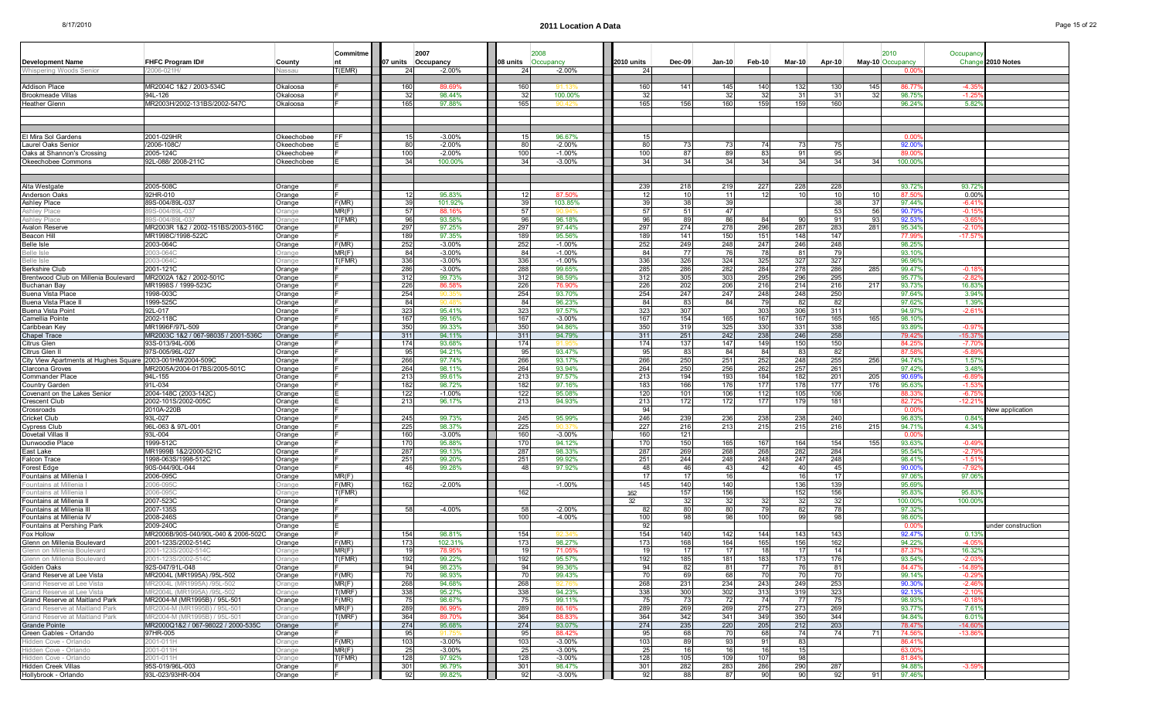| <b>Development Name</b>                                | <b>FHFC Program ID#</b>                                |                  | Commitme       |            | 2007<br>07 units Occupancy | 08 units        | Occupancy            | 2010 units | <b>Dec-09</b> | $Jan-10$        | Feb-10     | Mar-10     | Apr-10     |     | 2010                     | Occupancy               | Change 2010 Notes  |
|--------------------------------------------------------|--------------------------------------------------------|------------------|----------------|------------|----------------------------|-----------------|----------------------|------------|---------------|-----------------|------------|------------|------------|-----|--------------------------|-------------------------|--------------------|
| Whispering Woods Senior                                | 2006-021H                                              | County<br>lassai | T(EMR)         | 24         | $-2.00%$                   | 24              | $-2.00%$             | 24         |               |                 |            |            |            |     | May-10 Occupancy<br>0.00 |                         |                    |
|                                                        |                                                        |                  |                |            |                            |                 |                      |            |               |                 |            |            |            |     |                          |                         |                    |
| Addison Place                                          | MR2004C 1&2 / 2003-534C                                | Okaloosa         |                | 160        | 89.69%                     | 160             |                      | 160        | 141           | 145             | 140        | 132        | 130        | 145 | 86.77                    | $-4.3$                  |                    |
| Brookmeade Villas                                      | 94L-126                                                | Okaloosa         |                | 32         | 98.44%                     | 32              | 100.00%              | 32         |               | 32 <sub>l</sub> | 32         | -31        | 31         | 32  | 98.75                    | $-1.2$                  |                    |
| Heather Glenn                                          | MR2003H/2002-131BS/2002-547C                           | Okaloosa         |                | 165        | 97.88%                     | 165             | an 4                 | 165        | 156           | 160             | 159        | 159        | 160        |     | 96.24                    | $5.82^{\circ}$          |                    |
|                                                        |                                                        |                  |                |            |                            |                 |                      |            |               |                 |            |            |            |     |                          |                         |                    |
|                                                        |                                                        |                  |                |            |                            |                 |                      |            |               |                 |            |            |            |     |                          |                         |                    |
| El Mira Sol Gardens                                    | 2001-029HR                                             | Okeechobee       | FF             | 15         | $-3.00\%$                  | 15 <sup>1</sup> | 96.67%               | 15         |               |                 |            |            |            |     | 0.00                     |                         |                    |
| Laurel Oaks Senior                                     | /2006-108C                                             | Okeechobee       |                | 80         | $-2.00%$                   | 80              | $-2.00%$             | 80         | 73            | -731            | 74         | -73        | 75         |     | 92.00                    |                         |                    |
| Oaks at Shannon's Crossing                             | 2005-124C                                              | Okeechobee       |                | 100        | $-2.00%$                   | 100             | $-1.00%$             | 100        | 87            | -89             | 83         | 91         | 95         |     | 89.0                     |                         |                    |
| Okeechobee Commons                                     | 92L-088/2008-211C                                      | Okeechobee       |                | 34         | 100.00%                    | 34              | $-3.00%$             | 34         | 34            | 34              | 34         | 34         | 34         | 34  | 100.00                   |                         |                    |
|                                                        |                                                        |                  |                |            |                            |                 |                      |            |               |                 |            |            |            |     |                          |                         |                    |
|                                                        |                                                        |                  |                |            |                            |                 |                      |            |               |                 |            |            |            |     |                          |                         |                    |
| Alta Westgate<br>Anderson Oaks                         | 2005-508C<br>92HR-010                                  | Orange<br>Orange |                | 12         | 95.83%                     |                 | 87.50%               | 239<br>12  | 218<br>10     | 219<br>11       | 227        | 228        | 228<br>10  |     | 93.72<br>87.5            | 93.72<br>$0.00^{\circ}$ |                    |
| Ashley Place                                           | 89S-004/89L-037                                        | Orange           | F(MR)          | 39         | 101.92%                    | 39              | 103.85%              | 39         | 38            | 39              |            |            | 38         | 37  | 97.44%                   | $-6.41$                 |                    |
| <b>Ashley Place</b>                                    | S-004/89L-03                                           | )range           | MR(F)          | 57         | 88.16%                     | -57             |                      | 57         | 51            | 47              |            |            | 53         | 56  | 90.79                    | $-0.1$                  |                    |
| Ashlev Place                                           | S-004/89L-037                                          | )range           | T(FMR)         | 96         | 93.58%                     | 96              | 96.18%               | 96         | 89            | 86              | 84         | -90        | 91         | 93  | 92.53                    | -3.6                    |                    |
| Avalon Reserve                                         | MR2003R 1&2 / 2002-151BS/2003-516C                     | Orange           |                | 297        | 97.25%                     | 297             | 97.44%               | 297        | 274           | 278             | 296        | 287        | 283        | 281 | 95.34                    | $-2.1$                  |                    |
| Beacon Hill                                            | MR1998C/1998-522C                                      | Orange           |                | 189        | 97.35%                     | 189             | 95.56%               | 189        | 141           | 150             | 151        | 148        | 147        |     | 77.99                    | $-17.5$                 |                    |
| Belle Isle                                             | 2003-064C                                              | Orange           | F(MR)          | 252        | $-3.00\%$                  | 252             | $-1.00%$             | 252        | 249           | 248             | 247        | 246        | 248        |     | 98.25                    |                         |                    |
| Belle Isle                                             | 003-0640                                               | )range           | MR(F)          | 84         | $-3.00%$                   | 84              | $-1.00%$             | 84         | -77           | - 76            | 78         | -81        | 79         |     | 93.10                    |                         |                    |
| Belle Isle                                             | 003-064C<br>2001-121C                                  | Drange           | T(FMR)         | 336<br>286 | $-3.00\%$<br>$-3.00%$      | 336<br>288      | $-1.00%$<br>99.65%   | 336<br>285 | 326           | 324             | 325<br>284 | 327<br>278 | 327<br>286 |     | 96.96%<br>99.47          | $-0.18$                 |                    |
| Berkshire Club<br>Brentwood Club on Millenia Boulevard | MR2002A 1&2 / 2002-501C                                | Orange<br>Orange |                | 312        | 99.73%                     | 312             | 98.59%               | 312        | 286<br>305    | 282<br>303      | 295        | 296        | 295        | 285 | 95.77                    | $-2.8$                  |                    |
| Buchanan Bav                                           | MR1998S / 1999-523C                                    | Orange           |                | 226        | 86.58%                     | 226             | 76.90%               | 226        | 202           | 206             | 216        | 214        | 216        | 217 | 93.73                    | 16.83                   |                    |
| Buena Vista Place                                      | 1998-003C                                              | Orange           |                | 254        | 90.35                      | 254             | 93.70%               | 254        | 247           | 247             | 248        | 248        | 250        |     | 97.649                   | $3.94^{\circ}$          |                    |
| Buena Vista Place I                                    | 1999-525C                                              | Orange           |                | 84         |                            | 84              | 96.23%               | 84         | 83            | 84              | 79         | 82         | 82         |     | 97.62                    | 1.39'                   |                    |
| Buena Vista Point                                      | 92L-017                                                | Orange           |                | 323        | 95.41%                     | 323             | 97.57%               | 323        | 307           |                 | 303        | 306        | 311        |     | 94.97                    | $-2.61$                 |                    |
| Camellia Pointe                                        | 2002-118C                                              | Orange           |                | 167        | 99.16%                     | 167             | $-3.00%$             | 167        | 154           | 165             | 167        | 167        | 165        | 165 | 98.10%                   |                         |                    |
| Caribbean Key                                          | MR1996F/97L-509                                        | Orange           |                | 350        | 99.33%                     | 350             | 94.86%               | 350        | 319           | 325             | 330        | 331        | 338        |     | 93.89                    | $-0.97$                 |                    |
| <b>Chapel Trace</b><br>Citrus Glen                     | MR2003C 1&2 / 067-98035 / 2001-536C<br>93S-013/94L-006 | Orange           |                | 311<br>174 | 94.11%<br>93.68%           | 311<br>174      | 94.79%               | 311<br>174 | 251<br>137    | 242<br>147      | 238<br>149 | 246<br>150 | 258<br>150 |     | 79.42<br>84.2            | $-15.37$<br>$-7.7$      |                    |
| Citrus Glen I                                          | 97S-005/96L-027                                        | Orange<br>Orange |                | 95         | 94.21%                     | 95              | 93.47%               | 95         | 83            | 84              | 84         | -83        | 82         |     | 87.5                     | $-5.8$                  |                    |
| City View Apartments at Hughes Square                  | 2003-001HM/2004-509C                                   | Orange           |                | 266        | 97.74%                     | 266             | 93.17%               | 266        | 250           | 251             | 252        | 248        | 255        | 256 | 94.74                    | 1.57                    |                    |
| Clarcona Groves                                        | MR2005A/2004-017BS/2005-501C                           | Orange           |                | 264        | 98.11%                     | 264             | 93.94%               | 264        | 250           | 256             | 262        | 257        | 261        |     | 97.429                   | 3.48                    |                    |
| Commander Place                                        | 94L-155                                                | Orange           |                | 213        | 99.61%                     | 213             | 97.57%               | 213        | 194           | 193             | 184        | 182        | 201        | 205 | 90.6                     | $-6.8$                  |                    |
| Country Garden                                         | 91L-034                                                | Orange           |                | 182        | 98.72%                     | 182             | 97.16%               | 183        | 166           | 176             | 177        | 178        | 177        | 176 | 95.63                    | $-1.5$                  |                    |
| Covenant on the Lakes Senior                           | 2004-148C (2003-142C)                                  | Orange           |                | 122        | $-1.00%$                   | 122             | 95.08%               | 120        | 101           | 106             | 112        | 105        | 106        |     | 88.33                    | $-6.75$                 |                    |
| Crescent Club                                          | 2002-101S/2002-005C                                    | Orange           |                | 213        | 96.17%                     | 213             | 94.93%               | 213        | 172           | 172             | 177        | 179        | 181        |     | 82.72                    | $-12.2$                 |                    |
| Crossroads<br>Cricket Club                             | 2010A-220B<br>93L-027                                  | Orange<br>Orange |                | 245        | 99.73%                     | 245             | 95.99%               | 94<br>246  | 239           | 236             | 238        | 238        | 240        |     | 0.00<br>96.83            | $0.84^{\circ}$          | New application    |
| Cypress Club                                           | 96L-063 & 97L-001                                      | Orange           |                | 225        | 98.37%                     | 225             |                      | 227        | 216           | 213             | 215        | 215        | 216        | 215 | 94.71                    | $4.34^{\circ}$          |                    |
| Dovetail Villas                                        | 93L-004                                                | Orange           |                | 160        | $-3.00%$                   | 160             | $-3.00%$             | 160        | 121           |                 |            |            |            |     | 0.00                     |                         |                    |
| Dunwoodie Place                                        | 1999-512C                                              | Orange           |                | 170        | 95.88%                     | 170             | 94.12%               | 170        | 150           | 165             | 167        | 164        | 154        | 155 | 93.63%                   | $-0.49$                 |                    |
| East Lake                                              | MR1999B 1&2/2000-521C                                  | Orange           |                | 287        | 99.13%                     | 287             | 98.33%               | 287        | 269           | 268             | 268        | 282        | 284        |     | 95.54                    | -2.79                   |                    |
| Falcon Trace                                           | 1998-063S/1998-512C                                    | Orange           |                | 251        | 99.20%                     | 251             | 99.92%               | 251        | 244           | 248             | 248        | 247        | 248        |     | 98.41                    | $-1.51$                 |                    |
| Forest Edge                                            | 90S-044/90L-044                                        | Orange           |                | 46         | 99.28%                     | 48              | 97.92%               | 48         | 46            | 43              | 42         | 40         | 45         |     | 90.00                    | $-7.9$                  |                    |
| Fountains at Millenia                                  | 2006-095C                                              | Orange           | MR(F)<br>F(MR) |            |                            |                 |                      | 17<br>145  | 17            | 16<br>140       |            | -16        | 17         |     | 97.06                    | 97.06                   |                    |
| Fountains at Millenia<br>Fountains at Millenia         | 006-095C<br>006-095C                                   | )range<br>)range | T(FMR)         | 162        | $-2.00%$                   | 162             | $-1.00%$             | 162        | 140<br>157    | 156             |            | 136<br>152 | 139<br>156 |     | 95.69%<br>95.83          | 95.83                   |                    |
| Fountains at Millenia i                                | 2007-523C                                              | Orange           |                |            |                            |                 |                      | 32         | 32            | -32             |            | -32        | 32         |     | 100.00                   | 100.00                  |                    |
| Fountains at Millenia III                              | 2007-135S                                              | Orange           |                | 58         | $-4.00%$                   | 58              | $-2.00%$             | 82         | 80            | 80              | 79         | 82         | 78         |     | 97.32                    |                         |                    |
| Fountains at Millenia IV                               | 2008-246S                                              | Orange           |                |            |                            | 100             | $-4.00%$             | 100        | 98            | -981            | 100        | 99         | -98        |     | 98.60                    |                         |                    |
| Fountains at Pershing Park                             | 2009-240C                                              | Orange           |                |            |                            |                 |                      | 92         |               |                 |            |            |            |     | 0.00                     |                         | under construction |
| Fox Hollow                                             | MR2006B/90S-040/90L-040 & 2006-502C                    | Orange           |                | 154        | 98.81%                     | 154             |                      | 154        | 140           | 142             | 144        | 143        | 143        |     | 92.47                    | 0.13                    |                    |
| Glenn on Millenia Boulevard                            | 2001-123S/2002-514C                                    | Orange           | F(MR)          | 173        | 102.31%                    | 173             | 98.27%               | 173        | 168           | 164             | 165        | 156        | 162        |     | 94.22                    | -4.0                    |                    |
| Glenn on Millenia Boulevard                            | 2001-123S/2002-514C                                    | Drange           | MR(F)          | 19         | 78.959                     | 19              | 71.05%               | 19         | 17            | 17              | 18         | - 17       | 14         |     | 87.37                    | 16.32                   |                    |
| Glenn on Millenia Boulevard<br>Golden Oaks             | 2001-123S/2002-514(<br>92S-047/91L-048                 |                  | T(FMR)         | 192<br>94  | 99.22%<br>98.23%           | 192<br>94       | 95.57%<br>99.36%     | 192<br>94  | 185<br>82     | 181 I<br>81     | 183<br>77  | 173<br>76  | 176<br>81  |     | 93.549<br>84.47          | $-14.89$                |                    |
| Grand Reserve at Lee Vista                             | MR2004L (MR1995A) /95L-502                             | Orange<br>Orange | F(MR)          | 70         | 98.93%                     | 70              | 99.43%               | 70         | 69            | 68              | 70         | 70         | 70         |     | 99.14%                   | $-0.29$                 |                    |
| Grand Reserve at Lee Vista                             | IR2004L (MR1995A) /95L-502                             | Drange           | MR(F)          | 268        | 94.68%                     | 268             | 92.76%               | 268        | 231           | 234             | 243        | 249        | 253        |     | 90.30                    | $-2.46$                 |                    |
| Grand Reserve at Lee Vista                             | (R2004L (MR1995A) / 95L-502                            | Orange           | T(MRF)         | 338        | 95.27%                     | 338             | 94.23%               | 338        | 300           | 302             | 313        | 319        | 323        |     | 92.13                    | $-2.10$                 |                    |
| Grand Reserve at Maitland Park                         | MR2004-M (MR1995B) / 95L-501                           | Orange           | F(MR)          | 75         | 98.67%                     | 75              | 99.11%               | 75         | 73            | 721             | 74         | 77         | 75         |     | 98.93%                   | $-0.18$                 |                    |
| Grand Reserve at Maitland Park                         | MR2004-M (MR1995B) / 95L-501                           | Orange           | MR(F)          | 289        | 86.99%                     | 289             | 86.16%               | 289        | 269           | 269             | 275        | 273        | 269        |     | 93.77%                   | 7.619                   |                    |
| Grand Reserve at Maitland Park                         | /IR2004-M (MR1995B) / 95L-501                          | Orange           | T(MRF)         | 364        | 89.70%                     | 364             | 88.83%               | 364        | 342           | 341             | 349        | 350        | 344        |     | 94.84%                   | 6.01%                   |                    |
| Grande Pointe                                          | MR2000Q1&2 / 067-98022 / 2000-535C                     | Orange           |                | 274        | 95.68%                     | 274             | 93.07%               | 274        | 235           | 220             | 205        | 212        | 203        |     | 78.47                    | $-14.60$                |                    |
| Green Gables - Orlando                                 | 97HR-005                                               | Orange           |                | 95         | 91.7!                      | 95              | 88.42%               | -95        | 68            | 70              | 68         | 74         | 741        | 71  | 74.56                    | $-13.86$                |                    |
| Hidden Cove - Orlando<br>Hidden Cove - Orlando         | 2001-011H<br>001-011H                                  | Orange<br>Orange | F(MR)<br>MR(F) | 103<br>25  | $-3.00\%$<br>$-3.00%$      | 103<br>25       | $-3.00%$<br>$-3.00%$ | 103<br>25  | 89<br>16      | -931<br>16      | 91<br>16   | 83<br>15   |            |     | 86.41<br>63.00           |                         |                    |
| Hidden Cove - Orlando                                  | :001-011H                                              | Jrange           | T(FMR)         | 128        | 97.92%                     | 128             | $-3.00%$             | 128        | 105           | 109             | 107        | 98         |            |     | 81.84%                   |                         |                    |
| Hidden Creek Villas                                    | 95S-019/96L-003                                        | Orange           |                | 301        | 96.79%                     | 301             | 98.47%               | 301        | 282           | 283             | 286        | 290        | 287        |     | 94.88%                   | $-3.59$                 |                    |
| Hollybrook - Orlando                                   | 93L-023/93HR-004                                       | Orange           |                | 92         | 99.82%                     | 92              | $-3.00\%$            | 92         | 88            | 87              | 90         | 90         | 92         | 91  | 97.46%                   |                         |                    |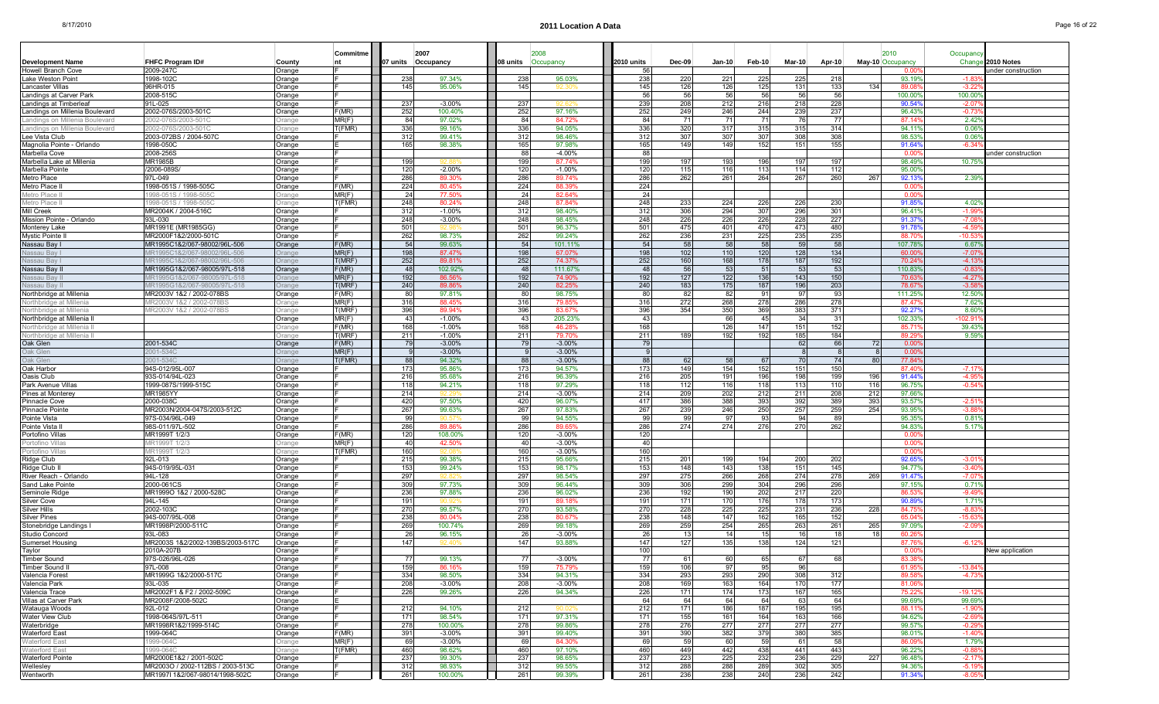|                                |                                  |        | Commitme |     | 2007               |                 | 2008      |            |     |               |          |          |               |        |     | 2010             | Occupand       |                   |
|--------------------------------|----------------------------------|--------|----------|-----|--------------------|-----------------|-----------|------------|-----|---------------|----------|----------|---------------|--------|-----|------------------|----------------|-------------------|
| <b>Development Name</b>        | FHFC Program ID#                 | County | nt       |     | 07 units Occupancy | 08 units        | Occupancy | 2010 units |     | <b>Dec-09</b> | $Jan-10$ | $Feb-10$ | <b>Mar-10</b> | Apr-10 |     | May-10 Occupancy |                | Change 2010 Notes |
| Howell Branch Cove             | 2009-247C                        | Orange |          |     |                    |                 |           |            | 56  |               |          |          |               |        |     | 0.00             |                | nder construction |
| Lake Weston Point              | 1998-102C                        | Orange |          | 238 | 97.34%             | 238             | 95.03%    |            | 238 | 220           | 221      | 225      | 225           | 218    |     | 93.19%           | $-1.8$         |                   |
| Lancaster Villas               | 96HR-015                         | Orange |          | 145 | 95.06%             | 145             |           |            | 145 | 126           | 126      | 125      | 131           | 133    | 134 | 89.0             | $-3.22$        |                   |
| Landings at Carver Park        | 2008-515C                        | Orange |          |     |                    |                 |           |            | 56  | 56            | 56       | 56       | 56            | 56     |     | 100.00%          | 100.00         |                   |
| Landings at Timberlea          | 91L-025                          | Orange |          | 237 | $-3.00%$           | 237             |           |            | 239 | 208           | 212      | 216      | 218           | 228    |     | 90.54            | $-2.0$         |                   |
| Landings on Millenia Boulevard | 2002-076S/2003-501C              | Orange | F(MR)    | 252 | 100.40%            | 252             | 97.16%    |            | 252 | 249           | 246      | 244      | 239           | 237    |     | 96.43%           | $-0.73$        |                   |
| Landings on Millenia Boulevard | 2002-076S/2003-501C              | Drange | MR(F)    | 84  | 97.02%             | -84             | 84.72%    |            | 84  | 71            | 71       | 71       | 76            | - 77   |     | 87.14            | $2.42^{\circ}$ |                   |
| Landings on Millenia Boulevard | 002-076S/2003-501C               | )range | T(FMR)   | 336 | 99.16%             | 336             | 94.05%    |            | 336 | 320           | 317      | 315      | 315           | 314    |     | 94.11            | 0.06           |                   |
| Lee Vista Club                 | 2003-072BS / 2004-507C           | Orange |          | 312 | 99.41%             | 312             | 98.46%    |            | 312 | 307           | 307      | 307      | 308           | 308    |     | 98.539           | 0.06           |                   |
| Magnolia Pointe - Orlando      | 1998-050C                        | Orange |          | 165 | 98.38%             | 165             | 97.98%    |            | 165 | 149           | 149      | 152      | 151           | 155    |     | 91.64%           | $-6.34$        |                   |
|                                | 2008-256S                        |        |          |     |                    | 88              | $-4.00%$  |            | 88  |               |          |          |               |        |     | 0.00             |                |                   |
| Marbella Cove                  |                                  | Orange |          |     |                    |                 |           |            |     |               |          |          |               |        |     |                  |                | nder construction |
| Marbella Lake at Millenia      | <b>MR1985B</b>                   | Orange |          | 199 | 92 R               | 199             | 87.74%    |            | 199 | 197           | 193      | 196      | 197           | 197    |     | 98.49%           | 10.75          |                   |
| Marbella Pointe                | /2006-089S/                      | Orange |          | 120 | $-2.00%$           | 120             | $-1.00%$  |            | 120 | 115           | 116      | 113      | 114           | 112    |     | 95.009           |                |                   |
| Metro Place                    | 97L-049                          | Orange |          | 286 | 89.30%             | 286             | 89.74%    |            | 286 | 262           | 261      | 264      | 267           | 260    | 267 | 92.139           | 2.39           |                   |
| Metro Place                    | 1998-051S / 1998-505C            | Orange | F(MR)    | 224 | 80.45%             | 224             | 88.39%    |            | 224 |               |          |          |               |        |     | 0.00             |                |                   |
| Metro Place I                  | 998-051S / 1998-5050             | Drange | MR(F)    | 24  | 77.50%             | -24             | 82.64%    |            | 24  |               |          |          |               |        |     | n n              |                |                   |
| Metro Place I                  | 998-051S / 1998-5050             | Orange | T(FMR)   | 248 | 80.24%             | 248             | 87.84%    |            | 248 | 233           | 224      | 226      | 226           | 230    |     | 91.85            | 4.029          |                   |
| Mill Creek                     | MR2004K / 2004-516C              | Orange |          | 312 | $-1.00%$           | 312             | 98.40%    |            | 312 | 306           | 294      | 307      | 296           | 301    |     | 96.41            |                |                   |
| Mission Pointe - Orlando       | 93L-030                          | Orange |          | 248 | $-3.00%$           | 248             | 98.45%    |            | 248 | 226           | 226      | 226      | 228           | 227    |     | 91.37'           | -7.0           |                   |
| Monterey Lake                  | MR1991E (MR1985GG)               | Orange |          | 501 | <b>Q2 QI</b>       | 501             | 96.37%    |            | 501 | 475           | 401      | 470      | 473           | 480    |     | 91.78            | $-4.5$         |                   |
| Mystic Pointe II               | MR2000F1&2/2000-501C             | Orange |          | 262 | 98.73%             | 262             | 99.24%    |            | 262 | 236           | 231      | 225      | 235           | 235    |     | 88.7             | -10.           |                   |
| Nassau Bay I                   | MR1995C1&2/067-98002/96L-506     | Orange | F(MR)    | 54  | 99.63%             | - 54            | 101.11%   |            | 54  | 58            | 58       | 58       | 59            | 58     |     | 107.78           | 6.67           |                   |
| Nassau Bay                     | IR1995C1&2/067-98002/96L-506     |        | MR(F)    | 198 | 87.47%             | 198             | 67.07%    |            | 198 | 102           | 110      | 120      | 128           | 134    |     | 60.00            | $-7.0$         |                   |
| Nassau Bav I                   | IR1995C1&2/067-98002/96L-506     | Drange | T(MRF)   | 252 | 89.81%             | 252             | 74.37%    |            | 252 | 160           | 168      | 178      | 187           | 192    |     | 70.24            | $-41$          |                   |
| Nassau Bay II                  | MR1995G1&2/067-98005/97L-518     | Orange | F(MR)    | 48  | 102.92%            | 48              | 111.67%   |            | 48  | 56            | 53       | 51       | 53            | 53     |     | 110.83           | $-0.8$         |                   |
| Nassau Bav II                  | IR1995G1&2/067-98005/97L-518     | Drange | MR(F)    | 192 | 86.56%             | 192             | 74.90%    |            | 192 | 127           | 122      | 136      | 143           | 150    |     | 70.6             | $-4.27$        |                   |
| Nassau Bay I                   | IR1995G1&2/067-98005/97L-518     | Drange | T(MRF)   | 240 | 89.86%             | 240             | 82.25%    |            | 240 | 183           | 175      | 187      | 196           | 203    |     | 78.67            | $-3.5$         |                   |
| Northbridge at Millenia        | MR2003V 1&2 / 2002-078BS         | Orange | F(MR)    | 80  | 97.81%             | 80              | 98.75%    |            | 8   | 82            | 82       | 91       | 97            | -93    |     | 111.25           | 12.50          |                   |
|                                |                                  |        |          | 316 |                    |                 |           |            | 316 |               |          |          |               |        |     |                  |                |                   |
| Northbridge at Millenia        | 1R2003V 1&2 / 2002-078BS         | Drange | MR(F)    |     | 88.45%             | 316             | 79.85%    |            |     | 272           | 268      | 278      | 286           | 278    |     | 87.47            | 7.62           |                   |
| Northbridge at Millenia        | R2003V 1&2 / 2002-078BS          | Drange | T(MRF)   | 396 | 89.94%             | 396             | 83.67%    |            | 396 | 354           | 350      | 369      | 383           | 371    |     | 92.27            | 8.60           |                   |
| Northbridge at Millenia II     |                                  | Orange | MR(F)    | 43  | $-1.00\%$          | 43              | 205.23%   |            | 43  |               | 66       | 45       | -34           | 31     |     | 102.339          | 102.9          |                   |
| Northbridge at Millenia        |                                  | Orange | F(MR)    | 168 | $-1.00\%$          | 168             | 46.28%    |            | 168 |               | 126      | 147      | 151           | 152    |     | 85.71            | 39.43          |                   |
| Northbridge at Millenia I      |                                  | )range | T(MRF)   | 211 | $-1.00%$           | 21 <sup>1</sup> | 79.70%    |            | 211 | 189           | 192      | 192      | 185           | 184    |     | 89.29            | 9.59           |                   |
| Oak Glen                       | 2001-534C                        | Orange | F(MR)    | 79  | $-3.00%$           | 79              | $-3.00%$  |            | 79  |               |          |          | 62            | 66     | 72  | 0.00             |                |                   |
| Oak Glen                       | $01 - 534$                       | )range | MR(F)    |     | $-3.00%$           |                 | $-3.00%$  |            |     |               |          |          |               |        |     | 0.00             |                |                   |
| Oak Glen                       | 001-5340                         | )range | T(FMR)   | 88  | 94.32%             | 88              | $-3.00%$  |            | 88  | 62            | 58       | 67       | - 70          | 74     | 80  | 77.84            |                |                   |
| Oak Harbor                     | 94S-012/95L-007                  | Orange |          | 173 | 95.86%             | 173             | 94.57%    |            | 173 | 149           | 154      | 152      | 151           | 150    |     | 87.40            | $-7.17$        |                   |
| Oasis Club                     | 93S-014/94L-023                  | Orange |          | 216 | 95.68%             | 216             | 96.39%    |            | 216 | 205           | 191      | 196      | 198           | 199    | 196 | 91.44            | $-4.9$         |                   |
| Park Avenue Villas             | 1999-087S/1999-515C              | Orange |          | 118 | 94.21%             | 118             | 97.29%    |            | 118 | 112           | 116      | 118      | 113           | 110    | 116 | 96.75%           | $-0.54$        |                   |
| Pines at Monterey              | MR1985YY                         | Orange |          | 214 |                    | 214             | $-3.00%$  |            | 214 | 209           | 202      | 212      | 211           | 208    | 212 | 97.669           |                |                   |
| Pinnacle Cove                  | 2000-038C                        | Orange |          | 420 | 97.50%             | 420             | 96.07%    |            | 417 | 386           | 388      | 393      | 392           | 389    | 393 | 93.57%           | -2.5           |                   |
| Pinnacle Pointe                | MR2003N/2004-047S/2003-512C      | Orange |          | 267 | 99.63%             | 267             | 97.83%    |            | 267 | 239           | 246      | 250      | 257           | 259    | 254 | 93.95%           | -3.8           |                   |
| Pointe Vista                   | 97S-034/96L-049                  | Orange |          | 99  |                    | 99              | 94.55%    |            | 99  | 99            | 97       | 93       | -94           |        |     | 95.359           | 0.81           |                   |
| Pointe Vista I                 | 98S-011/97L-502                  | Orange |          | 286 | 89.86              | 286             | 89.65%    |            | 286 | 274           | 274      | 276      | 270           | 262    |     | 94.83%           | 5.17           |                   |
| Portofino Villas               | MR1999T 1/2/3                    | Orange | F(MR)    | 120 | 108.00%            | 120             | $-3.00%$  |            | 120 |               |          |          |               |        |     | 0.00             |                |                   |
| Portofino Villas               | IR1999T 1/2/3                    | )range | MR(F)    | 40  | 42.509             | 40              | $-3.00%$  |            | 40  |               |          |          |               |        |     | 0.00             |                |                   |
| Portofino Villas               | IR1999T 1/2/3                    | Orange | T(FMR)   | 160 | 92.0               | 160             | $-3.00%$  |            | 160 |               |          |          |               |        |     | 0.00             |                |                   |
| Ridge Club                     | 92L-013                          | Orange |          | 215 | 99.38%             | 215             | 95.66%    |            | 215 | 201           | 199      | 194      | 200           | 202    |     | 92.65            | -3.0           |                   |
| Ridge Club II                  | 94S-019/95L-031                  | Orange |          | 153 | 99.24%             | 153             | 98.17%    |            | 153 | 148           | 143      | 138      | 151           | 145    |     | 94.77%           | -3.40          |                   |
| River Reach - Orlando          | 94L-128                          | Orange |          | 297 |                    | 297             | 98.54%    |            | 297 | 275           | 266      | 268      | 274           | 278    | 269 | 91.47'           | $-7.0$         |                   |
| Sand Lake Pointe               | 2000-061CS                       | Orange |          | 309 | 97.73%             | 309             | 96.44%    |            | 309 | 306           | 299      | 304      | 296           | 296    |     | 97.15%           | 0.71           |                   |
| Seminole Ridge                 | MR1999O 1&2 / 2000-528C          | Orange |          | 236 | 97.88%             | 236             | 96.02%    |            | 236 | 192           | 190      | 202      | 217           | 220    |     | 86.53            | $-9.49$        |                   |
|                                | 94L-145                          |        |          | 191 |                    | 19 <sup>°</sup> | 89.189    |            | 191 | 171           | 170      | 176      | 178           | 173    |     | 90.89            | 1.71           |                   |
| Silver Cove                    |                                  | Orange |          |     |                    |                 |           |            |     |               |          |          |               |        |     |                  |                |                   |
| Silver Hills                   | 2002-103C                        | Orange |          | 270 | 99.57%             | 270             | 93.58%    |            | 270 | 228           | 225      | 225      | 231           | 236    | 228 | 84.75            | ۶ ۹۔           |                   |
| Silver Pines                   | 94S-007/95L-008                  | Orange |          | 238 | 80.04%             | 238             | 80.67%    |            | 238 | 148           | 147      | 162      | 165           | 152    |     | 65.04            | $-15.6$        |                   |
| Stonebridge Landings I         | MR1998P/2000-511C                | Orange |          | 269 | 100.74%            | 269             | 99.18%    |            | 269 | 259           | 254      | 265      | 263           | 261    | 265 | 97.099           | $-2.0$         |                   |
| Studio Concord                 | 93L-083                          | Orange |          | -26 | 96.15%             | 26              | $-3.00\%$ |            | 26  | 13            | 14       | 15       | -16           | 18     | 18  | 60.26            |                |                   |
| Sumerset Housing               | MR2003S 1&2/2002-139BS/2003-517C | Orange |          | 147 |                    | 147             | 93.88%    |            | 147 | 127           | 135      | 138      | 124           | 121    |     | 87.76            | $-6.12$        |                   |
| Taylor                         | 2010A-207B                       | Orange |          |     |                    |                 |           |            | 100 |               |          |          |               |        |     | 0.00             |                | New application   |
| Timber Sound                   | 97S-026/96L-026                  | Orange |          | 77  | 99.13%             | -77 I           | $-3.00%$  |            | 77  | 61            | 60       | 65       | 67            | 68     |     | 83.38            |                |                   |
| Timber Sound II                | 97L-008                          | Orange |          | 159 | 86.16%             | 159             | 75.79%    |            | 159 | 106           | 97       | 95       | 96            |        |     | 61.95            | $-13.84$       |                   |
| Valencia Forest                | MR1999G 1&2/2000-517C            | Orange |          | 334 | 98.50%             | 334             | 94.31%    |            | 334 | 293           | 293      | 290      | 308           | 312    |     | 89.58            | $-4.73$        |                   |
| Valencia Park                  | 93L-035                          | Orange |          | 208 | $-3.00%$           | 208             | $-3.00%$  |            | 208 | 169           | 163      | 164      | 170           | 177    |     | 81.06            |                |                   |
| Valencia Trace                 | MR2002F1 & F2 / 2002-509C        | Orange |          | 226 | 99.26%             | 226             | 94.34%    |            | 226 | 171           | 174      | 173      | 167           | 165    |     | 75.22            | $-19.12$       |                   |
| Villas at Carver Park          | MR2008F/2008-502C                | Orange |          |     |                    |                 |           |            | 64  | 64            | 64       | 64       | 63            | 64     |     | 99.69%           | 99.69          |                   |
| Watauga Woods                  | 92L-012                          | Orange |          | 212 | 94.10%             | 212             |           |            | 212 | 171           | 186      | 187      | 195           | 195    |     | 88.119           | $-1.90$        |                   |
| Water View Club                | 1998-064S/97L-511                | Orange |          | 171 | 98.54%             | 171             | 97.31%    |            | 171 | 155           | 161      | 164      | 163           | 166    |     | 94.62%           | $-2.69$        |                   |
| Waterbridge                    | MR1998R1&2/1999-514C             | Orange |          | 278 | 100.00%            | 278             | 99.86%    |            | 278 | 276           | 277      | 277      | 277           | 277    |     | 99.57%           | $-0.29$        |                   |
| Waterford East                 | 1999-064C                        | Orange | F(MR)    | 391 | $-3.00%$           | 391             | 99.40%    |            | 391 | 390           | 382      | 379      | 380           | 385    |     | 98.01%           | $-1.40$        |                   |
| Waterford East                 | 999-064C                         | Orange | MR(F)    | 69  | $-3.00%$           | 69              | 84.30%    |            | 69  | 59            | 60       | 59       | 61            | 58     |     | 86.09            | 1.799          |                   |
| <b>Waterford East</b>          | 999-064C                         |        | T(FMR)   | 460 | 98.62%             | 460             | 97.10%    |            | 460 | 449           | 442      | 438      | 441           | 443    |     | 96.22%           | $-0.88$        |                   |
|                                |                                  | Orange |          | 237 |                    | 237             |           |            | 237 |               |          | 232      |               | 229    |     |                  |                |                   |
| Waterford Pointe               | MR2000E1&2 / 2001-502C           | Orange |          |     | 99.30%             |                 | 98.65%    |            |     | 223           | 225      |          | 236           |        | 227 | 96.48%           | $-2.17$        |                   |
| Wellesley                      | MR2003O / 2002-112BS / 2003-513C | Orange |          | 312 | 98.93%             | 312             | 99.55%    |            | 312 | 288           | 288      | 289      | 302           | 305    |     | 94.36%           | $-5.1$         |                   |
| Wentworth                      | MR1997I 1&2/067-98014/1998-502C  | Orange |          | 261 | 100.00%            | 261             | 99.39%    |            | 261 | 236           | 238      | 240      | 236           | 242    |     | 91.34%           | $-8.05$        |                   |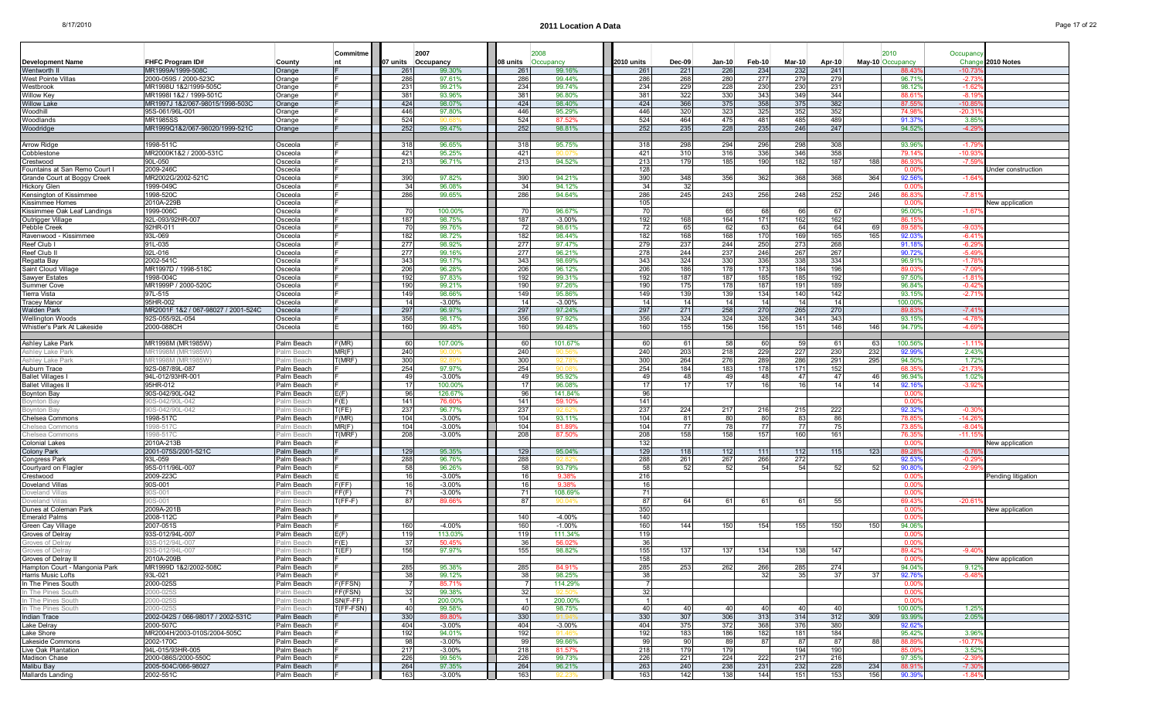| <b>Development Name</b>                     | FHFC Program ID#                                   | County                   | Commitme   |            | 2007<br>07 units Occupancy | 08 units   | 2008<br>Occupancy    | 2010 units | <b>Dec-09</b> | Jan-10     | Feb-10     | $Mar-10$   | Apr-10     | May-10 Occupancy | 2010              | Occupanc<br>Chang         | 2010 Notes             |
|---------------------------------------------|----------------------------------------------------|--------------------------|------------|------------|----------------------------|------------|----------------------|------------|---------------|------------|------------|------------|------------|------------------|-------------------|---------------------------|------------------------|
| Wentworth I                                 | MR1999A/1999-5080                                  | Orange                   |            | 261        | 99.30%                     | 261        | 99.16%               | 261        | 221           | 226        | 234        | 232        | 241        |                  | 88.43             | $-10.7$                   |                        |
| West Pointe Villas                          | 2000-059S / 2000-523C                              | Orange                   |            | 286        | 97.61%                     | 286        | 99.44%               | 286        | 268           | 280        | 277        | 279        | 279        |                  | 96.71             | $-2.7$                    |                        |
| Westbrook                                   | MR1998U 1&2/1999-505C                              | Orange                   |            | 231        | 99.21%                     | 234        | 99.74%               | 234        | 229           | 228        | 230        | 230        | 231        |                  | 98.12             | $-1.62$                   |                        |
| Willow Key                                  | MR1998I 1&2 / 1999-501C                            | Orange                   |            | 381        | 93.96%                     | 381        | 96.80%               | 381        | 322           | 330        | 343        | 349        | 344        |                  | 88.6              | $-8.1$                    |                        |
| <b>Willow Lake</b>                          | MR1997J 1&2/067-98015/1998-503C<br>95S-061/96L-001 | Orange                   |            | 424        | 98.07%                     | 424        | 98.40%               | 424        | 366           | 375        | 358        | 375        | 382        |                  | 87.55             | $-10.8$                   |                        |
| Woodhill<br>Woodlands                       | MR1985SS                                           | Orange<br>Orange         |            | 446<br>524 | 97.80%                     | 446<br>524 | 95.29%<br>87.52%     | 446<br>524 | 320<br>464    | 323<br>475 | 325<br>481 | 352<br>485 | 352<br>489 |                  | 74.98<br>91.37    | -20.3<br>3.85             |                        |
| Woodridge                                   | MR1999Q1&2/067-98020/1999-521C                     | Orange                   |            | 252        | 99.47%                     | 252        | 98.81%               | 252        | 235           | 228        | 235        | 246        | 247        |                  | 94.52             | $-4.29$                   |                        |
|                                             |                                                    |                          |            |            |                            |            |                      |            |               |            |            |            |            |                  |                   |                           |                        |
| Arrow Ridge                                 | 1998-511C                                          | Osceola                  |            | 318        | 96.65%                     | 318        | 95.75%               | 318        | 298           | 294        | 296        | 298        | 308        |                  | 93.96             | $-1.79$                   |                        |
| Cobblestone                                 | MR2000K1&2 / 2000-531C                             | Osceola                  |            | 421        | 95.25%                     | 421        |                      | 421        | 310           | 316        | 336        | 346        | 358        |                  | 79.14             | -10.9                     |                        |
| Crestwood                                   | 90L-050                                            | Osceola                  |            | 213        | 96.71%                     | 213        | 94.52%               | 213        | 179           | 185        | 190        | 182        | 187        | 188              | 86.93             | $-7.59$                   |                        |
| Fountains at San Remo Court                 | 2009-246C                                          | Osceola                  |            |            |                            |            |                      | 128        |               |            |            |            |            |                  | 0.00              |                           | Jnder construction     |
| Grande Court at Boggy Creek<br>Hickory Glen | MR2002G/2002-521C                                  | Osceola                  |            | 390        | 97.82%                     | 390        | 94.21%               | 390        | 348           | 356        | 362        | 368        | 368        | 364              | 92.56             | $-1.64$                   |                        |
| Kensington of Kissimmee                     | 1999-049C<br>1998-520C                             | Osceola<br>Osceola       |            | 34<br>286  | 96.08%<br>99.65%           | 34<br>286  | 94.12%<br>94.64%     | 34<br>286  | 32<br>245     | 243        | 256        | 248        | 252        | 246              | 0.00<br>86.83     | $-7.81$                   |                        |
| Kissimmee Homes                             | 2010A-229E                                         | Osceola                  |            |            |                            |            |                      | 105        |               |            |            |            |            |                  | 0.00              |                           | New application        |
| Kissimmee Oak Leaf Landings                 | 1999-006C                                          | Osceola                  |            | 70         | 100.00%                    |            | 96.67%               | 70         |               | 65         | 68         | 66         | 67         |                  | 95.00             | $-1.67$                   |                        |
| Outrigger Village                           | 92L-093/92HR-007                                   | Osceola                  |            | 187        | 98.75%                     | 187        | $-3.00%$             | 192        | 168           | 164        | 171        | 162        | 162        |                  | 86.15             |                           |                        |
| Pebble Creek                                | 92HR-011                                           | Osceola                  |            | 70         | 99.76%                     | 72         | 98.61%               | 72         | 65            | 62         | 63         | 64         | 64         | 69               | 89.5              | $-9.03$                   |                        |
| Ravenwood - Kissimmee                       | 93L-069                                            | Osceola                  |            | 182        | 98.72%                     | 182        | 98.44%               | 182        | 168           | 168        | 170        | 169        | 165        | 165              | 92.03             | $-6.4^{\circ}$            |                        |
| Reef Club I                                 | 91L-035                                            | Osceola                  |            | 277        | 98.92%                     | 277        | 97.47%               | 279        | 237           | 244        | 250        | 273        | 268        |                  | 91.18             | $-6.29$                   |                        |
| Reef Club II                                | 92L-016                                            | Osceola                  |            | 277        | 99.16%                     | 277        | 96.21%               | 278        | 244           | 237        | 246        | 267        | 267        |                  | 90.72             | $-5.49$                   |                        |
| Regatta Bay                                 | 2002-541C                                          | Osceola                  |            | 343        | 99.17%                     | 343        | 98.69%               | 343        | 324           | 330        | 336        | 338        | 334        |                  | 96.91             | $-1.78$                   |                        |
| Saint Cloud Village                         | MR1997D / 1998-518C<br>1998-004C                   | Osceola                  |            | 206<br>192 | 96.28%<br>97.83%           | 206<br>192 | 96.12%<br>99.31%     | 206<br>192 | 186<br>187    | 178<br>187 | 173<br>185 | 184<br>185 | 196<br>192 |                  | 89.0<br>97.50     | $-7.0$<br>$-1.8$          |                        |
| Sawyer Estates<br><b>Summer Cove</b>        | MR1999P / 2000-520C                                | Osceola<br>Osceola       |            | 190        | 99.21%                     | 190        | 97.26%               | 190        | 175           | 178        | 187        | 191        | 189        |                  | 96.84             | $-0.42$                   |                        |
| Tierra Vista                                | 97L-515                                            | Osceola                  |            | 149        | 98.66%                     | 149        | 95.86%               | 149        | 139           | 139        | 134        | 140        | 142        |                  | 93.15             | $-2.71$                   |                        |
| Tracey Manor                                | 95HR-002                                           | Osceola                  |            | 14         | $-3.00%$                   | 14         | $-3.00%$             | 14         | 14            | 14         | 14         | 14         | 14         |                  | 100.00            |                           |                        |
| Walden Park                                 | MR2001F 1&2 / 067-98027 / 2001-524C                | Osceola                  |            | 297        | 96.97%                     | 297        | 97.24%               | 297        | 271           | 258        | 270        | 265        | 270        |                  | 89.8              | $-7.41$                   |                        |
| Wellington Woods                            | 92S-055/92L-054                                    | Osceola                  |            | 356        | 98.17%                     | 356        | 97.92%               | 356        | 324           | 324        | 326        | 341        | 343        |                  | 93.15             | $-4.78$                   |                        |
| Whistler's Park At Lakeside                 | 2000-088CH                                         | Osceola                  |            | 160        | 99.48%                     | 160        | 99.48%               | 160        | 155           | 156        | 156        | 151        | 146        | 146              | 94.79%            | $-4.69$                   |                        |
|                                             |                                                    |                          |            |            |                            |            |                      |            |               |            |            |            |            |                  |                   |                           |                        |
| Ashley Lake Park                            | MR1998M (MR1985W)                                  | Palm Beach               | F(MR)      | 60         | 107.00%                    | 60         | 101.67%              | 60         | 61            | 58         | 60         | -59        | 61         | 63               | 100.56            | $-1.11$                   |                        |
| Ashley Lake Park                            | <b>IR1998M (MR19</b>                               | alm Beach                | MR(F)      | 240        |                            | 240        |                      | 240        | 203           | 218        | 229        | 227        | 230        | 232              | 92.99             | $2.43^{\circ}$            |                        |
| Ashley Lake Park                            | IR1998M (MR19<br>92S-087/89L-087                   | alm Beach?<br>Palm Beach | T(MRF)     | 300<br>254 | 97.97%                     | 300<br>254 |                      | 300<br>254 | 264<br>184    | 276<br>183 | 289<br>178 | 286<br>171 | 291<br>152 | 295              | 94.50<br>68.3     | $1.72^{\circ}$<br>$-21.7$ |                        |
| Auburn Trace<br><b>Ballet Villages</b>      | 94L-012/93HR-001                                   | Palm Beach               |            | 49         | $-3.00%$                   | 49         | 95.92%               | 49         | 48            | 49         | 48         | -47        | 47         | 46               | 96.94%            | $1.02^{\circ}$            |                        |
| <b>Ballet Villages</b>                      | 95HR-012                                           | Palm Beach               |            | 17         | 100.00%                    | 17         | 96.08%               | 17         | 17            | 17         | 16         | 16         | 14         | 14               | 92.16             | $-3.92$                   |                        |
| Boynton Bay                                 | 90S-042/90L-042                                    | Palm Beach               | E(F)       | 96         | 126.67%                    | 96         | 141.84%              | 96         |               |            |            |            |            |                  | 0.00              |                           |                        |
| Boynton Bay                                 | 0S-042/90L-042                                     | alm Beach                | F(E)       | 141        | 76.609                     | 141        | 59.10%               | 141        |               |            |            |            |            |                  | 0.00              |                           |                        |
| <b>Boynton Bay</b>                          | 0S-042/90L-042                                     | alm Beach?               | T(FE)      | 237        | 96.77%                     | 237        |                      | 237        | 224           | 217        | 216        | 215        | 222        |                  | 92.32             | $-0.3$                    |                        |
| Chelsea Commons                             | 1998-517C                                          | Palm Beach               | F(MR)      | 104        | $-3.00%$                   | 104        | 93.11%               | 104        | 81            | 80         | 80         | 83         | 86         |                  | 78.8              | -14.2                     |                        |
| Chelsea Commons                             | 998-517C                                           | Palm Beach               | MR(F)      | 104        | $-3.00%$                   | 104        | 81.89%               | 104        | 77            | 78         | 77         | 77         | 75         |                  | 73.8              | $-8.04$                   |                        |
| Chelsea Commons                             | 998-5170                                           | alm Beach                | T(MRF)     | 208        | $-3.00%$                   | 208        | 87.50%               | 208        | 158           | 158        | 157        | 160        | 161        |                  | 76.3              | $-11.1$                   |                        |
| Colonial Lakes<br>Colony Park               | 2010A-213B<br>2001-075S/2001-521C                  | Palm Beach<br>Palm Beach |            | 129        | 95.35%                     | 129        | 95.04%               | 132<br>129 | 118           | 112        | 111        | 112        | 115        | 123              | 0.00<br>89.28     | $-5.76$                   | <b>New application</b> |
| Congress Park                               | 93L-059                                            | Palm Beach               |            | 288        | 96.76%                     | 288        | 92.82                | 288        | 261           | 267        | 266        | 272        |            |                  | 92.53             | $-0.2$                    |                        |
| Courtyard on Flagler                        | 95S-011/96L-007                                    | Palm Beach               |            | 58         | 96.26%                     | 58         | 93.79%               | 58         | -52           | -52        | 54         | -54        | 52         | 52               | 90.8              | $-2.9$                    |                        |
| Crestwood                                   | 2009-223C                                          | Palm Beach               |            | 16         | $-3.00\%$                  | 16         | 9.38%                | 216        |               |            |            |            |            |                  | 0.00              |                           | Pending litigation     |
| Doveland Villas                             | 90S-001                                            | Palm Beach               | F(FF)      | 16         | $-3.00%$                   | 16         | 9.38%                | 16         |               |            |            |            |            |                  | 0.00              |                           |                        |
| Doveland Villa                              | JS-001                                             | alm Beach?               | FF(F)      | 71         | $-3.00%$                   |            | 108.69%              | 71         |               |            |            |            |            |                  | 0.00              |                           |                        |
| Doveland Villas                             | 0S-001                                             | Palm Beach               | T(FF-F)    | 87         | 89.66%                     | 87         |                      | 87         | 64            | 61         | 61         | -61        | 55         |                  | 69.43             | $-20.61$                  |                        |
| Dunes at Coleman Park                       | 2009A-201B                                         | Palm Beach               |            |            |                            |            |                      | 350        |               |            |            |            |            |                  | 0.00              |                           | New application        |
| Emerald Palms<br>Green Cay Village          | 2008-112C<br>2007-051S                             | Palm Beach<br>Palm Beach |            | 160        | $-4.00%$                   | 140<br>160 | $-4.00%$<br>$-1.00%$ | 140<br>160 | 144           | 150        | 154        | 155        | 150        | 150              | 0.00<br>94.06     |                           |                        |
| Groves of Delray                            | 93S-012/94L-007                                    | Palm Beach               | E(F)       | 119        | 113.03%                    |            | 111.34%              | 119        |               |            |            |            |            |                  | 0.00              |                           |                        |
| Groves of Delray                            | 03S-012/94L-00                                     | Palm Beach               | E(E)       | 37         | 50.45%                     |            | 56.02%               | 36         |               |            |            |            |            |                  | 0.00              |                           |                        |
| Groves of Delray                            | 3S-012/94L-007                                     | Palm Beach               | T(EF)      | 156        | 97.97%                     | 155        | 98.82%               | 155        | 137           | 137        | 134        | 138        | 147        |                  | 89.42             | $-9.40$                   |                        |
| Groves of Delrav II                         | 2010A-209B                                         | Palm Beach               |            |            |                            |            |                      | 158        |               |            |            |            |            |                  | u.uu              |                           | New application        |
| Hampton Court - Mangonia Park               | MR1999D 1&2/2002-508C                              | Palm Beach               |            | 285        | 95.38%                     | 285        | 84.91%               | 285        | 253           | 262        | 266        | 285        | 274        |                  | 94.04%            | 9.12%                     |                        |
| Harris Music Lofts                          | 93L-021                                            | Palm Beach               |            | 38         | 99.12%                     |            | 98.25%               | 38         |               |            | 32         | 35         | 37         | 37               | 92.76%            | $-5.48$                   |                        |
| In The Pines South                          | 2000-025S                                          | Palm Beach               | F(FFSN)    |            | 85.71%                     |            | 114.29%              |            |               |            |            |            |            |                  | 0.00              |                           |                        |
| In The Pines South                          | 000-025S                                           | Palm Beach               | FF(FSN)    | 32         | 99.38%                     | 32         | 92.50                | 32         |               |            |            |            |            |                  | 0.00              |                           |                        |
| In The Pines South                          | 2000-025S                                          | Palm Beach               | $SN(F-FF)$ |            | 200.00%                    |            | 200.00%              |            |               |            |            |            |            |                  | 0.00              |                           |                        |
| In The Pines South                          | 2000-025S<br>2002-042S / 066-98017 / 2002-531C     | Palm Beach<br>Palm Beach | T(FF-FSN)  | 40<br>330  | 99.58%<br>89.80%           | 40<br>330  | 98.75%               | 40<br>330  | 40<br>307     | 40         | 40<br>313  | 40<br>314  | 40<br>312  |                  | 100.00%<br>93.99% | 1.25%<br>2.05%            |                        |
| Indian Trace<br>Lake Delray                 | 2000-507C                                          | Palm Beach               |            | 404        | $-3.00%$                   | 404        | $-3.00%$             | 404        | 375           | 306<br>372 | 368        | 376        | 380        | 309              | 92.629            |                           |                        |
| Lake Shore                                  | MR2004H/2003-010S/2004-505C                        | Palm Beach               |            | 192        | 94.01%                     | 192        |                      | 192        | 183           | 186        | 182        | 181        | 184        |                  | 95.42%            | 3.96%                     |                        |
| Lakeside Commons                            | 2002-170C                                          | Palm Beach               |            | -981       | $-3.00\%$                  | 99         | 99.66%               | -99        | 90            | -89        | -87        | 87         | 87         | 88               | 88.89             | $-10.77$                  |                        |
| Live Oak Plantation                         | 94L-015/93HR-005                                   | Palm Beach               |            | 217        | $-3.00%$                   | 218        | 81.57%               | 218        | 179           | 179        |            | 194        | 190        |                  | 85.09             | 3.52%                     |                        |
| Madison Chase                               | 2000-086S/2000-550C                                | Palm Beach               |            | 226        | 99.56%                     | 226        | 99.73%               | 226        | 221           | 224        | 222        | 217        | 216        |                  | 97.35%            | $-2.39$                   |                        |
| Malibu Bay                                  | 2005-504C/066-98027                                | Palm Beach               |            | 264        | 97.35%                     | 264        | 96.21%               | 263        | 240           | 238        | 231        | 232        | 228        | 234              | 88.91             | $-7.30^{\circ}$           |                        |
| Mallards Landing                            | 2002-551C                                          | Palm Beach               |            | 163        | $-3.00%$                   | 163        | 92.23                | 163        | 142           | 138        | 144        | 151        | 153        | 156              | 90.39%            | $-1.84%$                  |                        |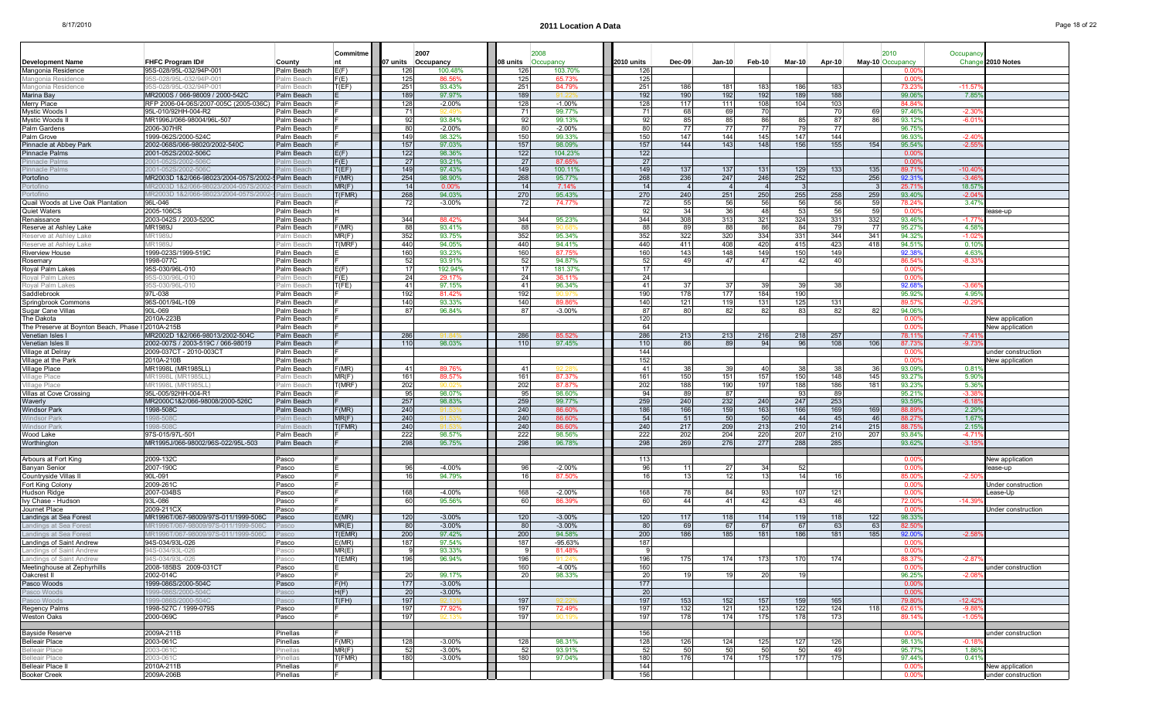Pasco Woods 1999-086S/2000-504C Pasco

Pasco Woods 1999-086S/2000-504C Pasco

Weston Oaks 2000-069C Pasco

Pinellas 2003-061C

Belleair Place 2003-061C Pinellas

Belleair Place II **2010A-211B** Pinellas

Booker Creek 2009A-206B Pinellas Pinellas Formulas Formulas Formulas Formulas Formulas Formulas Formulas Formulas Formulas Formulas Formulas Formulas Formulas Formulas Formulas Formulas Formulas Formulas Formulas Formulas

Oakcrest II 2002-014C Pasco F 20

Meetinghouse at Zephyrhills |2008-185BS 2009-031CT |Pasco |E 160 | 160 -4.00% || 160| -4.00% || 160| -4.00% || 160| -1.00| -1.00| -1.00| -1.00| -1.00| -1.00| -1.00| -1.00| -1.00| -1.00| -1.00| -1.00| -1.00| -1.

Bayside Reserve 2009A-211B Pinellas F 156 0.00% under construction

H(F) 20 -3.00% 20 0.00%

0 |T(FH) **|| ||** 197| 92.13% || || 197| 92.22% ||| || 197| 153| 152| 157| 159| 165| || 79.80%| -12.42%

s |MR(F) || 52 -3.00% || 52| 93.91% || 52| 50| 50| 50| 50| 49| | 95.77%| 1.86%

s |T(FMR) || 180 -3.00% || 180 97.04% || 180 176 174 175 177 175 | 97.44% 0.41%

144 0.00%

Fig. 1. The contract of the contract of the contract of the contract of the contract of the contract of the con

99.17%

197

Pasco Woods 1999-086S/2000-504C Pasco F(H) 177 -3.00% 177 0.00%

Regency Palms |1998-527C / 1999-079S F 197 77.92% 197 192.9% 192 121 123 122 124 118 62.61% -9.88%

Belleair Place 2003-061C Pinellas F(MR) 128 -3.00% 128 98.31% 128 126 124 125 127 126 98.13% -0.18%

|                                                   |                                                   |            | Commitme | 2007               |          |          | 2008      |            |                 |                |             |        |        | 2010             |                | Occupanc       |                    |
|---------------------------------------------------|---------------------------------------------------|------------|----------|--------------------|----------|----------|-----------|------------|-----------------|----------------|-------------|--------|--------|------------------|----------------|----------------|--------------------|
| <b>Development Name</b>                           | <b>FHFC Program ID#</b>                           | County     |          | 07 units Occupancy |          | 08 units | Occupancy | 2010 units | $Dec-09$        | Jan-10         | Feb-10      | Mar-10 | Apr-10 | May-10 Occupancy |                | Chang          | 2010 Notes         |
| Mangonia Residence                                | 95S-028/95L-032/94P-001                           | Palm Beach | E(F)     | 126                | 100.48%  | 126      | 103.70%   | 126        |                 |                |             |        |        |                  | 00 Q           |                |                    |
| Mangonia Residence                                | 95S-028/95L-032/94P-001                           | Palm Beach | F(E)     | 125                | 86.56%   | 125      | 65.73%    | 125        |                 |                |             |        |        |                  | 0.00           |                |                    |
| Mangonia Residence                                | 95S-028/95L-032/94P-001                           | Palm Beach | T(EF)    | 251                | 93.43%   | 251      | 84.79%    | 251        | 186             | 181            | 183         | 186    | 183    |                  | 73.23          | $-11.57$       |                    |
| Marina Bav                                        | MR2000S / 066-98009 / 2000-542C                   | Palm Beach |          | 189                | 97.97%   | 189      |           | 192        | 190             | 192            | 192         | 189    | 188    |                  | 99.06          | 7.85           |                    |
| Merry Place                                       | RFP 2006-04-06S/2007-005C (2005-036C) Palm Beach  |            |          | 128                | $-2.00%$ | 128      | $-1.00%$  | 128        | 117             | 111            | 108         | 104    | 103    |                  | 84.84          |                |                    |
| Mystic Woods I                                    | 95L-010/92HH-004-R2                               | Palm Beach |          | 71                 |          | 71       | 99.77%    | 71         | 68I             | 69             | 70          |        | 70 I   | 691              | 97.46%         | $-2.30$        |                    |
| Mystic Woods II                                   | MR1996J/066-98004/96L-507                         | Palm Beach |          | 92                 | 93.84%   | 92       | 99.13%    | 92         | 85              | 85             | 86          | 85     | 871    | 86               | 93.12%         | $-6.0^{\circ}$ |                    |
| Palm Gardens                                      | 2006-307HR                                        | Palm Beach |          | 80                 | $-2.00%$ | 80       | $-2.00%$  | 80         | 77              |                |             | 79     |        |                  | 96.75          |                |                    |
| Palm Grove                                        | 1999-062S/2000-524C                               | Palm Beach |          | 149                | 98.32%   | 150      | 99.33%    | 150        | 147             | 144            | 145         | 147    | 144    |                  | 96.93%         | $-2.40$        |                    |
| Pinnacle at Abbey Park                            | 2002-068S/066-98020/2002-540C                     | Palm Beach |          | 157                | 97.03%   | 157      | 98.09%    | 157        | 144             | 143            | 148         | 156    | 155    | 154              | 95.54%         | $-2.55$        |                    |
| <b>Pinnacle Palms</b>                             | 2001-052S/2002-506C                               | Palm Beach | E(F)     | 122                | 98.36%   | 122      | 104.23%   | 122        |                 |                |             |        |        |                  | 0.00           |                |                    |
| Pinnacle Palm                                     | 2001-052S/2002-506C                               | Palm Beacl | F(E)     | 27                 | 93.21%   | 27       | 87.65%    | 27         |                 |                |             |        |        |                  | $0.00^{\circ}$ |                |                    |
| <b>Pinnacle Palms</b>                             | 2001-052S/2002-506C                               | alm Beach  | T(EF)    | 149                | 97.43%   | 149      | 100.11%   | 149        | 137             | 137            | 131         | 129    | 133    | 135              | 89.71          | $-10.40$       |                    |
| Portofino                                         | MR2003D 1&2/066-98023/2004-057S/2002-5 Palm Beach |            | F(MR)    | 254                | 98.90%   | 268      | 95.77%    | 268        | 236             | 247            | 246         | 252    |        | 256              | 92.31          | $-3.46$        |                    |
| Portofino                                         | MR2003D 1&2/066-98023/2004-057S/2002              | Palm Beach | MR(F)    | 14                 | 0.00%    | 14       | 7.14%     | 14         | $\overline{4}$  |                |             |        |        |                  | 25.71          | 18.57          |                    |
| Portofino                                         | MR2003D 1&2/066-98023/2004-057S/2002-             | Palm Beach | T(FMR)   | 268                | 94.03%   | 270      | 95.43%    | 270        | 240             | 251            | 250         | 255    | 258    | 259              | 93.40%         | $-2.04$        |                    |
| Quail Woods at Live Oak Plantation                | 96L-046                                           | Palm Beach |          | 72                 | $-3.00%$ | 72       | 74.77%    | 72         | 55              | - 56           | 56          | 56     | 56     | 59               | 78.24          | 3.47           |                    |
| Quiet Waters                                      | 2005-106CS                                        | Palm Beach | Ιн       |                    |          |          |           | 92         | 34              | -36            | 48          | 53     | 56     | 59               | n or           |                | ease-up            |
| Renaissance                                       | 2003-042S / 2003-520C                             | Palm Beach |          | 344                | 88.42%   | 344      | 95.23%    | 344        | 308             | 313            | 321         | 324    | 331    | 332              | 93.469         | $-1.77$        |                    |
| Reserve at Ashley Lake                            | MR1989J                                           | Palm Beach | F(MR)    | 88                 | 93.41%   | 88       |           | 88         | 89              | -88            | <b>RF</b>   | 84     | 791    | -77 I            | 95.27%         | 4.58%          |                    |
| Reserve at Ashley Lake                            | MR1989J                                           | Palm Beach | MR(F)    | 352                | 93.75%   | 352      | 95.34%    | 352        | 322             | 320            | 334         | 331    | 344    | 341              | 94.32%         | $-1.02$        |                    |
| Reserve at Ashlev Lake                            | IR1989J                                           | Palm Beach | T(MRF)   | 440                | 94.05%   | 440      | 94.41%    | 440        | 411             | 408            | 420         | 415    | 423    | 418              | 94.51%         | $0.10^{o}$     |                    |
| Riverview House                                   | 1999-023S/1999-519C                               | Palm Beach |          | 160                | 93.23%   | 160      | 87.75     | 160        | 143             | 148            | 149         | 150    | 149    |                  | 92.38          | 4.63           |                    |
| Rosemary                                          | 1998-077C                                         | Palm Beach |          | 52                 | 93.91%   | 52       | 94.87%    | 52         | 49              | $\Delta$ 7     | 47          | 42     | 40     |                  | 86.54          | $-8.33$        |                    |
| Royal Palm Lakes                                  | 95S-030/96L-010                                   | Palm Beach | E(F)     | 17                 | 192.94%  | 17       | 181.37%   | 17         |                 |                |             |        |        |                  | 0.00           |                |                    |
|                                                   | 95S-030/96L-01                                    | Palm Beacl |          |                    |          |          | 36.11%    |            |                 |                |             |        |        |                  | 0.00           |                |                    |
| Royal Palm Lakes                                  |                                                   |            | F(E)     | 24                 | 29.17%   | 24       |           | 24         |                 |                |             | 39     | 38     |                  |                |                |                    |
| Royal Palm Lakes                                  | 95S-030/96L-010                                   | Palm Beach | T(FE)    | 41                 | 97.15%   | 41       | 96.34%    | 41         | 37              | -37            | 39          |        |        |                  | 92.68          | $-3.66$        |                    |
| Saddlebrook                                       | 97L-038                                           | Palm Beach |          | 192                | 81.42%   | 192      |           | 190        | 178             | 177            | 184         | 190    |        |                  | 95.92          | 4.95%          |                    |
| Springbrook Commons                               | 96S-001/94L-109                                   | Palm Beach |          | 140                | 93.33%   | 140      | 89.86%    | 140        | 121             | 119            | 131         | 125    | 131    |                  | 89.57          | $-0.29$        |                    |
| Sugar Cane Villas                                 | 90L-069                                           | Palm Beach |          | 87                 | 96.84%   | 87       | $-3.00\%$ | 87         | 80              | -82            | 82          | 83     | 821    | 82               | 94.06%         |                |                    |
| The Dakota                                        | 2010A-223B                                        | Palm Beach |          |                    |          |          |           | 120        |                 |                |             |        |        |                  | 0.00           |                | New application    |
| The Preserve at Boynton Beach, Phase I 2010A-215B |                                                   | Palm Beach |          |                    |          |          |           | 64         |                 |                |             |        |        |                  | 0.00           |                | New application    |
| Venetian Isles I                                  | MR2002D 1&2/066-98013/2002-504C                   | Palm Beach |          | 286                |          | 286      | 85.52%    | 286        | 213             | 213            | 216         | 218    | 257    |                  | 78.11          | $-7.41$        |                    |
| Venetian Isles I                                  | 2002-007S / 2003-519C / 066-98019                 | Palm Beach |          | 110                | 98.03%   | 110      | 97.45%    | 110        | 86              | <b>RC</b>      | 94          | 96     | 108    | 106              | 87.73          | $-9.73$        |                    |
| Village at Delray                                 | 2009-037CT - 2010-003CT                           | Palm Beach |          |                    |          |          |           | 144        |                 |                |             |        |        |                  | 0.00           |                | under construction |
| Village at the Park                               | 2010A-210B                                        | Palm Beach |          |                    |          |          |           | 152        |                 |                |             |        |        |                  | 0.00           |                | New application    |
| Village Place                                     | MR1998L (MR1985LL)                                | Palm Beach | F(MR)    | 41                 | 89.76%   | 41       |           | 41         | 38              | -39            | 40          | 38     | 38I    | 36               | 93.09%         | 0.81           |                    |
| Village Place                                     | IR1998L (MR1985LL)                                | alm Beach  | MR(F)    | 161                | 89.57%   | 161      | 87.37%    | 161        | 150             | 151            | 157         | 150    | 148    | 145              | 93.279         | 5.90           |                    |
| Village Place                                     | MR1998L (MR1985LL)                                | Palm Beach | T(MRF)   | 202                |          | 202      | 87.87%    | 202        | 188             | 190            | 197         | 188    | 186    | 181              | 93.23%         | 5.369          |                    |
| Villas at Cove Crossing                           | 95L-005/92HH-004-R1                               | Palm Beach |          | 95                 | 98.07%   | 95       | 98.60%    | 94         | 89              | 87             |             | 93     | 891    |                  | 95.21%         | $-3.38$        |                    |
| Waverly                                           | MR2000C1&2/066-98008/2000-526C                    | Palm Beach |          | 257                | 98.83%   | 259      | 99.77%    | 259        | 240             | 232            | 240         | 247    | 253    |                  | 93.599         | $-6.1$         |                    |
| <b>Windsor Park</b>                               | 1998-508C                                         | Palm Beach | F(MR)    | 240                |          | 240      | 86.60%    | 186        | 166             | 159            | 163         | 166    | 169    | 169              | 88.89          | 2.29           |                    |
| <b>Windsor Park</b>                               | 998-508C                                          | alm Beach  | MR(F)    | 240                |          | 240      | 86.60%    | 54         | 51              | -50            | -50         | 44     | 45     | 46               | 88.27          | 1.67           |                    |
| Windsor Park                                      | 998-508C                                          | Palm Beach | T(FMR)   | 240                |          | 240      | 86.60%    | 240        | 217             | 209            | 213         | 210    | 214    | 215              | 88.75          | 2.15%          |                    |
| Wood Lake                                         | 97S-015/97L-501                                   | Palm Beach |          | 222                | 98.57%   | 222      | 98.56%    | 222        | 202             | 204            | 220         | 207    | 210    | 207              | 93.84%         | $-4.71$        |                    |
| Worthington                                       | MR1995J/066-98002/96S-022/95L-503                 | Palm Beach |          | 298                | 95.75%   | 298      | 96.78%    | 298        | 269             | 276            | 277         | 288    | 285    |                  | 93.62%         | $-3.15$        |                    |
|                                                   |                                                   |            |          |                    |          |          |           |            |                 |                |             |        |        |                  |                |                |                    |
| Arbours at Fort King                              | 2009-132C                                         | Pasco      |          |                    |          |          |           | 113        |                 |                |             |        |        |                  | 0.00           |                | New application    |
| Banyan Senior                                     | 2007-190C                                         | Pasco      |          | 96                 | $-4.00%$ | 96       | $-2.00%$  | 96         | 11              | -27            | 34          | 52     |        |                  | 0.00           |                | ease-up            |
| Countryside Villas I                              | 90L-091                                           | Pasco      |          | 16                 | 94.79%   | 16       | 87.50%    | 16         | 13 <sup>1</sup> | $\overline{1}$ | $1^{\circ}$ | 14     | 161    |                  | 85.00          | $-2.50$        |                    |
| Fort King Colony                                  | 2009-261C                                         | Pasco      |          |                    |          |          |           |            |                 |                |             |        |        |                  | 0.00           |                | Under construction |
| Hudson Ridae                                      | 2007-034BS                                        | Pasco      |          | 168                | $-4.00%$ | 168      | $-2.00%$  | 168        | 781             | -84            | 93          | 107    | 121    |                  | 0.00           |                | ease-Up.           |
| Ivy Chase - Hudson                                |                                                   |            |          | 60                 | 95.56%   | 60       |           | 60         | 44              |                |             | 43     | 46     |                  |                |                |                    |
|                                                   | 93L-086                                           | Pasco      |          |                    |          |          | 86.39%    |            |                 | -41            | 42          |        |        |                  | 72.00<br>0.00  | $-14.3$        |                    |
| Journet Place                                     | 2009-211CX                                        | Pasco      |          |                    |          |          |           |            |                 |                |             |        |        |                  |                |                | Under construction |
| Landings at Sea Forest                            | MR1996T/067-98009/97S-011/1999-506C               | Pasco      | E(MR)    | 120                | $-3.00%$ | 120      | $-3.00%$  | 120        | 117             | 118            | 114         | 119    | 118    | 122              | 98.339         |                |                    |
| Landings at Sea Fores                             | VIR 1996T/067-98009/97S-011/1999-506              | asco       | M R(E)   | 80                 | $-3.00%$ | 80       | $-3.00%$  | 80         | -69             | 67             | 67          | 67     | 63     | 63               | 82.50          |                |                    |
| Landings at Sea Forest                            | VR1996T/067-98009/97S-011/1999-506C               | asco       | T(EMR)   | 200                | 97.42%   | 200      | 94.58%    | 200        | 186             | 185            | 181         | 186    | 181    | 185              | 92.00%         | $-2.58$        |                    |
| Landings of Saint Andrew                          | 94S-034/93L-026                                   | Pasco      | E(MR)    | 187                | 97.54%   | 187      | $-95.63%$ | 187        |                 |                |             |        |        |                  | -0.00          |                |                    |
| Landings of Saint Andrew                          | 94S-034/93L-026                                   | Pasco      | MR(E)    |                    | 93.33%   | <b>Q</b> | 81.48%    |            |                 |                |             |        |        |                  | 0.00           |                |                    |
| Landings of Saint Andrew                          | 94S-034/93L-026                                   | asco       | T(EMR)   | 196                | 96.94%   | 196      |           | 196        | 175             | 174            | 173         | 170    | 174    |                  |                |                |                    |

20 98.33% 20 19 19 20 19 96.25% -2.08%

% || 197 90.19% || 197| 178| 174| 175| 178| 173| | 89.14%| -1.05%

New application

under construction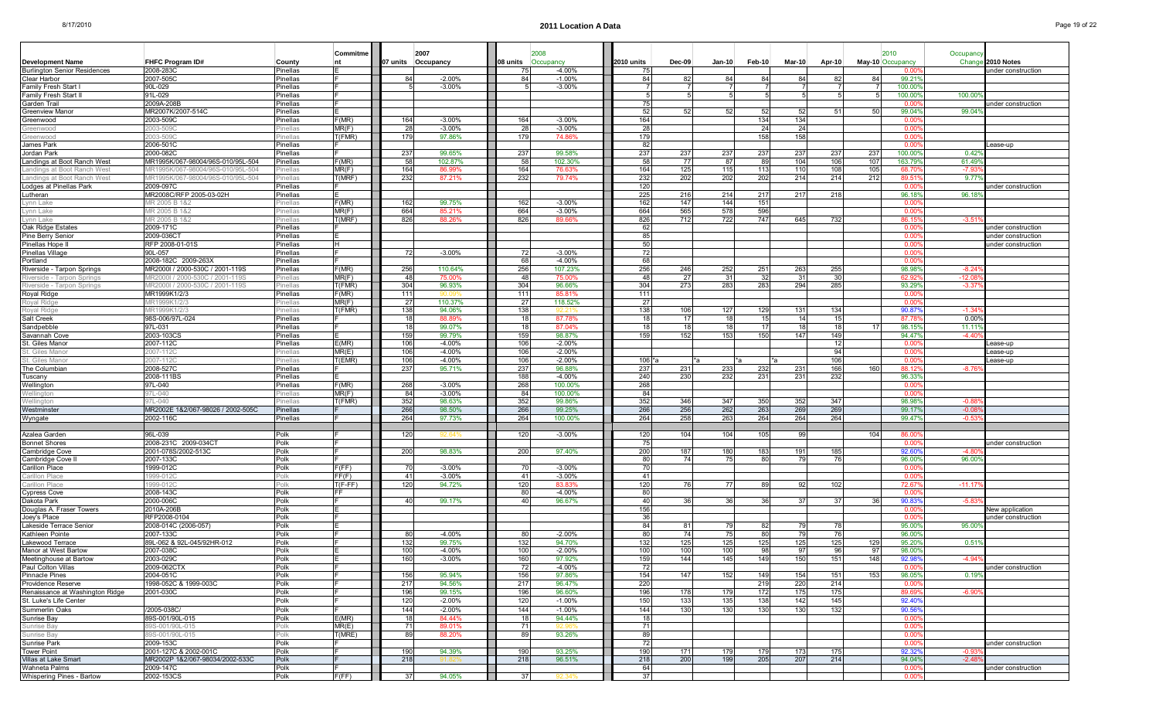П

. .

ш

|  |  |  |  |  | Page 19 of 22 |
|--|--|--|--|--|---------------|
|  |  |  |  |  |               |
|  |  |  |  |  |               |

|                                     |                                   |                      | Commitme       |                 | 2007               |           | 2008               |            |        |                 |               |               |        |                 | 2010             | Occupanc       |                    |
|-------------------------------------|-----------------------------------|----------------------|----------------|-----------------|--------------------|-----------|--------------------|------------|--------|-----------------|---------------|---------------|--------|-----------------|------------------|----------------|--------------------|
| Development Name                    | <b>FHFC Program ID#</b>           | County               | Int            |                 | 07 units Occupancy | 08 units  | Occupancy          | 2010 units | Dec-09 | $Jan-10$        | <b>Feb-10</b> | <b>Mar-10</b> | Apr-10 |                 | May-10 Occupancy | Change         | 2010 Notes         |
| <b>Burlington Senior Residences</b> | 2008-283C                         | Pinellas             |                |                 |                    | 75        | $-4.00%$           | 751        |        |                 |               |               |        |                 | 0.00             |                | under construction |
| Clear Harbor                        | 2007-505C                         | Pinellas             |                | 84              | $-2.00%$           | 84        | $-1.00%$           | 84         | 82     | 84              | 84            | 84            | 82     |                 | 99.219           |                |                    |
| Family Fresh Start I                | 90L-029                           | Pinellas             |                |                 | $-3.00%$           |           | $-3.00%$           |            |        |                 |               |               |        |                 | 100.00           |                |                    |
| Family Fresh Start I                | 91L-029                           | Pinellas             |                |                 |                    |           |                    | -51        | 5      | 5.              | -51           |               |        |                 | 100.00           | 100.00         |                    |
| Garden Trail                        | 2009A-208B                        | Pinellas             |                |                 |                    |           |                    | 75         |        |                 |               |               |        |                 | 0.0              |                | under construction |
| Greenview Manor                     | MR2007K/2007-514C                 | Pinellas             |                |                 |                    |           |                    | 52         | 52     | 52              | 52            | 52            | 51     | .50             | 99.04%           | 99.04          |                    |
| Greenwood                           | 2003-509C                         | Pinellas             | F(MR)          | 164             | $-3.00%$           | 164       | $-3.00%$           | 164        |        |                 | 134           | 134           |        |                 | 0.00             |                |                    |
| Greenwood                           | 2003-5090                         | 'inellas             | MR(F)          | 28              | $-3.00%$           | 28        | $-3.00%$           | 28         |        |                 | 24            | 24            |        |                 | 0.00             |                |                    |
| Greenwood                           | 2003-509C                         | <sup>2</sup> inellas | T(FMR)         | 179             | 97.86%             | 179       | 74.86%             | 179        |        |                 | 158           | 158           |        |                 | 0.00             |                |                    |
| James Park                          | 2006-501C                         | Pinellas             |                |                 |                    |           |                    | -82        |        |                 |               |               |        |                 | 0.00             |                | ease-up            |
| Jordan Park                         | 2000-082C                         | Pinellas             |                | 237             | 99.65%             | 237       | 99.58%             | 237        | 237    | 237             | 237           | 237           | 237    | 237             | 100.00           | $0.42^{\circ}$ |                    |
| Landings at Boot Ranch West         | MR1995K/067-98004/96S-010/95L-504 | Pinellas             | F(MR)          | 58              | 102.87%            | 58        | 102.30%            | 58         | -77    | 87              | 89            | 104           | 106    | 107             | 163.79           | 61.49          |                    |
| Landings at Boot Ranch Wes          | MR1995K/067-98004/96S-010/95L-504 | inellas              | MR(F)          | 164             | 86.99%             | 164       | 76.639             | 164        | 125    | 115             | 113           | 110           | 108    | 105             | 68.7             | -7.9           |                    |
| Landings at Boot Ranch West         | MR1995K/067-98004/96S-010/95L-504 | <sup>2</sup> inellas | T(MRF)         | 232             | 87.21%             | 232       | 79.74%             | 232        | 202    | 202             | 202           | 214           | 214    | 212             | 89.51            | 9.77'          |                    |
| Lodges at Pinellas Park             | 2009-097C                         | Pinellas             |                |                 |                    |           |                    | 120        |        |                 |               |               |        |                 | 0.00             |                | under construction |
| Lutheran                            | MR2008C/RFP 2005-03-02H           | Pinellas             |                |                 |                    |           |                    | 225        | 216    | 214             | 217           | 217           | 218    |                 | 96.18            | 96.18          |                    |
| Lynn Lake                           | MR 2005 B 1&2                     | inellas              | F(MR)          | 162             | 99.75%             | 162       | $-3.00%$           | 162        | 147    | 144             | 151           |               |        |                 | 0.00             |                |                    |
| Lynn Lake                           | MR 2005 B 1&2                     | inellas              | MR(F)          | 664             | 85.21%             | 664       | $-3.00%$           | 664        | 565    | 578             | 596           |               |        |                 | 0.00             |                |                    |
| Lynn Lake                           | MR 2005 B 1&2                     | inellas              | T(MRF)         | 826             | 88.26%             | 826       | 89.66%             | 826        | 712    | 722             | 747           | 645           | 732    |                 | 86.15            | $-3.5$         |                    |
| Oak Ridge Estates                   | 2009-171C                         | Pinellas             |                |                 |                    |           |                    | 62         |        |                 |               |               |        |                 | 0.00             |                | under construction |
| Pine Berry Senior                   | 2009-036C <sup>-</sup>            | Pinellas             |                |                 |                    |           |                    | 85         |        |                 |               |               |        |                 | 0.00             |                | under construction |
| Pinellas Hope I                     | RFP 2008-01-01S                   | Pinellas             | <b>H</b>       |                 |                    |           |                    | 50         |        |                 |               |               |        |                 | 0.00             |                | under construction |
| Pinellas Village                    | 90L-057                           | Pinellas             |                | 72              | $-3.00%$           | -72       | $-3.00%$           | 72         |        |                 |               |               |        |                 | 0.00             |                |                    |
| Portland                            | 2008-182C 2009-263X               | Pinellas             |                |                 |                    | 68        | $-4.00%$           | 68         |        |                 |               |               |        |                 | 0.00             |                |                    |
| Riverside - Tarpon Springs          | MR2000I / 2000-530C / 2001-119S   | Pinellas             | F(MR)          | 256             | 110.64%            | 256       | 107.23%            | 256        | 246    | 252             | 251           | 263           | 255    |                 | 98.98            | $-8.24$        |                    |
| Riverside - Tarpon Springs          | MR2000I / 2000-530C / 2001-119S   | <sup>o</sup> inellas | MR(F)          | 48              | 75.00%             | 48        | 75.00%             | 48         | 27     | 31              | 32            | -31           | 30     |                 | 62.92            | $-12.08$       |                    |
| Riverside - Tarpon Springs          | MR2000I / 2000-530C / 2001-119S   | <sup>2</sup> inellas | T(FMR)         | 304             | 96.93%             | 304       | 96.66%             | 304        | 273    | 283             | 283           | 294           | 285    |                 | 93.29            | $-3.37$        |                    |
| Royal Ridge                         | MR1999K1/2/3                      | Pinellas             | F(MR)          | 111             |                    | 111       | 85.81%             | 111        |        |                 |               |               |        |                 | 0.00             |                |                    |
| Roval Ridge                         | MR1999K1/2/3                      | <sup>o</sup> inellas | MR(F)          | 27              | 110.37%            | 27        | 118.52%            | 271        |        |                 |               |               |        |                 | 0.00             |                |                    |
| Royal Ridge                         | /IR1999K1/2/3                     | inellas              | T(FMR)         | 138             | 94.06%             | 138       |                    | 138        | 106    | 127             | 129           | 131           | 134    |                 | 90.87            | -1.34          |                    |
| Salt Creek                          | 98S-006/97L-024                   | Pinellas             |                | 18              | 88.89%             | 18        | 87.78%             | 18         | 17     | 18              | 15            | 14            | 15     |                 | 87.78            | $0.00^{\circ}$ |                    |
| Sandpebble                          | 97L-031                           | Pinellas             |                | 18 <sup>1</sup> | 99.07%             | 18        | 87.04%             | 18         | 18     | 18 <sup>1</sup> | 17            | 18            | 18     |                 | 98.15            | 11.11          |                    |
| Savannah Cove                       | 2003-103CS                        | Pinellas             |                | 159             | 99.79%             | 159       | 98.87%             | 159        | 152    | 153             | 150           | 147           | 149    |                 | 94.47            | $-4.40$        |                    |
| St. Giles Manor                     | 2007-112C                         | Pinellas             | E(MR)          | 106             | $-4.00%$           | 106       | $-2.00%$           |            |        |                 |               |               | 12     |                 | . വ              |                | ease-up            |
| St. Giles Mano                      | 2007-112C                         | inellas              | MR(E)          | 106             | $-4.00%$           | 106       | $-2.00%$           |            |        |                 |               |               | 94     |                 | 0.00             |                | ease-up.           |
| St. Giles Manor                     | 2007-112C                         | <sup>o</sup> inellas | T(EMR)         | 106             | $-4.00%$           | 106       | $-2.00%$           | 106 *a     |        | *а              | *а            | r*a           | 106    |                 | 0.00             |                | _ease-up           |
| The Columbian                       | 2008-527C                         | Pinellas             |                | 237             | 95.71%             | 237       | 96.88%             | 237        | 231    | 233             | 232           | 231           | 166    | 160             | 88.12            | $-8.76$        |                    |
| Tuscany                             | 2008-111BS                        | Pinellas             |                |                 |                    | 188       | $-4.00%$           | 240        | 230    | 232             | 231           | 231           | 232    |                 | 96.339           |                |                    |
| Wellington                          | 97L-040                           | Pinellas             | F(MR)          | 268             | $-3.00\%$          | 268       | 100.00%            | 268        |        |                 |               |               |        |                 | 0.00             |                |                    |
| Wellington                          | 97L-040                           |                      | MR(F)          | 84              | $-3.00%$           | 84        | 100.00%            | 84         |        |                 |               |               |        |                 | 0.00             |                |                    |
| Wellinaton                          | 97L-040                           | <sup>o</sup> inellas | T(FMR)         | 352             | 98.63%             | 352       | 99.86%             | 352        | 346    | 347             | 350           | 352           | 347    |                 | 98.98            | $-0.88$        |                    |
| Westminster                         | MR2002E 1&2/067-98026 / 2002-505C | Pinellas             |                | 266             | 98.50%             | 266       | 99.25%             | 266        | 256    | 262             | 263           | 269           | 269    |                 | 99.17            | $-0.08$        |                    |
| Wyngate                             | 2002-116C                         | Pinellas             |                | 264             | 97.73%             | 264       | 100.00%            | 264        | 258    | 263             | 264           | 264           | 264    |                 | 99.47            | -0.5           |                    |
|                                     |                                   |                      |                |                 |                    |           |                    |            |        |                 |               |               |        |                 |                  |                |                    |
| Azalea Garder                       | 96L-039                           | Polk                 |                | 120             |                    | 120       | $-3.00%$           | 120        | 104    | 104             | 105           | 99            |        | 10 <sup>2</sup> | 86.00            |                |                    |
| <b>Bonnet Shores</b>                | 2008-231C 2009-034CT              | Polk                 |                |                 |                    |           |                    | 75         |        |                 |               |               |        |                 | 0.00             |                | under construction |
| Cambridge Cove                      | 2001-078S/2002-513C               | Polk                 |                | 200             | 98.83%             | 200       | 97.40%             | 200        | 187    | 180             | 183           | 191           | 185    |                 | 92.60            | $-4.80$        |                    |
| Cambridge Cove                      | 2007-133C                         | Polk                 |                |                 |                    |           |                    | 80         |        |                 |               |               |        |                 | 96.00            | 96.00          |                    |
| Carillon Place                      | 1999-012C                         | Polk                 | F(FF)<br>FF(F) | 70<br>41        | $-3.00%$           | - 70      | $-3.00%$           | 701<br>41  |        |                 |               |               |        |                 | 0.00<br>0.00     |                |                    |
| Carillon Place                      | 1999-0120                         | <sup>o</sup> lk      | $T(F-FF)$      | 120             | $-3.00%$<br>94.72% | -41       | $-3.00%$<br>83.83% | 120        | 76     | 771             | 89            | 92            | 102    |                 | 72.67            | $-11.17$       |                    |
| Carillon Place<br>Cypress Cove      | 1999-012C<br>2008-143C            | Polk<br>Polk         | IFF.           |                 |                    | 120<br>80 | $-4.00%$           | 80         |        |                 |               |               |        |                 | 0.00             |                |                    |
| Dakota Park                         | 2000-006C                         | Polk                 |                | 40              | 99.17%             | 40        | 96.67%             | 40         | 36     | 36 <sup>1</sup> | 36            | 37            | 37     |                 | 90.83            | $-5.83$        |                    |
| Douglas A. Fraser Towers            | 2010A-206B                        | Polk                 |                |                 |                    |           |                    | 156        |        |                 |               |               |        |                 | 0.00             |                | New application    |
| Joey's Place                        | RFP2008-0104                      | Polk                 |                |                 |                    |           |                    | 36         |        |                 |               |               |        |                 | 0.00             |                | under construction |
| Lakeside Terrace Senior             | 2008-014C (2006-057)              | Polk                 |                |                 |                    |           |                    | 84         | 81     | 79              | 82            | 79            | 78     |                 | 95.009           | 95.00          |                    |
| Kathleen Pointe                     | 2007-133C                         | Polk                 |                | 80              | $-4.00%$           | 80        | $-2.00%$           | 80         | 74     | 75              | 80            | 79            | 76     |                 | 96.00            |                |                    |
| Lakewood Terrace                    | 89L-062 & 92L-045/92HR-012        | Polk                 |                | 132             | 99.75%             | 132       | 94.70%             | 132        | 125    | 125             | 125           | 125           | 125    | 129             | 95.20            | 0.51           |                    |
| Manor at West Bartow                | 2007-038C                         | Polk                 |                | 100             | $-4.00%$           | 100       | $-2.00%$           | 100        | 100    | 100             | 98            | 97            | 96     | 97              | 98.00            |                |                    |
| Meetinghouse at Bartow              | 2003-029C                         | Polk                 |                | 160             | $-3.00%$           | 160       | 97.92%             | 159        | 144    | 145             | 149           | 150           | 151    | 148             | 92.98            | $-4.94$        |                    |
| Paul Colton Villas                  | 2009-062CTX                       | Polk                 |                |                 |                    | 72        | $-4.00%$           | 721        |        |                 |               |               |        |                 | $0.00^{\circ}$   |                | under construction |
| Pinnacle Pines                      | 2004-051C                         | Polk                 |                | 156             | 95.94%             | 156       | 97.86%             | 154        | 147    | 152             | 149           | 154           | 151    | 153             | 98.059           | 0.199          |                    |
| Providence Reserve                  | 1998-052C & 1999-003C             | Polk                 |                | 217             | 94.56%             | 217       | 96.47%             | 220        |        |                 | 219           | 220           | 214    |                 | 0.00             |                |                    |
| Renaissance at Washington Ridge     | 2001-030C                         | Polk                 |                | 196             | 99.15%             | 196       | 96.60%             | 196        | 178    | 179             | 172           | 175           | 175    |                 | 89.69            | $-6.90$        |                    |
| St. Luke's Life Center              |                                   | Polk                 |                | 120             | $-2.00\%$          | 120       | $-1.00\%$          | 150        | 133    | 135             | 138           | 142           | 145    |                 | 92.40            |                |                    |
| Summerlin Oaks                      | /2005-038C/                       | Polk                 |                | 144             | $-2.00%$           | 144       | $-1.00%$           | 144        | 130    | 130             | 130           | 130           | 132    |                 | 90.56            |                |                    |
| Sunrise Bay                         | 89S-001/90L-015                   | Polk                 | E(MR)          | 18              | 84.44%             | 18        | 94.44%             | 18         |        |                 |               |               |        |                 | $0.00^{\circ}$   |                |                    |
| Sunrise Bav                         | 89S-001/90L-015                   | Polk                 | MR(E)          | 71              | 89.01%             | 71        | -92.96             | 71         |        |                 |               |               |        |                 | 0.00             |                |                    |
| Sunrise Bay                         | 39S-001/90L-015                   | olk                  | T(MRE)         | 89              | 88.20%             | 89        | 93.26%             | 89         |        |                 |               |               |        |                 | 0.00             |                |                    |
| Sunrise Park                        | 2009-153C                         | Polk                 |                |                 |                    |           |                    | 72         |        |                 |               |               |        |                 | $0.00^{\circ}$   |                | under construction |
| <b>Tower Point</b>                  | 2001-127C & 2002-001C             | Polk                 |                | 190             | 94.39%             | 190       | 93.25%             | 190        | 171    | 179             | 179           | 173           | 175    |                 | 92.32            | $-0.93$        |                    |
| Villas at Lake Smart                | MR2002P 1&2/067-98034/2002-533C   | Polk                 |                | 218             | 91.8.              | 218       | 96.51%             | 218        | 200    | 199             | 205           | 207           | 214    |                 | 94.04%           | $-2.48$        |                    |
| Wahneta Palms                       | 2009-147C                         | Polk                 |                |                 |                    |           |                    | 64         |        |                 |               |               |        |                 | 0.00             |                | under construction |
| Whispering Pines - Bartow           | 2002-153CS                        | Polk                 | F(FF)          | 37              | 94.05%             | 37        |                    | 37         |        |                 |               |               |        |                 | 0.00             |                |                    |
|                                     |                                   |                      |                |                 |                    |           |                    |            |        |                 |               |               |        |                 |                  |                |                    |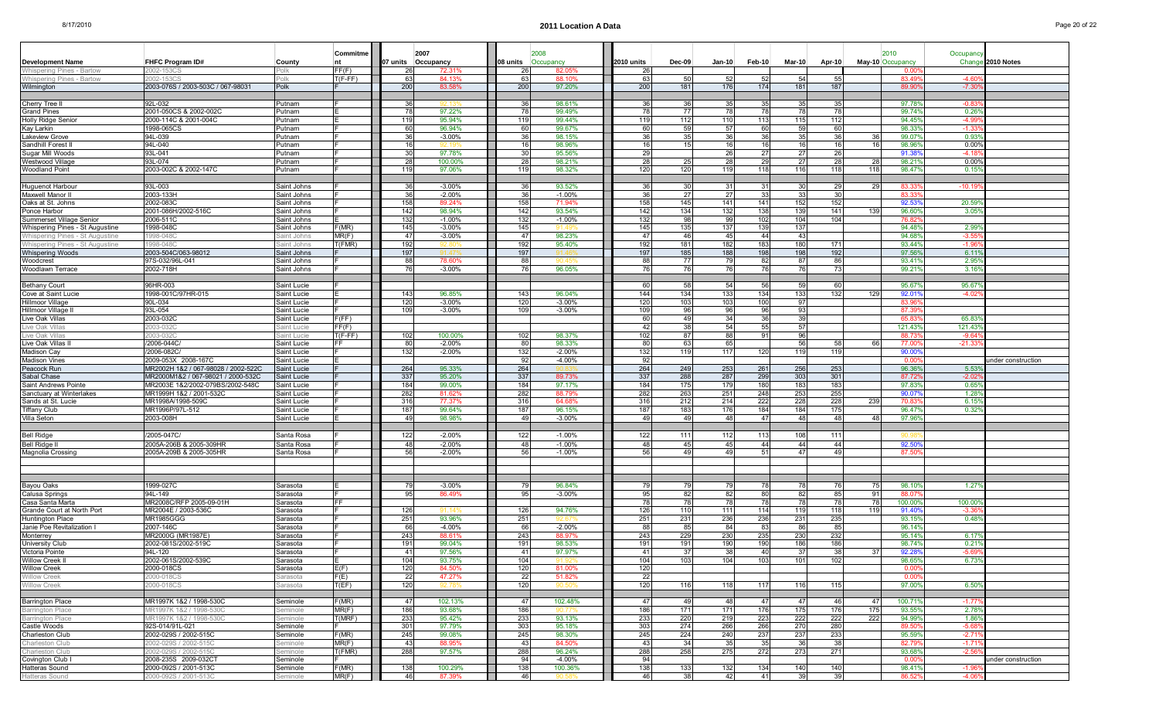Willow Creek 2000-018CS Carasota

Willow Creek 2000-018CS Sarasota

narleston Club 2002-029S / 2002-515C Seminole

Charleston Club 2002-029S / 2002-515C Seminole

Hatteras Sound 2000-092S / 2001-513C Seminole

Castle Woods **92S-014/91L-021** Seminole F 301

a |F(E) || 22 47.27% || 22 51.82% || 22 | | | | | | | 0.00%

Barrington Place MR1997K 1&2 / 1998-530C Seminole F(MR) 47 102.13% 47 102.48% 47 49 48 47 47 46 47 100.71% -1.77% Barrington Place MR1997K 1&2 / 1998-530C Seminole MR(F) | 186| 93.68% | 186| 90.77% | 186| 171| 171| 176| 175| 175| 93.55% 2.78% Barrington Place MR1997K 1&2 / 1998-530C Seminole **[T(MRF) 233|** 95.42% | 233| 93.13% | 233| 220| 223| 222| 222| 222| 94.99% 1.86%

Charleston Club 2002-029S / 2002-515C Seminole F(MR) 245 99.08% 245 98.30% 245 224 240 237 237 233 95.59% -2.71%

Hatteras Sound 2000-092S / 2001-513C Seminole F(MR) 138 100.29% 138 100.36% 138 133 132 134 140 140 98.41% -1.96%

Covington Club I 2008-235S2009-032CT Seminole F 94 -4.00% 94 0.00% under construction

97.79%

a |T(EF) || 120| 92.78% || 120| 90.50% || 120| 116| 118| 117| 116| 115| | 97.00%| 6.50%

e |MR(F) || 43| 88.95% || 43| 84.50% || 43| 34| 35| 35| 36| 38| | 82.79% -1.71%

e |T(FMR) || 288| 97.57% || 288| 96.24% || 288| 258| 275| 272| 273| 271| | 93.68%| -2.56%

e |MR(F) || 46| 87.39% || 46| 90.58% || 46| 38| 42| 41| 39| 39| | 86.52%| -4.06%

|                                       |                                     |             | Commitme  |          | 2007               |          | 2008 |           |            |              |                |        |               |               |      | 2010             | Occupancy      |                    |
|---------------------------------------|-------------------------------------|-------------|-----------|----------|--------------------|----------|------|-----------|------------|--------------|----------------|--------|---------------|---------------|------|------------------|----------------|--------------------|
| <b>Development Name</b>               | FHFC Program ID#                    | County      | <b>nt</b> |          | 07 units Occupancy | 08 units |      | Occupancy | 2010 units | $Dec-09$     | <b>Jan-10</b>  | Feb-10 | <b>Mar-10</b> | <b>Apr-10</b> |      | May-10 Occupancy |                | Change 2010 Notes  |
| Whispering Pines - Bartow             | 002-153C                            | Polk        | FF(F)     | 26       | 72.31              |          | 26   | 82.O!     |            |              |                |        |               |               |      |                  |                |                    |
| Whispering Pines - Bartow             | 2002-153CS                          | Polk        | $T(F-FF)$ | 63       | 84.13%             | 63       |      | 88.10%    | 63         | -50          | 52             | 52     | 54            | -55           |      | 83.49            | $-4.60$        |                    |
| Wilmington                            | 2003-076S / 2003-503C / 067-98031   | Polk        |           | 200      | 83.58%             | 200      |      | 97.20%    | 200        | 181          | 176            | 174    | 181           | 187           |      | 89.90            | $-7.30$        |                    |
|                                       |                                     |             |           |          |                    |          |      |           |            |              |                |        |               |               |      |                  |                |                    |
| Cherry Tree II                        | 92L-032                             | Putnam      |           | 36       | 12 13              | 36       |      | 98.61%    | 36         | -36          | -35            | 35     | 35            |               |      | 97.78            | $-0.83$        |                    |
| <b>Grand Pines</b>                    | 2001-050CS & 2002-002C              | Putnam      |           | 78       | 97.22%             | 78       |      | 99.49%    | 78         | - 77         | 78             | 78     | 78            | - 78          |      | 99.74            | 0.26           |                    |
| <b>Holly Ridge Senior</b>             | 2000-114C & 2001-004C               | Putnam      |           | 119      | 95.94%             | 119      |      | 99.44%    | 119        | 112          | 110            | 113    | 115           | 112           |      | 94.45            | $-4.99$        |                    |
| Kay Larkin                            | 1998-065CS                          | Putnam      |           | 60       | 96.94%             | 60       |      | 99.67%    | 60         | 59           | 57             | 60     | 59            | 60            |      | 98.33            | $-1.33$        |                    |
| <b>Lakeview Grove</b>                 | 94L-039                             | Putnam      |           | 36       | $-3.00%$           |          | 36   | 98.15%    | 36         | 35           | 36             | 36     | 35            | -36           |      | 99.07            | 0.93           |                    |
| Sandhill Forest II                    | 94L-040                             | Putnam      |           | 16       |                    |          | 16   | 98.96%    | 16         | 15           | 16             | 16     | 16            | 16            | 16   | 98.96            | $0.00^{\circ}$ |                    |
| Sugar Mill Woods                      | 93L-041                             | Putnam      |           | 30       | 97.78%             | 30       |      | 95.56%    | 29         |              | 26             | 27     | 27            | 26            |      | 91.38            | $-411$         |                    |
| Westwood Village                      | 93L-074                             | Putnam      |           | 28       | 100.00%            | 28       |      | 98.21%    | 28         | 25           | 28             | 29     | 27            | -28           | -28  | 98.21            | 0.00%          |                    |
| <b>Woodland Point</b>                 | 2003-002C & 2002-147C               | Putnam      |           | 119      | 97.06%             | 119      |      | 98.32%    | 120        | 120          | 119            | 118    | 116           | 118           | 118  | 98.47            | 0.15           |                    |
|                                       |                                     |             |           |          |                    |          |      |           |            |              |                |        |               |               |      |                  |                |                    |
|                                       |                                     |             |           |          |                    |          |      |           |            |              |                |        |               |               |      |                  |                |                    |
| Huguenot Harbour                      | 93L-003                             | Saint Johns |           | 36<br>36 | $-3.00%$           | 36       |      | 93.52%    | 36         | 30<br>27     | -31<br>27      | 31 I   | 30<br>33      | -29<br>-30    |      | 83.3<br>83.33    | $-10.19$       |                    |
| Maxwell Manor II<br>Oaks at St. Johns | 2003-133H                           | Saint Johns |           |          | $-2.00%$           |          | 36   | $-1.00%$  |            |              |                | 33     |               |               |      |                  |                |                    |
|                                       | 2002-083C                           | Saint Johns |           | 158      | 89.24%             | 158      |      | 71.94%    | 158        | 145          | 141            | 141    | 152           | 152           |      | 92.53            | 20.59          |                    |
| Ponce Harbor                          | 2001-086H/2002-516C                 | Saint Johns |           | 142      | 98.94%             | 142      |      | 93.54%    | 142        | 134          | 132            | 138    | 139           | 141           | 139  | 96.60            | 3.05           |                    |
| Summerset Village Senior              | 2006-511C                           | Saint Johns |           | 132      | $-1.00%$           | 132      |      | $-1.00%$  | 132        | Q            | 9 <sub>c</sub> | 102    | 104           | 104           |      | 76.8             |                |                    |
| Whispering Pines - St Augustine       | 1998-048C                           | Saint Johns | F(MR)     | 145      | $-3.00%$           | 145      |      |           | 145        | 135          | 137            | 139    | 137           |               |      | 94.489           | 2.999          |                    |
| Whispering Pines - St Augustine       | 1998-048C                           | Saint Johns | MR(F)     | 47       | $-3.00%$           | 47       |      | 98.23%    | 47         | 46           | 45             | 44     | 43            |               |      | 94.68            | -3.55          |                    |
| Whispering Pines - St Augustine       | 1998-048C                           | Saint Johns | f(FMR)    | 192      | 92 RN              | 192      |      | 95.40%    | 192        | 181          | 182            | 183    | 180           | 171           |      | 93.44%           | $-1.96$        |                    |
| <b>Whispering Woods</b>               | 2003-504C/063-98012                 | Saint Johns |           | 197      |                    | 197      |      |           | 197        | 185          | 188            | 198    | 198           | 192           |      | 97.56            | 6.11           |                    |
| Woodcrest                             | 97S-032/96L-041                     | Saint Johns |           | 88       | 78.60%             | 88       |      |           | 88         | 77           | <b>79</b>      | 82     | 87            | 86            |      | 93.419           | 2.95           |                    |
| Woodlawn Terrace                      | 2002-718H                           | Saint Johns |           | 76       | $-3.00%$           |          | 76   | 96.05%    | 76         | 76           | 76             | 76     | 76            | - 73          |      | 99.21            | 3.16'          |                    |
|                                       |                                     |             |           |          |                    |          |      |           |            |              |                |        |               |               |      |                  |                |                    |
| <b>Bethany Court</b>                  | 96HR-003                            | Saint Lucie |           |          |                    |          |      |           | 60         | -58          | 54             | 56     | 59            | -60           |      | 95.67%           | 95.679         |                    |
| Cove at Saint Lucie                   | 1998-001C/97HR-015                  | Saint Lucie |           | 143      | 96.85%             | 143      |      | 96.04%    | 144        | 134          | 133            | $134$  | 133           | 132           | 129  | 92.01            | $-4.02$        |                    |
| <b>Hillmoor Village</b>               | 90L-034                             | Saint Lucie |           | 120      | $-3.00%$           | 120      |      | $-3.00%$  | 120        | 103          | 103            | 100    | 97            |               |      | 83.9             |                |                    |
| Hillmoor Village II                   | 93L-054                             | Saint Lucie |           | 109      | $-3.00%$           | 109      |      | $-3.00%$  | 109        | 96           | 96             | 96     | 93            |               |      | 87.3             |                |                    |
| Live Oak Villas                       | 2003-032C                           | Saint Lucie | F(FF)     |          |                    |          |      |           | 60         | 40           | 34             | 36     | 39            |               |      | 65.83            | 65.83          |                    |
| ive Oak Villas                        | 2003-032C                           | Saint Lucie | FF(F)     |          |                    |          |      |           | 42         | 38           | 54             | 55     | 57            |               |      | 121.43           | 121.43         |                    |
| Live Oak Villas                       | 003-032C                            | aint Lucie  | r(F-FF)   | 102      | 100.00%            | 102      |      | 98.37%    | 102        | 87           | 88             | 91     | 96            |               |      | 88.73            | $-9.64$        |                    |
| Live Oak Villas II                    | /2006-044C/                         | Saint Lucie | FF        | 80       | $-2.00%$           |          | 80   | 98.33%    | 80         | 63           | 65             |        | 56            | -58           | - 66 | 77.00            | $-21.33$       |                    |
| Madison Cay                           | /2006-082C/                         | Saint Lucie |           | 132      | $-2.00%$           | 132      |      | $-2.00%$  | 132        | 119          | 117            | 120    | 119           | 119           |      | 90.00            |                |                    |
| Madison Vines                         | 2009-053X 2008-167C                 | Saint Lucie |           |          |                    | 92       |      | $-4.00%$  | 92         |              |                |        |               |               |      | 0.0              |                | inder construction |
| Peacock Run                           | MR2002H 1&2 / 067-98028 / 2002-522C | Saint Lucie |           | 264      | 95.33%             | 264      |      |           | 264        | 249          | 253            | 261    | 256           | 253           |      | 96.369           | 5.53           |                    |
| Sabal Chase                           | MR2000M1&2 / 067-98021 / 2000-532C  | Saint Lucie |           | 337      | 95.20%             | 337      |      | 89.73%    | 337        | 288          | 287            | 299    | 303           | 301           |      | 87.72            | $-2.02$        |                    |
| Saint Andrews Pointe                  | MR2003E 1&2/2002-079BS/2002-548C    | Saint Lucie |           | 184      | 99.00%             | 184      |      | 97.17%    | 184        | 175          | 179            | 180    | 183           | 183           |      | 97.83            | 0.65           |                    |
| Sanctuary at Winterlakes              | MR1999H 1&2 / 2001-532C             | Saint Lucie |           | 282      | 81.62%             | 282      |      | 88.79%    | 282        | 263          | 251            | 248    | 253           | 255           |      | 90.07            | 1.28           |                    |
| Sands at St. Lucie                    | MR1998A/1998-509C                   | Saint Lucie |           | 316      | 77.37%             | 316      |      | 64.68%    | 316        | 212          | 214            | 222    | 228           | 228           | 239  | 70.83            | 6.15           |                    |
| <b>Tiffany Club</b>                   | MR1996P/97L-512                     | Saint Lucie |           | 187      | 99.64%             | 187      |      | 96.15%    | 187        | 183          | 176            | 184    | 184           | 175           |      | 96.47            | 0.32           |                    |
| Villa Seton                           | 2003-008H                           | Saint Lucie |           | 49       | 98.98%             |          | 49   | $-3.00%$  | 49         | $\mathbf{A}$ | 48             | 47     | 48            | 48            | 48   | 97.96            |                |                    |
|                                       |                                     |             |           |          |                    |          |      |           |            |              |                |        |               |               |      |                  |                |                    |
| <b>Bell Ridge</b>                     | /2005-047C/                         | Santa Rosa  |           | 122      | $-2.00%$           | 122      |      | $-1.00%$  | 122        | 11           | 112            | 113    | 108           | 11            |      |                  |                |                    |
| Bell Ridge II                         | 2005A-206B & 2005-309HR             | Santa Rosa  |           | 48       | $-2.00%$           | 48       |      | $-1.00%$  | 48         | 4F           | 45             | 44     | 44            | -44           |      | 92.50            |                |                    |
| Magnolia Crossing                     | 2005A-209B & 2005-305HR             | Santa Rosa  |           | 56       | $-2.00%$           | 56       |      | $-1.00%$  | 56         | $\Delta$     | 4 <sup>c</sup> | 511    | 47            | $\Delta$      |      | 87.5             |                |                    |
|                                       |                                     |             |           |          |                    |          |      |           |            |              |                |        |               |               |      |                  |                |                    |
|                                       |                                     |             |           |          |                    |          |      |           |            |              |                |        |               |               |      |                  |                |                    |
|                                       |                                     |             |           |          |                    |          |      |           |            |              |                |        |               |               |      |                  |                |                    |
|                                       |                                     |             |           |          |                    |          |      |           |            |              |                |        |               |               |      |                  |                |                    |
| Bayou Oaks                            | 1999-027C                           | Sarasota    |           | 79       | $-3.00%$           | 79       |      | 96.84%    |            |              | 79             | 78     | 78            |               |      | 98.10            | 1.27           |                    |
| Calusa Springs                        | 94L-149                             | Sarasota    |           | 95       | 86.49%             | 95       |      | $-3.00%$  | 95         | -82          | 82             | 80     | 82            | 85            | -91  | 88.07            |                |                    |
| Casa Santa Marta                      | MR2008C/RFP 2005-09-01H             | Sarasota    | IFF.      |          |                    |          |      |           | 78         | 78           | 78             | 78     | 78            | - 75          | - 78 | 100.00           | 100.00         |                    |
| Grande Court at North Port            | MR2004E / 2003-536C                 | Sarasota    |           | 126      |                    | 126      |      | 94.76%    | 126        | <b>110</b>   | 111            | 114    | 119           | 118           | 119  | 91.40            | -33            |                    |
| Huntington Place                      | <b>MR1985GGG</b>                    | Sarasota    |           | 251      | 93.96%             | 251      |      |           | 251        | 23'          | 236            | 236    | 231           | 235           |      | 93.15            | 0.48           |                    |
| Janie Poe Revitalization              | 2007-146C                           | Sarasota    |           | 66       | $-4.00%$           | 66       |      | $-2.00%$  | 88         | 85           | 84             | 83     | 86            | 85            |      | 96.14%           |                |                    |
| Monterrey                             | MR2000G (MR1987E)                   | Sarasota    |           | 243      | 88.61%             | 243      |      | 88.97%    | 243        | 229          | 230            | 235    | 230           | 232           |      | 95.149           | 6.17           |                    |
| <b>University Club</b>                | 2002-081S/2002-519C                 | Sarasota    |           | 191      | 99.04%             | 191      |      | 98.53%    | 191        | 191          | 190            | 190    | 186           | 186           |      | 98.74%           | 0.21'          |                    |
| Victoria Pointe                       | 94L-120                             | Sarasota    |           | -41      | 97.56%             | -41      |      | 97.97%    | 41         | -37          | -38            | 40     | -37           | -31           |      | 92.2             | -5.69          |                    |
| Willow Creek                          | 2002-061S/2002-539C                 | Sarasota    |           | 104      | 93.75%             | 104      |      | 91.92     | 104        | 103          | 104            | 103    | 101           | 102           |      | 98.65            | 6.73           |                    |
| <b>Willow Creek</b>                   | 2000-018CS                          | Sarasota    | E(F)      | 120      | 84.50%             | 120      |      | 81.00%    | 120        |              |                |        |               |               |      | 0.00             |                |                    |

% ┃ 303 95.18% ┃ 303 274 266 266 270 280 89.50% -5.68%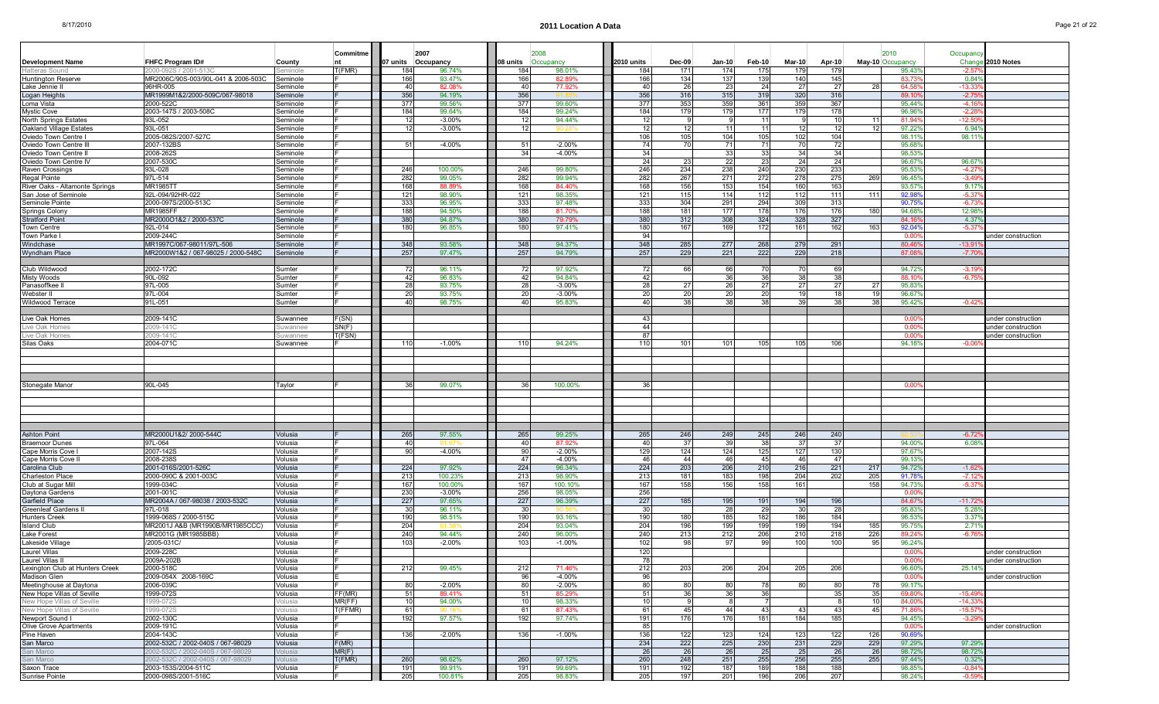| Page 21 of 22 |  |  |
|---------------|--|--|
|               |  |  |

|                                                        |                                     |                      | Commitme |            | 2007                |                        |                   |            |               |             |            |               |            |            |                          |                     |                    |
|--------------------------------------------------------|-------------------------------------|----------------------|----------|------------|---------------------|------------------------|-------------------|------------|---------------|-------------|------------|---------------|------------|------------|--------------------------|---------------------|--------------------|
| <b>Development Name</b>                                | FHFC Program ID#                    | County               |          | 07 units   | Occupancy           | 08 units               | 2008<br>Occupancy | 2010 units | <b>Dec-09</b> | Jan-10      | Feb-10     | <b>Mar-10</b> | Apr-10     |            | 2010<br>May-10 Occupancy | Occupancy<br>Chang  | 2010 Notes         |
| Hatteras Soun                                          | 2000-092S / 2001-5130               | minole               | T(FMR)   | 184        | 96.74%              | 184                    | 98.01%            | 184        | 171           | 174         | 175        | 179           | 179        |            | 95.439                   | $-2.5$              |                    |
| Huntington Reserve                                     | MR2006C/90S-003/90L-041 & 2006-503C | seminole             |          | 166        | 93.47%              | 166                    | 82.89%            | 166        | 134           | 137         | 139        | 140           | 145        |            | 83.73                    | 0.84                |                    |
| Lake Jennie                                            | 96HR-005                            | ieminole             |          | 40         | 82.08%              | 40                     | 77.92%            | 40         | 26            | 23          | 24         | 27            | 27         |            | 64.5                     | -13.3               |                    |
| Logan Heights                                          | MR1999M1&2/2000-509C/067-98018      | Seminole             |          | 356        | 94.19%              | 356                    |                   | 356        | 316           | 315         | 319        | 320           | 316        |            | 89.1                     | $-2.7$              |                    |
| Loma Vista                                             | 2000-522C                           | Seminole             |          | 377        | 99.56%              | 377                    | 99.60%            | 377        | 353           | 359         | 361        | 359           | 367        |            | 95.44                    | $-4.16$             |                    |
| <b>Mystic Cove</b>                                     | 2003-147S / 2003-508C               | seminole             |          | 184        | 99.64%<br>$-3.00\%$ | 184                    | 99.24%<br>94.44%  | 184<br>12  | 179           | 179<br>- 9  | 177        | 179           | 178        | -11        | 96.96<br>81.94           | $-2.2$<br>$-12.50$  |                    |
| North Springs Estates<br>Oakland Village Estates       | 93L-052<br>93L-051                  | Seminole<br>Seminole |          | 12<br>12   | $-3.00\%$           | -12<br>12 <sub>1</sub> |                   | 12         | 12            | 11          | 11<br>11   | 12            | 10<br>12   | 12         | 97.22                    | 6.94                |                    |
| Oviedo Town Centre                                     | 2005-082S/2007-527C                 | Seminole             |          |            |                     |                        |                   | 106        | 105           | 104         | 105        | 102           | 104        |            | 98.11'                   | 98.11               |                    |
| Oviedo Town Centre II                                  | 2007-132BS                          | Seminole             |          | 51         | $-4.00%$            | 51                     | $-2.00%$          | 74         | 70            | 71          | 71         | 70            | 72         |            | 95.68                    |                     |                    |
| Oviedo Town Centre I                                   | 2008-262S                           | Seminole             |          |            |                     | 34                     | $-4.00%$          | 34         |               | 33          | 33         | 34            | 34         |            | 98.53                    |                     |                    |
| Oviedo Town Centre IV                                  | 2007-530C                           | Seminole             |          |            |                     |                        |                   | -24        | 23            | -221        | 23         | 24            | 24         |            | 96.679                   | 96.67               |                    |
| Raven Crossings                                        | 93L-028                             | Seminole             |          | 246        | 100.00%             | 246                    | 99.80%            | 246        | 234           | 238         | 240        | 230           | 233        |            | 95.53                    | $-4.27$             |                    |
| Regal Pointe                                           | 97L-514                             | Seminole             |          | 282        | 99.05%              | 282                    | 99.94%            | 282        | 267           | 271         | 272        | 278           | 275        | 269        | 96.45                    | $-3.49$             |                    |
| River Oaks - Altamonte Springs<br>San Jose of Seminole | <b>MR1985TT</b><br>92L-094/92HR-022 | Seminole<br>Seminole |          | 168<br>121 | 88.89%<br>98.90%    | 168                    | 84.40%<br>98.35%  | 168<br>121 | 156<br>115    | 153<br>114  | 154<br>112 | 160<br>112    | 163<br>111 | 111        | 93.579<br>92.98          | 9.17<br>$-5.37$     |                    |
| Seminole Pointe                                        | 2000-097S/2000-513C                 | Seminole             |          | 333        | 96.95%              | 121<br>333             | 97.48%            | 333        | 304           | 291         | 294        | 309           | 313        |            | 90.75                    | $-6.73$             |                    |
| <b>Springs Colony</b>                                  | <b>MR1985FF</b>                     | Seminole             |          | 188        | 94.50%              | 188                    | 81.70%            | 188        | 181           | 177         | 178        | 176           | 176        | 180        | 94.68                    | 12.98               |                    |
| Stratford Point                                        | MR2000O1&2 / 2000-537C              | Seminole             |          | 380        | 94.87%              | 380                    | 79.79%            | 380        | 312           | 308         | 324        | 328           | 327        |            | 84.1                     | 4.37                |                    |
| Town Centre                                            | 92L-014                             | Seminole             |          | 180        | 96.85%              | 180                    | 97.41%            | 180        | 167           | 169         | 172        | 161           | 162        | 16         | 92.04                    | $-5.3$              |                    |
| Town Parke                                             | 2009-244C                           | Seminole             |          |            |                     |                        |                   | 94         |               |             |            |               |            |            | 0.00                     |                     | under construction |
| Windchase                                              | MR1997C/067-98011/97L-506           | Seminole             |          | 348        | 93.58%              | 348                    | 94.37%            | 348        | 285           | 277         | 268        | 279           | 291        |            | 80.46                    | $-13.9$             |                    |
| <b>Wyndham Place</b>                                   | MR2000W1&2 / 067-98025 / 2000-548C  | Seminole             |          | 257        | 97.47%              | 257                    | 94.79%            | 257        | 229           | 221         | 222        | 229           | 218        |            | 87.0                     | $-7.70$             |                    |
|                                                        |                                     |                      |          |            |                     |                        |                   |            |               |             |            |               |            |            |                          |                     |                    |
| Club Wildwood<br>Misty Woods                           | 2002-172C<br>90L-092                | Sumter<br>Sumter     |          | 72<br>42   | 96.11%<br>96.83%    | 72<br>42               | 97.92%<br>94.84%  | 72<br>42   | 66            | 66<br>36    | 70<br>36   | 70<br>38      | 69<br>38   |            | 94.72<br>88.1            | $-3.19$<br>$-6.7$   |                    |
| Panasoffkee                                            | 97L-005                             | Sumter               |          | 28         | 93.75%              | 28                     | $-3.00%$          | 28         | 27            | 26          | 27         | 27            | 27         | <b>27</b>  | 95.839                   |                     |                    |
| Webster II                                             | 97L-004                             | Sumter               |          | 20         | 93.75%              | 20                     | $-3.00%$          | 20         | 20            | 20          | 20         | 19            | 18         |            | 96.67                    |                     |                    |
| Wildwood Terrace                                       | 91L-051                             | Sumter               |          | 40         | 98.75%              | 40I                    | 95.83%            | 40         | 38            | 38          | 38         | -39           | 38         | 38         | 95.42                    | $-0.42$             |                    |
|                                                        |                                     |                      |          |            |                     |                        |                   |            |               |             |            |               |            |            |                          |                     |                    |
| Live Oak Homes                                         | 2009-141C                           | Suwannee             | F(SN)    |            |                     |                        |                   | 43         |               |             |            |               |            |            | 0.00                     |                     | under construction |
| Live Oak Home:                                         | 2009-1410                           | uwannee              | SN(F)    |            |                     |                        |                   | 44         |               |             |            |               |            |            | 0.00                     |                     | under construction |
| Live Oak Homes                                         | 2009-1410                           | uwannee              | T(FSN)   |            |                     |                        |                   | 87         |               |             |            |               |            |            | 0.00                     |                     | under construction |
| Silas Oaks                                             | 2004-071C                           | Suwannee             |          | 110        | $-1.00\%$           | 110                    | 94.24%            | 110        | 101           | 101         | 105        | 105           | 106        |            | 94.189                   | -0.06               |                    |
|                                                        |                                     |                      |          |            |                     |                        |                   |            |               |             |            |               |            |            |                          |                     |                    |
|                                                        |                                     |                      |          |            |                     |                        |                   |            |               |             |            |               |            |            |                          |                     |                    |
|                                                        |                                     |                      |          |            |                     |                        |                   |            |               |             |            |               |            |            |                          |                     |                    |
| Stonegate Manor                                        | 90L-045                             |                      |          | -36        | 99.07%              | -36                    |                   | 36         |               |             |            |               |            |            | 0.00                     |                     |                    |
|                                                        |                                     | Taylor               |          |            |                     |                        | 100.00%           |            |               |             |            |               |            |            |                          |                     |                    |
|                                                        |                                     |                      |          |            |                     |                        |                   |            |               |             |            |               |            |            |                          |                     |                    |
|                                                        |                                     |                      |          |            |                     |                        |                   |            |               |             |            |               |            |            |                          |                     |                    |
|                                                        |                                     |                      |          |            |                     |                        |                   |            |               |             |            |               |            |            |                          |                     |                    |
|                                                        |                                     |                      |          |            |                     |                        |                   |            |               |             |            |               |            |            |                          |                     |                    |
| <b>Ashton Point</b>                                    | MR2000U1&2/ 2000-544C               | Volusia              |          | 265        | 97.55%              | 265                    | 99.25%            | 265        | 246           | 249         | 245        | 246           | 240        |            |                          | $-6.72$             |                    |
| <b>Braemoor Dunes</b>                                  | 97L-064                             | Volusia              |          | 40         |                     | 40                     | 87.92%            | 40         | 37            | 39          | 38         | 37            | 37         |            | 94.00                    | 6.08                |                    |
| Cape Morris Cove                                       | 2007-142S                           | Volusia              |          | 90         | $-4.00%$            | 90                     | $-2.00%$          | 129        | 124           | 124         | 125        | 127           | 130        |            | 97.679                   |                     |                    |
| Cape Morris Cove I                                     | 2008-238S                           | Volusia              |          |            |                     | -47                    | $-4.00%$          | 46         | 44            | 46          | 45         | 46            | 47         |            | 99.13                    |                     |                    |
| Carolina Club                                          | 2001-016S/2001-526C                 | Volusia              |          | 224<br>213 | 97.92%<br>100.23%   | 224<br>213             | 96.34%<br>98.90%  | 224<br>213 | 203<br>181    | 206<br>183  | 210<br>198 | 216<br>204    | 221<br>202 | 217        | 94.72                    | $-1.62$<br>$-7.12$  |                    |
| Charleston Place<br>Club at Sugar Mill                 | 2000-090C & 2001-003C<br>1999-034C  | Volusia<br>Volusia   |          | 167        | 100.00%             | 167                    | 100.10%           | 167        | 158           | 156         | 158        | 161           |            | 205<br>158 | 91.78<br>94.73           | $-5.3$              |                    |
| Daytona Gardens                                        | 2001-001C                           | Volusia              |          | 230        | $-3.00%$            | 256                    | 98.05%            | 256        |               |             |            |               |            |            | 0.00                     |                     |                    |
| Garfield Place                                         | MR2004A / 067-98038 / 2003-532C     | Volusia              |          | 227        | 97.65%              | 227                    | 96.39%            | 227        | 185           | 195         | 191        | 194           | 196        |            | 84.67                    | $-11.72$            |                    |
| <b>Greenleaf Gardens</b>                               | 97L-018                             | Volusia              |          | 30         | 96.11%              | -30                    |                   | -30        |               | 28          | 29         | 30            | 28         |            | 95.83                    | 5.28                |                    |
| <b>Hunters Creek</b>                                   | 1999-068S / 2000-515C               | Volusia              |          | 190        | 98.51%              | 190                    | 93.16%            | 190        | 180           | 185         | 182        | 186           | 184        |            | 96.53                    | 3.37                |                    |
| <b>Island Club</b>                                     | MR2001J A&B (MR1990B/MR1985CCC)     | Volusia              |          | 204        |                     | 204                    | 93.04%            | 204        | 196           | 199         | 199        | 199           | 194        | 185        | 95.75                    | 2.71                |                    |
| Lake Forest                                            | MR2001G (MR1985BBB)                 | Volusia              |          | 240        | 94.44%              | 240                    | 96.00%            | 240        | 213           | 212         | 206        | 210           | 218        | 226        | 89.24                    | $-6.7$              |                    |
| Lakeside Village                                       | /2005-031C/                         | Volusia              |          | 103        | $-2.00%$            | 103                    | $-1.00%$          | 102        |               | 97          | 99         | 100           | 100        |            | 96.24                    |                     |                    |
| Laurel Villas                                          | 2009-228C                           | Volusia              |          |            |                     |                        |                   | 120        |               |             |            |               |            |            | 0.00                     |                     | under construction |
| Laurel Villas II                                       | 2009A-202B                          | Volusia              |          |            |                     |                        |                   | 78         |               |             |            |               |            |            | -0.00                    |                     | under construction |
| Lexington Club at Hunters Creek                        | 2000-518C                           | Volusia              |          | 212        | 99.45%              | 212                    | 71.46%            | 212        | 203           | 206         | 204        | 205           | 206        |            | 96.60%                   | 25.14%              |                    |
| Madison Glen                                           | 2009-054X 2008-169C                 | Volusia              |          |            |                     | 96                     | -4.00%            | 96         |               |             |            |               |            |            | 0.00                     |                     | under construction |
| Meetinghouse at Daytona                                | 2006-039C                           | Volusia              |          | 80         | $-2.00%$            | 80                     | $-2.00%$          | 80         | 80            | 80          | 78         | 80            | 80         | 78         | 99.17%                   |                     |                    |
| New Hope Villas of Seville                             | 1999-072S                           | Volusia              | FF(MR)   | 51         | 89.41%              | 51                     | 85.29%            | 51         | 36            | 36          | 36         |               | 35         | 35         | 69.80                    | $-15.49$            |                    |
| New Hope Villas of Seville                             | 1999-072S                           | /olusia              | MR(FF)   | 10         | 94.00%<br>90.16%    | 10<br>61               | 98.33%<br>87.43%  | 10<br>61   | 45            | -81<br>44 I |            |               | -8         | 10         | 84.00                    | $-14.33$            |                    |
| New Hope Villas of Seville<br>Newport Sound I          | 1999-072S<br>2002-130C              | Volusia<br>Volusia   | T(FFMR)  | 61<br>192  | 97.57%              | 192                    | 97.74%            | 191        | 176           | 176         | 43<br>181  | 43<br>184     | 43<br>185  | 45         | 71.86<br>94.45           | $-15.57$<br>$-3.29$ |                    |
| Olive Grove Apartments                                 | 2009-191C                           | Volusia              |          |            |                     |                        |                   | 85         |               |             |            |               |            |            | 0.00                     |                     | under construction |
| Pine Haven                                             | 2004-143C                           | Volusia              |          | 136        | $-2.00%$            | 136                    | $-1.00%$          | 136        | 122           | 123         | 124        | 123           | 122        | 126        | 90.69                    |                     |                    |
| San Marco                                              | 2002-532C / 2002-040S / 067-98029   | Volusia              | F(MR)    |            |                     |                        |                   | 234        | 222           | 225         | 230        | 231           | 229        | 229        | 97.29%                   | 97.29               |                    |
| San Marco                                              | 2002-532C / 2002-040S / 067-98029   | /olusia              | MR(F)    |            |                     |                        |                   | 26         | 26            | 26          | 25         | 25            | 26         | 26         | 98.72%                   | 98.72               |                    |
| San Marco                                              | 2002-532C / 2002-040S / 067-98029   | /olusia              | T(FMR)   | 260        | 98.62%              | 260                    | 97.12%            | 260        | 248           | 251         | 255        | 256           | 255        | 255        | 97.44%                   | $0.32^{\circ}$      |                    |
| Saxon Trace                                            | 2003-153S/2004-511C                 | Volusia              |          | 191        | 99.91%              | 191                    | 99.69%            | 191        | 192           | 187         | 189        | 188           | 188        |            | 98.85%                   | $-0.84$             |                    |
| Sunrise Pointe                                         | 2000-098S/2001-516C                 | Volusia              |          | 205        | 100.81%             | 205                    | 98.83%            | 205        | 197           | 201         | 196        | 206           | 207        |            | 98.24%                   | $-0.59$             |                    |